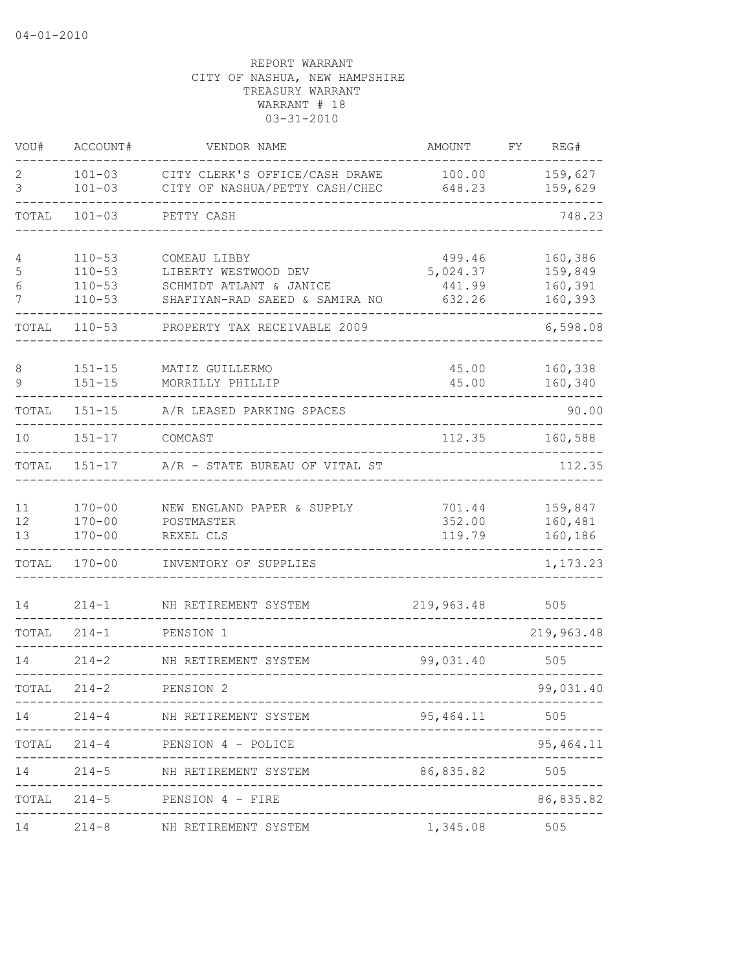| VOU#                        | ACCOUNT#                                             | VENDOR NAME                                                                                       | AMOUNT                                 | FY | REG#                                     |
|-----------------------------|------------------------------------------------------|---------------------------------------------------------------------------------------------------|----------------------------------------|----|------------------------------------------|
| 2<br>3                      | $101 - 03$<br>$101 - 03$                             | CITY CLERK'S OFFICE/CASH DRAWE<br>CITY OF NASHUA/PETTY CASH/CHEC                                  | 100.00<br>648.23                       |    | 159,627<br>159,629                       |
| TOTAL                       | $101 - 03$                                           | PETTY CASH                                                                                        |                                        |    | 748.23                                   |
| 4<br>5<br>6<br>7            | $110 - 53$<br>$110 - 53$<br>$110 - 53$<br>$110 - 53$ | COMEAU LIBBY<br>LIBERTY WESTWOOD DEV<br>SCHMIDT ATLANT & JANICE<br>SHAFIYAN-RAD SAEED & SAMIRA NO | 499.46<br>5,024.37<br>441.99<br>632.26 |    | 160,386<br>159,849<br>160,391<br>160,393 |
| TOTAL                       | $110 - 53$                                           | PROPERTY TAX RECEIVABLE 2009                                                                      |                                        |    | 6,598.08                                 |
| 8<br>9                      | $151 - 15$<br>$151 - 15$                             | MATIZ GUILLERMO<br>MORRILLY PHILLIP                                                               | 45.00<br>45.00                         |    | 160,338<br>160,340                       |
| TOTAL                       | $151 - 15$                                           | A/R LEASED PARKING SPACES                                                                         |                                        |    | 90.00                                    |
| 10                          | $151 - 17$                                           | COMCAST                                                                                           | 112.35                                 |    | 160,588                                  |
| TOTAL                       | $151 - 17$                                           | A/R - STATE BUREAU OF VITAL ST                                                                    |                                        |    | 112.35                                   |
| 11<br>12 <sup>°</sup><br>13 | $170 - 00$<br>$170 - 00$<br>$170 - 00$               | NEW ENGLAND PAPER & SUPPLY<br>POSTMASTER<br>REXEL CLS                                             | 701.44<br>352.00<br>119.79             |    | 159,847<br>160,481<br>160,186            |
| TOTAL                       | $170 - 00$                                           | INVENTORY OF SUPPLIES                                                                             |                                        |    | 1,173.23                                 |
| 14                          | $214 - 1$                                            | NH RETIREMENT SYSTEM                                                                              | 219,963.48                             |    | 505                                      |
| TOTAL                       | $214 - 1$                                            | PENSION 1                                                                                         |                                        |    | 219,963.48                               |
| 14                          | $214 - 2$                                            | NH RETIREMENT SYSTEM                                                                              | 99,031.40                              |    | 505                                      |
| TOTAL                       | $214 - 2$                                            | PENSION 2<br>--------------------                                                                 |                                        |    | 99,031.40                                |
|                             |                                                      | 14 214-4 NH RETIREMENT SYSTEM<br>------------------------                                         | 95, 464.11                             |    | 505                                      |
|                             | -----------                                          | TOTAL 214-4 PENSION 4 - POLICE<br>-------------------------------------                           |                                        |    | 95, 464.11                               |
| 14                          |                                                      | 214-5 NH RETIREMENT SYSTEM                                                                        | 86,835.82                              |    | 505<br>. _ _ _ _ _ _ _ _ _               |
|                             |                                                      | TOTAL 214-5 PENSION 4 - FIRE                                                                      |                                        |    | 86,835.82                                |
| 14                          |                                                      | 214-8 NH RETIREMENT SYSTEM                                                                        | 1,345.08 505                           |    |                                          |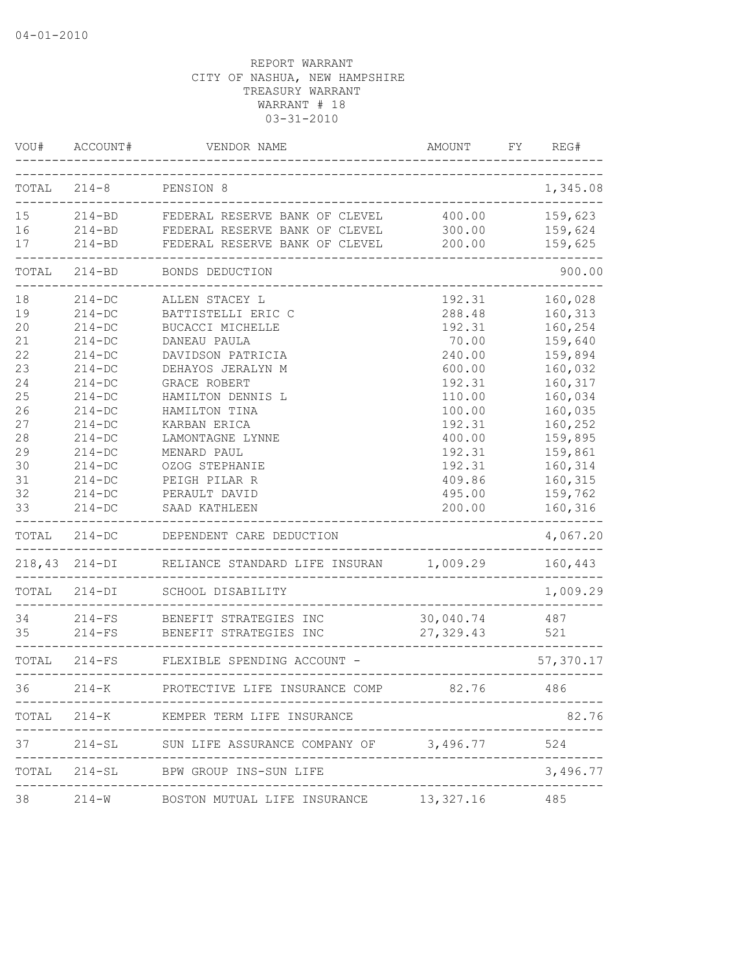| VOU#  | ACCOUNT#          | VENDOR NAME                                          | AMOUNT     | REG#<br>FY |
|-------|-------------------|------------------------------------------------------|------------|------------|
|       | $TOTAL 214-8$     | PENSION 8<br>__________________________              |            | 1,345.08   |
| 15    |                   | 214-BD FEDERAL RESERVE BANK OF CLEVEL                | 400.00     | 159,623    |
| 16    |                   | 214-BD FEDERAL RESERVE BANK OF CLEVEL                | 300.00     | 159,624    |
| 17    | $214 - BD$        | FEDERAL RESERVE BANK OF CLEVEL                       | 200.00     | 159,625    |
| TOTAL | $214 - BD$        | BONDS DEDUCTION                                      |            | 900.00     |
| 18    | $214 - DC$        | ALLEN STACEY L                                       | 192.31     | 160,028    |
| 19    | $214 - DC$        | BATTISTELLI ERIC C                                   | 288.48     | 160,313    |
| 20    | $214 - DC$        | BUCACCI MICHELLE                                     | 192.31     | 160,254    |
| 21    | $214-DC$          | DANEAU PAULA                                         | 70.00      | 159,640    |
| 22    | $214 - DC$        | DAVIDSON PATRICIA                                    | 240.00     | 159,894    |
| 23    | $214 - DC$        | DEHAYOS JERALYN M                                    | 600.00     | 160,032    |
| 24    | $214-DC$          | GRACE ROBERT                                         | 192.31     | 160,317    |
| 25    | $214 - DC$        | HAMILTON DENNIS L                                    | 110.00     | 160,034    |
| 26    | $214-DC$          | HAMILTON TINA                                        | 100.00     | 160,035    |
| 27    | $214-DC$          | KARBAN ERICA                                         | 192.31     | 160,252    |
| 28    | $214-DC$          | LAMONTAGNE LYNNE                                     | 400.00     | 159,895    |
| 29    | $214-DC$          | MENARD PAUL                                          | 192.31     | 159,861    |
| 30    | $214-DC$          | OZOG STEPHANIE                                       | 192.31     | 160,314    |
| 31    | $214 - DC$        | PEIGH PILAR R                                        | 409.86     | 160,315    |
| 32    | $214-DC$          | PERAULT DAVID                                        | 495.00     | 159,762    |
| 33    | $214-DC$          | SAAD KATHLEEN                                        | 200.00     | 160,316    |
|       | TOTAL 214-DC      | DEPENDENT CARE DEDUCTION                             |            | 4,067.20   |
|       | $218,43$ $214-DI$ | RELIANCE STANDARD LIFE INSURAN 1,009.29              |            | 160,443    |
| TOTAL | $214 - DI$        | SCHOOL DISABILITY                                    |            | 1,009.29   |
| 34    | $214-FS$          | BENEFIT STRATEGIES INC                               | 30,040.74  | 487        |
| 35    | $214-FS$          | BENEFIT STRATEGIES INC                               | 27, 329.43 | 521        |
|       | TOTAL 214-FS      | FLEXIBLE SPENDING ACCOUNT -                          |            | 57,370.17  |
| 36    | $214 - K$         | PROTECTIVE LIFE INSURANCE COMP 82.76                 |            | 486        |
|       |                   | TOTAL 214-K KEMPER TERM LIFE INSURANCE               |            | 82.76      |
|       |                   | 37 214-SL SUN LIFE ASSURANCE COMPANY OF 3,496.77 524 |            |            |
|       |                   | TOTAL 214-SL BPW GROUP INS-SUN LIFE                  |            | 3,496.77   |
| 38    |                   | 214-W BOSTON MUTUAL LIFE INSURANCE 13,327.16 485     |            |            |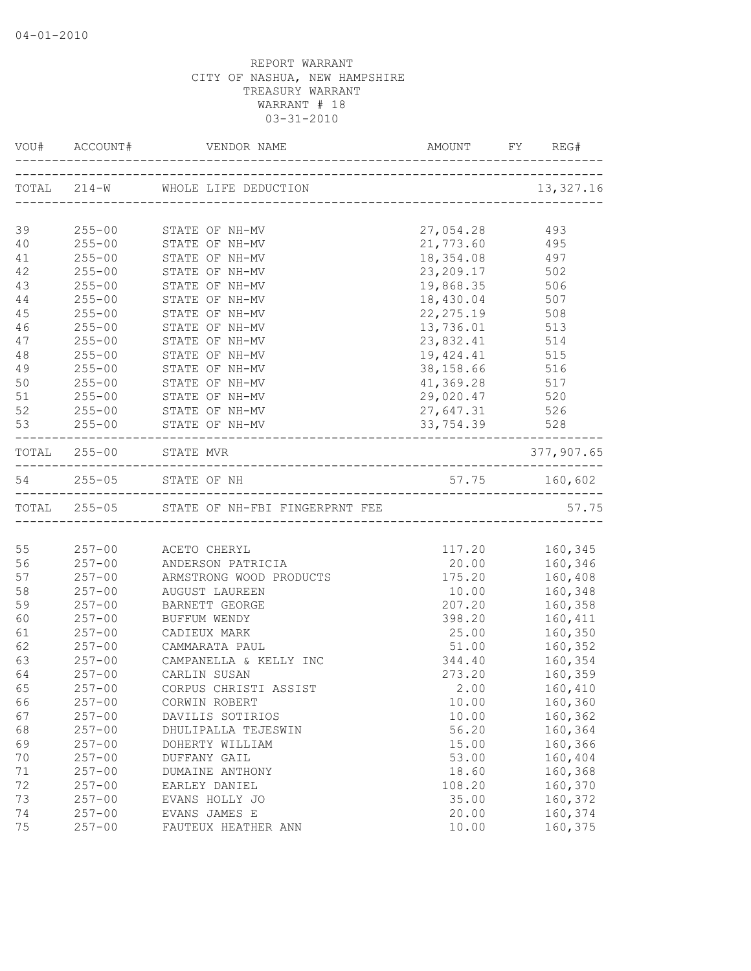|        |            | VOU# ACCOUNT# VENDOR NAME                   | AMOUNT FY REG# |                                  |
|--------|------------|---------------------------------------------|----------------|----------------------------------|
|        |            | TOTAL 214-W WHOLE LIFE DEDUCTION            |                | 13, 327.16                       |
|        |            |                                             |                |                                  |
| 39     |            | 255-00 STATE OF NH-MV                       | 27,054.28      | 493                              |
| 40     | $255 - 00$ | STATE OF NH-MV                              | 21,773.60      | 495                              |
| 41     | $255 - 00$ | STATE OF NH-MV                              | 18,354.08      | 497                              |
| 42     | $255 - 00$ | STATE OF NH-MV                              | 23, 209. 17    | 502                              |
| 43     | $255 - 00$ | STATE OF NH-MV                              | 19,868.35      | 506                              |
| $4\,4$ | $255 - 00$ | STATE OF NH-MV                              | 18,430.04 507  |                                  |
| 45     | $255 - 00$ | STATE OF NH-MV                              | 22, 275.19 508 |                                  |
| 46     | $255 - 00$ | STATE OF NH-MV                              | 13,736.01 513  |                                  |
| 47     | $255 - 00$ | STATE OF NH-MV                              | 23,832.41 514  |                                  |
| 48     | $255 - 00$ | STATE OF NH-MV                              | 19, 424.41 515 |                                  |
| 49     | $255 - 00$ | STATE OF NH-MV                              | 38,158.66      | 516                              |
| 50     | $255 - 00$ | STATE OF NH-MV<br>STATE OF NH-MV            | 41,369.28      | 517                              |
| 51     | $255 - 00$ |                                             | 29,020.47      | 520                              |
| 52     |            | 255-00 STATE OF NH-MV                       | 27,647.31      | 526                              |
| 53     |            | 255-00 STATE OF NH-MV                       | 33,754.39      | 528<br>. _ _ _ _ _ _ _ _ _ _ _ . |
|        |            | TOTAL 255-00 STATE MVR                      |                | 377,907.65                       |
|        |            | 54 255-05 STATE OF NH                       | 57.75 160,602  |                                  |
|        |            | TOTAL 255-05 STATE OF NH-FBI FINGERPRNT FEE |                | 57.75                            |
|        |            |                                             |                |                                  |
| 55     |            | 257-00 ACETO CHERYL                         |                | 117.20 160,345                   |
| 56     |            | 257-00 ANDERSON PATRICIA                    |                | 20.00 160,346                    |
| 57     |            | 257-00 ARMSTRONG WOOD PRODUCTS              | 175.20         | 160,408                          |
| 58     | $257 - 00$ | AUGUST LAUREEN                              | 10.00          | 160,348                          |
| 59     | $257 - 00$ | BARNETT GEORGE                              | 207.20         | 160,358                          |
| 60     | $257 - 00$ | BUFFUM WENDY                                | 398.20         | 160,411                          |
| 61     | $257 - 00$ | CADIEUX MARK                                | 25.00          | 160,350                          |
| 62     | $257 - 00$ | CAMMARATA PAUL                              | 51.00          | 160,352                          |
| 63     | $257 - 00$ | CAMPANELLA & KELLY INC                      | 344.40         | 160,354                          |
| 64     | $257 - 00$ | CARLIN SUSAN                                | 273.20         | 160,359                          |
| 65     | $257 - 00$ | CORPUS CHRISTI ASSIST                       | 2.00           | 160,410                          |
| 66     | $257 - 00$ | CORWIN ROBERT                               | 10.00          | 160,360                          |
| 67     | $257 - 00$ | DAVILIS SOTIRIOS                            | 10.00          | 160,362                          |
| 68     | $257 - 00$ | DHULIPALLA TEJESWIN                         | 56.20          | 160,364                          |
| 69     | $257 - 00$ | DOHERTY WILLIAM                             | 15.00          | 160,366                          |
| 70     | $257 - 00$ | DUFFANY GAIL                                | 53.00          | 160,404                          |
| 71     | $257 - 00$ | DUMAINE ANTHONY                             | 18.60          | 160,368                          |
| 72     | $257 - 00$ | EARLEY DANIEL                               | 108.20         | 160,370                          |
| 73     | $257 - 00$ | EVANS HOLLY JO                              | 35.00          | 160,372                          |
| 74     | $257 - 00$ | EVANS JAMES E                               | 20.00          | 160,374                          |
| 75     | $257 - 00$ | FAUTEUX HEATHER ANN                         | 10.00          | 160,375                          |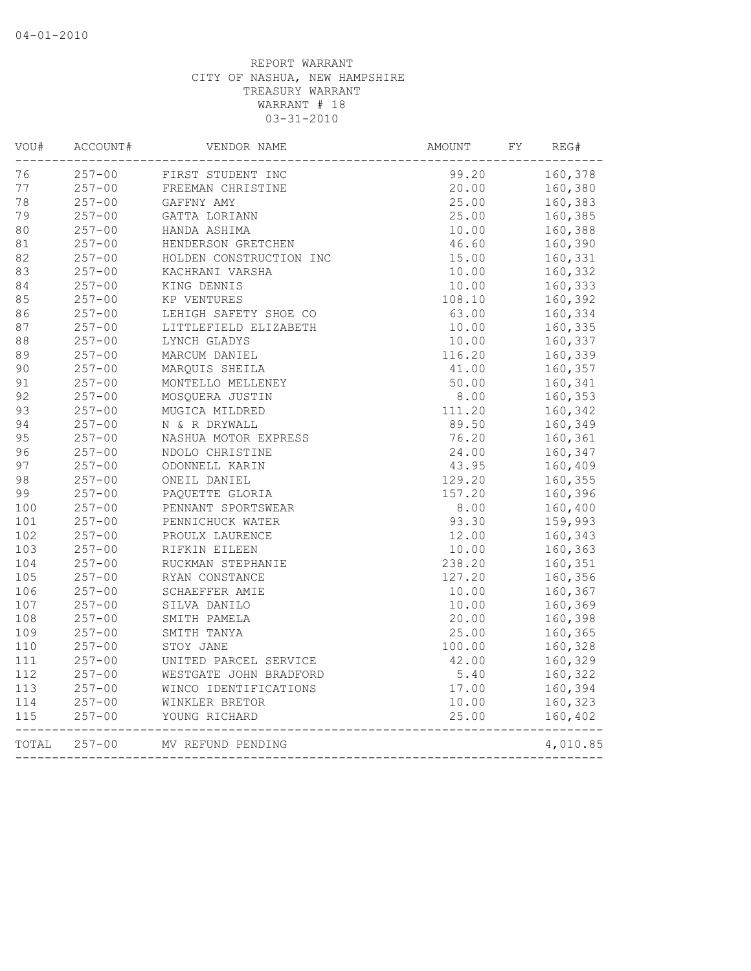| VOU#  | ACCOUNT#   | VENDOR NAME                           | AMOUNT                            | FY<br>REG# |
|-------|------------|---------------------------------------|-----------------------------------|------------|
| 76    | $257 - 00$ | FIRST STUDENT INC                     | 99.20                             | 160,378    |
| 77    | $257 - 00$ | FREEMAN CHRISTINE                     | 20.00                             | 160,380    |
| 78    | $257 - 00$ | GAFFNY AMY                            | 25.00                             | 160,383    |
| 79    | $257 - 00$ | GATTA LORIANN                         | 25.00                             | 160,385    |
| 80    | $257 - 00$ | HANDA ASHIMA                          | 10.00                             | 160,388    |
| 81    | $257 - 00$ | HENDERSON GRETCHEN                    | 46.60                             | 160,390    |
| 82    | $257 - 00$ | HOLDEN CONSTRUCTION INC               | 15.00                             | 160,331    |
| 83    | $257 - 00$ | KACHRANI VARSHA                       | 10.00                             | 160,332    |
| 84    | $257 - 00$ | KING DENNIS                           | 10.00                             | 160,333    |
| 85    | $257 - 00$ | KP VENTURES                           | 108.10                            | 160,392    |
| 86    | $257 - 00$ | LEHIGH SAFETY SHOE CO                 | 63.00                             | 160,334    |
| 87    | $257 - 00$ | LITTLEFIELD ELIZABETH                 | 10.00                             | 160,335    |
| 88    | $257 - 00$ | LYNCH GLADYS                          | 10.00                             | 160,337    |
| 89    | $257 - 00$ | MARCUM DANIEL                         | 116.20                            | 160,339    |
| 90    | $257 - 00$ | MAROUIS SHEILA                        | 41.00                             | 160,357    |
| 91    | $257 - 00$ | MONTELLO MELLENEY                     | 50.00                             | 160,341    |
| 92    | $257 - 00$ | MOSOUERA JUSTIN                       | 8.00                              | 160,353    |
| 93    | $257 - 00$ | MUGICA MILDRED                        | 111.20                            | 160,342    |
| 94    | $257 - 00$ | N & R DRYWALL                         | 89.50                             | 160,349    |
| 95    | $257 - 00$ | NASHUA MOTOR EXPRESS                  | 76.20                             | 160,361    |
| 96    | $257 - 00$ | NDOLO CHRISTINE                       | 24.00                             | 160,347    |
| 97    | $257 - 00$ | ODONNELL KARIN                        | 43.95                             | 160,409    |
| 98    | $257 - 00$ | ONEIL DANIEL                          | 129.20                            | 160,355    |
| 99    | $257 - 00$ | PAQUETTE GLORIA                       | 157.20                            | 160,396    |
| 100   | $257 - 00$ | PENNANT SPORTSWEAR                    | 8.00                              | 160,400    |
| 101   | $257 - 00$ | PENNICHUCK WATER                      | 93.30                             | 159,993    |
| 102   | $257 - 00$ | PROULX LAURENCE                       | 12.00                             | 160,343    |
| 103   | $257 - 00$ | RIFKIN EILEEN                         | 10.00                             | 160,363    |
| 104   | $257 - 00$ | RUCKMAN STEPHANIE                     | 238.20                            | 160,351    |
| 105   | $257 - 00$ | RYAN CONSTANCE                        | 127.20                            | 160,356    |
| 106   | $257 - 00$ | SCHAEFFER AMIE                        | 10.00                             | 160,367    |
| 107   | $257 - 00$ | SILVA DANILO                          | 10.00                             | 160,369    |
| 108   | $257 - 00$ | SMITH PAMELA                          | 20.00                             | 160,398    |
| 109   | $257 - 00$ | SMITH TANYA                           | 25.00                             | 160,365    |
| 110   | $257 - 00$ | STOY JANE                             | 100.00                            | 160,328    |
| 111   | $257 - 00$ | UNITED PARCEL SERVICE                 | 42.00                             | 160,329    |
| 112   | $257 - 00$ | WESTGATE JOHN BRADFORD                | 5.40                              | 160,322    |
| 113   | $257 - 00$ | WINCO IDENTIFICATIONS                 | 17.00                             | 160,394    |
| 114   | $257 - 00$ | WINKLER BRETOR                        | 10.00                             | 160,323    |
| 115   | $257 - 00$ | YOUNG RICHARD<br>-------------------- | 25.00                             | 160,402    |
| TOTAL | $257 - 00$ | MV REFUND PENDING                     | _________________________________ | 4,010.85   |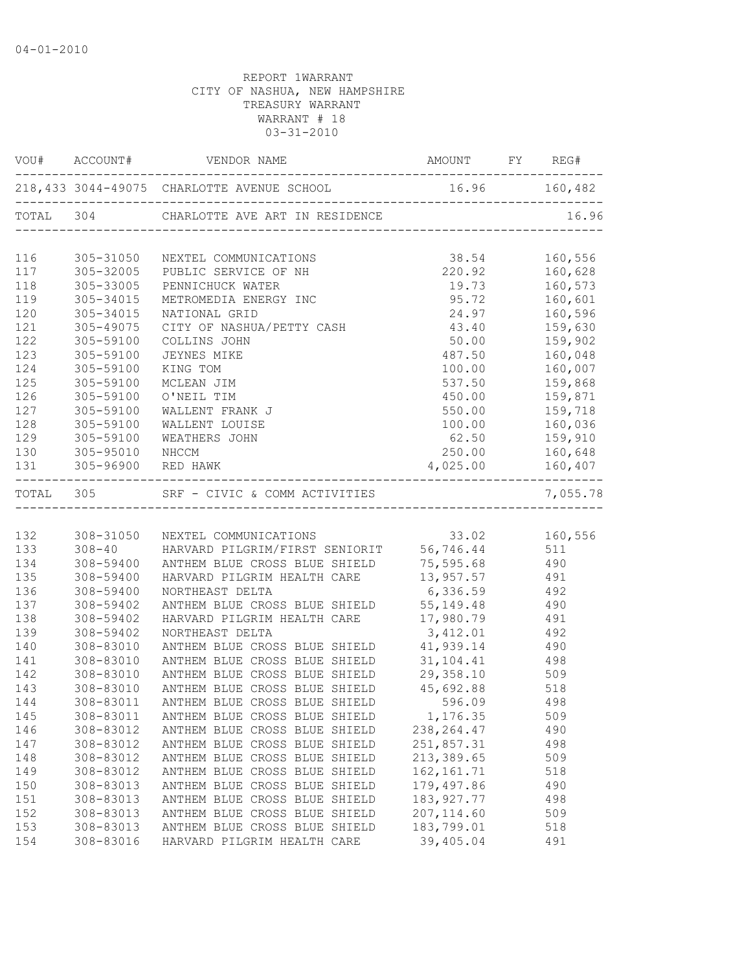|     |                                                 | 218,433 3044-49075 CHARLOTTE AVENUE SCHOOL 16.96 160,482                                                                                                                                                                                                                                                                                                                                 |                                                                                                                                |                    |
|-----|-------------------------------------------------|------------------------------------------------------------------------------------------------------------------------------------------------------------------------------------------------------------------------------------------------------------------------------------------------------------------------------------------------------------------------------------------|--------------------------------------------------------------------------------------------------------------------------------|--------------------|
|     |                                                 |                                                                                                                                                                                                                                                                                                                                                                                          |                                                                                                                                |                    |
|     |                                                 | NEXTEL COMMUNICATIONS                                                                                                                                                                                                                                                                                                                                                                    | 38.54 160,556<br>220.92 160,628<br>19.73 160,573<br>95.72 160,601<br>24.97 160,596                                             |                    |
|     |                                                 | PUBLIC SERVICE OF NH                                                                                                                                                                                                                                                                                                                                                                     |                                                                                                                                |                    |
|     | 116 305-31050<br>117 305-32005<br>118 305-33005 | PENNICHUCK WATER                                                                                                                                                                                                                                                                                                                                                                         |                                                                                                                                |                    |
|     | 119 305-34015                                   | METROMEDIA ENERGY INC                                                                                                                                                                                                                                                                                                                                                                    |                                                                                                                                |                    |
| 120 | 305-34015                                       | NATIONAL GRID                                                                                                                                                                                                                                                                                                                                                                            |                                                                                                                                |                    |
| 121 | 305-49075                                       | CITY OF NASHUA/PETTY CASH 43.40 159,630                                                                                                                                                                                                                                                                                                                                                  |                                                                                                                                |                    |
| 122 | 305-59100                                       | COLLINS JOHN                                                                                                                                                                                                                                                                                                                                                                             | $50.00$ $159,902$                                                                                                              |                    |
| 123 | 305-59100                                       | JEYNES MIKE                                                                                                                                                                                                                                                                                                                                                                              |                                                                                                                                | 487.50 160,048     |
| 124 | 305-59100                                       | KING TOM                                                                                                                                                                                                                                                                                                                                                                                 |                                                                                                                                | $100.00$ $160,007$ |
| 125 |                                                 | MCLEAN JIM                                                                                                                                                                                                                                                                                                                                                                               | $\begin{array}{ccc} 537.50 & 159,868 \ 450.00 & 159,871 \ 550.00 & 159,718 \ 100.00 & 160,036 \ 62.50 & 159,910 \ \end{array}$ |                    |
| 126 | 305-59100<br>305-59100<br>305-59100             | O'NEIL TIM                                                                                                                                                                                                                                                                                                                                                                               |                                                                                                                                |                    |
| 127 |                                                 | WALLENT FRANK J                                                                                                                                                                                                                                                                                                                                                                          |                                                                                                                                |                    |
|     | 128 305-59100                                   | WALLENT LOUISE                                                                                                                                                                                                                                                                                                                                                                           |                                                                                                                                |                    |
|     | 129 305-59100                                   | WEATHERS JOHN                                                                                                                                                                                                                                                                                                                                                                            |                                                                                                                                |                    |
|     | 130 305-95010 NHCCM                             |                                                                                                                                                                                                                                                                                                                                                                                          |                                                                                                                                | 250.00 160,648     |
|     |                                                 | 131 305-96900 RED HAWK                                                                                                                                                                                                                                                                                                                                                                   | $4,025.00$ 160,407                                                                                                             |                    |
|     |                                                 | -----------------------------------<br>$\begin{array}{ccccc}\n\text{TOTAL} & 305 & & \text{SRF} - \text{CIVIC} & \text{COMM ACTIVITIES} & & \text{7,03} \\ \text{105} & 0.5 & 0.5 & 0.5 & 0.5 \\ \text{206} & 0.5 & 0.5 & 0.5 & 0.5 \\ \text{310} & 0.5 & 0.5 & 0.5 & 0.5 \\ \text{420} & 0.5 & 0.5 & 0.5 & 0.5 \\ \text{530} & 0.5 & 0.5 & 0.5 & 0.5 \\ \text{640} & 0.5 & 0.5 & 0.5 &$ |                                                                                                                                | 7,055.78           |
|     |                                                 |                                                                                                                                                                                                                                                                                                                                                                                          |                                                                                                                                |                    |
|     |                                                 | 132 308-31050 NEXTEL COMMUNICATIONS 33.02 160,556<br>133 308-40 HARVARD PILGRIM/FIRST SENIORIT 56,746.44 511                                                                                                                                                                                                                                                                             |                                                                                                                                |                    |
|     |                                                 |                                                                                                                                                                                                                                                                                                                                                                                          |                                                                                                                                |                    |
| 134 |                                                 | 308-59400 ANTHEM BLUE CROSS BLUE SHIELD 75,595.68 490                                                                                                                                                                                                                                                                                                                                    |                                                                                                                                |                    |
| 135 | 308-59400                                       | HARVARD PILGRIM HEALTH CARE 13,957.57 491                                                                                                                                                                                                                                                                                                                                                |                                                                                                                                |                    |
| 136 | 308-59400                                       |                                                                                                                                                                                                                                                                                                                                                                                          | 6,336.59 492                                                                                                                   |                    |
| 137 | 308-59402                                       | NORTHEAST DELTA $6, 336.59$ 492<br>ANTHEM BLUE CROSS BLUE SHIELD $55, 149.48$ 490                                                                                                                                                                                                                                                                                                        |                                                                                                                                |                    |
| 138 | $308 - 59402$                                   | HARVARD PILGRIM HEALTH CARE 17,980.79 491                                                                                                                                                                                                                                                                                                                                                |                                                                                                                                |                    |
| 139 | 308-59402<br>308-83010<br>308-83010             | 192 NORTHEAST DELTA<br>ANTHEM BLUE CROSS BLUE SHIELD 41,939.14<br>ANTHEM BLUE CROSS BLUE SHIELD 31,104.41 498                                                                                                                                                                                                                                                                            |                                                                                                                                |                    |
| 140 |                                                 |                                                                                                                                                                                                                                                                                                                                                                                          |                                                                                                                                |                    |
| 141 |                                                 |                                                                                                                                                                                                                                                                                                                                                                                          |                                                                                                                                |                    |
| 142 | 308-83010                                       | ANTHEM BLUE CROSS BLUE SHIELD 29,358.10 509                                                                                                                                                                                                                                                                                                                                              |                                                                                                                                |                    |
| 143 | 308-83010                                       | ANTHEM BLUE CROSS BLUE SHIELD 45,692.88 518                                                                                                                                                                                                                                                                                                                                              |                                                                                                                                |                    |
|     |                                                 | 144 308-83011 ANTHEM BLUE CROSS BLUE SHIELD 596.09                                                                                                                                                                                                                                                                                                                                       |                                                                                                                                | 498                |
| 145 | 308-83011                                       | ANTHEM BLUE CROSS BLUE SHIELD                                                                                                                                                                                                                                                                                                                                                            | 1,176.35                                                                                                                       | 509                |
| 146 | 308-83012                                       | ANTHEM BLUE CROSS BLUE SHIELD                                                                                                                                                                                                                                                                                                                                                            | 238, 264.47                                                                                                                    | 490                |
| 147 | 308-83012                                       | ANTHEM BLUE CROSS BLUE SHIELD                                                                                                                                                                                                                                                                                                                                                            | 251,857.31                                                                                                                     | 498                |
| 148 | 308-83012                                       | ANTHEM BLUE CROSS BLUE SHIELD                                                                                                                                                                                                                                                                                                                                                            | 213,389.65                                                                                                                     | 509                |
| 149 | 308-83012                                       | ANTHEM BLUE CROSS BLUE SHIELD                                                                                                                                                                                                                                                                                                                                                            | 162, 161.71                                                                                                                    | 518                |
| 150 | 308-83013                                       | ANTHEM BLUE CROSS BLUE SHIELD                                                                                                                                                                                                                                                                                                                                                            | 179,497.86                                                                                                                     | 490                |
| 151 | 308-83013                                       | ANTHEM BLUE CROSS BLUE SHIELD                                                                                                                                                                                                                                                                                                                                                            | 183, 927.77                                                                                                                    | 498                |
| 152 | 308-83013                                       | ANTHEM BLUE CROSS BLUE SHIELD                                                                                                                                                                                                                                                                                                                                                            | 207, 114.60                                                                                                                    | 509                |
| 153 | 308-83013                                       | ANTHEM BLUE CROSS BLUE SHIELD                                                                                                                                                                                                                                                                                                                                                            | 183,799.01                                                                                                                     | 518                |
| 154 | 308-83016                                       | HARVARD PILGRIM HEALTH CARE                                                                                                                                                                                                                                                                                                                                                              | 39,405.04                                                                                                                      | 491                |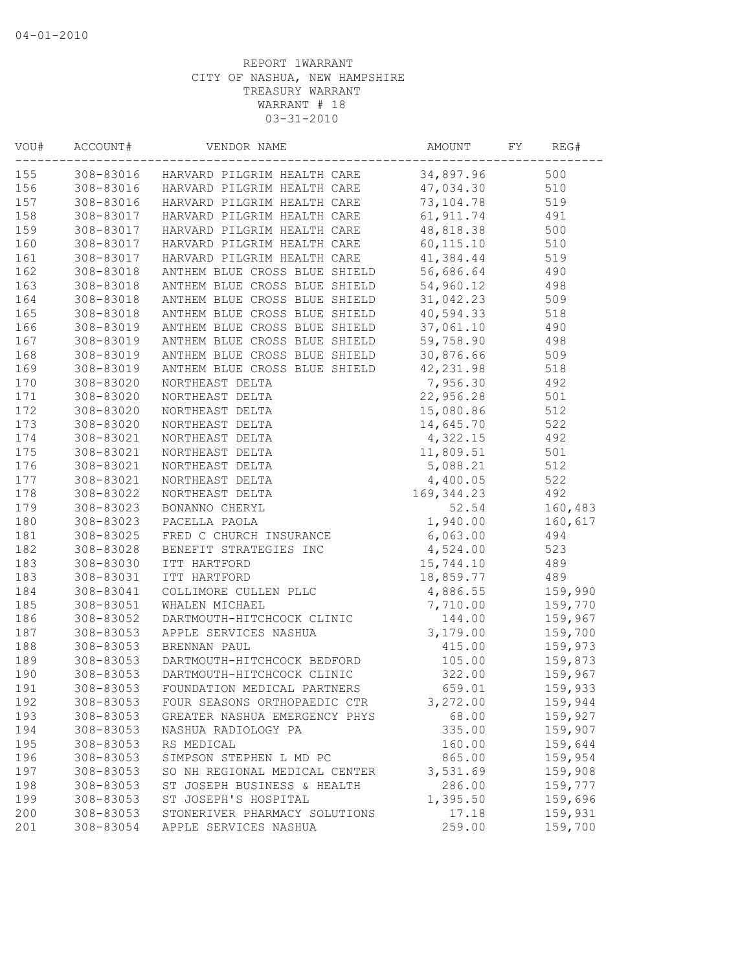| VOU# | ACCOUNT#  | VENDOR NAME                                     | AMOUNT      | FY<br>REG# |  |
|------|-----------|-------------------------------------------------|-------------|------------|--|
| 155  |           | 308-83016 HARVARD PILGRIM HEALTH CARE           | 34,897.96   | 500        |  |
| 156  |           | 308-83016 HARVARD PILGRIM HEALTH CARE 47,034.30 |             | 510        |  |
| 157  | 308-83016 | HARVARD PILGRIM HEALTH CARE 73,104.78           |             | 519        |  |
| 158  | 308-83017 | HARVARD PILGRIM HEALTH CARE                     | 61, 911.74  | 491        |  |
| 159  | 308-83017 | HARVARD PILGRIM HEALTH CARE                     | 48,818.38   | 500        |  |
| 160  |           | 308-83017 HARVARD PILGRIM HEALTH CARE           | 60,115.10   | 510        |  |
| 161  | 308-83017 | HARVARD PILGRIM HEALTH CARE                     | 41,384.44   | 519        |  |
| 162  | 308-83018 | ANTHEM BLUE CROSS BLUE SHIELD                   | 56,686.64   | 490        |  |
| 163  | 308-83018 | ANTHEM BLUE CROSS BLUE SHIELD                   | 54,960.12   | 498        |  |
| 164  | 308-83018 | ANTHEM BLUE CROSS BLUE SHIELD                   | 31,042.23   | 509        |  |
| 165  | 308-83018 | ANTHEM BLUE CROSS BLUE SHIELD                   | 40,594.33   | 518        |  |
| 166  | 308-83019 | ANTHEM BLUE CROSS BLUE SHIELD                   | 37,061.10   | 490        |  |
| 167  | 308-83019 | ANTHEM BLUE CROSS BLUE SHIELD                   | 59,758.90   | 498        |  |
| 168  | 308-83019 | ANTHEM BLUE CROSS BLUE SHIELD                   | 30,876.66   | 509        |  |
| 169  | 308-83019 | ANTHEM BLUE CROSS BLUE SHIELD                   | 42,231.98   | 518        |  |
| 170  | 308-83020 | NORTHEAST DELTA                                 | 7,956.30    | 492        |  |
| 171  | 308-83020 | NORTHEAST DELTA                                 | 22,956.28   | 501        |  |
| 172  | 308-83020 | NORTHEAST DELTA                                 | 15,080.86   | 512        |  |
| 173  | 308-83020 | NORTHEAST DELTA                                 | 14,645.70   | 522        |  |
| 174  | 308-83021 | NORTHEAST DELTA                                 | 4,322.15    | 492        |  |
| 175  | 308-83021 | NORTHEAST DELTA                                 | 11,809.51   | 501        |  |
| 176  | 308-83021 | NORTHEAST DELTA                                 | 5,088.21    | 512        |  |
| 177  | 308-83021 | NORTHEAST DELTA                                 | 4,400.05    | 522        |  |
| 178  | 308-83022 | NORTHEAST DELTA                                 | 169, 344.23 | 492        |  |
| 179  | 308-83023 | BONANNO CHERYL                                  | 52.54       | 160,483    |  |
| 180  | 308-83023 | PACELLA PAOLA                                   | 1,940.00    | 160,617    |  |
| 181  | 308-83025 | FRED C CHURCH INSURANCE                         | 6,063.00    | 494        |  |
| 182  | 308-83028 | BENEFIT STRATEGIES INC                          | 4,524.00    | 523        |  |
| 183  | 308-83030 | ITT HARTFORD                                    | 15,744.10   | 489        |  |
| 183  | 308-83031 | ITT HARTFORD                                    | 18,859.77   | 489        |  |
| 184  | 308-83041 | COLLIMORE CULLEN PLLC                           | 4,886.55    | 159,990    |  |
| 185  | 308-83051 | WHALEN MICHAEL                                  | 7,710.00    | 159,770    |  |
| 186  | 308-83052 | DARTMOUTH-HITCHCOCK CLINIC                      | 144.00      | 159,967    |  |
| 187  | 308-83053 | APPLE SERVICES NASHUA                           | 3,179.00    | 159,700    |  |
| 188  | 308-83053 | BRENNAN PAUL                                    | 415.00      | 159,973    |  |
| 189  | 308-83053 | DARTMOUTH-HITCHCOCK BEDFORD                     | 105.00      | 159,873    |  |
| 190  | 308-83053 | DARTMOUTH-HITCHCOCK CLINIC                      | 322.00      | 159,967    |  |
| 191  | 308-83053 | FOUNDATION MEDICAL PARTNERS                     | 659.01      | 159,933    |  |
| 192  | 308-83053 | FOUR SEASONS ORTHOPAEDIC CTR                    | 3,272.00    | 159,944    |  |
| 193  | 308-83053 | GREATER NASHUA EMERGENCY PHYS                   | 68.00       | 159,927    |  |
| 194  | 308-83053 | NASHUA RADIOLOGY PA                             | 335.00      | 159,907    |  |
| 195  | 308-83053 | RS MEDICAL                                      | 160.00      | 159,644    |  |
| 196  | 308-83053 | SIMPSON STEPHEN L MD PC                         | 865.00      | 159,954    |  |
| 197  | 308-83053 | SO NH REGIONAL MEDICAL CENTER                   | 3,531.69    | 159,908    |  |
| 198  | 308-83053 | ST JOSEPH BUSINESS & HEALTH                     | 286.00      | 159,777    |  |
| 199  | 308-83053 | ST JOSEPH'S HOSPITAL                            | 1,395.50    | 159,696    |  |
| 200  | 308-83053 | STONERIVER PHARMACY SOLUTIONS                   | 17.18       | 159,931    |  |
| 201  | 308-83054 | APPLE SERVICES NASHUA                           | 259.00      | 159,700    |  |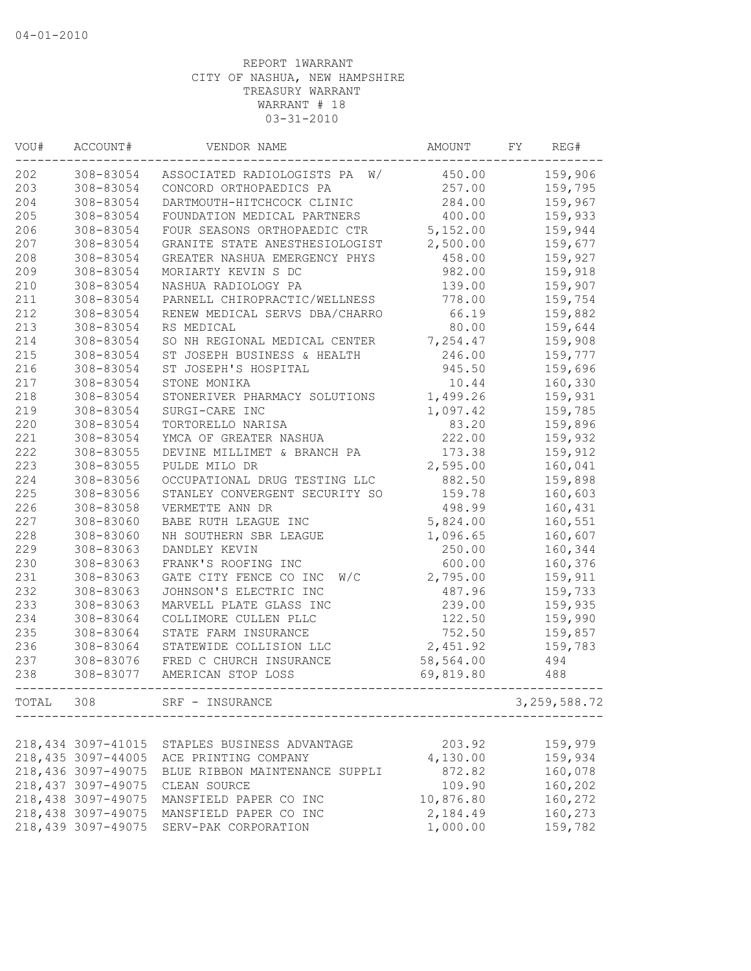| WOU#  | ACCOUNT#            | VENDOR NAME                    | AMOUNT    | FY | REG#           |
|-------|---------------------|--------------------------------|-----------|----|----------------|
| 202   | 308-83054           | ASSOCIATED RADIOLOGISTS PA W/  | 450.00    |    | 159,906        |
| 203   | 308-83054           | CONCORD ORTHOPAEDICS PA        | 257.00    |    | 159,795        |
| 204   | 308-83054           | DARTMOUTH-HITCHCOCK CLINIC     | 284.00    |    | 159,967        |
| 205   | 308-83054           | FOUNDATION MEDICAL PARTNERS    | 400.00    |    | 159,933        |
| 206   | 308-83054           | FOUR SEASONS ORTHOPAEDIC CTR   | 5,152.00  |    | 159,944        |
| 207   | 308-83054           | GRANITE STATE ANESTHESIOLOGIST | 2,500.00  |    | 159,677        |
| 208   | 308-83054           | GREATER NASHUA EMERGENCY PHYS  | 458.00    |    | 159,927        |
| 209   | 308-83054           | MORIARTY KEVIN S DC            | 982.00    |    | 159,918        |
| 210   | 308-83054           | NASHUA RADIOLOGY PA            | 139.00    |    | 159,907        |
| 211   | 308-83054           | PARNELL CHIROPRACTIC/WELLNESS  | 778.00    |    | 159,754        |
| 212   | 308-83054           | RENEW MEDICAL SERVS DBA/CHARRO | 66.19     |    | 159,882        |
| 213   | 308-83054           | RS MEDICAL                     | 80.00     |    | 159,644        |
| 214   | 308-83054           | SO NH REGIONAL MEDICAL CENTER  | 7,254.47  |    | 159,908        |
| 215   | 308-83054           | ST JOSEPH BUSINESS & HEALTH    | 246.00    |    | 159,777        |
| 216   | 308-83054           | ST JOSEPH'S HOSPITAL           | 945.50    |    | 159,696        |
| 217   | 308-83054           | STONE MONIKA                   | 10.44     |    | 160,330        |
| 218   | 308-83054           | STONERIVER PHARMACY SOLUTIONS  | 1,499.26  |    | 159,931        |
| 219   | 308-83054           | SURGI-CARE INC                 | 1,097.42  |    | 159,785        |
| 220   | 308-83054           | TORTORELLO NARISA              | 83.20     |    | 159,896        |
| 221   | 308-83054           | YMCA OF GREATER NASHUA         | 222.00    |    | 159,932        |
| 222   | 308-83055           | DEVINE MILLIMET & BRANCH PA    | 173.38    |    | 159,912        |
| 223   | 308-83055           | PULDE MILO DR                  | 2,595.00  |    | 160,041        |
| 224   | 308-83056           | OCCUPATIONAL DRUG TESTING LLC  | 882.50    |    | 159,898        |
| 225   | 308-83056           | STANLEY CONVERGENT SECURITY SO | 159.78    |    | 160,603        |
| 226   | 308-83058           | VERMETTE ANN DR                | 498.99    |    | 160,431        |
| 227   | 308-83060           | BABE RUTH LEAGUE INC           | 5,824.00  |    | 160,551        |
| 228   | 308-83060           | NH SOUTHERN SBR LEAGUE         | 1,096.65  |    | 160,607        |
| 229   | 308-83063           | DANDLEY KEVIN                  | 250.00    |    | 160,344        |
| 230   | 308-83063           | FRANK'S ROOFING INC            | 600.00    |    | 160,376        |
| 231   | 308-83063           | GATE CITY FENCE CO INC<br>W/C  | 2,795.00  |    | 159,911        |
| 232   | 308-83063           | JOHNSON'S ELECTRIC INC         | 487.96    |    | 159,733        |
| 233   | 308-83063           | MARVELL PLATE GLASS INC        | 239.00    |    | 159,935        |
| 234   | 308-83064           | COLLIMORE CULLEN PLLC          | 122.50    |    | 159,990        |
| 235   | 308-83064           | STATE FARM INSURANCE           | 752.50    |    | 159,857        |
| 236   | 308-83064           | STATEWIDE COLLISION LLC        | 2,451.92  |    | 159,783        |
| 237   | 308-83076           | FRED C CHURCH INSURANCE        | 58,564.00 |    | 494            |
| 238   | 308-83077           | AMERICAN STOP LOSS             | 69,819.80 |    | 488            |
| TOTAL | 308                 | SRF - INSURANCE                |           |    | 3, 259, 588.72 |
|       |                     |                                |           |    |                |
|       | 218,434 3097-41015  | STAPLES BUSINESS ADVANTAGE     | 203.92    |    | 159,979        |
|       | 218,435 3097-44005  | ACE PRINTING COMPANY           | 4,130.00  |    | 159,934        |
|       | 218,436 3097-49075  | BLUE RIBBON MAINTENANCE SUPPLI | 872.82    |    | 160,078        |
|       | 218, 437 3097-49075 | CLEAN SOURCE                   | 109.90    |    | 160,202        |
|       | 218,438 3097-49075  | MANSFIELD PAPER CO INC         | 10,876.80 |    | 160,272        |
|       | 218,438 3097-49075  | MANSFIELD PAPER CO INC         | 2,184.49  |    | 160,273        |
|       | 218,439 3097-49075  | SERV-PAK CORPORATION           | 1,000.00  |    | 159,782        |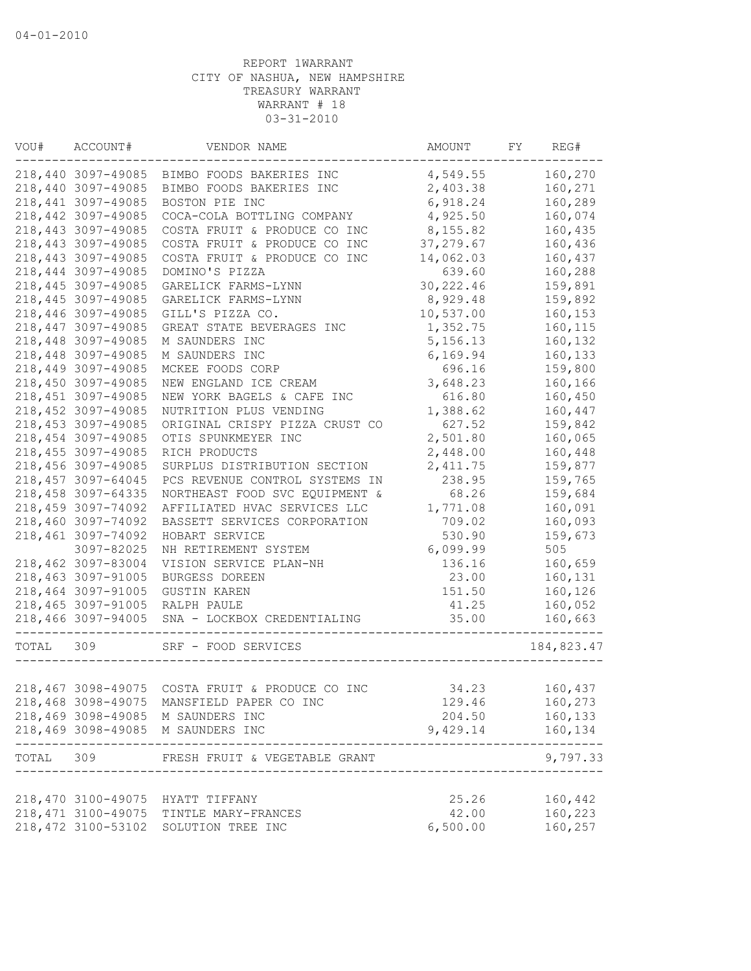| VOU#      | ACCOUNT#            | VENDOR NAME                                     | AMOUNT     | FY | REG#       |
|-----------|---------------------|-------------------------------------------------|------------|----|------------|
|           | 218,440 3097-49085  | BIMBO FOODS BAKERIES INC                        | 4,549.55   |    | 160,270    |
|           | 218,440 3097-49085  | BIMBO FOODS BAKERIES INC                        | 2,403.38   |    | 160,271    |
|           | 218, 441 3097-49085 | BOSTON PIE INC                                  | 6,918.24   |    | 160,289    |
|           | 218,442 3097-49085  | COCA-COLA BOTTLING COMPANY                      | 4,925.50   |    | 160,074    |
|           | 218,443 3097-49085  | COSTA FRUIT & PRODUCE CO INC                    | 8,155.82   |    | 160,435    |
|           | 218, 443 3097-49085 | COSTA FRUIT & PRODUCE CO INC                    | 37,279.67  |    | 160,436    |
|           | 218,443 3097-49085  | COSTA FRUIT & PRODUCE CO INC                    | 14,062.03  |    | 160,437    |
|           | 218,444 3097-49085  | DOMINO'S PIZZA                                  | 639.60     |    | 160,288    |
|           | 218,445 3097-49085  | GARELICK FARMS-LYNN                             | 30, 222.46 |    | 159,891    |
|           | 218, 445 3097-49085 | GARELICK FARMS-LYNN                             | 8,929.48   |    | 159,892    |
|           | 218,446 3097-49085  | GILL'S PIZZA CO.                                | 10,537.00  |    | 160,153    |
|           | 218, 447 3097-49085 | GREAT STATE BEVERAGES INC                       | 1,352.75   |    | 160, 115   |
|           | 218,448 3097-49085  | M SAUNDERS INC                                  | 5, 156. 13 |    | 160,132    |
|           | 218,448 3097-49085  | M SAUNDERS INC                                  | 6,169.94   |    | 160,133    |
|           | 218,449 3097-49085  | MCKEE FOODS CORP                                | 696.16     |    | 159,800    |
|           | 218,450 3097-49085  | NEW ENGLAND ICE CREAM                           | 3,648.23   |    | 160,166    |
|           | 218, 451 3097-49085 | NEW YORK BAGELS & CAFE INC                      | 616.80     |    | 160,450    |
|           | 218,452 3097-49085  | NUTRITION PLUS VENDING                          | 1,388.62   |    | 160,447    |
|           | 218,453 3097-49085  | ORIGINAL CRISPY PIZZA CRUST CO                  | 627.52     |    | 159,842    |
|           | 218,454 3097-49085  | OTIS SPUNKMEYER INC                             | 2,501.80   |    | 160,065    |
|           | 218, 455 3097-49085 | RICH PRODUCTS                                   | 2,448.00   |    | 160,448    |
|           | 218,456 3097-49085  | SURPLUS DISTRIBUTION SECTION                    | 2, 411.75  |    | 159,877    |
|           | 218, 457 3097-64045 | PCS REVENUE CONTROL SYSTEMS IN                  | 238.95     |    | 159,765    |
|           | 218,458 3097-64335  | NORTHEAST FOOD SVC EQUIPMENT &                  | 68.26      |    | 159,684    |
|           | 218,459 3097-74092  | AFFILIATED HVAC SERVICES LLC                    | 1,771.08   |    | 160,091    |
|           | 218,460 3097-74092  | BASSETT SERVICES CORPORATION                    | 709.02     |    | 160,093    |
|           | 218,461 3097-74092  | HOBART SERVICE                                  | 530.90     |    | 159,673    |
|           | 3097-82025          | NH RETIREMENT SYSTEM                            | 6,099.99   |    | 505        |
|           | 218,462 3097-83004  | VISION SERVICE PLAN-NH                          | 136.16     |    | 160,659    |
|           | 218,463 3097-91005  | BURGESS DOREEN                                  | 23.00      |    | 160,131    |
|           | 218,464 3097-91005  | <b>GUSTIN KAREN</b>                             | 151.50     |    | 160,126    |
|           | 218,465 3097-91005  | RALPH PAULE                                     | 41.25      |    | 160,052    |
|           | 218,466 3097-94005  | SNA - LOCKBOX CREDENTIALING<br>_____________    | 35.00      |    | 160,663    |
| TOTAL 309 |                     | SRF - FOOD SERVICES                             |            |    | 184,823.47 |
|           |                     |                                                 |            |    |            |
|           |                     | 218,467 3098-49075 COSTA FRUIT & PRODUCE CO INC | 34.23      |    | 160,437    |
|           |                     | 218,468 3098-49075 MANSFIELD PAPER CO INC       | 129.46     |    | 160,273    |
|           |                     | 218,469 3098-49085 M SAUNDERS INC               | 204.50     |    | 160,133    |
|           |                     | 218,469 3098-49085 M SAUNDERS INC               | 9,429.14   |    | 160,134    |
|           |                     | TOTAL 309 FRESH FRUIT & VEGETABLE GRANT         |            |    | 9,797.33   |
|           |                     | 218,470 3100-49075 HYATT TIFFANY                | 25.26      |    | 160,442    |
|           |                     | 218, 471 3100-49075 TINTLE MARY-FRANCES         | 42.00      |    | 160,223    |
|           |                     | 218,472 3100-53102 SOLUTION TREE INC            | 6,500.00   |    | 160,257    |
|           |                     |                                                 |            |    |            |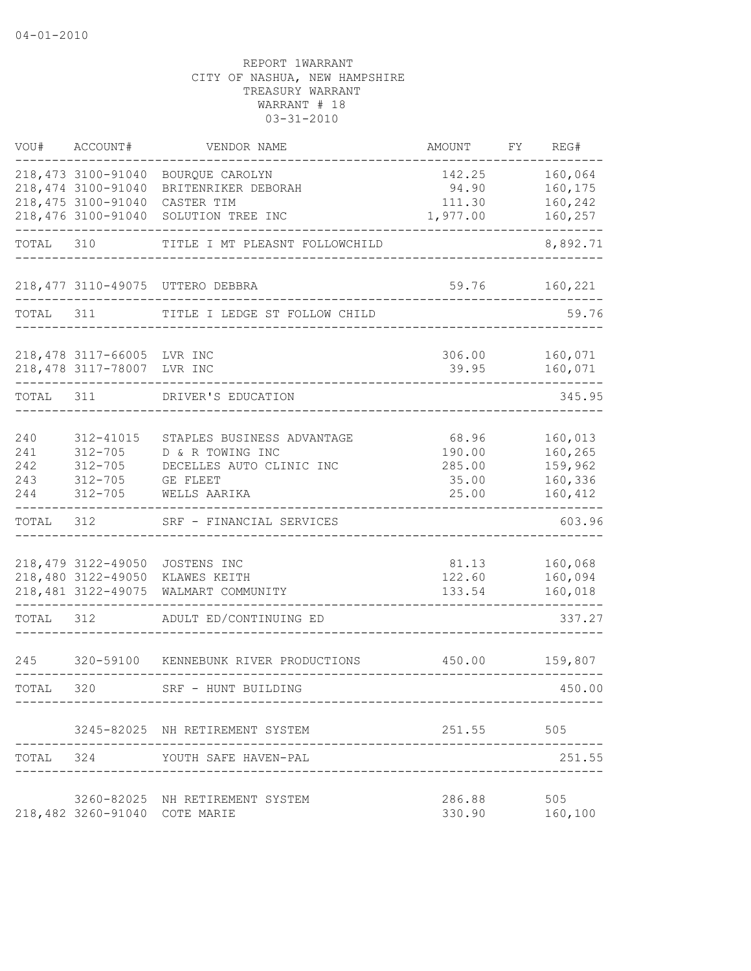| VOU#       | ACCOUNT#                                 | VENDOR NAME                           | AMOUNT          | FY | REG#               |
|------------|------------------------------------------|---------------------------------------|-----------------|----|--------------------|
|            | 218, 473 3100-91040                      | BOURQUE CAROLYN                       | 142.25          |    | 160,064            |
|            | 218, 474 3100-91040                      | BRITENRIKER DEBORAH                   | 94.90           |    | 160,175            |
|            | 218,475 3100-91040                       | CASTER TIM                            | 111.30          |    | 160,242            |
|            | 218,476 3100-91040                       | SOLUTION TREE INC                     | 1,977.00        |    | 160,257            |
| TOTAL      | 310                                      | TITLE I MT PLEASNT FOLLOWCHILD        |                 |    | 8,892.71           |
|            |                                          | 218,477 3110-49075 UTTERO DEBBRA      | 59.76           |    | 160,221            |
| TOTAL      | 311                                      | TITLE I LEDGE ST FOLLOW CHILD         |                 |    | 59.76              |
|            | 218,478 3117-66005 LVR INC               |                                       | 306.00          |    | 160,071            |
|            | 218,478 3117-78007 LVR INC               |                                       | 39.95           |    | 160,071            |
| TOTAL 311  |                                          | DRIVER'S EDUCATION                    |                 |    | 345.95             |
|            |                                          |                                       |                 |    |                    |
| 240        | 312-41015                                | STAPLES BUSINESS ADVANTAGE            | 68.96           |    | 160,013            |
| 241        | $312 - 705$                              | D & R TOWING INC                      | 190.00          |    | 160,265            |
| 242<br>243 | $312 - 705$<br>$312 - 705$               | DECELLES AUTO CLINIC INC<br>GE FLEET  | 285.00<br>35.00 |    | 159,962<br>160,336 |
| 244        | $312 - 705$                              | WELLS AARIKA                          | 25.00           |    | 160,412            |
| TOTAL      | 312                                      | SRF - FINANCIAL SERVICES              |                 |    | 603.96             |
|            |                                          |                                       |                 |    |                    |
|            | 218,479 3122-49050<br>218,480 3122-49050 | JOSTENS INC                           | 81.13<br>122.60 |    | 160,068<br>160,094 |
|            | 218, 481 3122-49075                      | KLAWES KEITH<br>WALMART COMMUNITY     | 133.54          |    | 160,018            |
| TOTAL      | 312                                      | ADULT ED/CONTINUING ED                |                 |    | 337.27             |
| 245        |                                          | 320-59100 KENNEBUNK RIVER PRODUCTIONS | 450.00          |    | 159,807            |
| TOTAL      | 320                                      | SRF - HUNT BUILDING                   |                 |    | 450.00             |
|            |                                          |                                       |                 |    |                    |
|            |                                          | 3245-82025 NH RETIREMENT SYSTEM       | 251.55          |    | 505                |
| TOTAL 324  |                                          | YOUTH SAFE HAVEN-PAL                  |                 |    | 251.55             |
|            |                                          | 3260-82025 NH RETIREMENT SYSTEM       | 286.88          |    | 505                |
|            | 218,482 3260-91040 COTE MARIE            |                                       | 330.90          |    | 160,100            |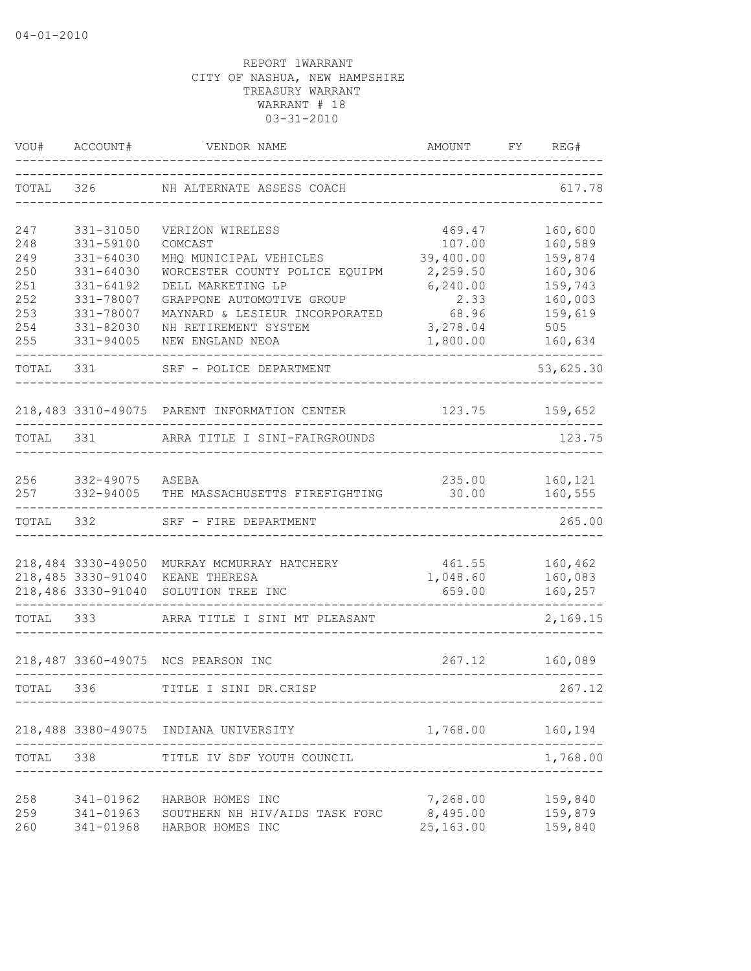| VOU#       | ACCOUNT#               | VENDOR NAME                                  | AMOUNT<br>---------------------- | FY | REG#               |
|------------|------------------------|----------------------------------------------|----------------------------------|----|--------------------|
| TOTAL      | 326                    | NH ALTERNATE ASSESS COACH                    |                                  |    | 617.78             |
| 247        | 331-31050              | VERIZON WIRELESS                             | 469.47                           |    | 160,600            |
| 248        | 331-59100              | COMCAST                                      | 107.00                           |    | 160,589            |
| 249        | 331-64030              | MHQ MUNICIPAL VEHICLES                       | 39,400.00                        |    | 159,874            |
| 250        | 331-64030              | WORCESTER COUNTY POLICE EQUIPM               | 2,259.50                         |    | 160,306            |
| 251        | $331 - 64192$          | DELL MARKETING LP                            | 6, 240.00                        |    | 159,743            |
| 252        | 331-78007              | GRAPPONE AUTOMOTIVE GROUP                    | 2.33                             |    | 160,003            |
| 253        | 331-78007              | MAYNARD & LESIEUR INCORPORATED               | 68.96                            |    | 159,619            |
| 254<br>255 | 331-82030<br>331-94005 | NH RETIREMENT SYSTEM<br>NEW ENGLAND NEOA     | 3,278.04<br>1,800.00             |    | 505<br>160,634     |
|            |                        |                                              |                                  |    |                    |
| TOTAL      | 331                    | SRF - POLICE DEPARTMENT                      |                                  |    | 53,625.30          |
|            |                        | 218,483 3310-49075 PARENT INFORMATION CENTER | 123.75                           |    | 159,652            |
| TOTAL 331  |                        | ARRA TITLE I SINI-FAIRGROUNDS                |                                  |    | 123.75             |
| 256        |                        |                                              |                                  |    |                    |
| 257        | 332-49075 ASEBA        | 332-94005 THE MASSACHUSETTS FIREFIGHTING     | 235.00<br>30.00                  |    | 160,121<br>160,555 |
| TOTAL 332  |                        | SRF - FIRE DEPARTMENT                        |                                  |    | 265.00             |
|            | 218,484 3330-49050     | MURRAY MCMURRAY HATCHERY                     | 461.55                           |    | 160,462            |
|            | 218,485 3330-91040     | KEANE THERESA                                | 1,048.60                         |    | 160,083            |
|            | 218,486 3330-91040     | SOLUTION TREE INC                            | 659.00                           |    | 160,257            |
| TOTAL      | 333                    | ARRA TITLE I SINI MT PLEASANT                |                                  |    | 2,169.15           |
|            |                        | 218,487 3360-49075 NCS PEARSON INC           | 267.12                           |    | 160,089            |
| TOTAL 336  |                        | TITLE I SINI DR.CRISP                        |                                  |    | 267.12             |
|            |                        |                                              |                                  |    |                    |
|            |                        | 218,488 3380-49075 INDIANA UNIVERSITY        | 1,768.00                         |    | 160,194            |
| TOTAL 338  |                        | TITLE IV SDF YOUTH COUNCIL                   |                                  |    | 1,768.00           |
| 258        | 341-01962              | HARBOR HOMES INC                             | 7,268.00                         |    | 159,840            |
| 259        | 341-01963              | SOUTHERN NH HIV/AIDS TASK FORC               | 8,495.00                         |    | 159,879            |
| 260        | 341-01968              | HARBOR HOMES INC                             | 25,163.00                        |    | 159,840            |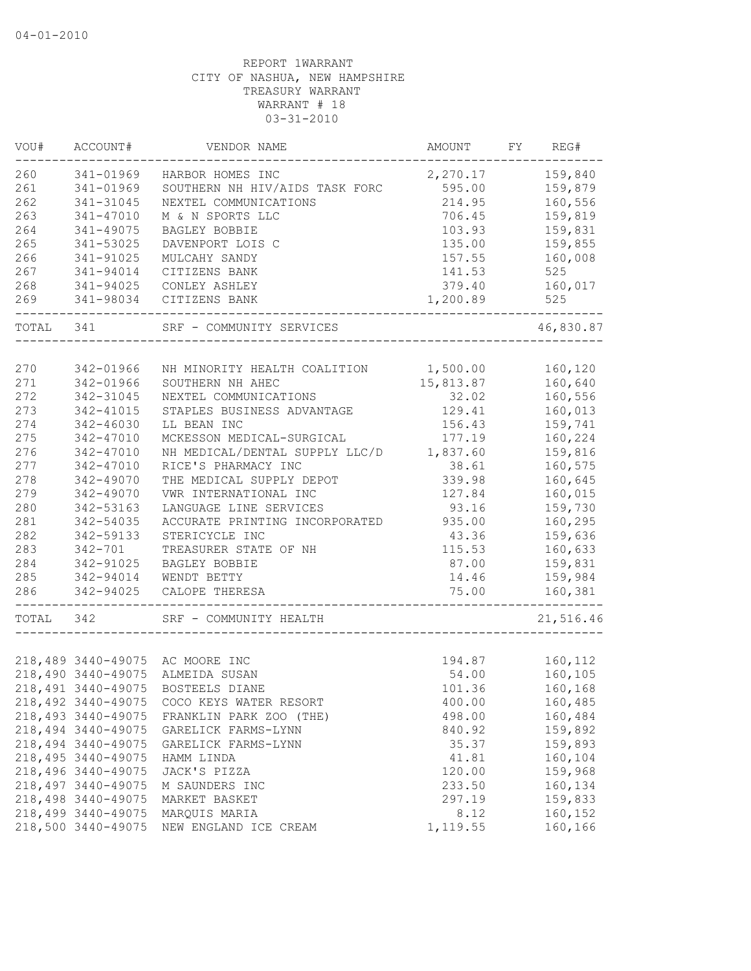| 260<br>159,840<br>341-01969<br>HARBOR HOMES INC<br>2,270.17<br>261<br>159,879<br>SOUTHERN NH HIV/AIDS TASK FORC<br>595.00<br>341-01969<br>262<br>214.95<br>160,556<br>341-31045<br>NEXTEL COMMUNICATIONS<br>263<br>M & N SPORTS LLC<br>159,819<br>341-47010<br>706.45<br>264<br>159,831<br>341-49075<br>BAGLEY BOBBIE<br>103.93<br>265<br>341-53025<br>135.00<br>159,855<br>DAVENPORT LOIS C<br>266<br>160,008<br>341-91025<br>MULCAHY SANDY<br>157.55<br>267<br>141.53<br>525<br>341-94014<br>CITIZENS BANK<br>268<br>160,017<br>341-94025<br>CONLEY ASHLEY<br>379.40<br>269<br>1,200.89<br>341-98034<br>CITIZENS BANK<br>525<br>TOTAL 341<br>SRF - COMMUNITY SERVICES<br>270<br>342-01966<br>1,500.00<br>160,120<br>NH MINORITY HEALTH COALITION<br>271<br>160,640<br>342-01966<br>15,813.87<br>SOUTHERN NH AHEC<br>272<br>32.02<br>160,556<br>342-31045<br>NEXTEL COMMUNICATIONS<br>273<br>STAPLES BUSINESS ADVANTAGE<br>160,013<br>342-41015<br>129.41<br>274<br>159,741<br>342-46030<br>LL BEAN INC<br>156.43<br>275<br>MCKESSON MEDICAL-SURGICAL<br>177.19<br>160,224<br>342-47010<br>276<br>NH MEDICAL/DENTAL SUPPLY LLC/D<br>1,837.60<br>159,816<br>342-47010<br>277<br>RICE'S PHARMACY INC<br>342-47010<br>38.61<br>160,575<br>278<br>THE MEDICAL SUPPLY DEPOT<br>342-49070<br>339.98<br>160,645<br>279<br>342-49070<br>VWR INTERNATIONAL INC<br>127.84<br>160,015<br>280<br>342-53163<br>LANGUAGE LINE SERVICES<br>93.16<br>159,730<br>281<br>935.00<br>160,295<br>342-54035<br>ACCURATE PRINTING INCORPORATED<br>282<br>43.36<br>342-59133<br>STERICYCLE INC<br>159,636<br>283<br>160,633<br>$342 - 701$<br>TREASURER STATE OF NH<br>115.53<br>284<br>342-91025<br>87.00<br>159,831<br>BAGLEY BOBBIE<br>285<br>159,984<br>342-94014<br>WENDT BETTY<br>14.46<br>286<br>342-94025<br>160,381<br>CALOPE THERESA<br>75.00<br>TOTAL<br>342<br>SRF - COMMUNITY HEALTH<br>218,489 3440-49075 AC MOORE INC<br>194.87<br>160,112<br>218,490 3440-49075<br>54.00<br>160,105<br>ALMEIDA SUSAN<br>218,491 3440-49075 BOSTEELS DIANE<br>101.36<br>160,168<br>218,492 3440-49075<br>160,485<br>COCO KEYS WATER RESORT<br>400.00<br>218, 493 3440-49075<br>160,484<br>FRANKLIN PARK ZOO (THE)<br>498.00<br>218,494 3440-49075<br>159,892<br>GARELICK FARMS-LYNN<br>840.92<br>218,494 3440-49075<br>35.37<br>159,893<br>GARELICK FARMS-LYNN<br>41.81<br>160,104<br>218, 495 3440-49075<br>HAMM LINDA<br>218,496 3440-49075<br>JACK'S PIZZA<br>120.00<br>159,968<br>218, 497 3440-49075<br>233.50<br>160,134<br>M SAUNDERS INC<br>218,498 3440-49075<br>159,833<br>MARKET BASKET<br>297.19<br>218,499 3440-49075<br>8.12<br>160,152<br>MARQUIS MARIA | VOU# | ACCOUNT#           | VENDOR NAME           | AMOUNT   | FY | REG#      |
|------------------------------------------------------------------------------------------------------------------------------------------------------------------------------------------------------------------------------------------------------------------------------------------------------------------------------------------------------------------------------------------------------------------------------------------------------------------------------------------------------------------------------------------------------------------------------------------------------------------------------------------------------------------------------------------------------------------------------------------------------------------------------------------------------------------------------------------------------------------------------------------------------------------------------------------------------------------------------------------------------------------------------------------------------------------------------------------------------------------------------------------------------------------------------------------------------------------------------------------------------------------------------------------------------------------------------------------------------------------------------------------------------------------------------------------------------------------------------------------------------------------------------------------------------------------------------------------------------------------------------------------------------------------------------------------------------------------------------------------------------------------------------------------------------------------------------------------------------------------------------------------------------------------------------------------------------------------------------------------------------------------------------------------------------------------------------------------------------------------------------------------------------------------------------------------------------------------------------------------------------------------------------------------------------------------------------------------------------------------------------------------------------------------------------------------------------------------------------------------------------------------------------------------------------------------------------------------------------------------------------------------------|------|--------------------|-----------------------|----------|----|-----------|
|                                                                                                                                                                                                                                                                                                                                                                                                                                                                                                                                                                                                                                                                                                                                                                                                                                                                                                                                                                                                                                                                                                                                                                                                                                                                                                                                                                                                                                                                                                                                                                                                                                                                                                                                                                                                                                                                                                                                                                                                                                                                                                                                                                                                                                                                                                                                                                                                                                                                                                                                                                                                                                                |      |                    |                       |          |    |           |
|                                                                                                                                                                                                                                                                                                                                                                                                                                                                                                                                                                                                                                                                                                                                                                                                                                                                                                                                                                                                                                                                                                                                                                                                                                                                                                                                                                                                                                                                                                                                                                                                                                                                                                                                                                                                                                                                                                                                                                                                                                                                                                                                                                                                                                                                                                                                                                                                                                                                                                                                                                                                                                                |      |                    |                       |          |    |           |
|                                                                                                                                                                                                                                                                                                                                                                                                                                                                                                                                                                                                                                                                                                                                                                                                                                                                                                                                                                                                                                                                                                                                                                                                                                                                                                                                                                                                                                                                                                                                                                                                                                                                                                                                                                                                                                                                                                                                                                                                                                                                                                                                                                                                                                                                                                                                                                                                                                                                                                                                                                                                                                                |      |                    |                       |          |    |           |
|                                                                                                                                                                                                                                                                                                                                                                                                                                                                                                                                                                                                                                                                                                                                                                                                                                                                                                                                                                                                                                                                                                                                                                                                                                                                                                                                                                                                                                                                                                                                                                                                                                                                                                                                                                                                                                                                                                                                                                                                                                                                                                                                                                                                                                                                                                                                                                                                                                                                                                                                                                                                                                                |      |                    |                       |          |    |           |
|                                                                                                                                                                                                                                                                                                                                                                                                                                                                                                                                                                                                                                                                                                                                                                                                                                                                                                                                                                                                                                                                                                                                                                                                                                                                                                                                                                                                                                                                                                                                                                                                                                                                                                                                                                                                                                                                                                                                                                                                                                                                                                                                                                                                                                                                                                                                                                                                                                                                                                                                                                                                                                                |      |                    |                       |          |    |           |
|                                                                                                                                                                                                                                                                                                                                                                                                                                                                                                                                                                                                                                                                                                                                                                                                                                                                                                                                                                                                                                                                                                                                                                                                                                                                                                                                                                                                                                                                                                                                                                                                                                                                                                                                                                                                                                                                                                                                                                                                                                                                                                                                                                                                                                                                                                                                                                                                                                                                                                                                                                                                                                                |      |                    |                       |          |    |           |
|                                                                                                                                                                                                                                                                                                                                                                                                                                                                                                                                                                                                                                                                                                                                                                                                                                                                                                                                                                                                                                                                                                                                                                                                                                                                                                                                                                                                                                                                                                                                                                                                                                                                                                                                                                                                                                                                                                                                                                                                                                                                                                                                                                                                                                                                                                                                                                                                                                                                                                                                                                                                                                                |      |                    |                       |          |    |           |
|                                                                                                                                                                                                                                                                                                                                                                                                                                                                                                                                                                                                                                                                                                                                                                                                                                                                                                                                                                                                                                                                                                                                                                                                                                                                                                                                                                                                                                                                                                                                                                                                                                                                                                                                                                                                                                                                                                                                                                                                                                                                                                                                                                                                                                                                                                                                                                                                                                                                                                                                                                                                                                                |      |                    |                       |          |    |           |
|                                                                                                                                                                                                                                                                                                                                                                                                                                                                                                                                                                                                                                                                                                                                                                                                                                                                                                                                                                                                                                                                                                                                                                                                                                                                                                                                                                                                                                                                                                                                                                                                                                                                                                                                                                                                                                                                                                                                                                                                                                                                                                                                                                                                                                                                                                                                                                                                                                                                                                                                                                                                                                                |      |                    |                       |          |    |           |
|                                                                                                                                                                                                                                                                                                                                                                                                                                                                                                                                                                                                                                                                                                                                                                                                                                                                                                                                                                                                                                                                                                                                                                                                                                                                                                                                                                                                                                                                                                                                                                                                                                                                                                                                                                                                                                                                                                                                                                                                                                                                                                                                                                                                                                                                                                                                                                                                                                                                                                                                                                                                                                                |      |                    |                       |          |    |           |
|                                                                                                                                                                                                                                                                                                                                                                                                                                                                                                                                                                                                                                                                                                                                                                                                                                                                                                                                                                                                                                                                                                                                                                                                                                                                                                                                                                                                                                                                                                                                                                                                                                                                                                                                                                                                                                                                                                                                                                                                                                                                                                                                                                                                                                                                                                                                                                                                                                                                                                                                                                                                                                                |      |                    |                       |          |    | 46,830.87 |
|                                                                                                                                                                                                                                                                                                                                                                                                                                                                                                                                                                                                                                                                                                                                                                                                                                                                                                                                                                                                                                                                                                                                                                                                                                                                                                                                                                                                                                                                                                                                                                                                                                                                                                                                                                                                                                                                                                                                                                                                                                                                                                                                                                                                                                                                                                                                                                                                                                                                                                                                                                                                                                                |      |                    |                       |          |    |           |
|                                                                                                                                                                                                                                                                                                                                                                                                                                                                                                                                                                                                                                                                                                                                                                                                                                                                                                                                                                                                                                                                                                                                                                                                                                                                                                                                                                                                                                                                                                                                                                                                                                                                                                                                                                                                                                                                                                                                                                                                                                                                                                                                                                                                                                                                                                                                                                                                                                                                                                                                                                                                                                                |      |                    |                       |          |    |           |
|                                                                                                                                                                                                                                                                                                                                                                                                                                                                                                                                                                                                                                                                                                                                                                                                                                                                                                                                                                                                                                                                                                                                                                                                                                                                                                                                                                                                                                                                                                                                                                                                                                                                                                                                                                                                                                                                                                                                                                                                                                                                                                                                                                                                                                                                                                                                                                                                                                                                                                                                                                                                                                                |      |                    |                       |          |    |           |
|                                                                                                                                                                                                                                                                                                                                                                                                                                                                                                                                                                                                                                                                                                                                                                                                                                                                                                                                                                                                                                                                                                                                                                                                                                                                                                                                                                                                                                                                                                                                                                                                                                                                                                                                                                                                                                                                                                                                                                                                                                                                                                                                                                                                                                                                                                                                                                                                                                                                                                                                                                                                                                                |      |                    |                       |          |    |           |
|                                                                                                                                                                                                                                                                                                                                                                                                                                                                                                                                                                                                                                                                                                                                                                                                                                                                                                                                                                                                                                                                                                                                                                                                                                                                                                                                                                                                                                                                                                                                                                                                                                                                                                                                                                                                                                                                                                                                                                                                                                                                                                                                                                                                                                                                                                                                                                                                                                                                                                                                                                                                                                                |      |                    |                       |          |    |           |
|                                                                                                                                                                                                                                                                                                                                                                                                                                                                                                                                                                                                                                                                                                                                                                                                                                                                                                                                                                                                                                                                                                                                                                                                                                                                                                                                                                                                                                                                                                                                                                                                                                                                                                                                                                                                                                                                                                                                                                                                                                                                                                                                                                                                                                                                                                                                                                                                                                                                                                                                                                                                                                                |      |                    |                       |          |    |           |
|                                                                                                                                                                                                                                                                                                                                                                                                                                                                                                                                                                                                                                                                                                                                                                                                                                                                                                                                                                                                                                                                                                                                                                                                                                                                                                                                                                                                                                                                                                                                                                                                                                                                                                                                                                                                                                                                                                                                                                                                                                                                                                                                                                                                                                                                                                                                                                                                                                                                                                                                                                                                                                                |      |                    |                       |          |    |           |
|                                                                                                                                                                                                                                                                                                                                                                                                                                                                                                                                                                                                                                                                                                                                                                                                                                                                                                                                                                                                                                                                                                                                                                                                                                                                                                                                                                                                                                                                                                                                                                                                                                                                                                                                                                                                                                                                                                                                                                                                                                                                                                                                                                                                                                                                                                                                                                                                                                                                                                                                                                                                                                                |      |                    |                       |          |    |           |
|                                                                                                                                                                                                                                                                                                                                                                                                                                                                                                                                                                                                                                                                                                                                                                                                                                                                                                                                                                                                                                                                                                                                                                                                                                                                                                                                                                                                                                                                                                                                                                                                                                                                                                                                                                                                                                                                                                                                                                                                                                                                                                                                                                                                                                                                                                                                                                                                                                                                                                                                                                                                                                                |      |                    |                       |          |    |           |
|                                                                                                                                                                                                                                                                                                                                                                                                                                                                                                                                                                                                                                                                                                                                                                                                                                                                                                                                                                                                                                                                                                                                                                                                                                                                                                                                                                                                                                                                                                                                                                                                                                                                                                                                                                                                                                                                                                                                                                                                                                                                                                                                                                                                                                                                                                                                                                                                                                                                                                                                                                                                                                                |      |                    |                       |          |    |           |
|                                                                                                                                                                                                                                                                                                                                                                                                                                                                                                                                                                                                                                                                                                                                                                                                                                                                                                                                                                                                                                                                                                                                                                                                                                                                                                                                                                                                                                                                                                                                                                                                                                                                                                                                                                                                                                                                                                                                                                                                                                                                                                                                                                                                                                                                                                                                                                                                                                                                                                                                                                                                                                                |      |                    |                       |          |    |           |
|                                                                                                                                                                                                                                                                                                                                                                                                                                                                                                                                                                                                                                                                                                                                                                                                                                                                                                                                                                                                                                                                                                                                                                                                                                                                                                                                                                                                                                                                                                                                                                                                                                                                                                                                                                                                                                                                                                                                                                                                                                                                                                                                                                                                                                                                                                                                                                                                                                                                                                                                                                                                                                                |      |                    |                       |          |    |           |
|                                                                                                                                                                                                                                                                                                                                                                                                                                                                                                                                                                                                                                                                                                                                                                                                                                                                                                                                                                                                                                                                                                                                                                                                                                                                                                                                                                                                                                                                                                                                                                                                                                                                                                                                                                                                                                                                                                                                                                                                                                                                                                                                                                                                                                                                                                                                                                                                                                                                                                                                                                                                                                                |      |                    |                       |          |    |           |
|                                                                                                                                                                                                                                                                                                                                                                                                                                                                                                                                                                                                                                                                                                                                                                                                                                                                                                                                                                                                                                                                                                                                                                                                                                                                                                                                                                                                                                                                                                                                                                                                                                                                                                                                                                                                                                                                                                                                                                                                                                                                                                                                                                                                                                                                                                                                                                                                                                                                                                                                                                                                                                                |      |                    |                       |          |    |           |
|                                                                                                                                                                                                                                                                                                                                                                                                                                                                                                                                                                                                                                                                                                                                                                                                                                                                                                                                                                                                                                                                                                                                                                                                                                                                                                                                                                                                                                                                                                                                                                                                                                                                                                                                                                                                                                                                                                                                                                                                                                                                                                                                                                                                                                                                                                                                                                                                                                                                                                                                                                                                                                                |      |                    |                       |          |    |           |
|                                                                                                                                                                                                                                                                                                                                                                                                                                                                                                                                                                                                                                                                                                                                                                                                                                                                                                                                                                                                                                                                                                                                                                                                                                                                                                                                                                                                                                                                                                                                                                                                                                                                                                                                                                                                                                                                                                                                                                                                                                                                                                                                                                                                                                                                                                                                                                                                                                                                                                                                                                                                                                                |      |                    |                       |          |    |           |
|                                                                                                                                                                                                                                                                                                                                                                                                                                                                                                                                                                                                                                                                                                                                                                                                                                                                                                                                                                                                                                                                                                                                                                                                                                                                                                                                                                                                                                                                                                                                                                                                                                                                                                                                                                                                                                                                                                                                                                                                                                                                                                                                                                                                                                                                                                                                                                                                                                                                                                                                                                                                                                                |      |                    |                       |          |    |           |
|                                                                                                                                                                                                                                                                                                                                                                                                                                                                                                                                                                                                                                                                                                                                                                                                                                                                                                                                                                                                                                                                                                                                                                                                                                                                                                                                                                                                                                                                                                                                                                                                                                                                                                                                                                                                                                                                                                                                                                                                                                                                                                                                                                                                                                                                                                                                                                                                                                                                                                                                                                                                                                                |      |                    |                       |          |    |           |
|                                                                                                                                                                                                                                                                                                                                                                                                                                                                                                                                                                                                                                                                                                                                                                                                                                                                                                                                                                                                                                                                                                                                                                                                                                                                                                                                                                                                                                                                                                                                                                                                                                                                                                                                                                                                                                                                                                                                                                                                                                                                                                                                                                                                                                                                                                                                                                                                                                                                                                                                                                                                                                                |      |                    |                       |          |    | 21,516.46 |
|                                                                                                                                                                                                                                                                                                                                                                                                                                                                                                                                                                                                                                                                                                                                                                                                                                                                                                                                                                                                                                                                                                                                                                                                                                                                                                                                                                                                                                                                                                                                                                                                                                                                                                                                                                                                                                                                                                                                                                                                                                                                                                                                                                                                                                                                                                                                                                                                                                                                                                                                                                                                                                                |      |                    |                       |          |    |           |
|                                                                                                                                                                                                                                                                                                                                                                                                                                                                                                                                                                                                                                                                                                                                                                                                                                                                                                                                                                                                                                                                                                                                                                                                                                                                                                                                                                                                                                                                                                                                                                                                                                                                                                                                                                                                                                                                                                                                                                                                                                                                                                                                                                                                                                                                                                                                                                                                                                                                                                                                                                                                                                                |      |                    |                       |          |    |           |
|                                                                                                                                                                                                                                                                                                                                                                                                                                                                                                                                                                                                                                                                                                                                                                                                                                                                                                                                                                                                                                                                                                                                                                                                                                                                                                                                                                                                                                                                                                                                                                                                                                                                                                                                                                                                                                                                                                                                                                                                                                                                                                                                                                                                                                                                                                                                                                                                                                                                                                                                                                                                                                                |      |                    |                       |          |    |           |
|                                                                                                                                                                                                                                                                                                                                                                                                                                                                                                                                                                                                                                                                                                                                                                                                                                                                                                                                                                                                                                                                                                                                                                                                                                                                                                                                                                                                                                                                                                                                                                                                                                                                                                                                                                                                                                                                                                                                                                                                                                                                                                                                                                                                                                                                                                                                                                                                                                                                                                                                                                                                                                                |      |                    |                       |          |    |           |
|                                                                                                                                                                                                                                                                                                                                                                                                                                                                                                                                                                                                                                                                                                                                                                                                                                                                                                                                                                                                                                                                                                                                                                                                                                                                                                                                                                                                                                                                                                                                                                                                                                                                                                                                                                                                                                                                                                                                                                                                                                                                                                                                                                                                                                                                                                                                                                                                                                                                                                                                                                                                                                                |      |                    |                       |          |    |           |
|                                                                                                                                                                                                                                                                                                                                                                                                                                                                                                                                                                                                                                                                                                                                                                                                                                                                                                                                                                                                                                                                                                                                                                                                                                                                                                                                                                                                                                                                                                                                                                                                                                                                                                                                                                                                                                                                                                                                                                                                                                                                                                                                                                                                                                                                                                                                                                                                                                                                                                                                                                                                                                                |      |                    |                       |          |    |           |
|                                                                                                                                                                                                                                                                                                                                                                                                                                                                                                                                                                                                                                                                                                                                                                                                                                                                                                                                                                                                                                                                                                                                                                                                                                                                                                                                                                                                                                                                                                                                                                                                                                                                                                                                                                                                                                                                                                                                                                                                                                                                                                                                                                                                                                                                                                                                                                                                                                                                                                                                                                                                                                                |      |                    |                       |          |    |           |
|                                                                                                                                                                                                                                                                                                                                                                                                                                                                                                                                                                                                                                                                                                                                                                                                                                                                                                                                                                                                                                                                                                                                                                                                                                                                                                                                                                                                                                                                                                                                                                                                                                                                                                                                                                                                                                                                                                                                                                                                                                                                                                                                                                                                                                                                                                                                                                                                                                                                                                                                                                                                                                                |      |                    |                       |          |    |           |
|                                                                                                                                                                                                                                                                                                                                                                                                                                                                                                                                                                                                                                                                                                                                                                                                                                                                                                                                                                                                                                                                                                                                                                                                                                                                                                                                                                                                                                                                                                                                                                                                                                                                                                                                                                                                                                                                                                                                                                                                                                                                                                                                                                                                                                                                                                                                                                                                                                                                                                                                                                                                                                                |      |                    |                       |          |    |           |
|                                                                                                                                                                                                                                                                                                                                                                                                                                                                                                                                                                                                                                                                                                                                                                                                                                                                                                                                                                                                                                                                                                                                                                                                                                                                                                                                                                                                                                                                                                                                                                                                                                                                                                                                                                                                                                                                                                                                                                                                                                                                                                                                                                                                                                                                                                                                                                                                                                                                                                                                                                                                                                                |      |                    |                       |          |    |           |
|                                                                                                                                                                                                                                                                                                                                                                                                                                                                                                                                                                                                                                                                                                                                                                                                                                                                                                                                                                                                                                                                                                                                                                                                                                                                                                                                                                                                                                                                                                                                                                                                                                                                                                                                                                                                                                                                                                                                                                                                                                                                                                                                                                                                                                                                                                                                                                                                                                                                                                                                                                                                                                                |      |                    |                       |          |    |           |
|                                                                                                                                                                                                                                                                                                                                                                                                                                                                                                                                                                                                                                                                                                                                                                                                                                                                                                                                                                                                                                                                                                                                                                                                                                                                                                                                                                                                                                                                                                                                                                                                                                                                                                                                                                                                                                                                                                                                                                                                                                                                                                                                                                                                                                                                                                                                                                                                                                                                                                                                                                                                                                                |      |                    |                       |          |    |           |
|                                                                                                                                                                                                                                                                                                                                                                                                                                                                                                                                                                                                                                                                                                                                                                                                                                                                                                                                                                                                                                                                                                                                                                                                                                                                                                                                                                                                                                                                                                                                                                                                                                                                                                                                                                                                                                                                                                                                                                                                                                                                                                                                                                                                                                                                                                                                                                                                                                                                                                                                                                                                                                                |      |                    |                       |          |    |           |
|                                                                                                                                                                                                                                                                                                                                                                                                                                                                                                                                                                                                                                                                                                                                                                                                                                                                                                                                                                                                                                                                                                                                                                                                                                                                                                                                                                                                                                                                                                                                                                                                                                                                                                                                                                                                                                                                                                                                                                                                                                                                                                                                                                                                                                                                                                                                                                                                                                                                                                                                                                                                                                                |      | 218,500 3440-49075 | NEW ENGLAND ICE CREAM | 1,119.55 |    | 160,166   |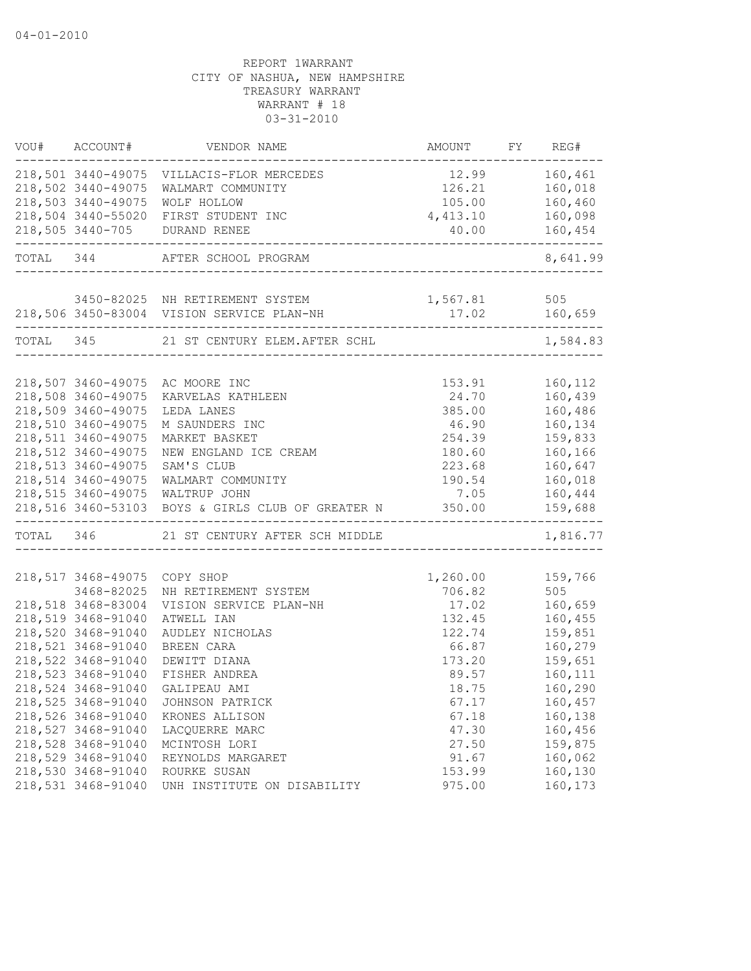| VOU#      | ACCOUNT#                                 | VENDOR NAME                                       | AMOUNT          | FY | REG#               |
|-----------|------------------------------------------|---------------------------------------------------|-----------------|----|--------------------|
|           |                                          | 218,501 3440-49075 VILLACIS-FLOR MERCEDES         | 12.99           |    | 160,461            |
|           | 218,502 3440-49075                       | WALMART COMMUNITY                                 | 126.21          |    | 160,018            |
|           | 218,503 3440-49075                       | <b>WOLF HOLLOW</b>                                | 105.00          |    | 160,460            |
|           | 218,504 3440-55020                       | FIRST STUDENT INC                                 | 4,413.10        |    | 160,098            |
|           | 218,505 3440-705                         | DURAND RENEE<br>------------------------------    | 40.00           |    | 160,454            |
|           | TOTAL 344                                | AFTER SCHOOL PROGRAM                              |                 |    | 8,641.99           |
|           |                                          | 3450-82025 NH RETIREMENT SYSTEM                   | 1,567.81        |    | 505                |
|           |                                          | 218,506 3450-83004 VISION SERVICE PLAN-NH         |                 |    | 17.02 160,659      |
| TOTAL 345 |                                          | 21 ST CENTURY ELEM.AFTER SCHL                     |                 |    | 1,584.83           |
|           |                                          |                                                   |                 |    |                    |
|           | 218,507 3460-49075<br>218,508 3460-49075 | AC MOORE INC                                      | 153.91<br>24.70 |    | 160,112<br>160,439 |
|           | 218,509 3460-49075                       | KARVELAS KATHLEEN<br>LEDA LANES                   | 385.00          |    | 160,486            |
|           | 218,510 3460-49075                       | M SAUNDERS INC                                    | 46.90           |    | 160,134            |
|           | 218,511 3460-49075                       | MARKET BASKET                                     | 254.39          |    | 159,833            |
|           | 218,512 3460-49075                       | NEW ENGLAND ICE CREAM                             | 180.60          |    | 160,166            |
|           | 218,513 3460-49075                       | SAM'S CLUB                                        | 223.68          |    | 160,647            |
|           | 218,514 3460-49075                       | WALMART COMMUNITY                                 | 190.54          |    | 160,018            |
|           | 218,515 3460-49075                       | WALTRUP JOHN                                      | 7.05            |    | 160,444            |
|           |                                          | 218,516 3460-53103 BOYS & GIRLS CLUB OF GREATER N | 350.00          |    | 159,688            |
|           |                                          | TOTAL 346 21 ST CENTURY AFTER SCH MIDDLE          |                 |    | 1,816.77           |
|           |                                          |                                                   |                 |    |                    |
|           | 218,517 3468-49075                       | COPY SHOP                                         | 1,260.00        |    | 159,766            |
|           | 3468-82025                               | NH RETIREMENT SYSTEM                              | 706.82          |    | 505                |
|           | 218,518 3468-83004                       | VISION SERVICE PLAN-NH                            | 17.02           |    | 160,659            |
|           | 218,519 3468-91040                       | ATWELL IAN                                        | 132.45          |    | 160,455            |
|           | 218,520 3468-91040                       | AUDLEY NICHOLAS                                   | 122.74          |    | 159,851            |
|           | 218,521 3468-91040                       | BREEN CARA                                        | 66.87           |    | 160,279            |
|           | 218,522 3468-91040                       | DEWITT DIANA                                      | 173.20          |    | 159,651            |
|           | 218,523 3468-91040                       | FISHER ANDREA                                     | 89.57           |    | 160,111            |
|           | 218,524 3468-91040                       | GALIPEAU AMI                                      | 18.75           |    | 160,290            |
|           | 218,525 3468-91040                       | JOHNSON PATRICK                                   | 67.17           |    | 160,457            |
|           | 218,526 3468-91040                       | KRONES ALLISON                                    | 67.18           |    | 160,138            |
|           | 218,527 3468-91040                       | LACOUERRE MARC                                    | 47.30           |    | 160,456            |
|           | 218,528 3468-91040                       | MCINTOSH LORI                                     | 27.50           |    | 159,875            |
|           | 218,529 3468-91040                       | REYNOLDS MARGARET                                 | 91.67           |    | 160,062            |
|           | 218,530 3468-91040                       | ROURKE SUSAN                                      | 153.99          |    | 160,130            |
|           | 218,531 3468-91040                       | UNH INSTITUTE ON DISABILITY                       | 975.00          |    | 160,173            |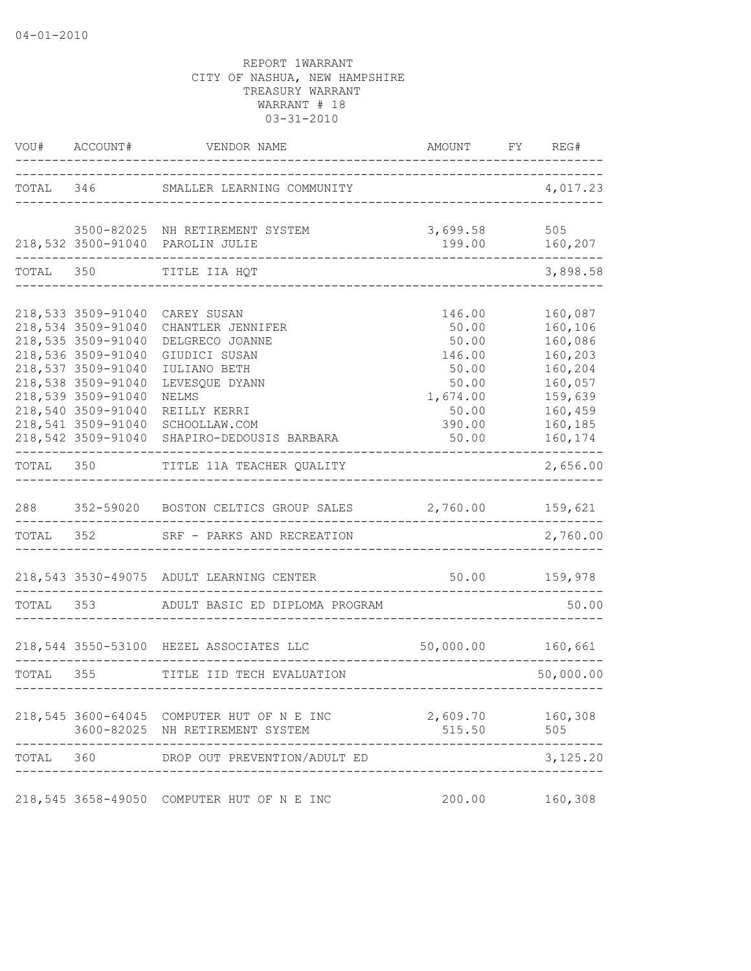|           | VOU# ACCOUNT#                            | VENDOR NAME                                                                   | AMOUNT FY REG#     |                    |
|-----------|------------------------------------------|-------------------------------------------------------------------------------|--------------------|--------------------|
|           |                                          | TOTAL 346 SMALLER LEARNING COMMUNITY                                          |                    | 4,017.23           |
|           |                                          | 3500-82025 NH RETIREMENT SYSTEM                                               | 3,699.58           | 505                |
|           |                                          | 218,532 3500-91040 PAROLIN JULIE                                              | 199.00             | 160,207            |
| TOTAL 350 |                                          | TITLE IIA HQT                                                                 |                    | 3,898.58           |
|           | 218,533 3509-91040                       | CAREY SUSAN                                                                   | 146.00             | 160,087            |
|           | 218,534 3509-91040                       | CHANTLER JENNIFER                                                             | 50.00              | 160,106            |
|           | 218,535 3509-91040                       | DELGRECO JOANNE                                                               | 50.00              | 160,086            |
|           | 218,536 3509-91040                       | GIUDICI SUSAN                                                                 | 146.00             | 160,203            |
|           | 218,537 3509-91040                       | IULIANO BETH                                                                  | 50.00              | 160,204            |
|           | 218,538 3509-91040                       | LEVESQUE DYANN                                                                | 50.00              | 160,057            |
|           | 218,539 3509-91040                       | NELMS                                                                         | 1,674.00           | 159,639            |
|           | 218,540 3509-91040                       | REILLY KERRI                                                                  | 50.00              | 160,459            |
|           | 218,541 3509-91040<br>218,542 3509-91040 | SCHOOLLAW.COM<br>SHAPIRO-DEDOUSIS BARBARA                                     | 390.00<br>50.00    | 160,185<br>160,174 |
| TOTAL 350 |                                          | TITLE 11A TEACHER QUALITY                                                     |                    | 2,656.00           |
| 288       |                                          | 352-59020 BOSTON CELTICS GROUP SALES 2,760.00                                 |                    | 159,621            |
|           | TOTAL 352                                | SRF - PARKS AND RECREATION                                                    |                    | 2,760.00           |
|           |                                          |                                                                               |                    |                    |
|           |                                          | 218,543 3530-49075 ADULT LEARNING CENTER                                      | $50.00$ $159,978$  |                    |
| TOTAL 353 |                                          | ADULT BASIC ED DIPLOMA PROGRAM                                                |                    | 50.00              |
|           |                                          | 218,544 3550-53100 HEZEL ASSOCIATES LLC                                       | 50,000.00 160,661  |                    |
| TOTAL 355 |                                          | TITLE IID TECH EVALUATION                                                     |                    | 50,000.00          |
|           |                                          |                                                                               |                    |                    |
|           |                                          | 218,545 3600-64045 COMPUTER HUT OF N E INC<br>3600-82025 NH RETIREMENT SYSTEM | 2,609.70<br>515.50 | 160,308<br>505     |
|           |                                          |                                                                               |                    |                    |
| TOTAL     | 360                                      | DROP OUT PREVENTION/ADULT ED                                                  |                    | 3,125.20           |
|           |                                          | 218,545 3658-49050 COMPUTER HUT OF N E INC                                    | 200.00             | 160,308            |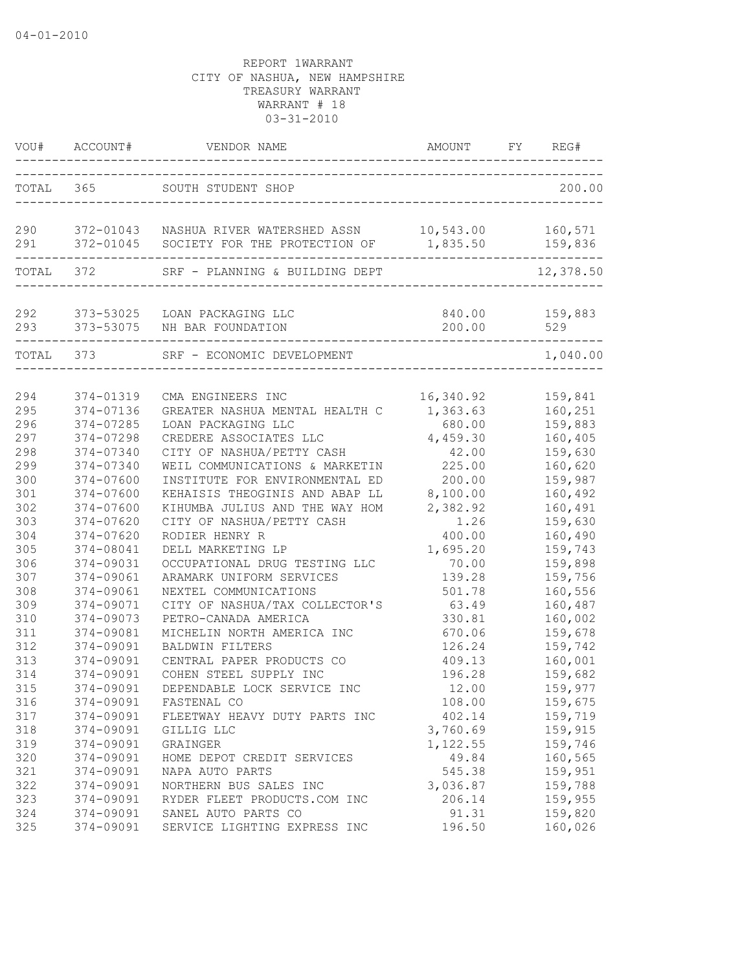| VOU#       | ACCOUNT#      | VENDOR NAME<br>------------------------------------                                        | AMOUNT    | FY | REG#               |
|------------|---------------|--------------------------------------------------------------------------------------------|-----------|----|--------------------|
| TOTAL 365  |               | SOUTH STUDENT SHOP                                                                         |           |    | 200.00             |
| 290<br>291 |               | 372-01043 NASHUA RIVER WATERSHED ASSN 10,543.00<br>372-01045 SOCIETY FOR THE PROTECTION OF | 1,835.50  |    | 160,571<br>159,836 |
|            | TOTAL 372     | ---------------------------------<br>SRF - PLANNING & BUILDING DEPT                        |           |    | 12,378.50          |
| 292        |               | 373-53025 LOAN PACKAGING LLC                                                               | 840.00    |    | 159,883            |
| 293        |               | 373-53075 NH BAR FOUNDATION                                                                | 200.00    |    | 529                |
| TOTAL 373  |               | SRF - ECONOMIC DEVELOPMENT                                                                 |           |    | 1,040.00           |
| 294        | 374-01319     | CMA ENGINEERS INC                                                                          | 16,340.92 |    | 159,841            |
| 295        | 374-07136     | GREATER NASHUA MENTAL HEALTH C                                                             | 1,363.63  |    | 160,251            |
| 296        | 374-07285     | LOAN PACKAGING LLC                                                                         | 680.00    |    | 159,883            |
| 297        | 374-07298     | CREDERE ASSOCIATES LLC                                                                     | 4,459.30  |    | 160,405            |
| 298        | 374-07340     | CITY OF NASHUA/PETTY CASH                                                                  | 42.00     |    | 159,630            |
| 299        | 374-07340     | WEIL COMMUNICATIONS & MARKETIN                                                             | 225.00    |    | 160,620            |
| 300        | 374-07600     | INSTITUTE FOR ENVIRONMENTAL ED                                                             | 200.00    |    | 159,987            |
| 301        | 374-07600     | KEHAISIS THEOGINIS AND ABAP LL                                                             | 8,100.00  |    | 160,492            |
| 302        | 374-07600     | KIHUMBA JULIUS AND THE WAY HOM                                                             | 2,382.92  |    | 160,491            |
| 303        | 374-07620     | CITY OF NASHUA/PETTY CASH                                                                  | 1.26      |    | 159,630            |
| 304        | $374 - 07620$ | RODIER HENRY R                                                                             | 400.00    |    | 160,490            |
| 305        | 374-08041     | DELL MARKETING LP                                                                          | 1,695.20  |    | 159,743            |
| 306        | 374-09031     | OCCUPATIONAL DRUG TESTING LLC                                                              | 70.00     |    | 159,898            |
| 307        | 374-09061     | ARAMARK UNIFORM SERVICES                                                                   | 139.28    |    | 159,756            |
| 308        | 374-09061     | NEXTEL COMMUNICATIONS                                                                      | 501.78    |    | 160,556            |
| 309        | 374-09071     | CITY OF NASHUA/TAX COLLECTOR'S                                                             | 63.49     |    | 160,487            |
| 310        | 374-09073     | PETRO-CANADA AMERICA                                                                       | 330.81    |    | 160,002            |
| 311        | 374-09081     | MICHELIN NORTH AMERICA INC                                                                 | 670.06    |    | 159,678            |
| 312        | 374-09091     | <b>BALDWIN FILTERS</b>                                                                     | 126.24    |    | 159,742            |
| 313        | 374-09091     | CENTRAL PAPER PRODUCTS CO                                                                  | 409.13    |    | 160,001            |
| 314        | 374-09091     | COHEN STEEL SUPPLY INC                                                                     | 196.28    |    | 159,682            |
| 315        | 374-09091     | DEPENDABLE LOCK SERVICE INC                                                                | 12.00     |    | 159,977            |
| 316        | 374-09091     | FASTENAL CO                                                                                | 108.00    |    | 159,675            |
| 317        | 374-09091     | FLEETWAY HEAVY DUTY PARTS INC                                                              | 402.14    |    | 159,719            |
| 318        | 374-09091     | GILLIG LLC                                                                                 | 3,760.69  |    | 159,915            |
| 319        | 374-09091     | GRAINGER                                                                                   | 1,122.55  |    | 159,746            |
| 320        | 374-09091     | HOME DEPOT CREDIT SERVICES                                                                 | 49.84     |    | 160,565            |
| 321        | 374-09091     | NAPA AUTO PARTS                                                                            | 545.38    |    | 159,951            |
| 322        | 374-09091     | NORTHERN BUS SALES INC                                                                     | 3,036.87  |    | 159,788            |
| 323        | 374-09091     | RYDER FLEET PRODUCTS.COM INC                                                               | 206.14    |    | 159,955            |
| 324        | 374-09091     | SANEL AUTO PARTS CO                                                                        | 91.31     |    | 159,820            |
| 325        | 374-09091     | SERVICE LIGHTING EXPRESS INC                                                               | 196.50    |    | 160,026            |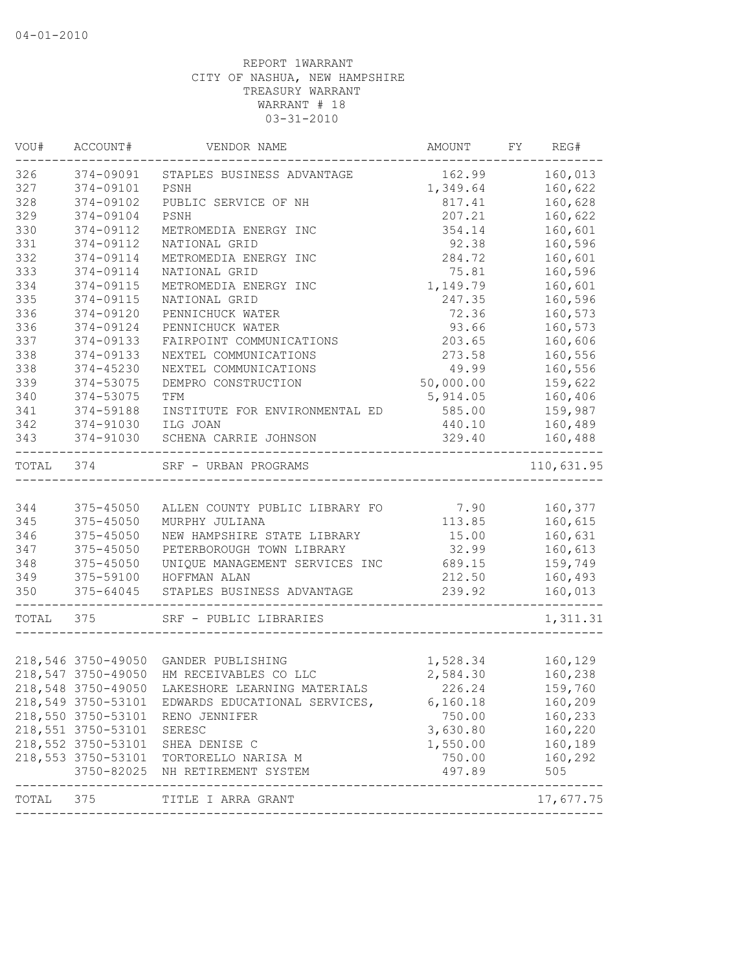| VOU#  | ACCOUNT#           | VENDOR NAME                                                  | AMOUNT           | FY | REG#                       |
|-------|--------------------|--------------------------------------------------------------|------------------|----|----------------------------|
| 326   | 374-09091          | STAPLES BUSINESS ADVANTAGE                                   | 162.99           |    | 160,013                    |
| 327   | 374-09101          | PSNH                                                         | 1,349.64         |    | 160,622                    |
| 328   | 374-09102          | PUBLIC SERVICE OF NH                                         | 817.41           |    | 160,628                    |
| 329   | 374-09104          | PSNH                                                         | 207.21           |    | 160,622                    |
| 330   | 374-09112          | METROMEDIA ENERGY INC                                        | 354.14           |    | 160,601                    |
| 331   | 374-09112          | NATIONAL GRID                                                | 92.38            |    | 160,596                    |
| 332   | 374-09114          | METROMEDIA ENERGY INC                                        | 284.72           |    | 160,601                    |
| 333   | 374-09114          | NATIONAL GRID                                                | 75.81            |    | 160,596                    |
| 334   | 374-09115          | METROMEDIA ENERGY INC                                        | 1,149.79         |    | 160,601                    |
| 335   | 374-09115          | NATIONAL GRID                                                | 247.35           |    | 160,596                    |
| 336   | 374-09120          | PENNICHUCK WATER                                             | 72.36            |    | 160,573                    |
| 336   | 374-09124          | PENNICHUCK WATER                                             | 93.66            |    | 160,573                    |
| 337   | 374-09133          | FAIRPOINT COMMUNICATIONS                                     | 203.65           |    | 160,606                    |
| 338   | 374-09133          | NEXTEL COMMUNICATIONS                                        | 273.58           |    | 160,556                    |
| 338   | 374-45230          | NEXTEL COMMUNICATIONS                                        | 49.99            |    | 160,556                    |
| 339   | 374-53075          | DEMPRO CONSTRUCTION                                          | 50,000.00        |    | 159,622                    |
| 340   | 374-53075          | TFM                                                          | 5,914.05         |    | 160,406                    |
| 341   | 374-59188          | INSTITUTE FOR ENVIRONMENTAL ED                               | 585.00           |    | 159,987                    |
| 342   | 374-91030          | ILG JOAN                                                     | 440.10           |    | 160,489                    |
| 343   | 374-91030          | SCHENA CARRIE JOHNSON                                        | 329.40           |    | 160,488                    |
| TOTAL | 374                | SRF - URBAN PROGRAMS                                         |                  |    | 110,631.95                 |
|       |                    |                                                              |                  |    |                            |
| 344   | $375 - 45050$      | ALLEN COUNTY PUBLIC LIBRARY FO                               | 7.90             |    | 160,377                    |
| 345   | $375 - 45050$      | MURPHY JULIANA                                               | 113.85           |    | 160,615                    |
| 346   | 375-45050          | NEW HAMPSHIRE STATE LIBRARY                                  | 15.00            |    | 160,631                    |
| 347   | $375 - 45050$      | PETERBOROUGH TOWN LIBRARY                                    | 32.99            |    | 160,613                    |
| 348   | $375 - 45050$      | UNIQUE MANAGEMENT SERVICES INC                               | 689.15           |    | 159,749                    |
| 349   | 375-59100          | HOFFMAN ALAN                                                 | 212.50           |    | 160,493                    |
| 350   | 375-64045          | STAPLES BUSINESS ADVANTAGE                                   | 239.92           |    | 160,013                    |
| TOTAL | 375                | SRF - PUBLIC LIBRARIES                                       |                  |    | 1,311.31                   |
|       |                    |                                                              |                  |    |                            |
|       | 218,546 3750-49050 | GANDER PUBLISHING                                            | 1,528.34 160,129 |    |                            |
|       | 218,547 3750-49050 | HM RECEIVABLES CO LLC                                        | 2,584.30         |    | 160,238                    |
|       | 218,548 3750-49050 | LAKESHORE LEARNING MATERIALS                                 | 226.24           |    | 159,760                    |
|       | 218,549 3750-53101 | EDWARDS EDUCATIONAL SERVICES,                                | 6,160.18         |    | 160,209                    |
|       | 218,550 3750-53101 | RENO JENNIFER                                                | 750.00           |    | 160,233                    |
|       | 218,551 3750-53101 | <b>SERESC</b>                                                | 3,630.80         |    | 160,220                    |
|       | 218,552 3750-53101 | SHEA DENISE C                                                | 1,550.00         |    | 160,189                    |
|       | 218,553 3750-53101 | TORTORELLO NARISA M                                          | 750.00           |    | 160,292                    |
|       | 3750-82025         | NH RETIREMENT SYSTEM                                         | 497.89           |    | 505                        |
| TOTAL | 375                | --------------------------------------<br>TITLE I ARRA GRANT |                  |    | -------------<br>17,677.75 |
|       |                    |                                                              |                  |    |                            |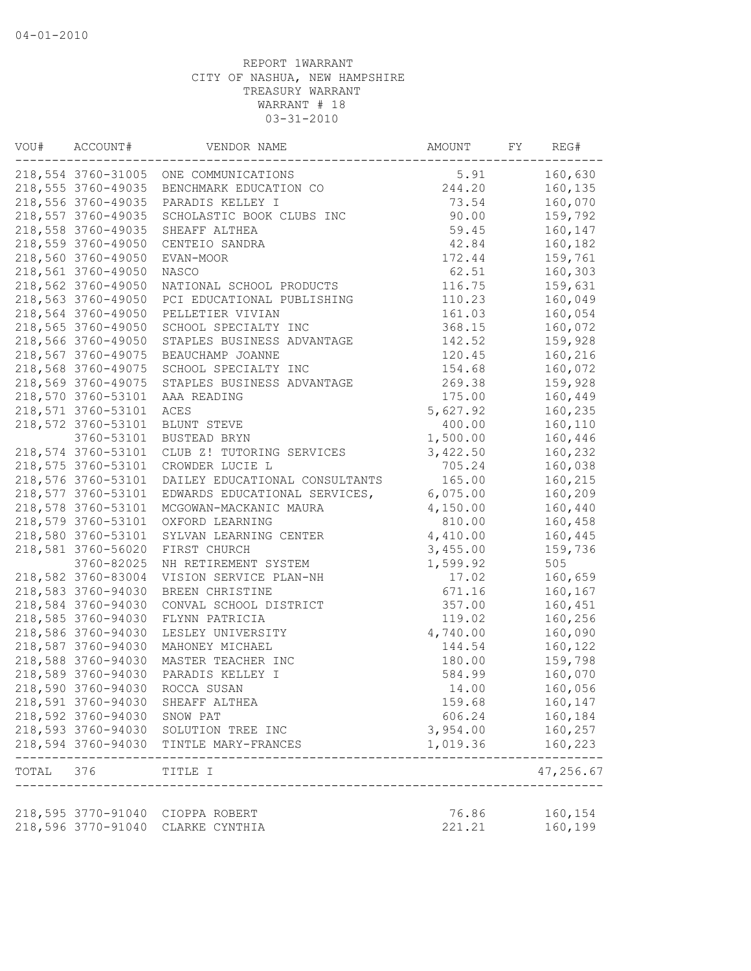| 218,554 3760-31005 ONE COMMUNICATIONS<br>5.91<br>160,630<br>244.20<br>218,555 3760-49035<br>BENCHMARK EDUCATION CO<br>160,135<br>160,070<br>218,556 3760-49035<br>PARADIS KELLEY I<br>73.54<br>90.00<br>218,557 3760-49035<br>SCHOLASTIC BOOK CLUBS INC<br>159,792<br>218,558 3760-49035<br>59.45<br>160,147<br>SHEAFF ALTHEA<br>218,559 3760-49050<br>42.84<br>160,182<br>CENTEIO SANDRA<br>218,560 3760-49050<br>172.44<br>159,761<br>EVAN-MOOR<br>218,561 3760-49050<br>62.51<br>160,303<br>NASCO<br>218,562 3760-49050<br>NATIONAL SCHOOL PRODUCTS<br>116.75<br>159,631<br>218,563 3760-49050<br>160,049<br>PCI EDUCATIONAL PUBLISHING<br>110.23<br>218,564 3760-49050<br>160,054<br>PELLETIER VIVIAN<br>161.03<br>218,565 3760-49050<br>SCHOOL SPECIALTY INC<br>368.15<br>160,072<br>218,566 3760-49050<br>STAPLES BUSINESS ADVANTAGE<br>142.52<br>159,928<br>218,567 3760-49075<br>BEAUCHAMP JOANNE<br>120.45<br>160,216<br>218,568 3760-49075<br>SCHOOL SPECIALTY INC<br>154.68<br>160,072<br>218,569 3760-49075<br>269.38<br>159,928<br>STAPLES BUSINESS ADVANTAGE<br>218,570 3760-53101<br>160,449<br>175.00<br>AAA READING<br>218,571 3760-53101<br>ACES<br>5,627.92<br>160,235<br>218,572 3760-53101<br>400.00<br>160,110<br>BLUNT STEVE<br>1,500.00<br>3760-53101<br>BUSTEAD BRYN<br>160,446<br>218,574 3760-53101<br>CLUB Z! TUTORING SERVICES<br>3,422.50<br>160,232<br>218,575 3760-53101<br>CROWDER LUCIE L<br>705.24<br>160,038<br>218,576 3760-53101<br>DAILEY EDUCATIONAL CONSULTANTS<br>165.00<br>160,215<br>218,577 3760-53101<br>EDWARDS EDUCATIONAL SERVICES,<br>6,075.00<br>160,209<br>218,578 3760-53101<br>4,150.00<br>MCGOWAN-MACKANIC MAURA<br>160,440<br>218,579 3760-53101<br>160,458<br>810.00<br>OXFORD LEARNING<br>218,580 3760-53101<br>160,445<br>4,410.00<br>SYLVAN LEARNING CENTER<br>218,581 3760-56020<br>FIRST CHURCH<br>3,455.00<br>159,736<br>3760-82025<br>1,599.92<br>505<br>NH RETIREMENT SYSTEM<br>218,582 3760-83004<br>VISION SERVICE PLAN-NH<br>17.02<br>160,659<br>218,583 3760-94030<br>BREEN CHRISTINE<br>671.16<br>160,167<br>218,584 3760-94030<br>CONVAL SCHOOL DISTRICT<br>357.00<br>160,451<br>160,256<br>218,585 3760-94030<br>FLYNN PATRICIA<br>119.02<br>218,586 3760-94030<br>4,740.00<br>160,090<br>LESLEY UNIVERSITY<br>218,587 3760-94030<br>144.54<br>160,122<br>MAHONEY MICHAEL<br>218,588 3760-94030<br>MASTER TEACHER INC<br>180.00<br>159,798<br>218,589 3760-94030<br>160,070<br>PARADIS KELLEY I<br>584.99<br>218,590 3760-94030<br>160,056<br>ROCCA SUSAN<br>14.00<br>218,591 3760-94030<br>SHEAFF ALTHEA<br>159.68<br>160,147<br>218,592 3760-94030<br>606.24<br>160,184<br>SNOW PAT<br>218,593 3760-94030 SOLUTION TREE INC<br>3,954.00<br>160,257<br>218,594 3760-94030 TINTLE MARY-FRANCES<br>160,223<br>1,019.36<br>--------------------------------<br>-------------<br>47,256.67<br>TOTAL 376<br>TITLE I<br>218,595 3770-91040 CIOPPA ROBERT<br>76.86<br>160,154<br>218,596 3770-91040<br>221.21<br>160,199<br>CLARKE CYNTHIA | VOU# | ACCOUNT# | VENDOR NAME | AMOUNT | FY | REG# |
|--------------------------------------------------------------------------------------------------------------------------------------------------------------------------------------------------------------------------------------------------------------------------------------------------------------------------------------------------------------------------------------------------------------------------------------------------------------------------------------------------------------------------------------------------------------------------------------------------------------------------------------------------------------------------------------------------------------------------------------------------------------------------------------------------------------------------------------------------------------------------------------------------------------------------------------------------------------------------------------------------------------------------------------------------------------------------------------------------------------------------------------------------------------------------------------------------------------------------------------------------------------------------------------------------------------------------------------------------------------------------------------------------------------------------------------------------------------------------------------------------------------------------------------------------------------------------------------------------------------------------------------------------------------------------------------------------------------------------------------------------------------------------------------------------------------------------------------------------------------------------------------------------------------------------------------------------------------------------------------------------------------------------------------------------------------------------------------------------------------------------------------------------------------------------------------------------------------------------------------------------------------------------------------------------------------------------------------------------------------------------------------------------------------------------------------------------------------------------------------------------------------------------------------------------------------------------------------------------------------------------------------------------------------------------------------------------------------------------------------------------------------------------------------------------------------------------------------------------------------------------------------------------------------------------------------------------------------------------------------------------------------|------|----------|-------------|--------|----|------|
|                                                                                                                                                                                                                                                                                                                                                                                                                                                                                                                                                                                                                                                                                                                                                                                                                                                                                                                                                                                                                                                                                                                                                                                                                                                                                                                                                                                                                                                                                                                                                                                                                                                                                                                                                                                                                                                                                                                                                                                                                                                                                                                                                                                                                                                                                                                                                                                                                                                                                                                                                                                                                                                                                                                                                                                                                                                                                                                                                                                                              |      |          |             |        |    |      |
|                                                                                                                                                                                                                                                                                                                                                                                                                                                                                                                                                                                                                                                                                                                                                                                                                                                                                                                                                                                                                                                                                                                                                                                                                                                                                                                                                                                                                                                                                                                                                                                                                                                                                                                                                                                                                                                                                                                                                                                                                                                                                                                                                                                                                                                                                                                                                                                                                                                                                                                                                                                                                                                                                                                                                                                                                                                                                                                                                                                                              |      |          |             |        |    |      |
|                                                                                                                                                                                                                                                                                                                                                                                                                                                                                                                                                                                                                                                                                                                                                                                                                                                                                                                                                                                                                                                                                                                                                                                                                                                                                                                                                                                                                                                                                                                                                                                                                                                                                                                                                                                                                                                                                                                                                                                                                                                                                                                                                                                                                                                                                                                                                                                                                                                                                                                                                                                                                                                                                                                                                                                                                                                                                                                                                                                                              |      |          |             |        |    |      |
|                                                                                                                                                                                                                                                                                                                                                                                                                                                                                                                                                                                                                                                                                                                                                                                                                                                                                                                                                                                                                                                                                                                                                                                                                                                                                                                                                                                                                                                                                                                                                                                                                                                                                                                                                                                                                                                                                                                                                                                                                                                                                                                                                                                                                                                                                                                                                                                                                                                                                                                                                                                                                                                                                                                                                                                                                                                                                                                                                                                                              |      |          |             |        |    |      |
|                                                                                                                                                                                                                                                                                                                                                                                                                                                                                                                                                                                                                                                                                                                                                                                                                                                                                                                                                                                                                                                                                                                                                                                                                                                                                                                                                                                                                                                                                                                                                                                                                                                                                                                                                                                                                                                                                                                                                                                                                                                                                                                                                                                                                                                                                                                                                                                                                                                                                                                                                                                                                                                                                                                                                                                                                                                                                                                                                                                                              |      |          |             |        |    |      |
|                                                                                                                                                                                                                                                                                                                                                                                                                                                                                                                                                                                                                                                                                                                                                                                                                                                                                                                                                                                                                                                                                                                                                                                                                                                                                                                                                                                                                                                                                                                                                                                                                                                                                                                                                                                                                                                                                                                                                                                                                                                                                                                                                                                                                                                                                                                                                                                                                                                                                                                                                                                                                                                                                                                                                                                                                                                                                                                                                                                                              |      |          |             |        |    |      |
|                                                                                                                                                                                                                                                                                                                                                                                                                                                                                                                                                                                                                                                                                                                                                                                                                                                                                                                                                                                                                                                                                                                                                                                                                                                                                                                                                                                                                                                                                                                                                                                                                                                                                                                                                                                                                                                                                                                                                                                                                                                                                                                                                                                                                                                                                                                                                                                                                                                                                                                                                                                                                                                                                                                                                                                                                                                                                                                                                                                                              |      |          |             |        |    |      |
|                                                                                                                                                                                                                                                                                                                                                                                                                                                                                                                                                                                                                                                                                                                                                                                                                                                                                                                                                                                                                                                                                                                                                                                                                                                                                                                                                                                                                                                                                                                                                                                                                                                                                                                                                                                                                                                                                                                                                                                                                                                                                                                                                                                                                                                                                                                                                                                                                                                                                                                                                                                                                                                                                                                                                                                                                                                                                                                                                                                                              |      |          |             |        |    |      |
|                                                                                                                                                                                                                                                                                                                                                                                                                                                                                                                                                                                                                                                                                                                                                                                                                                                                                                                                                                                                                                                                                                                                                                                                                                                                                                                                                                                                                                                                                                                                                                                                                                                                                                                                                                                                                                                                                                                                                                                                                                                                                                                                                                                                                                                                                                                                                                                                                                                                                                                                                                                                                                                                                                                                                                                                                                                                                                                                                                                                              |      |          |             |        |    |      |
|                                                                                                                                                                                                                                                                                                                                                                                                                                                                                                                                                                                                                                                                                                                                                                                                                                                                                                                                                                                                                                                                                                                                                                                                                                                                                                                                                                                                                                                                                                                                                                                                                                                                                                                                                                                                                                                                                                                                                                                                                                                                                                                                                                                                                                                                                                                                                                                                                                                                                                                                                                                                                                                                                                                                                                                                                                                                                                                                                                                                              |      |          |             |        |    |      |
|                                                                                                                                                                                                                                                                                                                                                                                                                                                                                                                                                                                                                                                                                                                                                                                                                                                                                                                                                                                                                                                                                                                                                                                                                                                                                                                                                                                                                                                                                                                                                                                                                                                                                                                                                                                                                                                                                                                                                                                                                                                                                                                                                                                                                                                                                                                                                                                                                                                                                                                                                                                                                                                                                                                                                                                                                                                                                                                                                                                                              |      |          |             |        |    |      |
|                                                                                                                                                                                                                                                                                                                                                                                                                                                                                                                                                                                                                                                                                                                                                                                                                                                                                                                                                                                                                                                                                                                                                                                                                                                                                                                                                                                                                                                                                                                                                                                                                                                                                                                                                                                                                                                                                                                                                                                                                                                                                                                                                                                                                                                                                                                                                                                                                                                                                                                                                                                                                                                                                                                                                                                                                                                                                                                                                                                                              |      |          |             |        |    |      |
|                                                                                                                                                                                                                                                                                                                                                                                                                                                                                                                                                                                                                                                                                                                                                                                                                                                                                                                                                                                                                                                                                                                                                                                                                                                                                                                                                                                                                                                                                                                                                                                                                                                                                                                                                                                                                                                                                                                                                                                                                                                                                                                                                                                                                                                                                                                                                                                                                                                                                                                                                                                                                                                                                                                                                                                                                                                                                                                                                                                                              |      |          |             |        |    |      |
|                                                                                                                                                                                                                                                                                                                                                                                                                                                                                                                                                                                                                                                                                                                                                                                                                                                                                                                                                                                                                                                                                                                                                                                                                                                                                                                                                                                                                                                                                                                                                                                                                                                                                                                                                                                                                                                                                                                                                                                                                                                                                                                                                                                                                                                                                                                                                                                                                                                                                                                                                                                                                                                                                                                                                                                                                                                                                                                                                                                                              |      |          |             |        |    |      |
|                                                                                                                                                                                                                                                                                                                                                                                                                                                                                                                                                                                                                                                                                                                                                                                                                                                                                                                                                                                                                                                                                                                                                                                                                                                                                                                                                                                                                                                                                                                                                                                                                                                                                                                                                                                                                                                                                                                                                                                                                                                                                                                                                                                                                                                                                                                                                                                                                                                                                                                                                                                                                                                                                                                                                                                                                                                                                                                                                                                                              |      |          |             |        |    |      |
|                                                                                                                                                                                                                                                                                                                                                                                                                                                                                                                                                                                                                                                                                                                                                                                                                                                                                                                                                                                                                                                                                                                                                                                                                                                                                                                                                                                                                                                                                                                                                                                                                                                                                                                                                                                                                                                                                                                                                                                                                                                                                                                                                                                                                                                                                                                                                                                                                                                                                                                                                                                                                                                                                                                                                                                                                                                                                                                                                                                                              |      |          |             |        |    |      |
|                                                                                                                                                                                                                                                                                                                                                                                                                                                                                                                                                                                                                                                                                                                                                                                                                                                                                                                                                                                                                                                                                                                                                                                                                                                                                                                                                                                                                                                                                                                                                                                                                                                                                                                                                                                                                                                                                                                                                                                                                                                                                                                                                                                                                                                                                                                                                                                                                                                                                                                                                                                                                                                                                                                                                                                                                                                                                                                                                                                                              |      |          |             |        |    |      |
|                                                                                                                                                                                                                                                                                                                                                                                                                                                                                                                                                                                                                                                                                                                                                                                                                                                                                                                                                                                                                                                                                                                                                                                                                                                                                                                                                                                                                                                                                                                                                                                                                                                                                                                                                                                                                                                                                                                                                                                                                                                                                                                                                                                                                                                                                                                                                                                                                                                                                                                                                                                                                                                                                                                                                                                                                                                                                                                                                                                                              |      |          |             |        |    |      |
|                                                                                                                                                                                                                                                                                                                                                                                                                                                                                                                                                                                                                                                                                                                                                                                                                                                                                                                                                                                                                                                                                                                                                                                                                                                                                                                                                                                                                                                                                                                                                                                                                                                                                                                                                                                                                                                                                                                                                                                                                                                                                                                                                                                                                                                                                                                                                                                                                                                                                                                                                                                                                                                                                                                                                                                                                                                                                                                                                                                                              |      |          |             |        |    |      |
|                                                                                                                                                                                                                                                                                                                                                                                                                                                                                                                                                                                                                                                                                                                                                                                                                                                                                                                                                                                                                                                                                                                                                                                                                                                                                                                                                                                                                                                                                                                                                                                                                                                                                                                                                                                                                                                                                                                                                                                                                                                                                                                                                                                                                                                                                                                                                                                                                                                                                                                                                                                                                                                                                                                                                                                                                                                                                                                                                                                                              |      |          |             |        |    |      |
|                                                                                                                                                                                                                                                                                                                                                                                                                                                                                                                                                                                                                                                                                                                                                                                                                                                                                                                                                                                                                                                                                                                                                                                                                                                                                                                                                                                                                                                                                                                                                                                                                                                                                                                                                                                                                                                                                                                                                                                                                                                                                                                                                                                                                                                                                                                                                                                                                                                                                                                                                                                                                                                                                                                                                                                                                                                                                                                                                                                                              |      |          |             |        |    |      |
|                                                                                                                                                                                                                                                                                                                                                                                                                                                                                                                                                                                                                                                                                                                                                                                                                                                                                                                                                                                                                                                                                                                                                                                                                                                                                                                                                                                                                                                                                                                                                                                                                                                                                                                                                                                                                                                                                                                                                                                                                                                                                                                                                                                                                                                                                                                                                                                                                                                                                                                                                                                                                                                                                                                                                                                                                                                                                                                                                                                                              |      |          |             |        |    |      |
|                                                                                                                                                                                                                                                                                                                                                                                                                                                                                                                                                                                                                                                                                                                                                                                                                                                                                                                                                                                                                                                                                                                                                                                                                                                                                                                                                                                                                                                                                                                                                                                                                                                                                                                                                                                                                                                                                                                                                                                                                                                                                                                                                                                                                                                                                                                                                                                                                                                                                                                                                                                                                                                                                                                                                                                                                                                                                                                                                                                                              |      |          |             |        |    |      |
|                                                                                                                                                                                                                                                                                                                                                                                                                                                                                                                                                                                                                                                                                                                                                                                                                                                                                                                                                                                                                                                                                                                                                                                                                                                                                                                                                                                                                                                                                                                                                                                                                                                                                                                                                                                                                                                                                                                                                                                                                                                                                                                                                                                                                                                                                                                                                                                                                                                                                                                                                                                                                                                                                                                                                                                                                                                                                                                                                                                                              |      |          |             |        |    |      |
|                                                                                                                                                                                                                                                                                                                                                                                                                                                                                                                                                                                                                                                                                                                                                                                                                                                                                                                                                                                                                                                                                                                                                                                                                                                                                                                                                                                                                                                                                                                                                                                                                                                                                                                                                                                                                                                                                                                                                                                                                                                                                                                                                                                                                                                                                                                                                                                                                                                                                                                                                                                                                                                                                                                                                                                                                                                                                                                                                                                                              |      |          |             |        |    |      |
|                                                                                                                                                                                                                                                                                                                                                                                                                                                                                                                                                                                                                                                                                                                                                                                                                                                                                                                                                                                                                                                                                                                                                                                                                                                                                                                                                                                                                                                                                                                                                                                                                                                                                                                                                                                                                                                                                                                                                                                                                                                                                                                                                                                                                                                                                                                                                                                                                                                                                                                                                                                                                                                                                                                                                                                                                                                                                                                                                                                                              |      |          |             |        |    |      |
|                                                                                                                                                                                                                                                                                                                                                                                                                                                                                                                                                                                                                                                                                                                                                                                                                                                                                                                                                                                                                                                                                                                                                                                                                                                                                                                                                                                                                                                                                                                                                                                                                                                                                                                                                                                                                                                                                                                                                                                                                                                                                                                                                                                                                                                                                                                                                                                                                                                                                                                                                                                                                                                                                                                                                                                                                                                                                                                                                                                                              |      |          |             |        |    |      |
|                                                                                                                                                                                                                                                                                                                                                                                                                                                                                                                                                                                                                                                                                                                                                                                                                                                                                                                                                                                                                                                                                                                                                                                                                                                                                                                                                                                                                                                                                                                                                                                                                                                                                                                                                                                                                                                                                                                                                                                                                                                                                                                                                                                                                                                                                                                                                                                                                                                                                                                                                                                                                                                                                                                                                                                                                                                                                                                                                                                                              |      |          |             |        |    |      |
|                                                                                                                                                                                                                                                                                                                                                                                                                                                                                                                                                                                                                                                                                                                                                                                                                                                                                                                                                                                                                                                                                                                                                                                                                                                                                                                                                                                                                                                                                                                                                                                                                                                                                                                                                                                                                                                                                                                                                                                                                                                                                                                                                                                                                                                                                                                                                                                                                                                                                                                                                                                                                                                                                                                                                                                                                                                                                                                                                                                                              |      |          |             |        |    |      |
|                                                                                                                                                                                                                                                                                                                                                                                                                                                                                                                                                                                                                                                                                                                                                                                                                                                                                                                                                                                                                                                                                                                                                                                                                                                                                                                                                                                                                                                                                                                                                                                                                                                                                                                                                                                                                                                                                                                                                                                                                                                                                                                                                                                                                                                                                                                                                                                                                                                                                                                                                                                                                                                                                                                                                                                                                                                                                                                                                                                                              |      |          |             |        |    |      |
|                                                                                                                                                                                                                                                                                                                                                                                                                                                                                                                                                                                                                                                                                                                                                                                                                                                                                                                                                                                                                                                                                                                                                                                                                                                                                                                                                                                                                                                                                                                                                                                                                                                                                                                                                                                                                                                                                                                                                                                                                                                                                                                                                                                                                                                                                                                                                                                                                                                                                                                                                                                                                                                                                                                                                                                                                                                                                                                                                                                                              |      |          |             |        |    |      |
|                                                                                                                                                                                                                                                                                                                                                                                                                                                                                                                                                                                                                                                                                                                                                                                                                                                                                                                                                                                                                                                                                                                                                                                                                                                                                                                                                                                                                                                                                                                                                                                                                                                                                                                                                                                                                                                                                                                                                                                                                                                                                                                                                                                                                                                                                                                                                                                                                                                                                                                                                                                                                                                                                                                                                                                                                                                                                                                                                                                                              |      |          |             |        |    |      |
|                                                                                                                                                                                                                                                                                                                                                                                                                                                                                                                                                                                                                                                                                                                                                                                                                                                                                                                                                                                                                                                                                                                                                                                                                                                                                                                                                                                                                                                                                                                                                                                                                                                                                                                                                                                                                                                                                                                                                                                                                                                                                                                                                                                                                                                                                                                                                                                                                                                                                                                                                                                                                                                                                                                                                                                                                                                                                                                                                                                                              |      |          |             |        |    |      |
|                                                                                                                                                                                                                                                                                                                                                                                                                                                                                                                                                                                                                                                                                                                                                                                                                                                                                                                                                                                                                                                                                                                                                                                                                                                                                                                                                                                                                                                                                                                                                                                                                                                                                                                                                                                                                                                                                                                                                                                                                                                                                                                                                                                                                                                                                                                                                                                                                                                                                                                                                                                                                                                                                                                                                                                                                                                                                                                                                                                                              |      |          |             |        |    |      |
|                                                                                                                                                                                                                                                                                                                                                                                                                                                                                                                                                                                                                                                                                                                                                                                                                                                                                                                                                                                                                                                                                                                                                                                                                                                                                                                                                                                                                                                                                                                                                                                                                                                                                                                                                                                                                                                                                                                                                                                                                                                                                                                                                                                                                                                                                                                                                                                                                                                                                                                                                                                                                                                                                                                                                                                                                                                                                                                                                                                                              |      |          |             |        |    |      |
|                                                                                                                                                                                                                                                                                                                                                                                                                                                                                                                                                                                                                                                                                                                                                                                                                                                                                                                                                                                                                                                                                                                                                                                                                                                                                                                                                                                                                                                                                                                                                                                                                                                                                                                                                                                                                                                                                                                                                                                                                                                                                                                                                                                                                                                                                                                                                                                                                                                                                                                                                                                                                                                                                                                                                                                                                                                                                                                                                                                                              |      |          |             |        |    |      |
|                                                                                                                                                                                                                                                                                                                                                                                                                                                                                                                                                                                                                                                                                                                                                                                                                                                                                                                                                                                                                                                                                                                                                                                                                                                                                                                                                                                                                                                                                                                                                                                                                                                                                                                                                                                                                                                                                                                                                                                                                                                                                                                                                                                                                                                                                                                                                                                                                                                                                                                                                                                                                                                                                                                                                                                                                                                                                                                                                                                                              |      |          |             |        |    |      |
|                                                                                                                                                                                                                                                                                                                                                                                                                                                                                                                                                                                                                                                                                                                                                                                                                                                                                                                                                                                                                                                                                                                                                                                                                                                                                                                                                                                                                                                                                                                                                                                                                                                                                                                                                                                                                                                                                                                                                                                                                                                                                                                                                                                                                                                                                                                                                                                                                                                                                                                                                                                                                                                                                                                                                                                                                                                                                                                                                                                                              |      |          |             |        |    |      |
|                                                                                                                                                                                                                                                                                                                                                                                                                                                                                                                                                                                                                                                                                                                                                                                                                                                                                                                                                                                                                                                                                                                                                                                                                                                                                                                                                                                                                                                                                                                                                                                                                                                                                                                                                                                                                                                                                                                                                                                                                                                                                                                                                                                                                                                                                                                                                                                                                                                                                                                                                                                                                                                                                                                                                                                                                                                                                                                                                                                                              |      |          |             |        |    |      |
|                                                                                                                                                                                                                                                                                                                                                                                                                                                                                                                                                                                                                                                                                                                                                                                                                                                                                                                                                                                                                                                                                                                                                                                                                                                                                                                                                                                                                                                                                                                                                                                                                                                                                                                                                                                                                                                                                                                                                                                                                                                                                                                                                                                                                                                                                                                                                                                                                                                                                                                                                                                                                                                                                                                                                                                                                                                                                                                                                                                                              |      |          |             |        |    |      |
|                                                                                                                                                                                                                                                                                                                                                                                                                                                                                                                                                                                                                                                                                                                                                                                                                                                                                                                                                                                                                                                                                                                                                                                                                                                                                                                                                                                                                                                                                                                                                                                                                                                                                                                                                                                                                                                                                                                                                                                                                                                                                                                                                                                                                                                                                                                                                                                                                                                                                                                                                                                                                                                                                                                                                                                                                                                                                                                                                                                                              |      |          |             |        |    |      |
|                                                                                                                                                                                                                                                                                                                                                                                                                                                                                                                                                                                                                                                                                                                                                                                                                                                                                                                                                                                                                                                                                                                                                                                                                                                                                                                                                                                                                                                                                                                                                                                                                                                                                                                                                                                                                                                                                                                                                                                                                                                                                                                                                                                                                                                                                                                                                                                                                                                                                                                                                                                                                                                                                                                                                                                                                                                                                                                                                                                                              |      |          |             |        |    |      |
|                                                                                                                                                                                                                                                                                                                                                                                                                                                                                                                                                                                                                                                                                                                                                                                                                                                                                                                                                                                                                                                                                                                                                                                                                                                                                                                                                                                                                                                                                                                                                                                                                                                                                                                                                                                                                                                                                                                                                                                                                                                                                                                                                                                                                                                                                                                                                                                                                                                                                                                                                                                                                                                                                                                                                                                                                                                                                                                                                                                                              |      |          |             |        |    |      |
|                                                                                                                                                                                                                                                                                                                                                                                                                                                                                                                                                                                                                                                                                                                                                                                                                                                                                                                                                                                                                                                                                                                                                                                                                                                                                                                                                                                                                                                                                                                                                                                                                                                                                                                                                                                                                                                                                                                                                                                                                                                                                                                                                                                                                                                                                                                                                                                                                                                                                                                                                                                                                                                                                                                                                                                                                                                                                                                                                                                                              |      |          |             |        |    |      |
|                                                                                                                                                                                                                                                                                                                                                                                                                                                                                                                                                                                                                                                                                                                                                                                                                                                                                                                                                                                                                                                                                                                                                                                                                                                                                                                                                                                                                                                                                                                                                                                                                                                                                                                                                                                                                                                                                                                                                                                                                                                                                                                                                                                                                                                                                                                                                                                                                                                                                                                                                                                                                                                                                                                                                                                                                                                                                                                                                                                                              |      |          |             |        |    |      |
|                                                                                                                                                                                                                                                                                                                                                                                                                                                                                                                                                                                                                                                                                                                                                                                                                                                                                                                                                                                                                                                                                                                                                                                                                                                                                                                                                                                                                                                                                                                                                                                                                                                                                                                                                                                                                                                                                                                                                                                                                                                                                                                                                                                                                                                                                                                                                                                                                                                                                                                                                                                                                                                                                                                                                                                                                                                                                                                                                                                                              |      |          |             |        |    |      |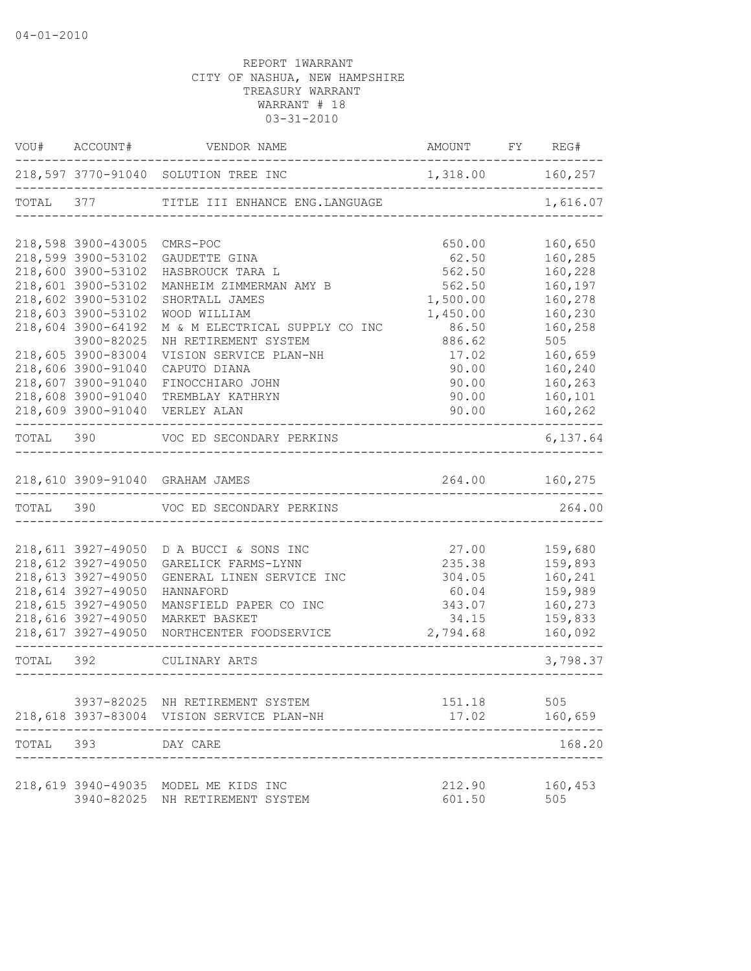|       | VOU# ACCOUNT#      | VENDOR NAME                                                                  | AMOUNT FY REG#   |                      |
|-------|--------------------|------------------------------------------------------------------------------|------------------|----------------------|
|       |                    | 218,597 3770-91040 SOLUTION TREE INC                                         | 1,318.00 160,257 |                      |
|       |                    | TOTAL 377 TITLE III ENHANCE ENG. LANGUAGE                                    |                  | 1,616.07             |
|       | 218,598 3900-43005 | CMRS-POC                                                                     | 650.00           | 160,650              |
|       | 218,599 3900-53102 | GAUDETTE GINA                                                                | 62.50            | 160,285              |
|       | 218,600 3900-53102 | HASBROUCK TARA L                                                             | 562.50           | 160,228              |
|       | 218,601 3900-53102 | MANHEIM ZIMMERMAN AMY B                                                      | 562.50           | 160,197              |
|       | 218,602 3900-53102 | SHORTALL JAMES                                                               | 1,500.00         | 160,278              |
|       | 218,603 3900-53102 | WOOD WILLIAM                                                                 | 1,450.00         | 160,230              |
|       | 218,604 3900-64192 | M & M ELECTRICAL SUPPLY CO INC                                               | 86.50            | 160,258              |
|       | 3900-82025         | NH RETIREMENT SYSTEM                                                         | 886.62           | 505                  |
|       | 218,605 3900-83004 | VISION SERVICE PLAN-NH                                                       | 17.02            | 160,659              |
|       | 218,606 3900-91040 | CAPUTO DIANA                                                                 | 90.00            | 160,240              |
|       | 218,607 3900-91040 | FINOCCHIARO JOHN                                                             | 90.00            | 160,263              |
|       | 218,608 3900-91040 | TREMBLAY KATHRYN                                                             | 90.00            | 160,101              |
|       |                    | 218,609 3900-91040 VERLEY ALAN                                               | 90.00            | 160,262<br>$- - - -$ |
|       |                    | TOTAL 390 VOC ED SECONDARY PERKINS                                           |                  | 6,137.64             |
|       |                    | 218,610 3909-91040 GRAHAM JAMES                                              | 264.00 160,275   |                      |
|       |                    | TOTAL 390 VOC ED SECONDARY PERKINS                                           |                  | 264.00               |
|       |                    |                                                                              |                  |                      |
|       | 218,611 3927-49050 | D A BUCCI & SONS INC                                                         | 27.00            | 159,680              |
|       | 218,612 3927-49050 | GARELICK FARMS-LYNN                                                          | 235.38           | 159,893              |
|       | 218,613 3927-49050 | GENERAL LINEN SERVICE INC                                                    | 304.05           | 160,241              |
|       | 218,614 3927-49050 | HANNAFORD                                                                    | 60.04            | 159,989              |
|       | 218,615 3927-49050 | MANSFIELD PAPER CO INC                                                       | 343.07           | 160,273              |
|       | 218,616 3927-49050 | MARKET BASKET                                                                | 34.15            | 159,833              |
|       |                    | 218,617 3927-49050 NORTHCENTER FOODSERVICE                                   | 2,794.68         | 160,092              |
|       |                    | TOTAL 392 CULINARY ARTS                                                      |                  | 3,798.37             |
|       |                    |                                                                              |                  |                      |
|       |                    | 3937-82025 NH RETIREMENT SYSTEM<br>218,618 3937-83004 VISION SERVICE PLAN-NH | 151.18<br>17.02  | 505<br>160,659       |
| TOTAL | 393                | DAY CARE                                                                     |                  | 168.20               |
|       |                    |                                                                              |                  |                      |
|       | 3940-82025         | 218,619 3940-49035 MODEL ME KIDS INC<br>NH RETIREMENT SYSTEM                 | 212.90<br>601.50 | 160,453<br>505       |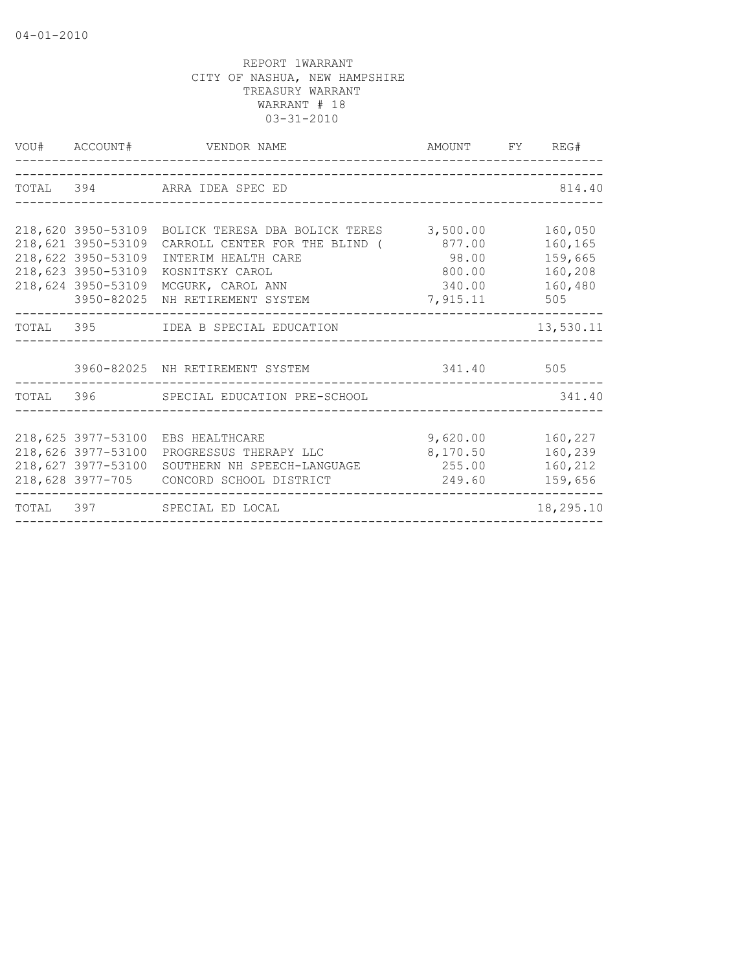|                                                                                                    | VOU# ACCOUNT# VENDOR NAME                                                                                                                                                           | AMOUNT FY REG#                                  |                                                            |
|----------------------------------------------------------------------------------------------------|-------------------------------------------------------------------------------------------------------------------------------------------------------------------------------------|-------------------------------------------------|------------------------------------------------------------|
|                                                                                                    | TOTAL 394 ARRA IDEA SPEC ED                                                                                                                                                         |                                                 | 814.40                                                     |
| 218,621 3950-53109<br>218,622 3950-53109<br>218,623 3950-53109<br>218,624 3950-53109<br>3950-82025 | 218,620 3950-53109 BOLICK TERESA DBA BOLICK TERES 3,500.00<br>CARROLL CENTER FOR THE BLIND (<br>INTERIM HEALTH CARE<br>KOSNITSKY CAROL<br>MCGURK, CAROL ANN<br>NH RETIREMENT SYSTEM | 877.00<br>98.00<br>800.00<br>340.00<br>7,915.11 | 160,050<br>160,165<br>159,665<br>160,208<br>160,480<br>505 |
|                                                                                                    | TOTAL 395 IDEA B SPECIAL EDUCATION                                                                                                                                                  |                                                 | 13,530.11                                                  |
|                                                                                                    | 3960-82025 NH RETIREMENT SYSTEM                                                                                                                                                     | 341.40 505                                      |                                                            |
|                                                                                                    | TOTAL 396 SPECIAL EDUCATION PRE-SCHOOL                                                                                                                                              | ---------------------------------               | 341.40                                                     |
| 218,626 3977-53100<br>218,627 3977-53100                                                           | 218,625 3977-53100 EBS HEALTHCARE<br>PROGRESSUS THERAPY LLC<br>SOUTHERN NH SPEECH-LANGUAGE 255.00 160,212<br>218,628 3977-705 CONCORD SCHOOL DISTRICT                               | 9,620.00<br>8,170.50<br>249.60                  | 160,227<br>160,239<br>159,656                              |
|                                                                                                    | TOTAL 397 SPECIAL ED LOCAL                                                                                                                                                          |                                                 | 18,295.10                                                  |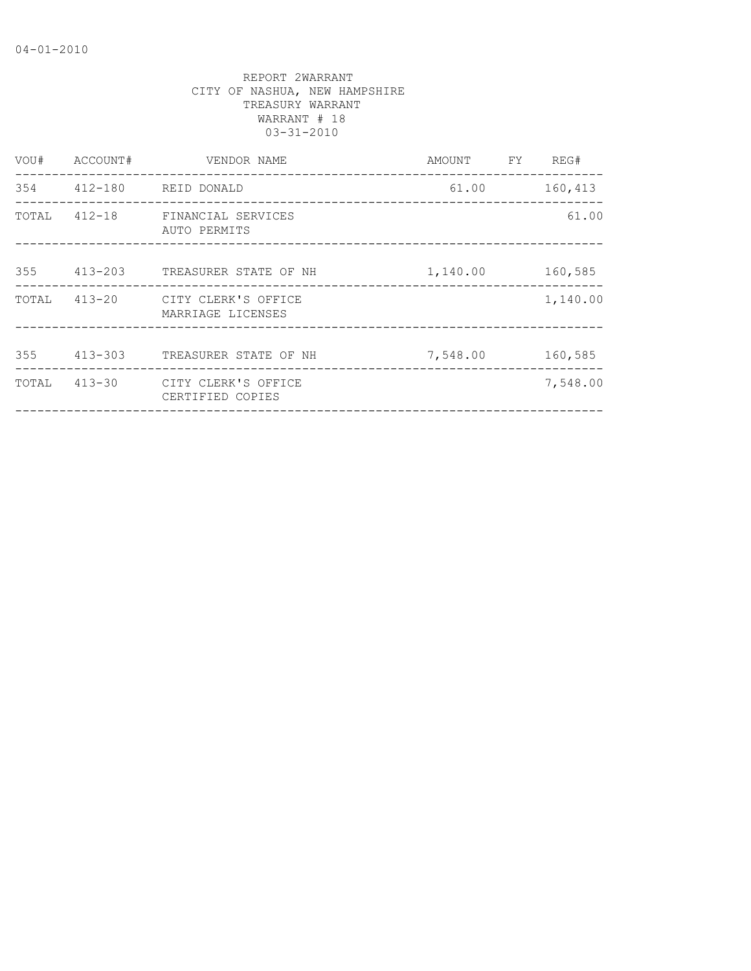| VOU#  | ACCOUNT#    | VENDOR NAME                              | AMOUNT   | FY. | REG#     |
|-------|-------------|------------------------------------------|----------|-----|----------|
| 354   | 412-180     | REID DONALD                              | 61.00    |     | 160,413  |
| TOTAL | $412 - 18$  | FINANCIAL SERVICES<br>AUTO PERMITS       |          |     | 61.00    |
| 355   | 413-203     | TREASURER STATE OF NH                    | 1,140.00 |     | 160,585  |
| TOTAL | 413-20      | CITY CLERK'S OFFICE<br>MARRIAGE LICENSES |          |     | 1,140.00 |
| 355   | $413 - 303$ | TREASURER STATE OF NH                    | 7,548.00 |     | 160,585  |
| TOTAL | $413 - 30$  | CITY CLERK'S OFFICE<br>CERTIFIED COPIES  |          |     | 7,548.00 |
|       |             |                                          |          |     |          |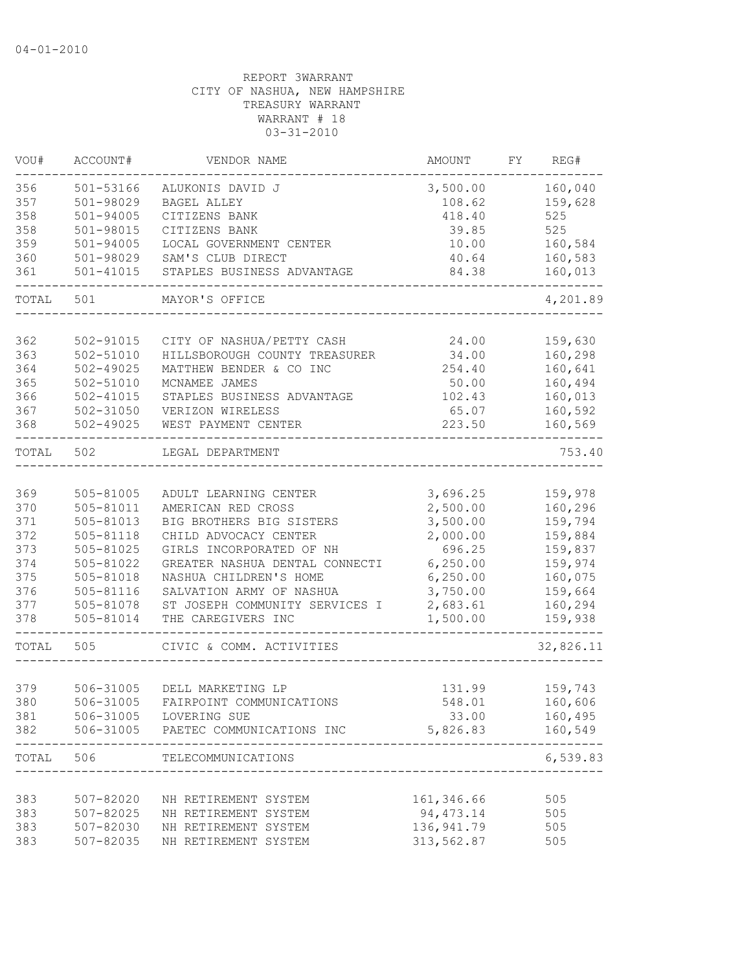| VOU#      | ACCOUNT#      | VENDOR NAME                                     | AMOUNT               | FY | REG#      |
|-----------|---------------|-------------------------------------------------|----------------------|----|-----------|
| 356       | 501-53166     | ALUKONIS DAVID J                                | 3,500.00             |    | 160,040   |
| 357       | 501-98029     | <b>BAGEL ALLEY</b>                              | 108.62               |    | 159,628   |
| 358       | $501 - 94005$ | CITIZENS BANK                                   | 418.40               |    | 525       |
| 358       | 501-98015     | CITIZENS BANK                                   | 39.85                |    | 525       |
| 359       | $501 - 94005$ | LOCAL GOVERNMENT CENTER                         | 10.00                |    | 160,584   |
| 360       | 501-98029     | SAM'S CLUB DIRECT                               | 40.64                |    | 160,583   |
| 361       | 501-41015     | STAPLES BUSINESS ADVANTAGE<br>_________________ | 84.38<br>___________ |    | 160,013   |
| TOTAL     | 501           | MAYOR'S OFFICE                                  |                      |    | 4,201.89  |
|           |               |                                                 |                      |    |           |
| 362       | 502-91015     | CITY OF NASHUA/PETTY CASH                       | 24.00                |    | 159,630   |
| 363       | 502-51010     | HILLSBOROUGH COUNTY TREASURER                   | 34.00                |    | 160,298   |
| 364       | 502-49025     | MATTHEW BENDER & CO INC                         | 254.40               |    | 160,641   |
| 365       | 502-51010     | MCNAMEE JAMES                                   | 50.00                |    | 160,494   |
| 366       | $502 - 41015$ | STAPLES BUSINESS ADVANTAGE                      | 102.43               |    | 160,013   |
| 367       | 502-31050     | VERIZON WIRELESS                                | 65.07                |    | 160,592   |
| 368       | $502 - 49025$ | WEST PAYMENT CENTER                             | 223.50               |    | 160,569   |
| TOTAL     | 502           | LEGAL DEPARTMENT                                |                      |    | 753.40    |
| 369       | 505-81005     | ADULT LEARNING CENTER                           | 3,696.25             |    | 159,978   |
| 370       | 505-81011     | AMERICAN RED CROSS                              | 2,500.00             |    | 160,296   |
| 371       | 505-81013     | BIG BROTHERS BIG SISTERS                        | 3,500.00             |    | 159,794   |
| 372       | $505 - 81118$ | CHILD ADVOCACY CENTER                           | 2,000.00             |    | 159,884   |
| 373       | $505 - 81025$ | GIRLS INCORPORATED OF NH                        | 696.25               |    | 159,837   |
| 374       | 505-81022     | GREATER NASHUA DENTAL CONNECTI                  | 6, 250.00            |    | 159,974   |
| 375       | 505-81018     | NASHUA CHILDREN'S HOME                          | 6, 250.00            |    | 160,075   |
| 376       | 505-81116     | SALVATION ARMY OF NASHUA                        | 3,750.00             |    | 159,664   |
| 377       | 505-81078     | ST JOSEPH COMMUNITY SERVICES I                  | 2,683.61             |    | 160,294   |
| 378       | 505-81014     | THE CAREGIVERS INC                              | 1,500.00             |    | 159,938   |
| TOTAL     | 505           | CIVIC & COMM. ACTIVITIES                        |                      |    | 32,826.11 |
|           |               |                                                 |                      |    |           |
| 379       | 506-31005     | DELL MARKETING LP                               | 131.99               |    | 159,743   |
| 380       | 506-31005     | FAIRPOINT COMMUNICATIONS                        | 548.01               |    | 160,606   |
| 381       |               | 506-31005 LOVERING SUE                          | 33.00                |    | 160,495   |
| 382       |               | 506-31005 PAETEC COMMUNICATIONS INC             | 5,826.83             |    | 160,549   |
| TOTAL 506 |               | TELECOMMUNICATIONS                              |                      |    | 6,539.83  |
| 383       | 507-82020     | NH RETIREMENT SYSTEM                            | 161,346.66           |    | 505       |
| 383       | 507-82025     | NH RETIREMENT SYSTEM                            | 94,473.14            |    | 505       |
| 383       | 507-82030     | NH RETIREMENT SYSTEM                            | 136,941.79           |    | 505       |
| 383       | 507-82035     | NH RETIREMENT SYSTEM                            | 313,562.87           |    | 505       |
|           |               |                                                 |                      |    |           |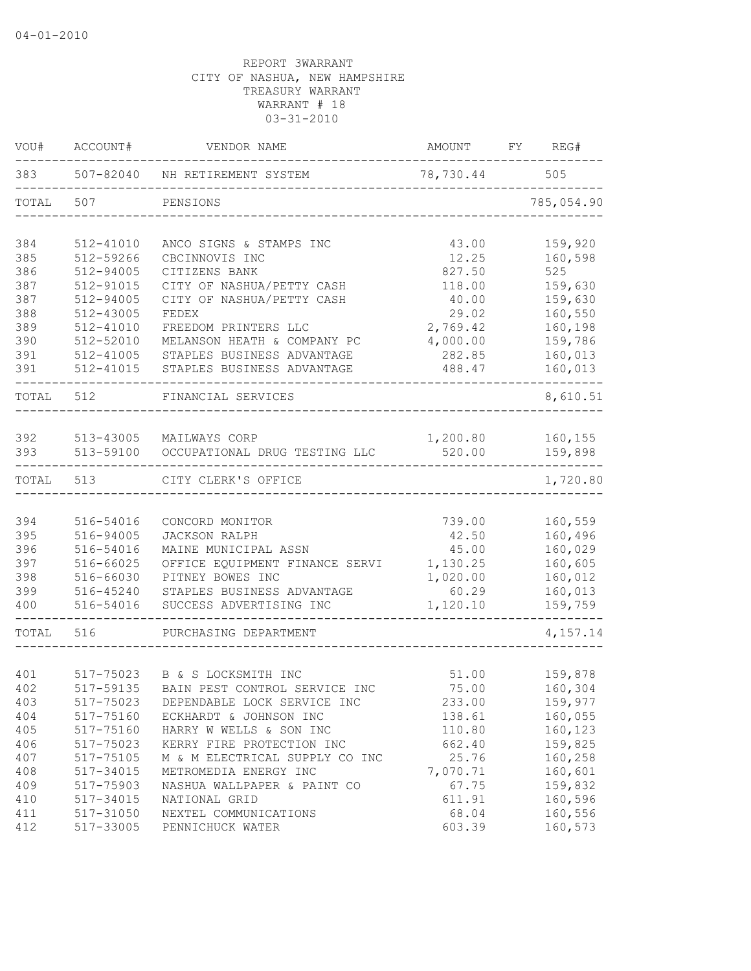| VOU#       | ACCOUNT#               | VENDOR NAME                                    | AMOUNT             | FY | REG#               |
|------------|------------------------|------------------------------------------------|--------------------|----|--------------------|
| 383        | 507-82040              | NH RETIREMENT SYSTEM                           | 78,730.44          |    | 505                |
| TOTAL      | 507                    | PENSIONS                                       |                    |    | 785,054.90         |
| 384        | 512-41010              | ANCO SIGNS & STAMPS INC                        | 43.00              |    | 159,920            |
| 385        | 512-59266              | CBCINNOVIS INC                                 | 12.25              |    | 160,598            |
| 386        | 512-94005              | CITIZENS BANK                                  | 827.50             |    | 525                |
| 387        | 512-91015              | CITY OF NASHUA/PETTY CASH                      | 118.00             |    | 159,630            |
| 387        | 512-94005              | CITY OF NASHUA/PETTY CASH                      | 40.00              |    | 159,630            |
| 388        | 512-43005              | FEDEX                                          | 29.02              |    | 160,550            |
| 389        | 512-41010              | FREEDOM PRINTERS LLC                           | 2,769.42           |    | 160,198            |
| 390        | 512-52010              | MELANSON HEATH & COMPANY PC                    | 4,000.00           |    | 159,786            |
| 391        | 512-41005              | STAPLES BUSINESS ADVANTAGE                     | 282.85             |    | 160,013            |
| 391        | 512-41015              | STAPLES BUSINESS ADVANTAGE                     | 488.47             |    | 160,013            |
| TOTAL      | 512                    | FINANCIAL SERVICES                             |                    |    | 8,610.51           |
|            |                        |                                                |                    |    |                    |
| 392<br>393 | 513-43005<br>513-59100 | MAILWAYS CORP<br>OCCUPATIONAL DRUG TESTING LLC | 1,200.80<br>520.00 |    | 160,155<br>159,898 |
|            |                        |                                                |                    |    |                    |
| TOTAL      | 513                    | CITY CLERK'S OFFICE                            |                    |    | 1,720.80           |
|            |                        |                                                |                    |    |                    |
| 394        | 516-54016              | CONCORD MONITOR                                | 739.00             |    | 160,559            |
| 395        | 516-94005              | JACKSON RALPH                                  | 42.50              |    | 160,496            |
| 396        | 516-54016              | MAINE MUNICIPAL ASSN                           | 45.00              |    | 160,029            |
| 397        | 516-66025              | OFFICE EQUIPMENT FINANCE SERVI                 | 1,130.25           |    | 160,605            |
| 398        | 516-66030              | PITNEY BOWES INC                               | 1,020.00           |    | 160,012            |
| 399        | 516-45240              | STAPLES BUSINESS ADVANTAGE                     | 60.29              |    | 160,013            |
| 400        | 516-54016              | SUCCESS ADVERTISING INC                        | 1,120.10           |    | 159,759            |
| TOTAL      | 516                    | PURCHASING DEPARTMENT                          |                    |    | 4,157.14           |
|            |                        |                                                |                    |    |                    |
| 401        | 517-75023              | B & S LOCKSMITH INC                            | 51.00              |    | 159,878            |
| 402        | 517-59135              | BAIN PEST CONTROL SERVICE INC                  | 75.00              |    | 160,304            |
| 403        | 517-75023              | DEPENDABLE LOCK SERVICE INC                    | 233.00             |    | 159,977            |
| 404        | 517-75160              | ECKHARDT & JOHNSON INC                         | 138.61             |    | 160,055            |
| 405        | 517-75160              | HARRY W WELLS & SON INC                        | 110.80             |    | 160,123            |
| 406        | 517-75023              | KERRY FIRE PROTECTION INC                      | 662.40             |    | 159,825            |
| 407        | 517-75105              | M & M ELECTRICAL SUPPLY CO INC                 | 25.76              |    | 160,258            |
| 408        | 517-34015              | METROMEDIA ENERGY INC                          | 7,070.71           |    | 160,601            |
| 409        | 517-75903              | NASHUA WALLPAPER & PAINT CO                    | 67.75              |    | 159,832            |
| 410        | 517-34015              | NATIONAL GRID                                  | 611.91             |    | 160,596            |
| 411        | 517-31050              | NEXTEL COMMUNICATIONS                          | 68.04              |    | 160,556            |
| 412        | 517-33005              | PENNICHUCK WATER                               | 603.39             |    | 160,573            |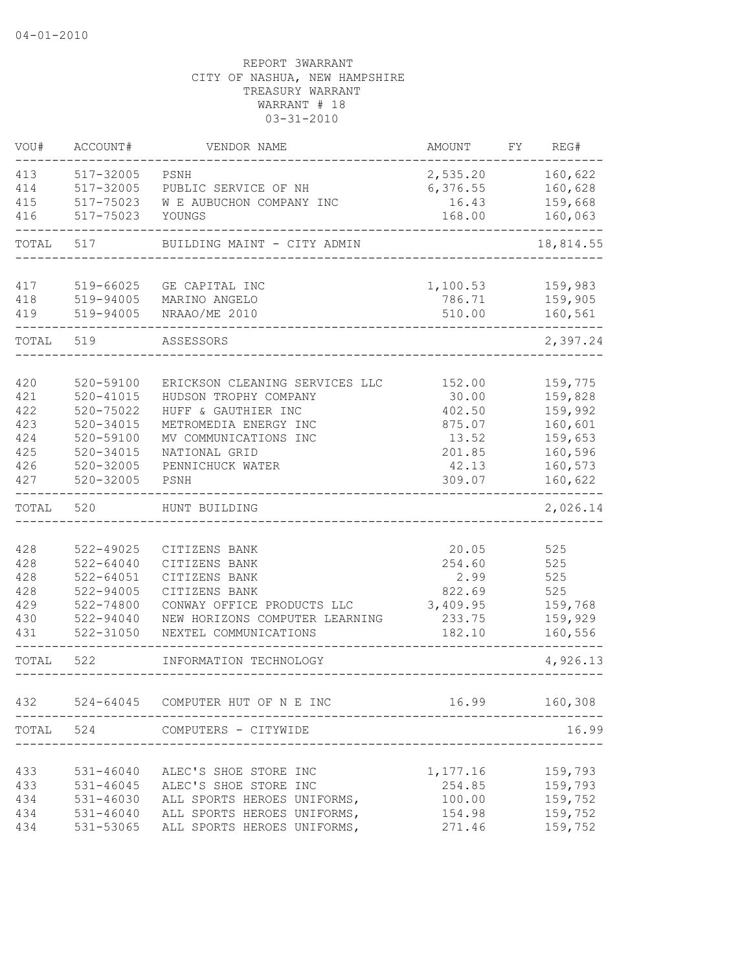| VOU#      | ACCOUNT#      | VENDOR NAME                       | <b>AMOUNT</b> | FY | REG#      |
|-----------|---------------|-----------------------------------|---------------|----|-----------|
| 413       | 517-32005     | PSNH                              | 2,535.20      |    | 160,622   |
| 414       | 517-32005     | PUBLIC SERVICE OF NH              | 6,376.55      |    | 160,628   |
| 415       | 517-75023     | W E AUBUCHON COMPANY INC          | 16.43         |    | 159,668   |
| 416       | 517-75023     | YOUNGS                            | 168.00        |    | 160,063   |
| TOTAL     | 517           | BUILDING MAINT - CITY ADMIN       |               |    | 18,814.55 |
| 417       | 519-66025     | GE CAPITAL INC                    | 1,100.53      |    | 159,983   |
| 418       | 519-94005     | MARINO ANGELO                     | 786.71        |    | 159,905   |
| 419       | 519-94005     | NRAAO/ME 2010                     | 510.00        |    | 160,561   |
|           |               |                                   |               |    |           |
| TOTAL     | 519           | ASSESSORS                         |               |    | 2,397.24  |
|           |               |                                   |               |    |           |
| 420       | 520-59100     | ERICKSON CLEANING SERVICES LLC    | 152.00        |    | 159,775   |
| 421       | $520 - 41015$ | HUDSON TROPHY COMPANY             | 30.00         |    | 159,828   |
| 422       | $520 - 75022$ | HUFF & GAUTHIER INC               | 402.50        |    | 159,992   |
| 423       | $520 - 34015$ | METROMEDIA ENERGY INC             | 875.07        |    | 160,601   |
| 424       | 520-59100     | MV COMMUNICATIONS INC             | 13.52         |    | 159,653   |
| 425       | $520 - 34015$ | NATIONAL GRID                     | 201.85        |    | 160,596   |
| 426       | $520 - 32005$ | PENNICHUCK WATER                  | 42.13         |    | 160,573   |
| 427       | $520 - 32005$ | PSNH                              | 309.07        |    | 160,622   |
| TOTAL     | 520           | HUNT BUILDING                     |               |    | 2,026.14  |
|           |               |                                   |               |    |           |
| 428       | 522-49025     | CITIZENS BANK                     | 20.05         |    | 525       |
| 428       | $522 - 64040$ | CITIZENS BANK                     | 254.60        |    | 525       |
| 428       | $522 - 64051$ | CITIZENS BANK                     | 2.99          |    | 525       |
| 428       | $522 - 94005$ | CITIZENS BANK                     | 822.69        |    | 525       |
| 429       | 522-74800     | CONWAY OFFICE PRODUCTS LLC        | 3,409.95      |    | 159,768   |
| 430       | 522-94040     | NEW HORIZONS COMPUTER LEARNING    | 233.75        |    | 159,929   |
| 431       | 522-31050     | NEXTEL COMMUNICATIONS             | 182.10        |    | 160,556   |
| TOTAL     | 522           | INFORMATION TECHNOLOGY            |               |    | 4,926.13  |
|           |               |                                   |               |    |           |
| 432       |               | 524-64045 COMPUTER HUT OF N E INC | 16.99         |    | 160,308   |
| TOTAL 524 |               | COMPUTERS - CITYWIDE              |               |    | 16.99     |
|           |               |                                   |               |    |           |
| 433       | 531-46040     | ALEC'S SHOE STORE INC             | 1,177.16      |    | 159,793   |
| 433       | 531-46045     | ALEC'S SHOE STORE INC             | 254.85        |    | 159,793   |
| 434       | 531-46030     | ALL SPORTS HEROES UNIFORMS,       | 100.00        |    | 159,752   |
| 434       | 531-46040     | ALL SPORTS HEROES UNIFORMS,       | 154.98        |    | 159,752   |
| 434       | 531-53065     | ALL SPORTS HEROES UNIFORMS,       | 271.46        |    | 159,752   |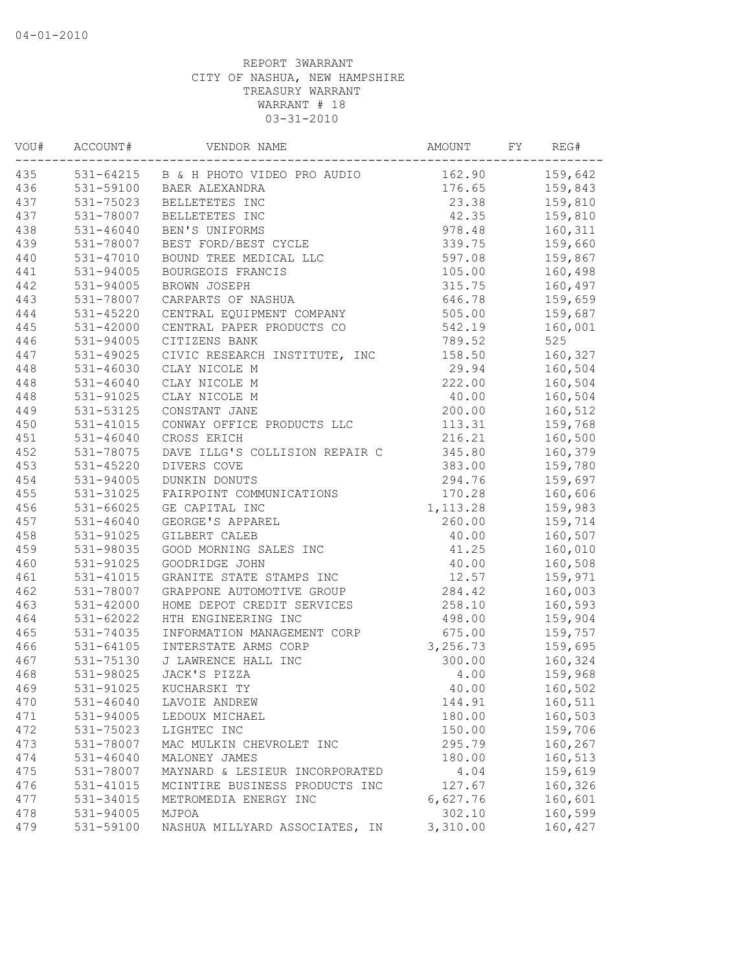| VOU# | ACCOUNT#      | VENDOR NAME                           | AMOUNT    | FY | REG#    |
|------|---------------|---------------------------------------|-----------|----|---------|
| 435  |               | 531-64215 B & H PHOTO VIDEO PRO AUDIO | 162.90    |    | 159,642 |
| 436  |               | 531-59100 BAER ALEXANDRA              | 176.65    |    | 159,843 |
| 437  | 531-75023     | BELLETETES INC                        | 23.38     |    | 159,810 |
| 437  | 531-78007     | BELLETETES INC                        | 42.35     |    | 159,810 |
| 438  | $531 - 46040$ | BEN'S UNIFORMS                        | 978.48    |    | 160,311 |
| 439  | 531-78007     | BEST FORD/BEST CYCLE                  | 339.75    |    | 159,660 |
| 440  | 531-47010     | BOUND TREE MEDICAL LLC                | 597.08    |    | 159,867 |
| 441  | 531-94005     | BOURGEOIS FRANCIS                     | 105.00    |    | 160,498 |
| 442  | $531 - 94005$ | BROWN JOSEPH                          | 315.75    |    | 160,497 |
| 443  | 531-78007     | CARPARTS OF NASHUA                    | 646.78    |    | 159,659 |
| 444  | 531-45220     | CENTRAL EQUIPMENT COMPANY             | 505.00    |    | 159,687 |
| 445  | $531 - 42000$ | CENTRAL PAPER PRODUCTS CO             | 542.19    |    | 160,001 |
| 446  | 531-94005     | CITIZENS BANK                         | 789.52    |    | 525     |
| 447  | 531-49025     | CIVIC RESEARCH INSTITUTE, INC         | 158.50    |    | 160,327 |
| 448  | 531-46030     | CLAY NICOLE M                         | 29.94     |    | 160,504 |
| 448  | $531 - 46040$ | CLAY NICOLE M                         | 222.00    |    | 160,504 |
| 448  | 531-91025     | CLAY NICOLE M                         | 40.00     |    | 160,504 |
| 449  | 531-53125     | CONSTANT JANE                         | 200.00    |    | 160,512 |
| 450  | 531-41015     | CONWAY OFFICE PRODUCTS LLC            | 113.31    |    | 159,768 |
| 451  | 531-46040     | CROSS ERICH                           | 216.21    |    | 160,500 |
| 452  | 531-78075     | DAVE ILLG'S COLLISION REPAIR C        | 345.80    |    | 160,379 |
| 453  | $531 - 45220$ | DIVERS COVE                           | 383.00    |    | 159,780 |
| 454  | $531 - 94005$ | DUNKIN DONUTS                         | 294.76    |    | 159,697 |
| 455  | 531-31025     | FAIRPOINT COMMUNICATIONS              | 170.28    |    | 160,606 |
| 456  | $531 - 66025$ | GE CAPITAL INC                        | 1, 113.28 |    | 159,983 |
| 457  | 531-46040     | GEORGE'S APPAREL                      | 260.00    |    | 159,714 |
| 458  | 531-91025     | GILBERT CALEB                         | 40.00     |    | 160,507 |
| 459  | 531-98035     | GOOD MORNING SALES INC                | 41.25     |    | 160,010 |
| 460  | 531-91025     | GOODRIDGE JOHN                        | 40.00     |    | 160,508 |
| 461  | $531 - 41015$ | GRANITE STATE STAMPS INC              | 12.57     |    | 159,971 |
| 462  | 531-78007     | GRAPPONE AUTOMOTIVE GROUP             | 284.42    |    | 160,003 |
| 463  | $531 - 42000$ | HOME DEPOT CREDIT SERVICES            | 258.10    |    | 160,593 |
| 464  | 531-62022     | HTH ENGINEERING INC                   | 498.00    |    | 159,904 |
| 465  | 531-74035     | INFORMATION MANAGEMENT CORP           | 675.00    |    | 159,757 |
| 466  | 531-64105     | INTERSTATE ARMS CORP                  | 3,256.73  |    | 159,695 |
| 467  | 531-75130     | J LAWRENCE HALL INC                   | 300.00    |    | 160,324 |
| 468  | 531-98025     | JACK'S PIZZA                          | 4.00      |    | 159,968 |
| 469  | 531-91025     | KUCHARSKI TY                          | 40.00     |    | 160,502 |
| 470  | 531-46040     | LAVOIE ANDREW                         | 144.91    |    | 160,511 |
| 471  | 531-94005     | LEDOUX MICHAEL                        | 180.00    |    | 160,503 |
| 472  | 531-75023     | LIGHTEC INC                           | 150.00    |    | 159,706 |
| 473  | 531-78007     | MAC MULKIN CHEVROLET INC              | 295.79    |    | 160,267 |
| 474  | 531-46040     | MALONEY JAMES                         | 180.00    |    | 160,513 |
| 475  | 531-78007     | MAYNARD & LESIEUR INCORPORATED        | 4.04      |    | 159,619 |
| 476  | 531-41015     | MCINTIRE BUSINESS PRODUCTS INC        | 127.67    |    | 160,326 |
| 477  | 531-34015     | METROMEDIA ENERGY INC                 | 6,627.76  |    | 160,601 |
| 478  | 531-94005     | MJPOA                                 | 302.10    |    | 160,599 |
| 479  | 531-59100     | NASHUA MILLYARD ASSOCIATES, IN        | 3,310.00  |    | 160,427 |
|      |               |                                       |           |    |         |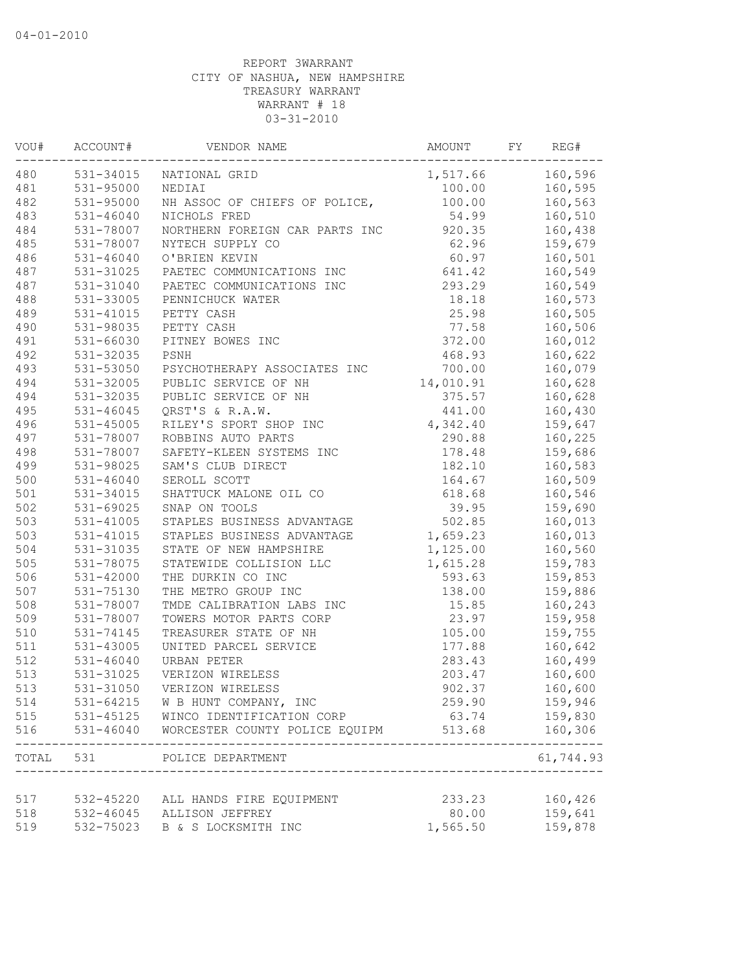| 160,596<br>531-34015<br>1,517.66<br>NATIONAL GRID<br>531-95000<br>160,595<br>NEDIAI<br>100.00<br>531-95000<br>NH ASSOC OF CHIEFS OF POLICE,<br>100.00<br>160,563<br>$531 - 46040$<br>54.99<br>NICHOLS FRED<br>160,510<br>920.35<br>531-78007<br>NORTHERN FOREIGN CAR PARTS INC<br>160,438<br>531-78007<br>NYTECH SUPPLY CO<br>62.96<br>159,679<br>60.97<br>$531 - 46040$<br>O'BRIEN KEVIN<br>160,501<br>641.42<br>160,549<br>531-31025<br>PAETEC COMMUNICATIONS INC<br>531-31040<br>293.29<br>160,549<br>PAETEC COMMUNICATIONS INC<br>531-33005<br>18.18<br>160,573<br>PENNICHUCK WATER<br>531-41015<br>PETTY CASH<br>25.98<br>160,505<br>531-98035<br>PETTY CASH<br>77.58<br>160,506<br>531-66030<br>PITNEY BOWES INC<br>372.00<br>160,012<br>531-32035<br>468.93<br>160,622<br>PSNH<br>160,079<br>493<br>531-53050<br>700.00<br>PSYCHOTHERAPY ASSOCIATES INC<br>494<br>531-32005<br>14,010.91<br>160,628<br>PUBLIC SERVICE OF NH<br>494<br>PUBLIC SERVICE OF NH<br>375.57<br>160,628<br>531-32035<br>495<br>160,430<br>531-46045<br>QRST'S & R.A.W.<br>441.00<br>496<br>531-45005<br>RILEY'S SPORT SHOP INC<br>4,342.40<br>159,647<br>497<br>531-78007<br>ROBBINS AUTO PARTS<br>290.88<br>160,225<br>498<br>531-78007<br>SAFETY-KLEEN SYSTEMS INC<br>159,686<br>178.48<br>499<br>531-98025<br>182.10<br>SAM'S CLUB DIRECT<br>160,583<br>500<br>SEROLL SCOTT<br>160,509<br>$531 - 46040$<br>164.67<br>501<br>531-34015<br>SHATTUCK MALONE OIL CO<br>618.68<br>160,546<br>502<br>531-69025<br>SNAP ON TOOLS<br>39.95<br>159,690<br>503<br>502.85<br>160,013<br>531-41005<br>STAPLES BUSINESS ADVANTAGE<br>503<br>$531 - 41015$<br>1,659.23<br>160,013<br>STAPLES BUSINESS ADVANTAGE<br>504<br>531-31035<br>STATE OF NEW HAMPSHIRE<br>1,125.00<br>160,560<br>505<br>531-78075<br>STATEWIDE COLLISION LLC<br>1,615.28<br>159,783<br>506<br>$531 - 42000$<br>THE DURKIN CO INC<br>593.63<br>159,853<br>507<br>531-75130<br>THE METRO GROUP INC<br>138.00<br>159,886<br>508<br>160,243<br>531-78007<br>TMDE CALIBRATION LABS INC<br>15.85<br>509<br>531-78007<br>TOWERS MOTOR PARTS CORP<br>23.97<br>159,958<br>510<br>105.00<br>531-74145<br>TREASURER STATE OF NH<br>159,755<br>511<br>$531 - 43005$<br>UNITED PARCEL SERVICE<br>177.88<br>160,642<br>512<br>$531 - 46040$<br>283.43<br>160,499<br>URBAN PETER<br>513<br>531-31025<br>VERIZON WIRELESS<br>203.47<br>160,600<br>513<br>531-31050<br>VERIZON WIRELESS<br>902.37<br>160,600<br>514<br>531-64215 W B HUNT COMPANY, INC<br>259.90<br>159,946<br>515<br>531-45125 WINCO IDENTIFICATION CORP<br>63.74<br>159,830<br>516<br>$531 - 46040$<br>WORCESTER COUNTY POLICE EQUIPM<br>160,306<br>513.68<br>--------<br>61,744.93<br>TOTAL 531<br>POLICE DEPARTMENT<br>-----------------------------------<br>233.23<br>160,426<br>532-45220 ALL HANDS FIRE EQUIPMENT<br>518<br>532-46045 ALLISON JEFFREY<br>80.00<br>159,641<br>532-75023<br>1,565.50<br>159,878<br>B & S LOCKSMITH INC | VOU# | ACCOUNT# | VENDOR NAME | AMOUNT | FY | REG# |
|----------------------------------------------------------------------------------------------------------------------------------------------------------------------------------------------------------------------------------------------------------------------------------------------------------------------------------------------------------------------------------------------------------------------------------------------------------------------------------------------------------------------------------------------------------------------------------------------------------------------------------------------------------------------------------------------------------------------------------------------------------------------------------------------------------------------------------------------------------------------------------------------------------------------------------------------------------------------------------------------------------------------------------------------------------------------------------------------------------------------------------------------------------------------------------------------------------------------------------------------------------------------------------------------------------------------------------------------------------------------------------------------------------------------------------------------------------------------------------------------------------------------------------------------------------------------------------------------------------------------------------------------------------------------------------------------------------------------------------------------------------------------------------------------------------------------------------------------------------------------------------------------------------------------------------------------------------------------------------------------------------------------------------------------------------------------------------------------------------------------------------------------------------------------------------------------------------------------------------------------------------------------------------------------------------------------------------------------------------------------------------------------------------------------------------------------------------------------------------------------------------------------------------------------------------------------------------------------------------------------------------------------------------------------------------------------------------------------------------------------------------------------------------------------------------------------------------------------------------------------------------------------------------------------------------------|------|----------|-------------|--------|----|------|
|                                                                                                                                                                                                                                                                                                                                                                                                                                                                                                                                                                                                                                                                                                                                                                                                                                                                                                                                                                                                                                                                                                                                                                                                                                                                                                                                                                                                                                                                                                                                                                                                                                                                                                                                                                                                                                                                                                                                                                                                                                                                                                                                                                                                                                                                                                                                                                                                                                                                                                                                                                                                                                                                                                                                                                                                                                                                                                                                        | 480  |          |             |        |    |      |
|                                                                                                                                                                                                                                                                                                                                                                                                                                                                                                                                                                                                                                                                                                                                                                                                                                                                                                                                                                                                                                                                                                                                                                                                                                                                                                                                                                                                                                                                                                                                                                                                                                                                                                                                                                                                                                                                                                                                                                                                                                                                                                                                                                                                                                                                                                                                                                                                                                                                                                                                                                                                                                                                                                                                                                                                                                                                                                                                        | 481  |          |             |        |    |      |
|                                                                                                                                                                                                                                                                                                                                                                                                                                                                                                                                                                                                                                                                                                                                                                                                                                                                                                                                                                                                                                                                                                                                                                                                                                                                                                                                                                                                                                                                                                                                                                                                                                                                                                                                                                                                                                                                                                                                                                                                                                                                                                                                                                                                                                                                                                                                                                                                                                                                                                                                                                                                                                                                                                                                                                                                                                                                                                                                        | 482  |          |             |        |    |      |
|                                                                                                                                                                                                                                                                                                                                                                                                                                                                                                                                                                                                                                                                                                                                                                                                                                                                                                                                                                                                                                                                                                                                                                                                                                                                                                                                                                                                                                                                                                                                                                                                                                                                                                                                                                                                                                                                                                                                                                                                                                                                                                                                                                                                                                                                                                                                                                                                                                                                                                                                                                                                                                                                                                                                                                                                                                                                                                                                        | 483  |          |             |        |    |      |
|                                                                                                                                                                                                                                                                                                                                                                                                                                                                                                                                                                                                                                                                                                                                                                                                                                                                                                                                                                                                                                                                                                                                                                                                                                                                                                                                                                                                                                                                                                                                                                                                                                                                                                                                                                                                                                                                                                                                                                                                                                                                                                                                                                                                                                                                                                                                                                                                                                                                                                                                                                                                                                                                                                                                                                                                                                                                                                                                        | 484  |          |             |        |    |      |
|                                                                                                                                                                                                                                                                                                                                                                                                                                                                                                                                                                                                                                                                                                                                                                                                                                                                                                                                                                                                                                                                                                                                                                                                                                                                                                                                                                                                                                                                                                                                                                                                                                                                                                                                                                                                                                                                                                                                                                                                                                                                                                                                                                                                                                                                                                                                                                                                                                                                                                                                                                                                                                                                                                                                                                                                                                                                                                                                        | 485  |          |             |        |    |      |
|                                                                                                                                                                                                                                                                                                                                                                                                                                                                                                                                                                                                                                                                                                                                                                                                                                                                                                                                                                                                                                                                                                                                                                                                                                                                                                                                                                                                                                                                                                                                                                                                                                                                                                                                                                                                                                                                                                                                                                                                                                                                                                                                                                                                                                                                                                                                                                                                                                                                                                                                                                                                                                                                                                                                                                                                                                                                                                                                        | 486  |          |             |        |    |      |
|                                                                                                                                                                                                                                                                                                                                                                                                                                                                                                                                                                                                                                                                                                                                                                                                                                                                                                                                                                                                                                                                                                                                                                                                                                                                                                                                                                                                                                                                                                                                                                                                                                                                                                                                                                                                                                                                                                                                                                                                                                                                                                                                                                                                                                                                                                                                                                                                                                                                                                                                                                                                                                                                                                                                                                                                                                                                                                                                        | 487  |          |             |        |    |      |
|                                                                                                                                                                                                                                                                                                                                                                                                                                                                                                                                                                                                                                                                                                                                                                                                                                                                                                                                                                                                                                                                                                                                                                                                                                                                                                                                                                                                                                                                                                                                                                                                                                                                                                                                                                                                                                                                                                                                                                                                                                                                                                                                                                                                                                                                                                                                                                                                                                                                                                                                                                                                                                                                                                                                                                                                                                                                                                                                        | 487  |          |             |        |    |      |
|                                                                                                                                                                                                                                                                                                                                                                                                                                                                                                                                                                                                                                                                                                                                                                                                                                                                                                                                                                                                                                                                                                                                                                                                                                                                                                                                                                                                                                                                                                                                                                                                                                                                                                                                                                                                                                                                                                                                                                                                                                                                                                                                                                                                                                                                                                                                                                                                                                                                                                                                                                                                                                                                                                                                                                                                                                                                                                                                        | 488  |          |             |        |    |      |
|                                                                                                                                                                                                                                                                                                                                                                                                                                                                                                                                                                                                                                                                                                                                                                                                                                                                                                                                                                                                                                                                                                                                                                                                                                                                                                                                                                                                                                                                                                                                                                                                                                                                                                                                                                                                                                                                                                                                                                                                                                                                                                                                                                                                                                                                                                                                                                                                                                                                                                                                                                                                                                                                                                                                                                                                                                                                                                                                        | 489  |          |             |        |    |      |
|                                                                                                                                                                                                                                                                                                                                                                                                                                                                                                                                                                                                                                                                                                                                                                                                                                                                                                                                                                                                                                                                                                                                                                                                                                                                                                                                                                                                                                                                                                                                                                                                                                                                                                                                                                                                                                                                                                                                                                                                                                                                                                                                                                                                                                                                                                                                                                                                                                                                                                                                                                                                                                                                                                                                                                                                                                                                                                                                        | 490  |          |             |        |    |      |
|                                                                                                                                                                                                                                                                                                                                                                                                                                                                                                                                                                                                                                                                                                                                                                                                                                                                                                                                                                                                                                                                                                                                                                                                                                                                                                                                                                                                                                                                                                                                                                                                                                                                                                                                                                                                                                                                                                                                                                                                                                                                                                                                                                                                                                                                                                                                                                                                                                                                                                                                                                                                                                                                                                                                                                                                                                                                                                                                        | 491  |          |             |        |    |      |
|                                                                                                                                                                                                                                                                                                                                                                                                                                                                                                                                                                                                                                                                                                                                                                                                                                                                                                                                                                                                                                                                                                                                                                                                                                                                                                                                                                                                                                                                                                                                                                                                                                                                                                                                                                                                                                                                                                                                                                                                                                                                                                                                                                                                                                                                                                                                                                                                                                                                                                                                                                                                                                                                                                                                                                                                                                                                                                                                        | 492  |          |             |        |    |      |
|                                                                                                                                                                                                                                                                                                                                                                                                                                                                                                                                                                                                                                                                                                                                                                                                                                                                                                                                                                                                                                                                                                                                                                                                                                                                                                                                                                                                                                                                                                                                                                                                                                                                                                                                                                                                                                                                                                                                                                                                                                                                                                                                                                                                                                                                                                                                                                                                                                                                                                                                                                                                                                                                                                                                                                                                                                                                                                                                        |      |          |             |        |    |      |
|                                                                                                                                                                                                                                                                                                                                                                                                                                                                                                                                                                                                                                                                                                                                                                                                                                                                                                                                                                                                                                                                                                                                                                                                                                                                                                                                                                                                                                                                                                                                                                                                                                                                                                                                                                                                                                                                                                                                                                                                                                                                                                                                                                                                                                                                                                                                                                                                                                                                                                                                                                                                                                                                                                                                                                                                                                                                                                                                        |      |          |             |        |    |      |
|                                                                                                                                                                                                                                                                                                                                                                                                                                                                                                                                                                                                                                                                                                                                                                                                                                                                                                                                                                                                                                                                                                                                                                                                                                                                                                                                                                                                                                                                                                                                                                                                                                                                                                                                                                                                                                                                                                                                                                                                                                                                                                                                                                                                                                                                                                                                                                                                                                                                                                                                                                                                                                                                                                                                                                                                                                                                                                                                        |      |          |             |        |    |      |
|                                                                                                                                                                                                                                                                                                                                                                                                                                                                                                                                                                                                                                                                                                                                                                                                                                                                                                                                                                                                                                                                                                                                                                                                                                                                                                                                                                                                                                                                                                                                                                                                                                                                                                                                                                                                                                                                                                                                                                                                                                                                                                                                                                                                                                                                                                                                                                                                                                                                                                                                                                                                                                                                                                                                                                                                                                                                                                                                        |      |          |             |        |    |      |
|                                                                                                                                                                                                                                                                                                                                                                                                                                                                                                                                                                                                                                                                                                                                                                                                                                                                                                                                                                                                                                                                                                                                                                                                                                                                                                                                                                                                                                                                                                                                                                                                                                                                                                                                                                                                                                                                                                                                                                                                                                                                                                                                                                                                                                                                                                                                                                                                                                                                                                                                                                                                                                                                                                                                                                                                                                                                                                                                        |      |          |             |        |    |      |
|                                                                                                                                                                                                                                                                                                                                                                                                                                                                                                                                                                                                                                                                                                                                                                                                                                                                                                                                                                                                                                                                                                                                                                                                                                                                                                                                                                                                                                                                                                                                                                                                                                                                                                                                                                                                                                                                                                                                                                                                                                                                                                                                                                                                                                                                                                                                                                                                                                                                                                                                                                                                                                                                                                                                                                                                                                                                                                                                        |      |          |             |        |    |      |
|                                                                                                                                                                                                                                                                                                                                                                                                                                                                                                                                                                                                                                                                                                                                                                                                                                                                                                                                                                                                                                                                                                                                                                                                                                                                                                                                                                                                                                                                                                                                                                                                                                                                                                                                                                                                                                                                                                                                                                                                                                                                                                                                                                                                                                                                                                                                                                                                                                                                                                                                                                                                                                                                                                                                                                                                                                                                                                                                        |      |          |             |        |    |      |
|                                                                                                                                                                                                                                                                                                                                                                                                                                                                                                                                                                                                                                                                                                                                                                                                                                                                                                                                                                                                                                                                                                                                                                                                                                                                                                                                                                                                                                                                                                                                                                                                                                                                                                                                                                                                                                                                                                                                                                                                                                                                                                                                                                                                                                                                                                                                                                                                                                                                                                                                                                                                                                                                                                                                                                                                                                                                                                                                        |      |          |             |        |    |      |
|                                                                                                                                                                                                                                                                                                                                                                                                                                                                                                                                                                                                                                                                                                                                                                                                                                                                                                                                                                                                                                                                                                                                                                                                                                                                                                                                                                                                                                                                                                                                                                                                                                                                                                                                                                                                                                                                                                                                                                                                                                                                                                                                                                                                                                                                                                                                                                                                                                                                                                                                                                                                                                                                                                                                                                                                                                                                                                                                        |      |          |             |        |    |      |
|                                                                                                                                                                                                                                                                                                                                                                                                                                                                                                                                                                                                                                                                                                                                                                                                                                                                                                                                                                                                                                                                                                                                                                                                                                                                                                                                                                                                                                                                                                                                                                                                                                                                                                                                                                                                                                                                                                                                                                                                                                                                                                                                                                                                                                                                                                                                                                                                                                                                                                                                                                                                                                                                                                                                                                                                                                                                                                                                        |      |          |             |        |    |      |
|                                                                                                                                                                                                                                                                                                                                                                                                                                                                                                                                                                                                                                                                                                                                                                                                                                                                                                                                                                                                                                                                                                                                                                                                                                                                                                                                                                                                                                                                                                                                                                                                                                                                                                                                                                                                                                                                                                                                                                                                                                                                                                                                                                                                                                                                                                                                                                                                                                                                                                                                                                                                                                                                                                                                                                                                                                                                                                                                        |      |          |             |        |    |      |
|                                                                                                                                                                                                                                                                                                                                                                                                                                                                                                                                                                                                                                                                                                                                                                                                                                                                                                                                                                                                                                                                                                                                                                                                                                                                                                                                                                                                                                                                                                                                                                                                                                                                                                                                                                                                                                                                                                                                                                                                                                                                                                                                                                                                                                                                                                                                                                                                                                                                                                                                                                                                                                                                                                                                                                                                                                                                                                                                        |      |          |             |        |    |      |
|                                                                                                                                                                                                                                                                                                                                                                                                                                                                                                                                                                                                                                                                                                                                                                                                                                                                                                                                                                                                                                                                                                                                                                                                                                                                                                                                                                                                                                                                                                                                                                                                                                                                                                                                                                                                                                                                                                                                                                                                                                                                                                                                                                                                                                                                                                                                                                                                                                                                                                                                                                                                                                                                                                                                                                                                                                                                                                                                        |      |          |             |        |    |      |
|                                                                                                                                                                                                                                                                                                                                                                                                                                                                                                                                                                                                                                                                                                                                                                                                                                                                                                                                                                                                                                                                                                                                                                                                                                                                                                                                                                                                                                                                                                                                                                                                                                                                                                                                                                                                                                                                                                                                                                                                                                                                                                                                                                                                                                                                                                                                                                                                                                                                                                                                                                                                                                                                                                                                                                                                                                                                                                                                        |      |          |             |        |    |      |
|                                                                                                                                                                                                                                                                                                                                                                                                                                                                                                                                                                                                                                                                                                                                                                                                                                                                                                                                                                                                                                                                                                                                                                                                                                                                                                                                                                                                                                                                                                                                                                                                                                                                                                                                                                                                                                                                                                                                                                                                                                                                                                                                                                                                                                                                                                                                                                                                                                                                                                                                                                                                                                                                                                                                                                                                                                                                                                                                        |      |          |             |        |    |      |
|                                                                                                                                                                                                                                                                                                                                                                                                                                                                                                                                                                                                                                                                                                                                                                                                                                                                                                                                                                                                                                                                                                                                                                                                                                                                                                                                                                                                                                                                                                                                                                                                                                                                                                                                                                                                                                                                                                                                                                                                                                                                                                                                                                                                                                                                                                                                                                                                                                                                                                                                                                                                                                                                                                                                                                                                                                                                                                                                        |      |          |             |        |    |      |
|                                                                                                                                                                                                                                                                                                                                                                                                                                                                                                                                                                                                                                                                                                                                                                                                                                                                                                                                                                                                                                                                                                                                                                                                                                                                                                                                                                                                                                                                                                                                                                                                                                                                                                                                                                                                                                                                                                                                                                                                                                                                                                                                                                                                                                                                                                                                                                                                                                                                                                                                                                                                                                                                                                                                                                                                                                                                                                                                        |      |          |             |        |    |      |
|                                                                                                                                                                                                                                                                                                                                                                                                                                                                                                                                                                                                                                                                                                                                                                                                                                                                                                                                                                                                                                                                                                                                                                                                                                                                                                                                                                                                                                                                                                                                                                                                                                                                                                                                                                                                                                                                                                                                                                                                                                                                                                                                                                                                                                                                                                                                                                                                                                                                                                                                                                                                                                                                                                                                                                                                                                                                                                                                        |      |          |             |        |    |      |
|                                                                                                                                                                                                                                                                                                                                                                                                                                                                                                                                                                                                                                                                                                                                                                                                                                                                                                                                                                                                                                                                                                                                                                                                                                                                                                                                                                                                                                                                                                                                                                                                                                                                                                                                                                                                                                                                                                                                                                                                                                                                                                                                                                                                                                                                                                                                                                                                                                                                                                                                                                                                                                                                                                                                                                                                                                                                                                                                        |      |          |             |        |    |      |
|                                                                                                                                                                                                                                                                                                                                                                                                                                                                                                                                                                                                                                                                                                                                                                                                                                                                                                                                                                                                                                                                                                                                                                                                                                                                                                                                                                                                                                                                                                                                                                                                                                                                                                                                                                                                                                                                                                                                                                                                                                                                                                                                                                                                                                                                                                                                                                                                                                                                                                                                                                                                                                                                                                                                                                                                                                                                                                                                        |      |          |             |        |    |      |
|                                                                                                                                                                                                                                                                                                                                                                                                                                                                                                                                                                                                                                                                                                                                                                                                                                                                                                                                                                                                                                                                                                                                                                                                                                                                                                                                                                                                                                                                                                                                                                                                                                                                                                                                                                                                                                                                                                                                                                                                                                                                                                                                                                                                                                                                                                                                                                                                                                                                                                                                                                                                                                                                                                                                                                                                                                                                                                                                        |      |          |             |        |    |      |
|                                                                                                                                                                                                                                                                                                                                                                                                                                                                                                                                                                                                                                                                                                                                                                                                                                                                                                                                                                                                                                                                                                                                                                                                                                                                                                                                                                                                                                                                                                                                                                                                                                                                                                                                                                                                                                                                                                                                                                                                                                                                                                                                                                                                                                                                                                                                                                                                                                                                                                                                                                                                                                                                                                                                                                                                                                                                                                                                        |      |          |             |        |    |      |
|                                                                                                                                                                                                                                                                                                                                                                                                                                                                                                                                                                                                                                                                                                                                                                                                                                                                                                                                                                                                                                                                                                                                                                                                                                                                                                                                                                                                                                                                                                                                                                                                                                                                                                                                                                                                                                                                                                                                                                                                                                                                                                                                                                                                                                                                                                                                                                                                                                                                                                                                                                                                                                                                                                                                                                                                                                                                                                                                        |      |          |             |        |    |      |
|                                                                                                                                                                                                                                                                                                                                                                                                                                                                                                                                                                                                                                                                                                                                                                                                                                                                                                                                                                                                                                                                                                                                                                                                                                                                                                                                                                                                                                                                                                                                                                                                                                                                                                                                                                                                                                                                                                                                                                                                                                                                                                                                                                                                                                                                                                                                                                                                                                                                                                                                                                                                                                                                                                                                                                                                                                                                                                                                        |      |          |             |        |    |      |
|                                                                                                                                                                                                                                                                                                                                                                                                                                                                                                                                                                                                                                                                                                                                                                                                                                                                                                                                                                                                                                                                                                                                                                                                                                                                                                                                                                                                                                                                                                                                                                                                                                                                                                                                                                                                                                                                                                                                                                                                                                                                                                                                                                                                                                                                                                                                                                                                                                                                                                                                                                                                                                                                                                                                                                                                                                                                                                                                        |      |          |             |        |    |      |
|                                                                                                                                                                                                                                                                                                                                                                                                                                                                                                                                                                                                                                                                                                                                                                                                                                                                                                                                                                                                                                                                                                                                                                                                                                                                                                                                                                                                                                                                                                                                                                                                                                                                                                                                                                                                                                                                                                                                                                                                                                                                                                                                                                                                                                                                                                                                                                                                                                                                                                                                                                                                                                                                                                                                                                                                                                                                                                                                        |      |          |             |        |    |      |
|                                                                                                                                                                                                                                                                                                                                                                                                                                                                                                                                                                                                                                                                                                                                                                                                                                                                                                                                                                                                                                                                                                                                                                                                                                                                                                                                                                                                                                                                                                                                                                                                                                                                                                                                                                                                                                                                                                                                                                                                                                                                                                                                                                                                                                                                                                                                                                                                                                                                                                                                                                                                                                                                                                                                                                                                                                                                                                                                        |      |          |             |        |    |      |
|                                                                                                                                                                                                                                                                                                                                                                                                                                                                                                                                                                                                                                                                                                                                                                                                                                                                                                                                                                                                                                                                                                                                                                                                                                                                                                                                                                                                                                                                                                                                                                                                                                                                                                                                                                                                                                                                                                                                                                                                                                                                                                                                                                                                                                                                                                                                                                                                                                                                                                                                                                                                                                                                                                                                                                                                                                                                                                                                        |      |          |             |        |    |      |
|                                                                                                                                                                                                                                                                                                                                                                                                                                                                                                                                                                                                                                                                                                                                                                                                                                                                                                                                                                                                                                                                                                                                                                                                                                                                                                                                                                                                                                                                                                                                                                                                                                                                                                                                                                                                                                                                                                                                                                                                                                                                                                                                                                                                                                                                                                                                                                                                                                                                                                                                                                                                                                                                                                                                                                                                                                                                                                                                        |      |          |             |        |    |      |
|                                                                                                                                                                                                                                                                                                                                                                                                                                                                                                                                                                                                                                                                                                                                                                                                                                                                                                                                                                                                                                                                                                                                                                                                                                                                                                                                                                                                                                                                                                                                                                                                                                                                                                                                                                                                                                                                                                                                                                                                                                                                                                                                                                                                                                                                                                                                                                                                                                                                                                                                                                                                                                                                                                                                                                                                                                                                                                                                        | 517  |          |             |        |    |      |
|                                                                                                                                                                                                                                                                                                                                                                                                                                                                                                                                                                                                                                                                                                                                                                                                                                                                                                                                                                                                                                                                                                                                                                                                                                                                                                                                                                                                                                                                                                                                                                                                                                                                                                                                                                                                                                                                                                                                                                                                                                                                                                                                                                                                                                                                                                                                                                                                                                                                                                                                                                                                                                                                                                                                                                                                                                                                                                                                        |      |          |             |        |    |      |
|                                                                                                                                                                                                                                                                                                                                                                                                                                                                                                                                                                                                                                                                                                                                                                                                                                                                                                                                                                                                                                                                                                                                                                                                                                                                                                                                                                                                                                                                                                                                                                                                                                                                                                                                                                                                                                                                                                                                                                                                                                                                                                                                                                                                                                                                                                                                                                                                                                                                                                                                                                                                                                                                                                                                                                                                                                                                                                                                        | 519  |          |             |        |    |      |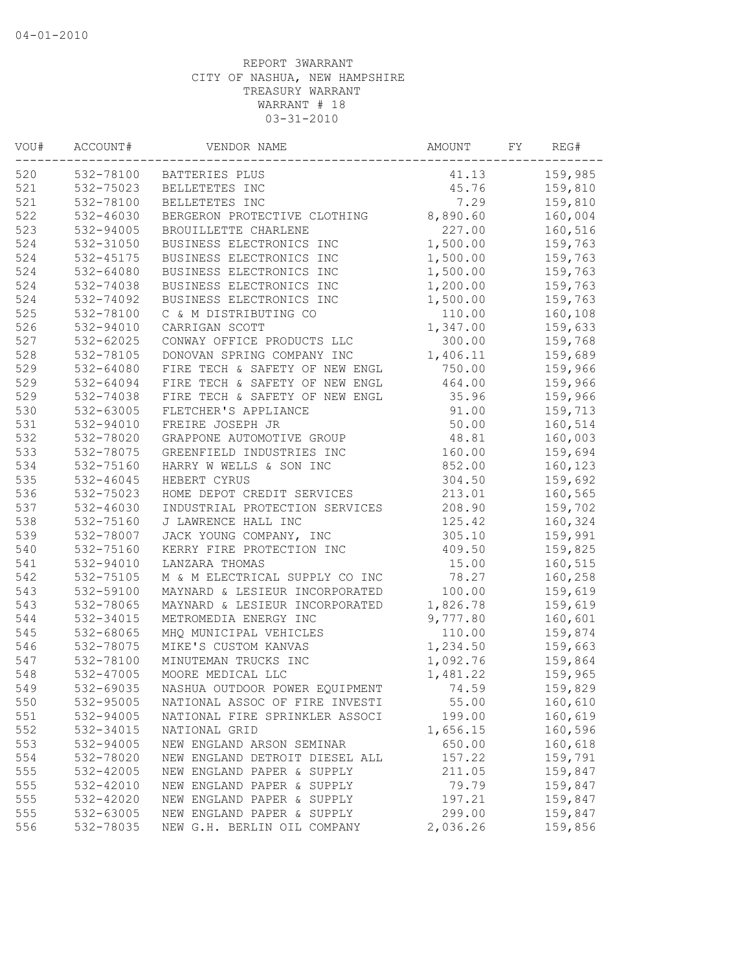| VOU# | ACCOUNT#      | VENDOR NAME                    | AMOUNT   | FY | REG#    |
|------|---------------|--------------------------------|----------|----|---------|
| 520  | 532-78100     | BATTERIES PLUS                 | 41.13    |    | 159,985 |
| 521  | 532-75023     | BELLETETES INC                 | 45.76    |    | 159,810 |
| 521  | 532-78100     | BELLETETES INC                 | 7.29     |    | 159,810 |
| 522  | 532-46030     | BERGERON PROTECTIVE CLOTHING   | 8,890.60 |    | 160,004 |
| 523  | 532-94005     | BROUILLETTE CHARLENE           | 227.00   |    | 160,516 |
| 524  | 532-31050     | BUSINESS ELECTRONICS INC       | 1,500.00 |    | 159,763 |
| 524  | 532-45175     | BUSINESS ELECTRONICS INC       | 1,500.00 |    | 159,763 |
| 524  | 532-64080     | BUSINESS ELECTRONICS INC       | 1,500.00 |    | 159,763 |
| 524  | 532-74038     | BUSINESS ELECTRONICS INC       | 1,200.00 |    | 159,763 |
| 524  | 532-74092     | BUSINESS ELECTRONICS INC       | 1,500.00 |    | 159,763 |
| 525  | 532-78100     | C & M DISTRIBUTING CO          | 110.00   |    | 160,108 |
| 526  | 532-94010     | CARRIGAN SCOTT                 | 1,347.00 |    | 159,633 |
| 527  | 532-62025     | CONWAY OFFICE PRODUCTS LLC     | 300.00   |    | 159,768 |
| 528  | 532-78105     | DONOVAN SPRING COMPANY INC     | 1,406.11 |    | 159,689 |
| 529  | 532-64080     | FIRE TECH & SAFETY OF NEW ENGL | 750.00   |    | 159,966 |
| 529  | 532-64094     | FIRE TECH & SAFETY OF NEW ENGL | 464.00   |    | 159,966 |
| 529  | 532-74038     | FIRE TECH & SAFETY OF NEW ENGL | 35.96    |    | 159,966 |
| 530  | 532-63005     | FLETCHER'S APPLIANCE           | 91.00    |    | 159,713 |
| 531  | 532-94010     | FREIRE JOSEPH JR               | 50.00    |    | 160,514 |
| 532  | 532-78020     | GRAPPONE AUTOMOTIVE GROUP      | 48.81    |    | 160,003 |
| 533  | 532-78075     | GREENFIELD INDUSTRIES INC      | 160.00   |    | 159,694 |
| 534  | 532-75160     | HARRY W WELLS & SON INC        | 852.00   |    | 160,123 |
| 535  | $532 - 46045$ | HEBERT CYRUS                   | 304.50   |    | 159,692 |
| 536  | 532-75023     | HOME DEPOT CREDIT SERVICES     | 213.01   |    | 160,565 |
| 537  | 532-46030     | INDUSTRIAL PROTECTION SERVICES | 208.90   |    | 159,702 |
| 538  | 532-75160     | J LAWRENCE HALL INC            | 125.42   |    | 160,324 |
| 539  | 532-78007     | JACK YOUNG COMPANY, INC        | 305.10   |    | 159,991 |
| 540  | 532-75160     | KERRY FIRE PROTECTION INC      | 409.50   |    | 159,825 |
| 541  | 532-94010     | LANZARA THOMAS                 | 15.00    |    | 160,515 |
| 542  | 532-75105     | M & M ELECTRICAL SUPPLY CO INC | 78.27    |    | 160,258 |
| 543  | 532-59100     | MAYNARD & LESIEUR INCORPORATED | 100.00   |    | 159,619 |
| 543  | 532-78065     | MAYNARD & LESIEUR INCORPORATED | 1,826.78 |    | 159,619 |
| 544  | 532-34015     | METROMEDIA ENERGY INC          | 9,777.80 |    | 160,601 |
| 545  | 532-68065     | MHQ MUNICIPAL VEHICLES         | 110.00   |    | 159,874 |
| 546  | 532-78075     | MIKE'S CUSTOM KANVAS           | 1,234.50 |    | 159,663 |
| 547  | 532-78100     | MINUTEMAN TRUCKS INC           | 1,092.76 |    | 159,864 |
| 548  |               |                                |          |    |         |
|      | 532-47005     | MOORE MEDICAL LLC              | 1,481.22 |    | 159,965 |
| 549  | 532-69035     | NASHUA OUTDOOR POWER EQUIPMENT | 74.59    |    | 159,829 |
| 550  | 532-95005     | NATIONAL ASSOC OF FIRE INVESTI | 55.00    |    | 160,610 |
| 551  | 532-94005     | NATIONAL FIRE SPRINKLER ASSOCI | 199.00   |    | 160,619 |
| 552  | 532-34015     | NATIONAL GRID                  | 1,656.15 |    | 160,596 |
| 553  | 532-94005     | NEW ENGLAND ARSON SEMINAR      | 650.00   |    | 160,618 |
| 554  | 532-78020     | NEW ENGLAND DETROIT DIESEL ALL | 157.22   |    | 159,791 |
| 555  | 532-42005     | NEW ENGLAND PAPER & SUPPLY     | 211.05   |    | 159,847 |
| 555  | 532-42010     | NEW ENGLAND PAPER & SUPPLY     | 79.79    |    | 159,847 |
| 555  | 532-42020     | NEW ENGLAND PAPER & SUPPLY     | 197.21   |    | 159,847 |
| 555  | 532-63005     | NEW ENGLAND PAPER & SUPPLY     | 299.00   |    | 159,847 |
| 556  | 532-78035     | NEW G.H. BERLIN OIL COMPANY    | 2,036.26 |    | 159,856 |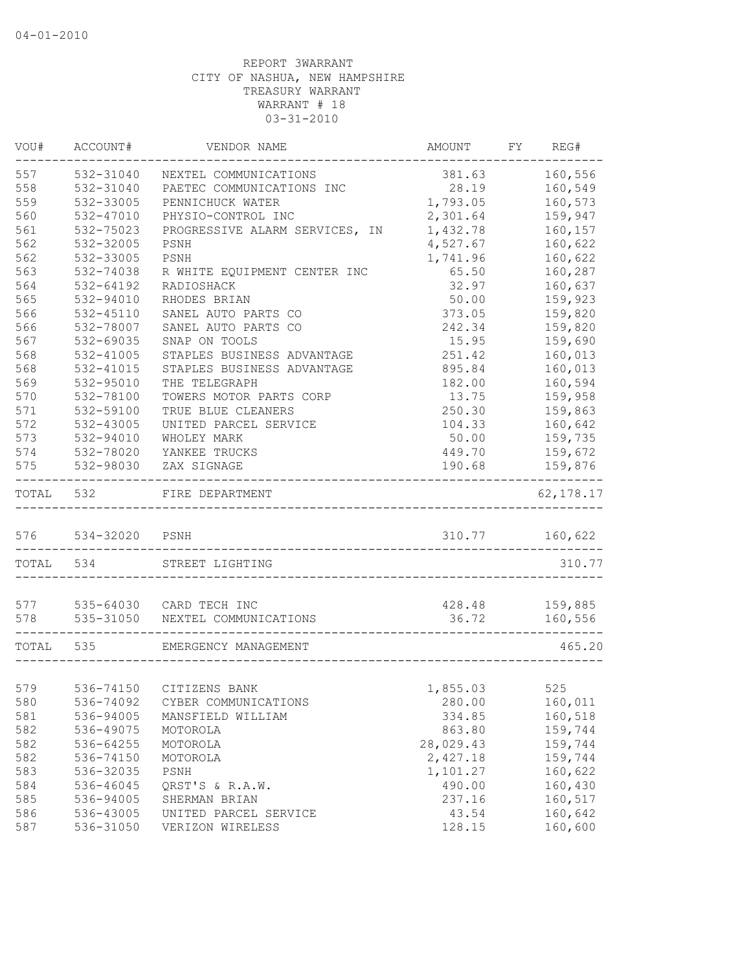| VOU#      | ACCOUNT#           | VENDOR NAME                         | AMOUNT    | FY REG#             |
|-----------|--------------------|-------------------------------------|-----------|---------------------|
| 557       | 532-31040          | NEXTEL COMMUNICATIONS               | 381.63    | 160,556             |
| 558       | 532-31040          | PAETEC COMMUNICATIONS INC           | 28.19     | 160,549             |
| 559       | 532-33005          | PENNICHUCK WATER                    | 1,793.05  | 160,573             |
| 560       | 532-47010          | PHYSIO-CONTROL INC                  | 2,301.64  | 159,947             |
| 561       | 532-75023          | PROGRESSIVE ALARM SERVICES, IN      | 1,432.78  | 160,157             |
| 562       | 532-32005          | PSNH                                | 4,527.67  | 160,622             |
| 562       | 532-33005          | PSNH                                | 1,741.96  | 160,622             |
| 563       | 532-74038          | R WHITE EQUIPMENT CENTER INC        | 65.50     | 160,287             |
| 564       | 532-64192          | RADIOSHACK                          | 32.97     | 160,637             |
| 565       | 532-94010          | RHODES BRIAN                        | 50.00     | 159,923             |
| 566       | 532-45110          | SANEL AUTO PARTS CO                 | 373.05    | 159,820             |
| 566       | 532-78007          | SANEL AUTO PARTS CO                 | 242.34    | 159,820             |
| 567       | 532-69035          | SNAP ON TOOLS                       | 15.95     | 159,690             |
| 568       | 532-41005          | STAPLES BUSINESS ADVANTAGE          | 251.42    | 160,013             |
| 568       | 532-41015          | STAPLES BUSINESS ADVANTAGE          | 895.84    | 160,013             |
| 569       | 532-95010          | THE TELEGRAPH                       | 182.00    | 160,594             |
| 570       | 532-78100          | TOWERS MOTOR PARTS CORP             | 13.75     | 159,958             |
| 571       | 532-59100          | TRUE BLUE CLEANERS                  | 250.30    | 159,863             |
| 572       | 532-43005          | UNITED PARCEL SERVICE               | 104.33    | 160,642             |
| 573       | 532-94010          | WHOLEY MARK                         |           | 50.00 159,735       |
|           |                    | 574 532-78020 YANKEE TRUCKS         |           | 449.70 159,672      |
| 575       |                    | 532-98030 ZAX SIGNAGE               | 190.68    | 159,876<br>-------- |
|           | TOTAL 532          | FIRE DEPARTMENT                     |           | 62, 178.17          |
|           | 576 534-32020 PSNH |                                     |           | 310.77 160,622      |
| TOTAL 534 |                    | STREET LIGHTING                     |           | 310.77              |
|           |                    |                                     |           |                     |
|           |                    | 577 535-64030 CARD TECH INC         | 428.48    | 159,885             |
|           |                    | 578 535-31050 NEXTEL COMMUNICATIONS | 36.72     | 160,556             |
|           | TOTAL 535          | EMERGENCY MANAGEMENT                |           | 465.20              |
|           |                    |                                     |           |                     |
| 579       |                    | 536-74150 CITIZENS BANK             | 1,855.03  | 525                 |
| 580       | 536-74092          | CYBER COMMUNICATIONS                | 280.00    | 160,011             |
| 581       | 536-94005          | MANSFIELD WILLIAM                   | 334.85    | 160,518             |
| 582       | 536-49075          | MOTOROLA                            | 863.80    | 159,744             |
| 582       | 536-64255          | MOTOROLA                            | 28,029.43 | 159,744             |
| 582       | 536-74150          | MOTOROLA                            | 2,427.18  | 159,744             |
| 583       | 536-32035          | PSNH                                | 1,101.27  | 160,622             |
| 584       | 536-46045          | QRST'S & R.A.W.                     | 490.00    | 160,430             |
| 585       | 536-94005          | SHERMAN BRIAN                       | 237.16    | 160,517             |
| 586       | 536-43005          | UNITED PARCEL SERVICE               | 43.54     | 160,642             |
| 587       | 536-31050          | VERIZON WIRELESS                    | 128.15    | 160,600             |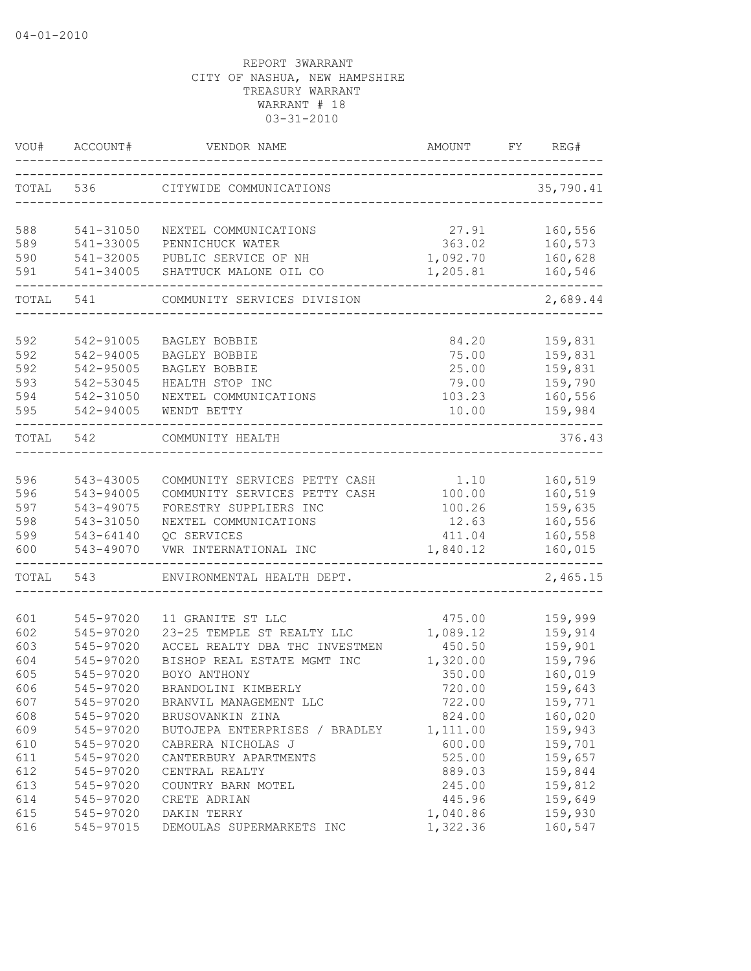| VOU#       | ACCOUNT#               | VENDOR NAME                          | AMOUNT             | FY | REG#               |
|------------|------------------------|--------------------------------------|--------------------|----|--------------------|
| TOTAL      | 536                    | CITYWIDE COMMUNICATIONS              |                    |    | 35,790.41          |
| 588        | 541-31050              | NEXTEL COMMUNICATIONS                | 27.91              |    | 160,556            |
| 589        | 541-33005              | PENNICHUCK WATER                     | 363.02             |    | 160,573            |
| 590        | 541-32005              | PUBLIC SERVICE OF NH                 | 1,092.70           |    | 160,628            |
| 591        | 541-34005              | SHATTUCK MALONE OIL CO               | 1,205.81           |    | 160,546            |
| TOTAL      | 541                    | COMMUNITY SERVICES DIVISION          |                    |    | 2,689.44           |
|            |                        |                                      |                    |    |                    |
| 592        | 542-91005              | BAGLEY BOBBIE                        | 84.20              |    | 159,831            |
| 592        | 542-94005              | BAGLEY BOBBIE                        | 75.00              |    | 159,831            |
| 592        | 542-95005              | BAGLEY BOBBIE                        | 25.00              |    | 159,831            |
| 593        | 542-53045              | HEALTH STOP INC                      | 79.00              |    | 159,790            |
| 594<br>595 | 542-31050<br>542-94005 | NEXTEL COMMUNICATIONS<br>WENDT BETTY | 103.23<br>10.00    |    | 160,556<br>159,984 |
| TOTAL      | 542                    | COMMUNITY HEALTH                     |                    |    | 376.43             |
|            |                        |                                      |                    |    |                    |
| 596        | 543-43005              | COMMUNITY SERVICES PETTY CASH        | 1.10               |    | 160,519            |
| 596        | 543-94005              | COMMUNITY SERVICES PETTY CASH        | 100.00             |    | 160,519            |
| 597        | 543-49075              | FORESTRY SUPPLIERS INC               | 100.26             |    | 159,635            |
| 598        | 543-31050              | NEXTEL COMMUNICATIONS                | 12.63              |    | 160,556            |
| 599        | 543-64140              | QC SERVICES                          | 411.04             |    | 160,558            |
| 600        | 543-49070              | VWR INTERNATIONAL INC                | 1,840.12           |    | 160,015            |
| TOTAL      | 543                    | ENVIRONMENTAL HEALTH DEPT.           |                    |    | 2,465.15           |
|            |                        |                                      |                    |    |                    |
| 601        | 545-97020              | 11 GRANITE ST LLC                    | 475.00             |    | 159,999            |
| 602        | 545-97020              | 23-25 TEMPLE ST REALTY LLC           | 1,089.12           |    | 159,914            |
| 603        | 545-97020<br>545-97020 | ACCEL REALTY DBA THC INVESTMEN       | 450.50             |    | 159,901            |
| 604        | 545-97020              | BISHOP REAL ESTATE MGMT INC          | 1,320.00           |    | 159,796<br>160,019 |
| 605        |                        | BOYO ANTHONY                         | 350.00             |    |                    |
| 606        | 545-97020              | BRANDOLINI KIMBERLY                  | 720.00             |    | 159,643            |
| 607        | 545-97020              | BRANVIL MANAGEMENT LLC               | 722.00             |    | 159,771            |
| 608        | 545-97020              | BRUSOVANKIN ZINA                     | 824.00             |    | 160,020            |
| 609        | 545-97020              | BUTOJEPA ENTERPRISES / BRADLEY       | 1,111.00           |    | 159,943            |
| 610        | 545-97020              | CABRERA NICHOLAS J                   | 600.00             |    | 159,701            |
| 611        | 545-97020              | CANTERBURY APARTMENTS                | 525.00             |    | 159,657            |
| 612        | 545-97020              | CENTRAL REALTY                       | 889.03             |    | 159,844            |
| 613        | 545-97020              | COUNTRY BARN MOTEL                   | 245.00             |    | 159,812            |
| 614<br>615 | 545-97020<br>545-97020 | CRETE ADRIAN<br>DAKIN TERRY          | 445.96<br>1,040.86 |    | 159,649<br>159,930 |
| 616        | 545-97015              | DEMOULAS SUPERMARKETS INC            | 1,322.36           |    | 160,547            |
|            |                        |                                      |                    |    |                    |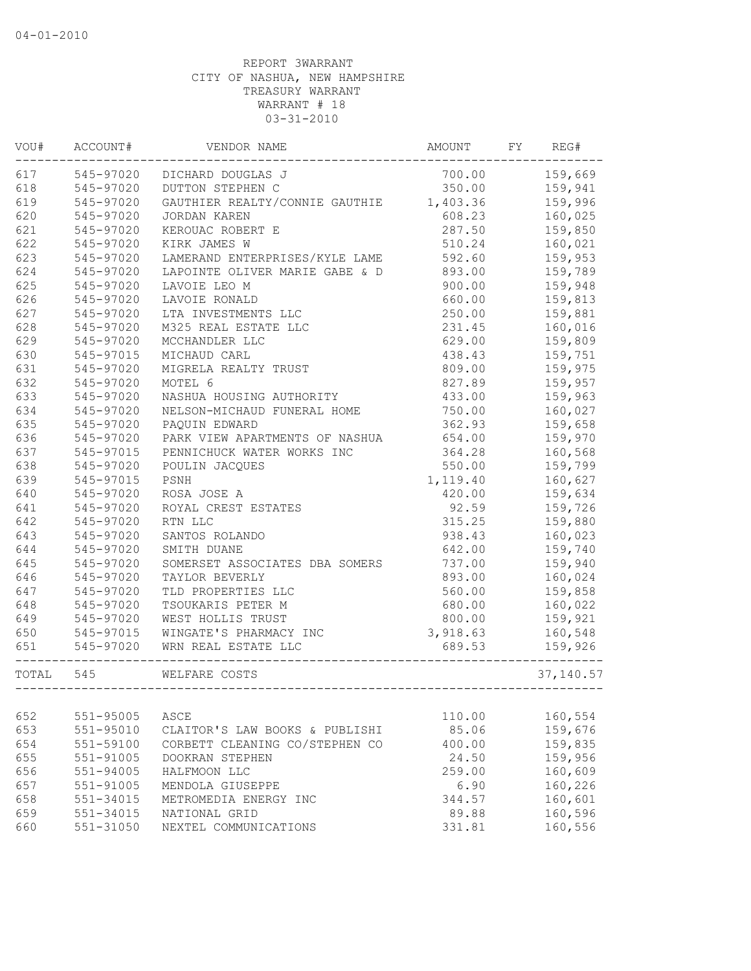| VOU#  | ACCOUNT#      | VENDOR NAME                    | AMOUNT   | FY | REG#       |
|-------|---------------|--------------------------------|----------|----|------------|
| 617   | 545-97020     | DICHARD DOUGLAS J              | 700.00   |    | 159,669    |
| 618   | 545-97020     | DUTTON STEPHEN C               | 350.00   |    | 159,941    |
| 619   | 545-97020     | GAUTHIER REALTY/CONNIE GAUTHIE | 1,403.36 |    | 159,996    |
| 620   | 545-97020     | JORDAN KAREN                   | 608.23   |    | 160,025    |
| 621   | 545-97020     | KEROUAC ROBERT E               | 287.50   |    | 159,850    |
| 622   | 545-97020     | KIRK JAMES W                   | 510.24   |    | 160,021    |
| 623   | 545-97020     | LAMERAND ENTERPRISES/KYLE LAME | 592.60   |    | 159,953    |
| 624   | 545-97020     | LAPOINTE OLIVER MARIE GABE & D | 893.00   |    | 159,789    |
| 625   | 545-97020     | LAVOIE LEO M                   | 900.00   |    | 159,948    |
| 626   | 545-97020     | LAVOIE RONALD                  | 660.00   |    | 159,813    |
| 627   | 545-97020     | LTA INVESTMENTS LLC            | 250.00   |    | 159,881    |
| 628   | 545-97020     | M325 REAL ESTATE LLC           | 231.45   |    | 160,016    |
| 629   | 545-97020     | MCCHANDLER LLC                 | 629.00   |    | 159,809    |
| 630   | 545-97015     | MICHAUD CARL                   | 438.43   |    | 159,751    |
| 631   | 545-97020     | MIGRELA REALTY TRUST           | 809.00   |    | 159,975    |
| 632   | 545-97020     | MOTEL 6                        | 827.89   |    | 159,957    |
| 633   | 545-97020     | NASHUA HOUSING AUTHORITY       | 433.00   |    | 159,963    |
| 634   | 545-97020     | NELSON-MICHAUD FUNERAL HOME    | 750.00   |    | 160,027    |
| 635   | 545-97020     | PAOUIN EDWARD                  | 362.93   |    | 159,658    |
| 636   | 545-97020     | PARK VIEW APARTMENTS OF NASHUA | 654.00   |    | 159,970    |
| 637   | 545-97015     | PENNICHUCK WATER WORKS INC     | 364.28   |    | 160,568    |
| 638   | 545-97020     | POULIN JACQUES                 | 550.00   |    | 159,799    |
| 639   | 545-97015     | PSNH                           | 1,119.40 |    | 160,627    |
| 640   | 545-97020     | ROSA JOSE A                    | 420.00   |    | 159,634    |
| 641   | 545-97020     | ROYAL CREST ESTATES            | 92.59    |    | 159,726    |
| 642   | 545-97020     | RTN LLC                        | 315.25   |    | 159,880    |
| 643   | 545-97020     | SANTOS ROLANDO                 | 938.43   |    | 160,023    |
| 644   | 545-97020     | SMITH DUANE                    | 642.00   |    | 159,740    |
| 645   | 545-97020     | SOMERSET ASSOCIATES DBA SOMERS | 737.00   |    | 159,940    |
| 646   | 545-97020     | TAYLOR BEVERLY                 | 893.00   |    | 160,024    |
| 647   | 545-97020     | TLD PROPERTIES LLC             | 560.00   |    | 159,858    |
| 648   | 545-97020     | TSOUKARIS PETER M              | 680.00   |    | 160,022    |
| 649   | 545-97020     | WEST HOLLIS TRUST              | 800.00   |    | 159,921    |
| 650   | 545-97015     | WINGATE'S PHARMACY INC         | 3,918.63 |    | 160,548    |
| 651   | 545-97020     | WRN REAL ESTATE LLC            | 689.53   |    | 159,926    |
| TOTAL | 545           | WELFARE COSTS                  |          |    | 37, 140.57 |
|       |               |                                |          |    |            |
| 652   | 551-95005     | ASCE                           | 110.00   |    | 160,554    |
| 653   | $551 - 95010$ | CLAITOR'S LAW BOOKS & PUBLISHI | 85.06    |    | 159,676    |
| 654   | 551-59100     | CORBETT CLEANING CO/STEPHEN CO | 400.00   |    | 159,835    |
| 655   | 551-91005     | DOOKRAN STEPHEN                | 24.50    |    | 159,956    |
| 656   | 551-94005     | HALFMOON LLC                   | 259.00   |    | 160,609    |
| 657   | 551-91005     | MENDOLA GIUSEPPE               | 6.90     |    | 160,226    |
| 658   | $551 - 34015$ | METROMEDIA ENERGY INC          | 344.57   |    | 160,601    |
| 659   | 551-34015     | NATIONAL GRID                  | 89.88    |    | 160,596    |
| 660   | 551-31050     | NEXTEL COMMUNICATIONS          | 331.81   |    | 160,556    |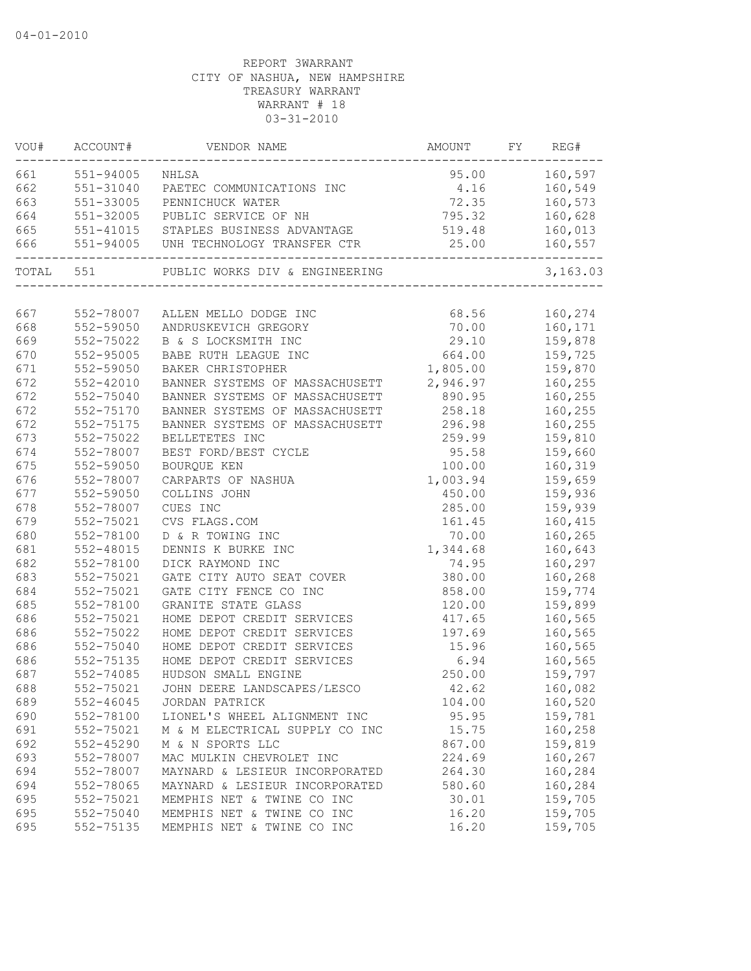| VOU#      | ACCOUNT#      | VENDOR NAME                           | AMOUNT   | FY | REG#     |
|-----------|---------------|---------------------------------------|----------|----|----------|
| 661 000   | 551-94005     | NHLSA                                 | 95.00    |    | 160,597  |
| 662       |               | 551-31040 PAETEC COMMUNICATIONS INC   | 4.16     |    | 160,549  |
| 663       | 551-33005     | PENNICHUCK WATER                      | 72.35    |    | 160,573  |
| 664       | 551-32005     | PUBLIC SERVICE OF NH                  | 795.32   |    | 160,628  |
| 665       |               | 551-41015 STAPLES BUSINESS ADVANTAGE  | 519.48   |    | 160,013  |
| 666       |               | 551-94005 UNH TECHNOLOGY TRANSFER CTR | 25.00    |    | 160,557  |
| TOTAL 551 |               | PUBLIC WORKS DIV & ENGINEERING        |          |    | 3,163.03 |
|           |               |                                       |          |    |          |
| 667       | 552-78007     | ALLEN MELLO DODGE INC                 | 68.56    |    | 160,274  |
| 668       | 552-59050     | ANDRUSKEVICH GREGORY                  | 70.00    |    | 160,171  |
| 669       | 552-75022     | B & S LOCKSMITH INC                   | 29.10    |    | 159,878  |
| 670       | 552-95005     | BABE RUTH LEAGUE INC                  | 664.00   |    | 159,725  |
| 671       | 552-59050     | BAKER CHRISTOPHER                     | 1,805.00 |    | 159,870  |
| 672       | $552 - 42010$ | BANNER SYSTEMS OF MASSACHUSETT        | 2,946.97 |    | 160,255  |
| 672       | 552-75040     | BANNER SYSTEMS OF MASSACHUSETT        | 890.95   |    | 160,255  |
| 672       | 552-75170     | BANNER SYSTEMS OF MASSACHUSETT        | 258.18   |    | 160,255  |
| 672       | 552-75175     | BANNER SYSTEMS OF MASSACHUSETT        | 296.98   |    | 160,255  |
| 673       | 552-75022     | BELLETETES INC                        | 259.99   |    | 159,810  |
| 674       | 552-78007     | BEST FORD/BEST CYCLE                  | 95.58    |    | 159,660  |
| 675       | 552-59050     | BOURQUE KEN                           | 100.00   |    | 160,319  |
| 676       | 552-78007     | CARPARTS OF NASHUA                    | 1,003.94 |    | 159,659  |
| 677       | 552-59050     | COLLINS JOHN                          | 450.00   |    | 159,936  |
| 678       | 552-78007     | CUES INC                              | 285.00   |    | 159,939  |
| 679       | 552-75021     | CVS FLAGS.COM                         | 161.45   |    | 160,415  |
| 680       | 552-78100     | D & R TOWING INC                      | 70.00    |    | 160,265  |
| 681       | 552-48015     | DENNIS K BURKE INC                    | 1,344.68 |    | 160,643  |
| 682       | 552-78100     | DICK RAYMOND INC                      | 74.95    |    | 160,297  |
| 683       | 552-75021     | GATE CITY AUTO SEAT COVER             | 380.00   |    | 160,268  |
| 684       | 552-75021     | GATE CITY FENCE CO INC                | 858.00   |    | 159,774  |
| 685       | 552-78100     | GRANITE STATE GLASS                   | 120.00   |    | 159,899  |
| 686       | 552-75021     | HOME DEPOT CREDIT SERVICES            | 417.65   |    | 160,565  |
| 686       | 552-75022     | HOME DEPOT CREDIT SERVICES            | 197.69   |    | 160,565  |
| 686       | 552-75040     | HOME DEPOT CREDIT SERVICES            | 15.96    |    | 160,565  |
| 686       | 552-75135     | HOME DEPOT CREDIT SERVICES            | 6.94     |    | 160,565  |
| 687       | 552-74085     | HUDSON SMALL ENGINE                   | 250.00   |    | 159,797  |
| 688       | 552-75021     | JOHN DEERE LANDSCAPES/LESCO           | 42.62    |    | 160,082  |
| 689       | 552-46045     | JORDAN PATRICK                        | 104.00   |    | 160,520  |
| 690       | 552-78100     | LIONEL'S WHEEL ALIGNMENT INC          | 95.95    |    | 159,781  |
| 691       | 552-75021     | M & M ELECTRICAL SUPPLY CO INC        | 15.75    |    | 160,258  |
| 692       | $552 - 45290$ | M & N SPORTS LLC                      | 867.00   |    | 159,819  |
| 693       | 552-78007     | MAC MULKIN CHEVROLET INC              | 224.69   |    | 160,267  |
| 694       | 552-78007     | MAYNARD & LESIEUR INCORPORATED        | 264.30   |    | 160,284  |
| 694       | 552-78065     | MAYNARD & LESIEUR INCORPORATED        | 580.60   |    | 160,284  |
| 695       | 552-75021     | MEMPHIS NET & TWINE CO INC            | 30.01    |    | 159,705  |
| 695       | 552-75040     | MEMPHIS NET & TWINE CO INC            | 16.20    |    | 159,705  |
| 695       | 552-75135     | MEMPHIS NET & TWINE CO INC            | 16.20    |    | 159,705  |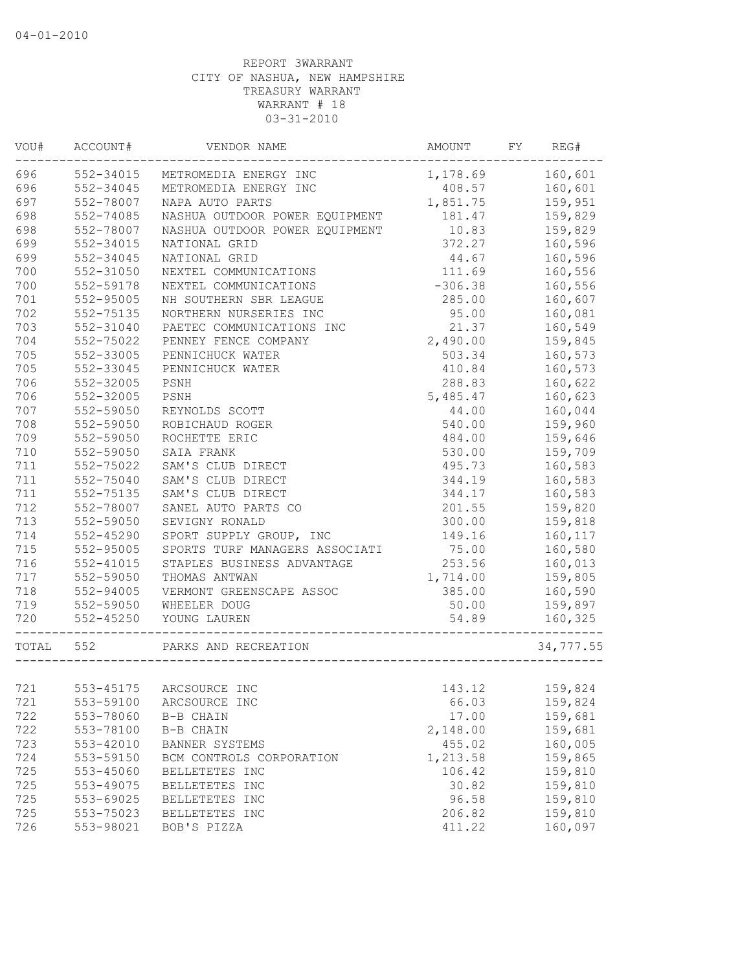| VOU#  | ACCOUNT#      | VENDOR NAME                    | AMOUNT    | FY | REG#      |
|-------|---------------|--------------------------------|-----------|----|-----------|
| 696   | 552-34015     | METROMEDIA ENERGY INC          | 1,178.69  |    | 160,601   |
| 696   | 552-34045     | METROMEDIA ENERGY INC          | 408.57    |    | 160,601   |
| 697   | 552-78007     | NAPA AUTO PARTS                | 1,851.75  |    | 159,951   |
| 698   | 552-74085     | NASHUA OUTDOOR POWER EQUIPMENT | 181.47    |    | 159,829   |
| 698   | 552-78007     | NASHUA OUTDOOR POWER EQUIPMENT | 10.83     |    | 159,829   |
| 699   | 552-34015     | NATIONAL GRID                  | 372.27    |    | 160,596   |
| 699   | 552-34045     | NATIONAL GRID                  | 44.67     |    | 160,596   |
| 700   | 552-31050     | NEXTEL COMMUNICATIONS          | 111.69    |    | 160,556   |
| 700   | 552-59178     | NEXTEL COMMUNICATIONS          | $-306.38$ |    | 160,556   |
| 701   | 552-95005     | NH SOUTHERN SBR LEAGUE         | 285.00    |    | 160,607   |
| 702   | 552-75135     | NORTHERN NURSERIES INC         | 95.00     |    | 160,081   |
| 703   | 552-31040     | PAETEC COMMUNICATIONS INC      | 21.37     |    | 160,549   |
| 704   | 552-75022     | PENNEY FENCE COMPANY           | 2,490.00  |    | 159,845   |
| 705   | 552-33005     | PENNICHUCK WATER               | 503.34    |    | 160,573   |
| 705   | 552-33045     | PENNICHUCK WATER               | 410.84    |    | 160,573   |
| 706   | 552-32005     | PSNH                           | 288.83    |    | 160,622   |
| 706   | 552-32005     | PSNH                           | 5,485.47  |    | 160,623   |
| 707   | 552-59050     | REYNOLDS SCOTT                 | 44.00     |    | 160,044   |
| 708   | 552-59050     | ROBICHAUD ROGER                | 540.00    |    | 159,960   |
| 709   | 552-59050     | ROCHETTE ERIC                  | 484.00    |    | 159,646   |
| 710   | 552-59050     | SAIA FRANK                     | 530.00    |    | 159,709   |
| 711   | 552-75022     | SAM'S CLUB DIRECT              | 495.73    |    | 160,583   |
| 711   | 552-75040     | SAM'S CLUB DIRECT              | 344.19    |    | 160,583   |
| 711   | 552-75135     | SAM'S CLUB DIRECT              | 344.17    |    | 160,583   |
| 712   | 552-78007     | SANEL AUTO PARTS CO            | 201.55    |    | 159,820   |
| 713   | 552-59050     | SEVIGNY RONALD                 | 300.00    |    | 159,818   |
| 714   | 552-45290     | SPORT SUPPLY GROUP, INC        | 149.16    |    | 160,117   |
| 715   | 552-95005     | SPORTS TURF MANAGERS ASSOCIATI | 75.00     |    | 160,580   |
| 716   | $552 - 41015$ | STAPLES BUSINESS ADVANTAGE     | 253.56    |    | 160,013   |
| 717   | 552-59050     | THOMAS ANTWAN                  | 1,714.00  |    | 159,805   |
| 718   | $552 - 94005$ | VERMONT GREENSCAPE ASSOC       | 385.00    |    | 160,590   |
| 719   | 552-59050     | WHEELER DOUG                   | 50.00     |    | 159,897   |
| 720   | $552 - 45250$ | YOUNG LAUREN                   | 54.89     |    | 160,325   |
| TOTAL | 552           | PARKS AND RECREATION           |           |    | 34,777.55 |
|       |               |                                |           |    |           |
| 721   | 553-45175     | ARCSOURCE INC                  | 143.12    |    | 159,824   |
| 721   | 553-59100     | ARCSOURCE INC                  | 66.03     |    | 159,824   |
| 722   | 553-78060     | B-B CHAIN                      | 17.00     |    | 159,681   |
| 722   | 553-78100     | B-B CHAIN                      | 2,148.00  |    | 159,681   |
| 723   | 553-42010     | BANNER SYSTEMS                 | 455.02    |    | 160,005   |
| 724   | 553-59150     | BCM CONTROLS CORPORATION       | 1,213.58  |    | 159,865   |
| 725   | 553-45060     | BELLETETES INC                 | 106.42    |    | 159,810   |
| 725   | 553-49075     | BELLETETES INC                 | 30.82     |    | 159,810   |
| 725   | 553-69025     | BELLETETES INC                 | 96.58     |    | 159,810   |
| 725   | 553-75023     | BELLETETES INC                 | 206.82    |    | 159,810   |
| 726   | 553-98021     | BOB'S PIZZA                    | 411.22    |    | 160,097   |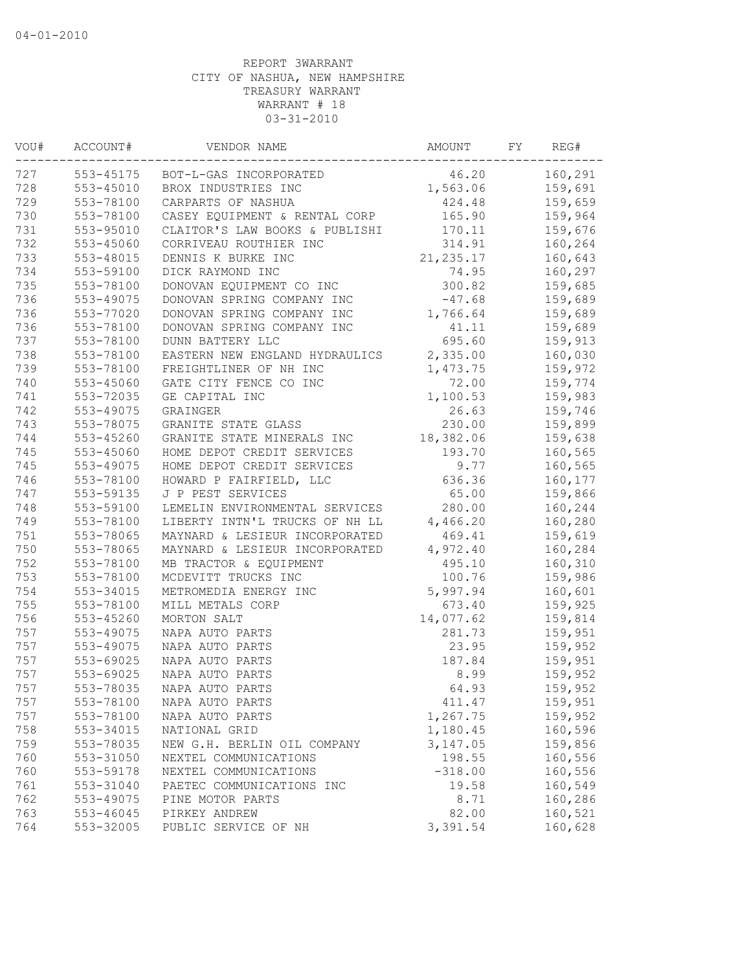| 160,291<br>553-45175<br>46.20<br>BOT-L-GAS INCORPORATED<br>553-45010<br>1,563.06<br>159,691<br>BROX INDUSTRIES INC<br>729<br>553-78100<br>159,659<br>CARPARTS OF NASHUA<br>424.48<br>730<br>553-78100<br>165.90<br>CASEY EQUIPMENT & RENTAL CORP<br>159,964<br>731<br>553-95010<br>CLAITOR'S LAW BOOKS & PUBLISHI<br>170.11<br>159,676<br>732<br>553-45060<br>CORRIVEAU ROUTHIER INC<br>314.91<br>160,264<br>733<br>21, 235.17<br>553-48015<br>DENNIS K BURKE INC<br>160,643<br>734<br>74.95<br>160,297<br>553-59100<br>DICK RAYMOND INC<br>735<br>300.82<br>553-78100<br>DONOVAN EQUIPMENT CO INC<br>159,685<br>736<br>553-49075<br>DONOVAN SPRING COMPANY INC<br>159,689<br>$-47.68$<br>736<br>553-77020<br>DONOVAN SPRING COMPANY INC<br>159,689<br>1,766.64<br>553-78100<br>DONOVAN SPRING COMPANY INC<br>41.11<br>159,689<br>553-78100<br>695.60<br>DUNN BATTERY LLC<br>159,913<br>738<br>553-78100<br>2,335.00<br>160,030<br>EASTERN NEW ENGLAND HYDRAULICS<br>553-78100<br>FREIGHTLINER OF NH INC<br>1,473.75<br>159,972<br>72.00<br>553-45060<br>GATE CITY FENCE CO INC<br>159,774<br>1,100.53<br>159,983<br>553-72035<br>GE CAPITAL INC<br>26.63<br>553-49075<br>GRAINGER<br>159,746<br>553-78075<br>230.00<br>159,899<br>GRANITE STATE GLASS<br>553-45260<br>GRANITE STATE MINERALS INC<br>18,382.06<br>159,638<br>553-45060<br>HOME DEPOT CREDIT SERVICES<br>193.70<br>160,565<br>553-49075<br>HOME DEPOT CREDIT SERVICES<br>9.77<br>160,565<br>553-78100<br>636.36<br>HOWARD P FAIRFIELD, LLC<br>160,177<br>553-59135<br>J P PEST SERVICES<br>65.00<br>159,866<br>553-59100<br>280.00<br>160,244<br>LEMELIN ENVIRONMENTAL SERVICES<br>553-78100<br>LIBERTY INTN'L TRUCKS OF NH LL<br>4,466.20<br>160,280<br>469.41<br>553-78065<br>MAYNARD & LESIEUR INCORPORATED<br>159,619<br>750<br>553-78065<br>MAYNARD & LESIEUR INCORPORATED<br>4,972.40<br>160,284<br>553-78100<br>MB TRACTOR & EQUIPMENT<br>495.10<br>160,310<br>553-78100<br>MCDEVITT TRUCKS INC<br>100.76<br>159,986<br>553-34015<br>5,997.94<br>160,601<br>METROMEDIA ENERGY INC<br>755<br>553-78100<br>MILL METALS CORP<br>673.40<br>159,925<br>553-45260<br>MORTON SALT<br>14,077.62<br>159,814<br>553-49075<br>NAPA AUTO PARTS<br>281.73<br>159,951<br>553-49075<br>NAPA AUTO PARTS<br>23.95<br>159,952<br>553-69025<br>NAPA AUTO PARTS<br>159,951<br>187.84<br>553-69025<br>NAPA AUTO PARTS<br>8.99<br>159,952<br>64.93<br>553-78035<br>NAPA AUTO PARTS<br>159,952<br>553-78100<br>NAPA AUTO PARTS<br>411.47<br>159,951<br>1,267.75<br>553-78100<br>159,952<br>NAPA AUTO PARTS<br>553-34015<br>NATIONAL GRID<br>1,180.45<br>160,596<br>553-78035<br>NEW G.H. BERLIN OIL COMPANY<br>3, 147.05<br>159,856<br>198.55<br>553-31050<br>160,556<br>NEXTEL COMMUNICATIONS<br>160,556<br>553-59178<br>NEXTEL COMMUNICATIONS<br>$-318.00$<br>553-31040<br>PAETEC COMMUNICATIONS INC<br>19.58<br>160,549<br>553-49075<br>8.71<br>160,286<br>PINE MOTOR PARTS<br>553-46045<br>PIRKEY ANDREW<br>82.00<br>160,521<br>3,391.54<br>160,628<br>553-32005<br>PUBLIC SERVICE OF NH | VOU# | ACCOUNT# | VENDOR NAME | AMOUNT | FY | REG# |
|---------------------------------------------------------------------------------------------------------------------------------------------------------------------------------------------------------------------------------------------------------------------------------------------------------------------------------------------------------------------------------------------------------------------------------------------------------------------------------------------------------------------------------------------------------------------------------------------------------------------------------------------------------------------------------------------------------------------------------------------------------------------------------------------------------------------------------------------------------------------------------------------------------------------------------------------------------------------------------------------------------------------------------------------------------------------------------------------------------------------------------------------------------------------------------------------------------------------------------------------------------------------------------------------------------------------------------------------------------------------------------------------------------------------------------------------------------------------------------------------------------------------------------------------------------------------------------------------------------------------------------------------------------------------------------------------------------------------------------------------------------------------------------------------------------------------------------------------------------------------------------------------------------------------------------------------------------------------------------------------------------------------------------------------------------------------------------------------------------------------------------------------------------------------------------------------------------------------------------------------------------------------------------------------------------------------------------------------------------------------------------------------------------------------------------------------------------------------------------------------------------------------------------------------------------------------------------------------------------------------------------------------------------------------------------------------------------------------------------------------------------------------------------------------------------------------------------------------------------------------------------------------------------------------------------------------------------------------------------------------------------------------------------------------|------|----------|-------------|--------|----|------|
|                                                                                                                                                                                                                                                                                                                                                                                                                                                                                                                                                                                                                                                                                                                                                                                                                                                                                                                                                                                                                                                                                                                                                                                                                                                                                                                                                                                                                                                                                                                                                                                                                                                                                                                                                                                                                                                                                                                                                                                                                                                                                                                                                                                                                                                                                                                                                                                                                                                                                                                                                                                                                                                                                                                                                                                                                                                                                                                                                                                                                                             | 727  |          |             |        |    |      |
|                                                                                                                                                                                                                                                                                                                                                                                                                                                                                                                                                                                                                                                                                                                                                                                                                                                                                                                                                                                                                                                                                                                                                                                                                                                                                                                                                                                                                                                                                                                                                                                                                                                                                                                                                                                                                                                                                                                                                                                                                                                                                                                                                                                                                                                                                                                                                                                                                                                                                                                                                                                                                                                                                                                                                                                                                                                                                                                                                                                                                                             | 728  |          |             |        |    |      |
|                                                                                                                                                                                                                                                                                                                                                                                                                                                                                                                                                                                                                                                                                                                                                                                                                                                                                                                                                                                                                                                                                                                                                                                                                                                                                                                                                                                                                                                                                                                                                                                                                                                                                                                                                                                                                                                                                                                                                                                                                                                                                                                                                                                                                                                                                                                                                                                                                                                                                                                                                                                                                                                                                                                                                                                                                                                                                                                                                                                                                                             |      |          |             |        |    |      |
|                                                                                                                                                                                                                                                                                                                                                                                                                                                                                                                                                                                                                                                                                                                                                                                                                                                                                                                                                                                                                                                                                                                                                                                                                                                                                                                                                                                                                                                                                                                                                                                                                                                                                                                                                                                                                                                                                                                                                                                                                                                                                                                                                                                                                                                                                                                                                                                                                                                                                                                                                                                                                                                                                                                                                                                                                                                                                                                                                                                                                                             |      |          |             |        |    |      |
|                                                                                                                                                                                                                                                                                                                                                                                                                                                                                                                                                                                                                                                                                                                                                                                                                                                                                                                                                                                                                                                                                                                                                                                                                                                                                                                                                                                                                                                                                                                                                                                                                                                                                                                                                                                                                                                                                                                                                                                                                                                                                                                                                                                                                                                                                                                                                                                                                                                                                                                                                                                                                                                                                                                                                                                                                                                                                                                                                                                                                                             |      |          |             |        |    |      |
|                                                                                                                                                                                                                                                                                                                                                                                                                                                                                                                                                                                                                                                                                                                                                                                                                                                                                                                                                                                                                                                                                                                                                                                                                                                                                                                                                                                                                                                                                                                                                                                                                                                                                                                                                                                                                                                                                                                                                                                                                                                                                                                                                                                                                                                                                                                                                                                                                                                                                                                                                                                                                                                                                                                                                                                                                                                                                                                                                                                                                                             |      |          |             |        |    |      |
|                                                                                                                                                                                                                                                                                                                                                                                                                                                                                                                                                                                                                                                                                                                                                                                                                                                                                                                                                                                                                                                                                                                                                                                                                                                                                                                                                                                                                                                                                                                                                                                                                                                                                                                                                                                                                                                                                                                                                                                                                                                                                                                                                                                                                                                                                                                                                                                                                                                                                                                                                                                                                                                                                                                                                                                                                                                                                                                                                                                                                                             |      |          |             |        |    |      |
|                                                                                                                                                                                                                                                                                                                                                                                                                                                                                                                                                                                                                                                                                                                                                                                                                                                                                                                                                                                                                                                                                                                                                                                                                                                                                                                                                                                                                                                                                                                                                                                                                                                                                                                                                                                                                                                                                                                                                                                                                                                                                                                                                                                                                                                                                                                                                                                                                                                                                                                                                                                                                                                                                                                                                                                                                                                                                                                                                                                                                                             |      |          |             |        |    |      |
|                                                                                                                                                                                                                                                                                                                                                                                                                                                                                                                                                                                                                                                                                                                                                                                                                                                                                                                                                                                                                                                                                                                                                                                                                                                                                                                                                                                                                                                                                                                                                                                                                                                                                                                                                                                                                                                                                                                                                                                                                                                                                                                                                                                                                                                                                                                                                                                                                                                                                                                                                                                                                                                                                                                                                                                                                                                                                                                                                                                                                                             |      |          |             |        |    |      |
|                                                                                                                                                                                                                                                                                                                                                                                                                                                                                                                                                                                                                                                                                                                                                                                                                                                                                                                                                                                                                                                                                                                                                                                                                                                                                                                                                                                                                                                                                                                                                                                                                                                                                                                                                                                                                                                                                                                                                                                                                                                                                                                                                                                                                                                                                                                                                                                                                                                                                                                                                                                                                                                                                                                                                                                                                                                                                                                                                                                                                                             |      |          |             |        |    |      |
|                                                                                                                                                                                                                                                                                                                                                                                                                                                                                                                                                                                                                                                                                                                                                                                                                                                                                                                                                                                                                                                                                                                                                                                                                                                                                                                                                                                                                                                                                                                                                                                                                                                                                                                                                                                                                                                                                                                                                                                                                                                                                                                                                                                                                                                                                                                                                                                                                                                                                                                                                                                                                                                                                                                                                                                                                                                                                                                                                                                                                                             |      |          |             |        |    |      |
|                                                                                                                                                                                                                                                                                                                                                                                                                                                                                                                                                                                                                                                                                                                                                                                                                                                                                                                                                                                                                                                                                                                                                                                                                                                                                                                                                                                                                                                                                                                                                                                                                                                                                                                                                                                                                                                                                                                                                                                                                                                                                                                                                                                                                                                                                                                                                                                                                                                                                                                                                                                                                                                                                                                                                                                                                                                                                                                                                                                                                                             | 736  |          |             |        |    |      |
|                                                                                                                                                                                                                                                                                                                                                                                                                                                                                                                                                                                                                                                                                                                                                                                                                                                                                                                                                                                                                                                                                                                                                                                                                                                                                                                                                                                                                                                                                                                                                                                                                                                                                                                                                                                                                                                                                                                                                                                                                                                                                                                                                                                                                                                                                                                                                                                                                                                                                                                                                                                                                                                                                                                                                                                                                                                                                                                                                                                                                                             | 737  |          |             |        |    |      |
|                                                                                                                                                                                                                                                                                                                                                                                                                                                                                                                                                                                                                                                                                                                                                                                                                                                                                                                                                                                                                                                                                                                                                                                                                                                                                                                                                                                                                                                                                                                                                                                                                                                                                                                                                                                                                                                                                                                                                                                                                                                                                                                                                                                                                                                                                                                                                                                                                                                                                                                                                                                                                                                                                                                                                                                                                                                                                                                                                                                                                                             |      |          |             |        |    |      |
|                                                                                                                                                                                                                                                                                                                                                                                                                                                                                                                                                                                                                                                                                                                                                                                                                                                                                                                                                                                                                                                                                                                                                                                                                                                                                                                                                                                                                                                                                                                                                                                                                                                                                                                                                                                                                                                                                                                                                                                                                                                                                                                                                                                                                                                                                                                                                                                                                                                                                                                                                                                                                                                                                                                                                                                                                                                                                                                                                                                                                                             | 739  |          |             |        |    |      |
|                                                                                                                                                                                                                                                                                                                                                                                                                                                                                                                                                                                                                                                                                                                                                                                                                                                                                                                                                                                                                                                                                                                                                                                                                                                                                                                                                                                                                                                                                                                                                                                                                                                                                                                                                                                                                                                                                                                                                                                                                                                                                                                                                                                                                                                                                                                                                                                                                                                                                                                                                                                                                                                                                                                                                                                                                                                                                                                                                                                                                                             | 740  |          |             |        |    |      |
|                                                                                                                                                                                                                                                                                                                                                                                                                                                                                                                                                                                                                                                                                                                                                                                                                                                                                                                                                                                                                                                                                                                                                                                                                                                                                                                                                                                                                                                                                                                                                                                                                                                                                                                                                                                                                                                                                                                                                                                                                                                                                                                                                                                                                                                                                                                                                                                                                                                                                                                                                                                                                                                                                                                                                                                                                                                                                                                                                                                                                                             | 741  |          |             |        |    |      |
|                                                                                                                                                                                                                                                                                                                                                                                                                                                                                                                                                                                                                                                                                                                                                                                                                                                                                                                                                                                                                                                                                                                                                                                                                                                                                                                                                                                                                                                                                                                                                                                                                                                                                                                                                                                                                                                                                                                                                                                                                                                                                                                                                                                                                                                                                                                                                                                                                                                                                                                                                                                                                                                                                                                                                                                                                                                                                                                                                                                                                                             | 742  |          |             |        |    |      |
|                                                                                                                                                                                                                                                                                                                                                                                                                                                                                                                                                                                                                                                                                                                                                                                                                                                                                                                                                                                                                                                                                                                                                                                                                                                                                                                                                                                                                                                                                                                                                                                                                                                                                                                                                                                                                                                                                                                                                                                                                                                                                                                                                                                                                                                                                                                                                                                                                                                                                                                                                                                                                                                                                                                                                                                                                                                                                                                                                                                                                                             | 743  |          |             |        |    |      |
|                                                                                                                                                                                                                                                                                                                                                                                                                                                                                                                                                                                                                                                                                                                                                                                                                                                                                                                                                                                                                                                                                                                                                                                                                                                                                                                                                                                                                                                                                                                                                                                                                                                                                                                                                                                                                                                                                                                                                                                                                                                                                                                                                                                                                                                                                                                                                                                                                                                                                                                                                                                                                                                                                                                                                                                                                                                                                                                                                                                                                                             | 744  |          |             |        |    |      |
|                                                                                                                                                                                                                                                                                                                                                                                                                                                                                                                                                                                                                                                                                                                                                                                                                                                                                                                                                                                                                                                                                                                                                                                                                                                                                                                                                                                                                                                                                                                                                                                                                                                                                                                                                                                                                                                                                                                                                                                                                                                                                                                                                                                                                                                                                                                                                                                                                                                                                                                                                                                                                                                                                                                                                                                                                                                                                                                                                                                                                                             | 745  |          |             |        |    |      |
|                                                                                                                                                                                                                                                                                                                                                                                                                                                                                                                                                                                                                                                                                                                                                                                                                                                                                                                                                                                                                                                                                                                                                                                                                                                                                                                                                                                                                                                                                                                                                                                                                                                                                                                                                                                                                                                                                                                                                                                                                                                                                                                                                                                                                                                                                                                                                                                                                                                                                                                                                                                                                                                                                                                                                                                                                                                                                                                                                                                                                                             | 745  |          |             |        |    |      |
|                                                                                                                                                                                                                                                                                                                                                                                                                                                                                                                                                                                                                                                                                                                                                                                                                                                                                                                                                                                                                                                                                                                                                                                                                                                                                                                                                                                                                                                                                                                                                                                                                                                                                                                                                                                                                                                                                                                                                                                                                                                                                                                                                                                                                                                                                                                                                                                                                                                                                                                                                                                                                                                                                                                                                                                                                                                                                                                                                                                                                                             | 746  |          |             |        |    |      |
|                                                                                                                                                                                                                                                                                                                                                                                                                                                                                                                                                                                                                                                                                                                                                                                                                                                                                                                                                                                                                                                                                                                                                                                                                                                                                                                                                                                                                                                                                                                                                                                                                                                                                                                                                                                                                                                                                                                                                                                                                                                                                                                                                                                                                                                                                                                                                                                                                                                                                                                                                                                                                                                                                                                                                                                                                                                                                                                                                                                                                                             | 747  |          |             |        |    |      |
|                                                                                                                                                                                                                                                                                                                                                                                                                                                                                                                                                                                                                                                                                                                                                                                                                                                                                                                                                                                                                                                                                                                                                                                                                                                                                                                                                                                                                                                                                                                                                                                                                                                                                                                                                                                                                                                                                                                                                                                                                                                                                                                                                                                                                                                                                                                                                                                                                                                                                                                                                                                                                                                                                                                                                                                                                                                                                                                                                                                                                                             | 748  |          |             |        |    |      |
|                                                                                                                                                                                                                                                                                                                                                                                                                                                                                                                                                                                                                                                                                                                                                                                                                                                                                                                                                                                                                                                                                                                                                                                                                                                                                                                                                                                                                                                                                                                                                                                                                                                                                                                                                                                                                                                                                                                                                                                                                                                                                                                                                                                                                                                                                                                                                                                                                                                                                                                                                                                                                                                                                                                                                                                                                                                                                                                                                                                                                                             | 749  |          |             |        |    |      |
|                                                                                                                                                                                                                                                                                                                                                                                                                                                                                                                                                                                                                                                                                                                                                                                                                                                                                                                                                                                                                                                                                                                                                                                                                                                                                                                                                                                                                                                                                                                                                                                                                                                                                                                                                                                                                                                                                                                                                                                                                                                                                                                                                                                                                                                                                                                                                                                                                                                                                                                                                                                                                                                                                                                                                                                                                                                                                                                                                                                                                                             | 751  |          |             |        |    |      |
|                                                                                                                                                                                                                                                                                                                                                                                                                                                                                                                                                                                                                                                                                                                                                                                                                                                                                                                                                                                                                                                                                                                                                                                                                                                                                                                                                                                                                                                                                                                                                                                                                                                                                                                                                                                                                                                                                                                                                                                                                                                                                                                                                                                                                                                                                                                                                                                                                                                                                                                                                                                                                                                                                                                                                                                                                                                                                                                                                                                                                                             |      |          |             |        |    |      |
|                                                                                                                                                                                                                                                                                                                                                                                                                                                                                                                                                                                                                                                                                                                                                                                                                                                                                                                                                                                                                                                                                                                                                                                                                                                                                                                                                                                                                                                                                                                                                                                                                                                                                                                                                                                                                                                                                                                                                                                                                                                                                                                                                                                                                                                                                                                                                                                                                                                                                                                                                                                                                                                                                                                                                                                                                                                                                                                                                                                                                                             | 752  |          |             |        |    |      |
|                                                                                                                                                                                                                                                                                                                                                                                                                                                                                                                                                                                                                                                                                                                                                                                                                                                                                                                                                                                                                                                                                                                                                                                                                                                                                                                                                                                                                                                                                                                                                                                                                                                                                                                                                                                                                                                                                                                                                                                                                                                                                                                                                                                                                                                                                                                                                                                                                                                                                                                                                                                                                                                                                                                                                                                                                                                                                                                                                                                                                                             | 753  |          |             |        |    |      |
|                                                                                                                                                                                                                                                                                                                                                                                                                                                                                                                                                                                                                                                                                                                                                                                                                                                                                                                                                                                                                                                                                                                                                                                                                                                                                                                                                                                                                                                                                                                                                                                                                                                                                                                                                                                                                                                                                                                                                                                                                                                                                                                                                                                                                                                                                                                                                                                                                                                                                                                                                                                                                                                                                                                                                                                                                                                                                                                                                                                                                                             | 754  |          |             |        |    |      |
|                                                                                                                                                                                                                                                                                                                                                                                                                                                                                                                                                                                                                                                                                                                                                                                                                                                                                                                                                                                                                                                                                                                                                                                                                                                                                                                                                                                                                                                                                                                                                                                                                                                                                                                                                                                                                                                                                                                                                                                                                                                                                                                                                                                                                                                                                                                                                                                                                                                                                                                                                                                                                                                                                                                                                                                                                                                                                                                                                                                                                                             |      |          |             |        |    |      |
|                                                                                                                                                                                                                                                                                                                                                                                                                                                                                                                                                                                                                                                                                                                                                                                                                                                                                                                                                                                                                                                                                                                                                                                                                                                                                                                                                                                                                                                                                                                                                                                                                                                                                                                                                                                                                                                                                                                                                                                                                                                                                                                                                                                                                                                                                                                                                                                                                                                                                                                                                                                                                                                                                                                                                                                                                                                                                                                                                                                                                                             | 756  |          |             |        |    |      |
|                                                                                                                                                                                                                                                                                                                                                                                                                                                                                                                                                                                                                                                                                                                                                                                                                                                                                                                                                                                                                                                                                                                                                                                                                                                                                                                                                                                                                                                                                                                                                                                                                                                                                                                                                                                                                                                                                                                                                                                                                                                                                                                                                                                                                                                                                                                                                                                                                                                                                                                                                                                                                                                                                                                                                                                                                                                                                                                                                                                                                                             | 757  |          |             |        |    |      |
|                                                                                                                                                                                                                                                                                                                                                                                                                                                                                                                                                                                                                                                                                                                                                                                                                                                                                                                                                                                                                                                                                                                                                                                                                                                                                                                                                                                                                                                                                                                                                                                                                                                                                                                                                                                                                                                                                                                                                                                                                                                                                                                                                                                                                                                                                                                                                                                                                                                                                                                                                                                                                                                                                                                                                                                                                                                                                                                                                                                                                                             | 757  |          |             |        |    |      |
|                                                                                                                                                                                                                                                                                                                                                                                                                                                                                                                                                                                                                                                                                                                                                                                                                                                                                                                                                                                                                                                                                                                                                                                                                                                                                                                                                                                                                                                                                                                                                                                                                                                                                                                                                                                                                                                                                                                                                                                                                                                                                                                                                                                                                                                                                                                                                                                                                                                                                                                                                                                                                                                                                                                                                                                                                                                                                                                                                                                                                                             | 757  |          |             |        |    |      |
|                                                                                                                                                                                                                                                                                                                                                                                                                                                                                                                                                                                                                                                                                                                                                                                                                                                                                                                                                                                                                                                                                                                                                                                                                                                                                                                                                                                                                                                                                                                                                                                                                                                                                                                                                                                                                                                                                                                                                                                                                                                                                                                                                                                                                                                                                                                                                                                                                                                                                                                                                                                                                                                                                                                                                                                                                                                                                                                                                                                                                                             | 757  |          |             |        |    |      |
|                                                                                                                                                                                                                                                                                                                                                                                                                                                                                                                                                                                                                                                                                                                                                                                                                                                                                                                                                                                                                                                                                                                                                                                                                                                                                                                                                                                                                                                                                                                                                                                                                                                                                                                                                                                                                                                                                                                                                                                                                                                                                                                                                                                                                                                                                                                                                                                                                                                                                                                                                                                                                                                                                                                                                                                                                                                                                                                                                                                                                                             | 757  |          |             |        |    |      |
|                                                                                                                                                                                                                                                                                                                                                                                                                                                                                                                                                                                                                                                                                                                                                                                                                                                                                                                                                                                                                                                                                                                                                                                                                                                                                                                                                                                                                                                                                                                                                                                                                                                                                                                                                                                                                                                                                                                                                                                                                                                                                                                                                                                                                                                                                                                                                                                                                                                                                                                                                                                                                                                                                                                                                                                                                                                                                                                                                                                                                                             | 757  |          |             |        |    |      |
|                                                                                                                                                                                                                                                                                                                                                                                                                                                                                                                                                                                                                                                                                                                                                                                                                                                                                                                                                                                                                                                                                                                                                                                                                                                                                                                                                                                                                                                                                                                                                                                                                                                                                                                                                                                                                                                                                                                                                                                                                                                                                                                                                                                                                                                                                                                                                                                                                                                                                                                                                                                                                                                                                                                                                                                                                                                                                                                                                                                                                                             | 757  |          |             |        |    |      |
|                                                                                                                                                                                                                                                                                                                                                                                                                                                                                                                                                                                                                                                                                                                                                                                                                                                                                                                                                                                                                                                                                                                                                                                                                                                                                                                                                                                                                                                                                                                                                                                                                                                                                                                                                                                                                                                                                                                                                                                                                                                                                                                                                                                                                                                                                                                                                                                                                                                                                                                                                                                                                                                                                                                                                                                                                                                                                                                                                                                                                                             | 758  |          |             |        |    |      |
|                                                                                                                                                                                                                                                                                                                                                                                                                                                                                                                                                                                                                                                                                                                                                                                                                                                                                                                                                                                                                                                                                                                                                                                                                                                                                                                                                                                                                                                                                                                                                                                                                                                                                                                                                                                                                                                                                                                                                                                                                                                                                                                                                                                                                                                                                                                                                                                                                                                                                                                                                                                                                                                                                                                                                                                                                                                                                                                                                                                                                                             | 759  |          |             |        |    |      |
|                                                                                                                                                                                                                                                                                                                                                                                                                                                                                                                                                                                                                                                                                                                                                                                                                                                                                                                                                                                                                                                                                                                                                                                                                                                                                                                                                                                                                                                                                                                                                                                                                                                                                                                                                                                                                                                                                                                                                                                                                                                                                                                                                                                                                                                                                                                                                                                                                                                                                                                                                                                                                                                                                                                                                                                                                                                                                                                                                                                                                                             | 760  |          |             |        |    |      |
|                                                                                                                                                                                                                                                                                                                                                                                                                                                                                                                                                                                                                                                                                                                                                                                                                                                                                                                                                                                                                                                                                                                                                                                                                                                                                                                                                                                                                                                                                                                                                                                                                                                                                                                                                                                                                                                                                                                                                                                                                                                                                                                                                                                                                                                                                                                                                                                                                                                                                                                                                                                                                                                                                                                                                                                                                                                                                                                                                                                                                                             | 760  |          |             |        |    |      |
|                                                                                                                                                                                                                                                                                                                                                                                                                                                                                                                                                                                                                                                                                                                                                                                                                                                                                                                                                                                                                                                                                                                                                                                                                                                                                                                                                                                                                                                                                                                                                                                                                                                                                                                                                                                                                                                                                                                                                                                                                                                                                                                                                                                                                                                                                                                                                                                                                                                                                                                                                                                                                                                                                                                                                                                                                                                                                                                                                                                                                                             | 761  |          |             |        |    |      |
|                                                                                                                                                                                                                                                                                                                                                                                                                                                                                                                                                                                                                                                                                                                                                                                                                                                                                                                                                                                                                                                                                                                                                                                                                                                                                                                                                                                                                                                                                                                                                                                                                                                                                                                                                                                                                                                                                                                                                                                                                                                                                                                                                                                                                                                                                                                                                                                                                                                                                                                                                                                                                                                                                                                                                                                                                                                                                                                                                                                                                                             | 762  |          |             |        |    |      |
|                                                                                                                                                                                                                                                                                                                                                                                                                                                                                                                                                                                                                                                                                                                                                                                                                                                                                                                                                                                                                                                                                                                                                                                                                                                                                                                                                                                                                                                                                                                                                                                                                                                                                                                                                                                                                                                                                                                                                                                                                                                                                                                                                                                                                                                                                                                                                                                                                                                                                                                                                                                                                                                                                                                                                                                                                                                                                                                                                                                                                                             | 763  |          |             |        |    |      |
|                                                                                                                                                                                                                                                                                                                                                                                                                                                                                                                                                                                                                                                                                                                                                                                                                                                                                                                                                                                                                                                                                                                                                                                                                                                                                                                                                                                                                                                                                                                                                                                                                                                                                                                                                                                                                                                                                                                                                                                                                                                                                                                                                                                                                                                                                                                                                                                                                                                                                                                                                                                                                                                                                                                                                                                                                                                                                                                                                                                                                                             | 764  |          |             |        |    |      |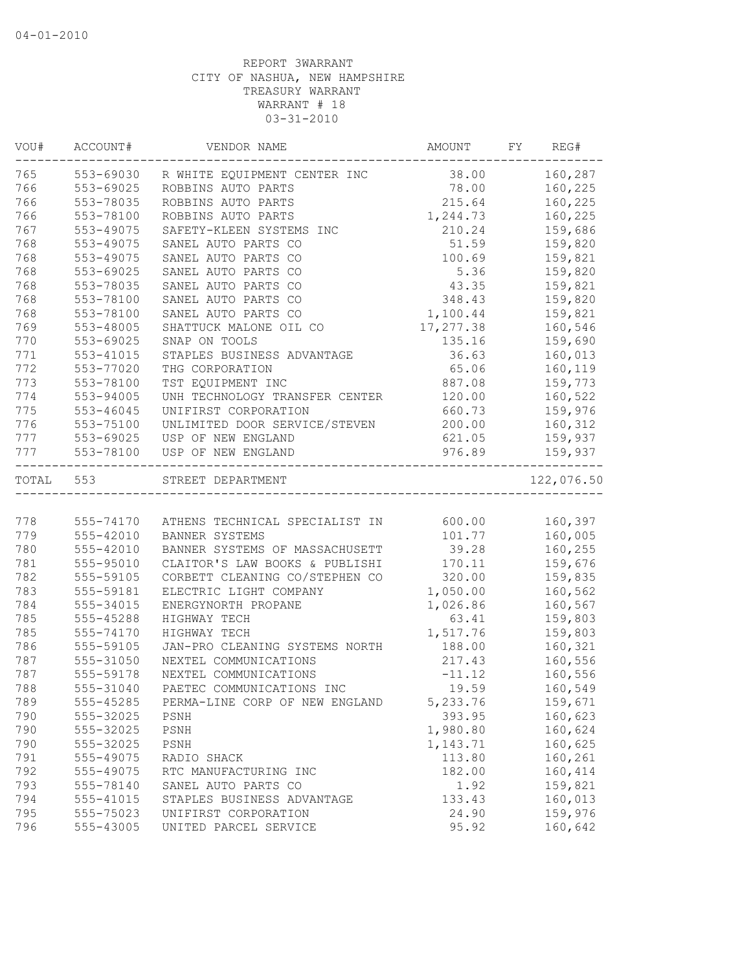| VOU#  | ACCOUNT#      | VENDOR NAME                    | AMOUNT    | FY | REG#       |
|-------|---------------|--------------------------------|-----------|----|------------|
| 765   | 553-69030     | R WHITE EQUIPMENT CENTER INC   | 38.00     |    | 160,287    |
| 766   | 553-69025     | ROBBINS AUTO PARTS             | 78.00     |    | 160,225    |
| 766   | 553-78035     | ROBBINS AUTO PARTS             | 215.64    |    | 160,225    |
| 766   | 553-78100     | ROBBINS AUTO PARTS             | 1,244.73  |    | 160,225    |
| 767   | 553-49075     | SAFETY-KLEEN SYSTEMS INC       | 210.24    |    | 159,686    |
| 768   | 553-49075     | SANEL AUTO PARTS CO            | 51.59     |    | 159,820    |
| 768   | 553-49075     | SANEL AUTO PARTS CO            | 100.69    |    | 159,821    |
| 768   | $553 - 69025$ | SANEL AUTO PARTS CO            | 5.36      |    | 159,820    |
| 768   | 553-78035     | SANEL AUTO PARTS CO            | 43.35     |    | 159,821    |
| 768   | 553-78100     | SANEL AUTO PARTS CO            | 348.43    |    | 159,820    |
| 768   | 553-78100     | SANEL AUTO PARTS CO            | 1,100.44  |    | 159,821    |
| 769   | 553-48005     | SHATTUCK MALONE OIL CO         | 17,277.38 |    | 160,546    |
| 770   | 553-69025     | SNAP ON TOOLS                  | 135.16    |    | 159,690    |
| 771   | 553-41015     | STAPLES BUSINESS ADVANTAGE     | 36.63     |    | 160,013    |
| 772   | 553-77020     | THG CORPORATION                | 65.06     |    | 160,119    |
| 773   | 553-78100     | TST EQUIPMENT INC              | 887.08    |    | 159,773    |
| 774   | $553 - 94005$ | UNH TECHNOLOGY TRANSFER CENTER | 120.00    |    | 160,522    |
| 775   | 553-46045     | UNIFIRST CORPORATION           | 660.73    |    | 159,976    |
| 776   | 553-75100     | UNLIMITED DOOR SERVICE/STEVEN  | 200.00    |    | 160,312    |
| 777   | 553-69025     | USP OF NEW ENGLAND             | 621.05    |    | 159,937    |
| 777   | 553-78100     | USP OF NEW ENGLAND             | 976.89    |    | 159,937    |
| TOTAL | 553           | STREET DEPARTMENT              |           |    | 122,076.50 |
|       |               |                                |           |    |            |
| 778   | 555-74170     | ATHENS TECHNICAL SPECIALIST IN | 600.00    |    | 160,397    |
| 779   | 555-42010     | BANNER SYSTEMS                 | 101.77    |    | 160,005    |
| 780   | 555-42010     | BANNER SYSTEMS OF MASSACHUSETT | 39.28     |    | 160,255    |
| 781   | 555-95010     | CLAITOR'S LAW BOOKS & PUBLISHI | 170.11    |    | 159,676    |
| 782   | 555-59105     | CORBETT CLEANING CO/STEPHEN CO | 320.00    |    | 159,835    |
| 783   | 555-59181     | ELECTRIC LIGHT COMPANY         | 1,050.00  |    | 160,562    |
| 784   | 555-34015     | ENERGYNORTH PROPANE            | 1,026.86  |    | 160,567    |
| 785   | 555-45288     | HIGHWAY TECH                   | 63.41     |    | 159,803    |
| 785   | 555-74170     | HIGHWAY TECH                   | 1,517.76  |    | 159,803    |
| 786   | 555-59105     | JAN-PRO CLEANING SYSTEMS NORTH | 188.00    |    | 160,321    |
| 787   | 555-31050     | NEXTEL COMMUNICATIONS          | 217.43    |    | 160,556    |
| 787   | 555-59178     | NEXTEL COMMUNICATIONS          | $-11.12$  |    | 160,556    |
| 788   | 555-31040     | PAETEC COMMUNICATIONS INC      | 19.59     |    | 160,549    |
| 789   | 555-45285     | PERMA-LINE CORP OF NEW ENGLAND | 5,233.76  |    | 159,671    |
| 790   | 555-32025     | PSNH                           | 393.95    |    | 160,623    |
| 790   | 555-32025     | PSNH                           | 1,980.80  |    | 160,624    |
| 790   | 555-32025     | PSNH                           | 1,143.71  |    | 160,625    |
| 791   | 555-49075     | RADIO SHACK                    | 113.80    |    | 160,261    |
| 792   | 555-49075     | RTC MANUFACTURING INC          | 182.00    |    | 160,414    |
| 793   | 555-78140     | SANEL AUTO PARTS CO            | 1.92      |    | 159,821    |
| 794   | 555-41015     | STAPLES BUSINESS ADVANTAGE     | 133.43    |    | 160,013    |
| 795   | 555-75023     | UNIFIRST CORPORATION           | 24.90     |    | 159,976    |
| 796   | 555-43005     | UNITED PARCEL SERVICE          | 95.92     |    | 160,642    |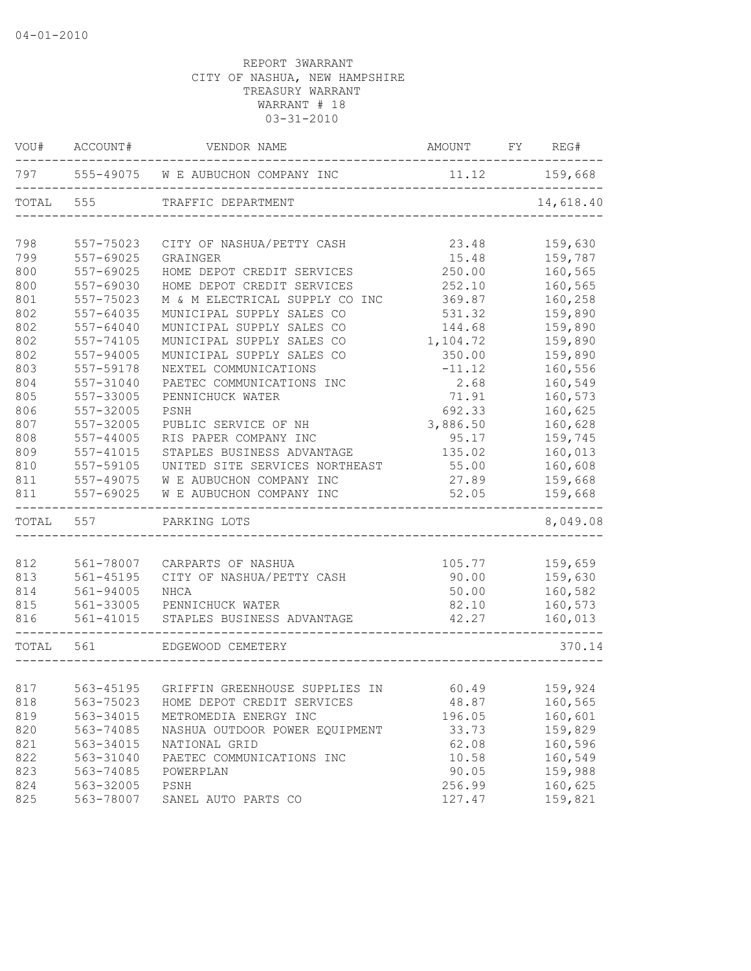| VOU#      | ACCOUNT#      | VENDOR NAME                              | AMOUNT FY REG# |           |
|-----------|---------------|------------------------------------------|----------------|-----------|
|           |               | 797 555-49075 W E AUBUCHON COMPANY INC   | 11.12          | 159,668   |
| TOTAL     | 555           | TRAFFIC DEPARTMENT                       |                | 14,618.40 |
| 798       | 557-75023     | CITY OF NASHUA/PETTY CASH                | 23.48          | 159,630   |
| 799       | 557-69025     | GRAINGER                                 | 15.48          | 159,787   |
| 800       | 557-69025     | HOME DEPOT CREDIT SERVICES               | 250.00         | 160,565   |
| 800       | 557-69030     | HOME DEPOT CREDIT SERVICES               | 252.10         | 160,565   |
| 801       | 557-75023     | M & M ELECTRICAL SUPPLY CO INC           | 369.87         | 160,258   |
| 802       | 557-64035     | MUNICIPAL SUPPLY SALES CO                | 531.32         | 159,890   |
| 802       | 557-64040     | MUNICIPAL SUPPLY SALES CO                | 144.68         | 159,890   |
| 802       | 557-74105     | MUNICIPAL SUPPLY SALES CO                | 1,104.72       | 159,890   |
| 802       | 557-94005     | MUNICIPAL SUPPLY SALES CO                | 350.00         | 159,890   |
| 803       | 557-59178     | NEXTEL COMMUNICATIONS                    | $-11.12$       | 160,556   |
| 804       | 557-31040     | PAETEC COMMUNICATIONS INC                | 2.68           | 160,549   |
| 805       | 557-33005     | PENNICHUCK WATER                         | 71.91          | 160,573   |
| 806       | 557-32005     | PSNH                                     | 692.33         | 160,625   |
| 807       | 557-32005     | PUBLIC SERVICE OF NH                     | 3,886.50       | 160,628   |
| 808       | 557-44005     | RIS PAPER COMPANY INC                    | 95.17          | 159,745   |
| 809       | $557 - 41015$ | STAPLES BUSINESS ADVANTAGE               | 135.02         | 160,013   |
| 810       | 557-59105     | UNITED SITE SERVICES NORTHEAST           | 55.00          | 160,608   |
| 811       | 557-49075     | W E AUBUCHON COMPANY INC                 | 27.89          | 159,668   |
| 811       | 557-69025     | W E AUBUCHON COMPANY INC                 | 52.05          | 159,668   |
| TOTAL 557 |               | PARKING LOTS                             |                | 8,049.08  |
|           |               |                                          |                |           |
| 812       | 561-78007     | CARPARTS OF NASHUA                       | 105.77         | 159,659   |
| 813       | $561 - 45195$ | CITY OF NASHUA/PETTY CASH                | 90.00          | 159,630   |
| 814       | 561-94005     | NHCA                                     | 50.00          | 160,582   |
| 815       | 561-33005     | PENNICHUCK WATER                         | 82.10          | 160,573   |
| 816       | 561-41015     | STAPLES BUSINESS ADVANTAGE               | 42.27          | 160,013   |
| TOTAL 561 |               | EDGEWOOD CEMETERY                        |                | 370.14    |
| 817       |               | 563-45195 GRIFFIN GREENHOUSE SUPPLIES IN | 60.49          | 159,924   |
| 818       | 563-75023     | HOME DEPOT CREDIT SERVICES               | 48.87          | 160,565   |
| 819       | 563-34015     | METROMEDIA ENERGY INC                    | 196.05         | 160,601   |
| 820       | 563-74085     | NASHUA OUTDOOR POWER EQUIPMENT           | 33.73          | 159,829   |
| 821       | 563-34015     | NATIONAL GRID                            | 62.08          | 160,596   |
| 822       | 563-31040     | PAETEC COMMUNICATIONS INC                | 10.58          | 160,549   |
| 823       | 563-74085     | POWERPLAN                                | 90.05          | 159,988   |
| 824       | 563-32005     | PSNH                                     | 256.99         | 160,625   |
| 825       | 563-78007     | SANEL AUTO PARTS CO                      | 127.47         | 159,821   |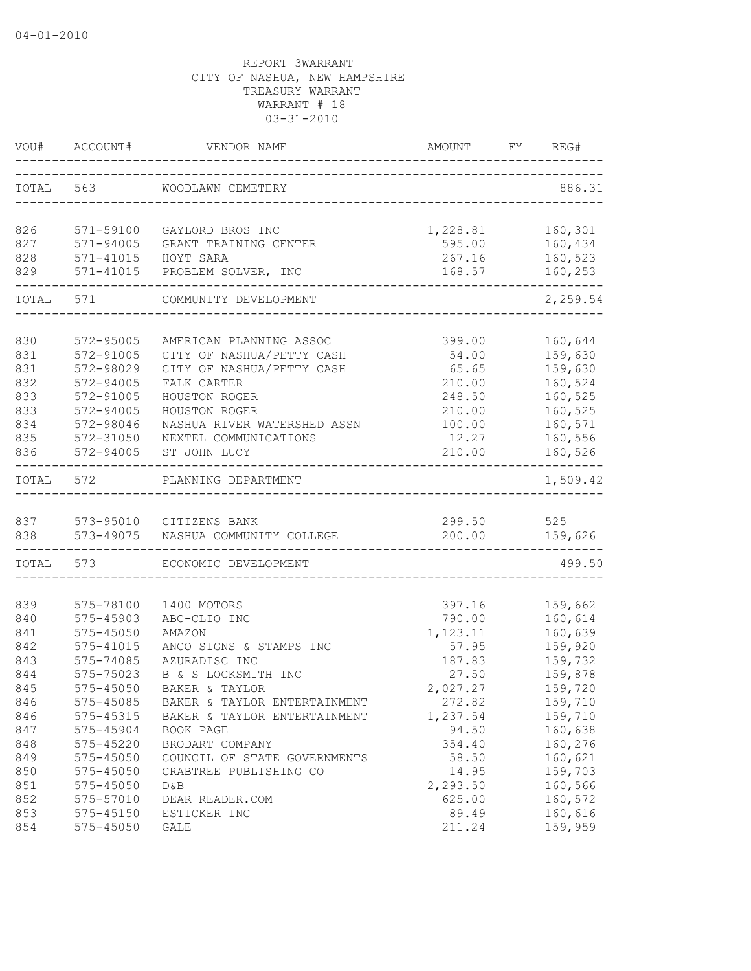|           | VOU# ACCOUNT# | VENDOR NAME                        | AMOUNT<br>----------------------- | FY | REG#     |
|-----------|---------------|------------------------------------|-----------------------------------|----|----------|
| TOTAL 563 |               | WOODLAWN CEMETERY                  |                                   |    | 886.31   |
| 826       | 571-59100     | GAYLORD BROS INC                   | 1,228.81                          |    | 160,301  |
| 827       | 571-94005     | GRANT TRAINING CENTER              | 595.00                            |    | 160,434  |
| 828       | 571-41015     | HOYT SARA                          | 267.16                            |    | 160,523  |
| 829       |               | 571-41015 PROBLEM SOLVER, INC      | 168.57                            |    | 160,253  |
|           | TOTAL 571     | COMMUNITY DEVELOPMENT              |                                   |    | 2,259.54 |
|           |               |                                    |                                   |    |          |
| 830       | 572-95005     | AMERICAN PLANNING ASSOC            | 399.00                            |    | 160,644  |
| 831       | 572-91005     | CITY OF NASHUA/PETTY CASH          | 54.00                             |    | 159,630  |
| 831       | 572-98029     | CITY OF NASHUA/PETTY CASH          | 65.65                             |    | 159,630  |
| 832       | 572-94005     | FALK CARTER                        | 210.00                            |    | 160,524  |
| 833       | 572-91005     | HOUSTON ROGER                      | 248.50                            |    | 160,525  |
| 833       | 572-94005     | HOUSTON ROGER                      | 210.00                            |    | 160,525  |
| 834       | 572-98046     | NASHUA RIVER WATERSHED ASSN        | 100.00                            |    | 160,571  |
| 835       | 572-31050     | NEXTEL COMMUNICATIONS              | 12.27                             |    | 160,556  |
| 836       | 572-94005     | ST JOHN LUCY                       | 210.00                            |    | 160,526  |
|           | TOTAL 572     | PLANNING DEPARTMENT                |                                   |    | 1,509.42 |
|           |               | 837 573-95010 CITIZENS BANK        | 299.50                            |    | 525      |
| 838       |               | 573-49075 NASHUA COMMUNITY COLLEGE | 200.00                            |    | 159,626  |
|           | TOTAL 573     | ECONOMIC DEVELOPMENT               |                                   |    | 499.50   |
| 839       | 575-78100     | 1400 MOTORS                        | 397.16                            |    | 159,662  |
| 840       | 575-45903     | ABC-CLIO INC                       | 790.00                            |    | 160,614  |
| 841       | 575-45050     | AMAZON                             | 1,123.11                          |    | 160,639  |
| 842       | 575-41015     | ANCO SIGNS & STAMPS INC            | 57.95                             |    | 159,920  |
| 843       | 575-74085     | AZURADISC INC                      | 187.83                            |    | 159,732  |
| 844       | 575-75023     | B & S LOCKSMITH INC                | 27.50                             |    | 159,878  |
| 845       | $575 - 45050$ | BAKER & TAYLOR                     | 2,027.27                          |    | 159,720  |
| 846       | 575-45085     | BAKER & TAYLOR ENTERTAINMENT       | 272.82                            |    | 159,710  |
| 846       | 575-45315     | BAKER & TAYLOR ENTERTAINMENT       | 1,237.54                          |    | 159,710  |
| 847       | 575-45904     | BOOK PAGE                          | 94.50                             |    | 160,638  |
| 848       | 575-45220     | BRODART COMPANY                    | 354.40                            |    | 160,276  |
| 849       | 575-45050     | COUNCIL OF STATE GOVERNMENTS       | 58.50                             |    | 160,621  |
| 850       | 575-45050     | CRABTREE PUBLISHING CO             | 14.95                             |    | 159,703  |
| 851       | 575-45050     | D&B                                | 2,293.50                          |    | 160,566  |
| 852       | 575-57010     | DEAR READER.COM                    | 625.00                            |    | 160,572  |
| 853       | 575-45150     | ESTICKER INC                       | 89.49                             |    | 160,616  |
| 854       | 575-45050     | GALE                               | 211.24                            |    | 159,959  |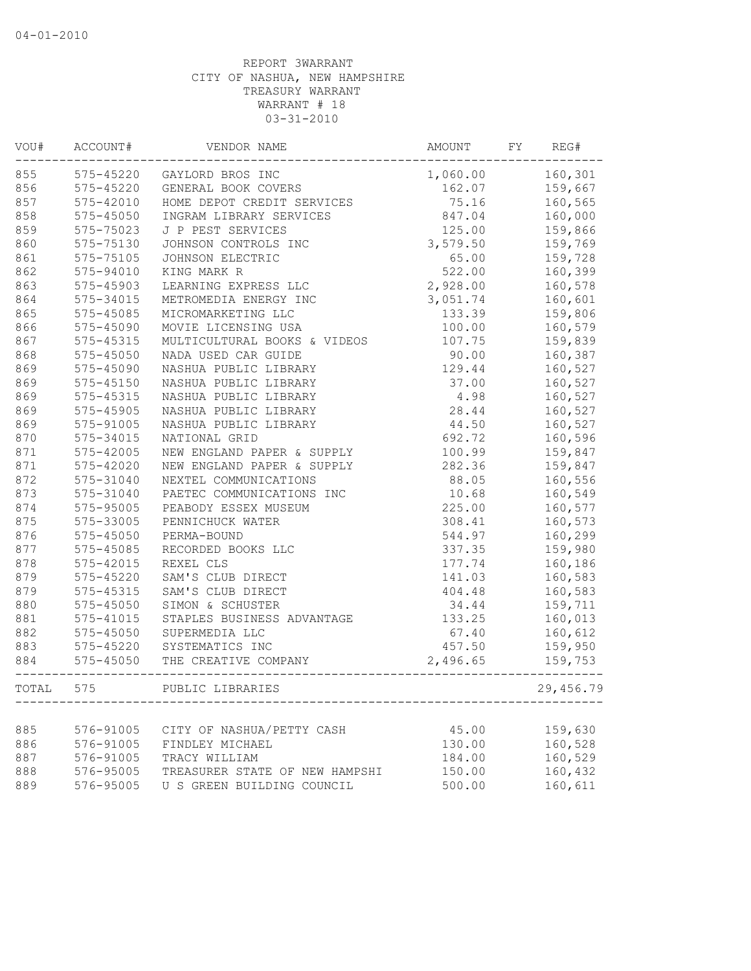| VOU#  | ACCOUNT#      | VENDOR NAME                    | AMOUNT   | FY | REG#      |
|-------|---------------|--------------------------------|----------|----|-----------|
| 855   | 575-45220     | GAYLORD BROS INC               | 1,060.00 |    | 160,301   |
| 856   | 575-45220     | GENERAL BOOK COVERS            | 162.07   |    | 159,667   |
| 857   | 575-42010     | HOME DEPOT CREDIT SERVICES     | 75.16    |    | 160,565   |
| 858   | $575 - 45050$ | INGRAM LIBRARY SERVICES        | 847.04   |    | 160,000   |
| 859   | 575-75023     | J P PEST SERVICES              | 125.00   |    | 159,866   |
| 860   | 575-75130     | JOHNSON CONTROLS INC           | 3,579.50 |    | 159,769   |
| 861   | 575-75105     | JOHNSON ELECTRIC               | 65.00    |    | 159,728   |
| 862   | 575-94010     | KING MARK R                    | 522.00   |    | 160,399   |
| 863   | 575-45903     | LEARNING EXPRESS LLC           | 2,928.00 |    | 160,578   |
| 864   | 575-34015     | METROMEDIA ENERGY INC          | 3,051.74 |    | 160,601   |
| 865   | 575-45085     | MICROMARKETING LLC             | 133.39   |    | 159,806   |
| 866   | 575-45090     | MOVIE LICENSING USA            | 100.00   |    | 160,579   |
| 867   | 575-45315     | MULTICULTURAL BOOKS & VIDEOS   | 107.75   |    | 159,839   |
| 868   | 575-45050     | NADA USED CAR GUIDE            | 90.00    |    | 160,387   |
| 869   | 575-45090     | NASHUA PUBLIC LIBRARY          | 129.44   |    | 160,527   |
| 869   | $575 - 45150$ | NASHUA PUBLIC LIBRARY          | 37.00    |    | 160,527   |
| 869   | 575-45315     | NASHUA PUBLIC LIBRARY          | 4.98     |    | 160,527   |
| 869   | 575-45905     | NASHUA PUBLIC LIBRARY          | 28.44    |    | 160,527   |
| 869   | 575-91005     | NASHUA PUBLIC LIBRARY          | 44.50    |    | 160,527   |
| 870   | 575-34015     | NATIONAL GRID                  | 692.72   |    | 160,596   |
| 871   | 575-42005     | NEW ENGLAND PAPER & SUPPLY     | 100.99   |    | 159,847   |
| 871   | 575-42020     | NEW ENGLAND PAPER & SUPPLY     | 282.36   |    | 159,847   |
| 872   | 575-31040     | NEXTEL COMMUNICATIONS          | 88.05    |    | 160,556   |
| 873   | 575-31040     | PAETEC COMMUNICATIONS INC      | 10.68    |    | 160,549   |
| 874   | 575-95005     | PEABODY ESSEX MUSEUM           | 225.00   |    | 160,577   |
| 875   | 575-33005     | PENNICHUCK WATER               | 308.41   |    | 160,573   |
| 876   | 575-45050     | PERMA-BOUND                    | 544.97   |    | 160,299   |
| 877   | 575-45085     | RECORDED BOOKS LLC             | 337.35   |    | 159,980   |
| 878   | 575-42015     | REXEL CLS                      | 177.74   |    | 160,186   |
| 879   | 575-45220     | SAM'S CLUB DIRECT              | 141.03   |    | 160,583   |
| 879   | 575-45315     | SAM'S CLUB DIRECT              | 404.48   |    | 160,583   |
| 880   | 575-45050     | SIMON & SCHUSTER               | 34.44    |    | 159,711   |
| 881   | 575-41015     | STAPLES BUSINESS ADVANTAGE     | 133.25   |    | 160,013   |
| 882   | $575 - 45050$ | SUPERMEDIA LLC                 | 67.40    |    | 160,612   |
| 883   | 575-45220     | SYSTEMATICS INC                | 457.50   |    | 159,950   |
| 884   | $575 - 45050$ | THE CREATIVE COMPANY           | 2,496.65 |    | 159,753   |
|       |               |                                |          |    |           |
| TOTAL | 575           | PUBLIC LIBRARIES               |          |    | 29,456.79 |
|       |               |                                |          |    |           |
| 885   | 576-91005     | CITY OF NASHUA/PETTY CASH      | 45.00    |    | 159,630   |
| 886   | 576-91005     | FINDLEY MICHAEL                | 130.00   |    | 160,528   |
| 887   | 576-91005     | TRACY WILLIAM                  | 184.00   |    | 160,529   |
| 888   | 576-95005     | TREASURER STATE OF NEW HAMPSHI | 150.00   |    | 160,432   |
| 889   | 576-95005     | U S GREEN BUILDING COUNCIL     | 500.00   |    | 160,611   |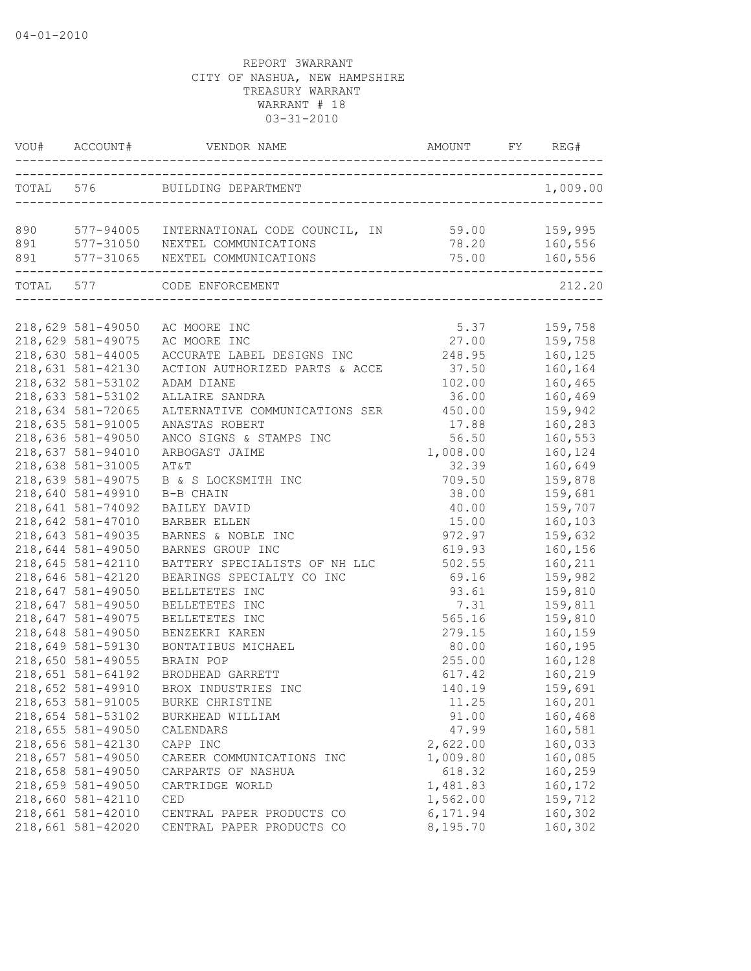|     | VOU# ACCOUNT#                          | VENDOR NAME                                            |                      | REG#               |
|-----|----------------------------------------|--------------------------------------------------------|----------------------|--------------------|
|     |                                        | TOTAL 576 BUILDING DEPARTMENT                          |                      | 1,009.00           |
|     |                                        |                                                        |                      | 159,995            |
| 890 |                                        | 577-94005 INTERNATIONAL CODE COUNCIL, IN 59.00         | 78.20                | 160,556            |
|     |                                        | 891 577-31050 NEXTEL COMMUNICATIONS                    | 75.00                | 160,556            |
|     |                                        | 891 577-31065 NEXTEL COMMUNICATIONS                    |                      |                    |
|     |                                        | TOTAL 577 CODE ENFORCEMENT                             |                      | 212.20             |
|     |                                        |                                                        |                      |                    |
|     | 218,629 581-49050                      | AC MOORE INC                                           | 5.37                 | 159,758            |
|     | 218,629 581-49075                      | AC MOORE INC                                           | 27.00                | 159,758            |
|     | 218,630 581-44005                      | ACCURATE LABEL DESIGNS INC                             | 248.95               | 160,125            |
|     | 218,631 581-42130                      | ACTION AUTHORIZED PARTS & ACCE                         | 37.50                | 160,164            |
|     | 218,632 581-53102                      | ADAM DIANE                                             | 102.00               | 160,465            |
|     | 218,633 581-53102                      | ALLAIRE SANDRA                                         | 36.00                | 160,469            |
|     | 218,634 581-72065                      | ALTERNATIVE COMMUNICATIONS SER                         | 450.00               | 159,942            |
|     | 218,635 581-91005                      | ANASTAS ROBERT                                         | 17.88                | 160,283            |
|     | 218,636 581-49050                      | ANCO SIGNS & STAMPS INC                                | 56.50                | 160,553            |
|     | 218,637 581-94010                      | ARBOGAST JAIME                                         | 1,008.00             | 160,124            |
|     | 218,638 581-31005                      | AT&T                                                   | 32.39                | 160,649            |
|     | 218,639 581-49075                      | B & S LOCKSMITH INC                                    | 709.50               | 159,878            |
|     | 218,640 581-49910                      | B-B CHAIN                                              | 38.00                | 159,681            |
|     | 218,641 581-74092                      | BAILEY DAVID                                           | 40.00                | 159,707            |
|     | 218,642 581-47010                      | BARBER ELLEN                                           | 15.00                | 160,103            |
|     | 218,643 581-49035                      | BARNES & NOBLE INC                                     | 972.97               | 159,632            |
|     | 218,644 581-49050                      | BARNES GROUP INC                                       | 619.93               | 160,156            |
|     | 218,645 581-42110                      | BATTERY SPECIALISTS OF NH LLC                          | 502.55               | 160,211            |
|     | 218,646 581-42120                      | BEARINGS SPECIALTY CO INC                              | 69.16                | 159,982            |
|     | 218,647 581-49050                      | BELLETETES INC                                         | 93.61                | 159,810            |
|     | 218,647 581-49050                      | BELLETETES INC                                         | 7.31                 | 159,811            |
|     | 218,647 581-49075                      | BELLETETES INC                                         | 565.16               | 159,810            |
|     | 218,648 581-49050                      | BENZEKRI KAREN                                         | 279.15               | 160,159            |
|     | 218,649 581-59130                      | BONTATIBUS MICHAEL                                     | 80.00                | 160,195            |
|     | 218,650 581-49055                      | BRAIN POP                                              | 255.00               | 160,128            |
|     | 218,651 581-64192                      | BRODHEAD GARRETT                                       | 617.42               | 160,219            |
|     | 218,652 581-49910                      | BROX INDUSTRIES INC                                    | 140.19               | 159,691            |
|     | 218,653 581-91005                      | BURKE CHRISTINE                                        | 11.25                | 160,201            |
|     | 218,654 581-53102                      | BURKHEAD WILLIAM                                       | 91.00                | 160,468            |
|     | 218,655 581-49050                      | CALENDARS                                              | 47.99                | 160,581            |
|     | 218,656 581-42130                      | CAPP INC                                               | 2,622.00             | 160,033            |
|     | 218,657 581-49050                      | CAREER COMMUNICATIONS INC                              | 1,009.80             | 160,085            |
|     | 218,658 581-49050                      | CARPARTS OF NASHUA                                     | 618.32               | 160,259            |
|     | 218,659 581-49050                      | CARTRIDGE WORLD                                        | 1,481.83             | 160,172            |
|     | 218,660 581-42110<br>218,661 581-42010 | CED                                                    | 1,562.00             | 159,712            |
|     | 218,661 581-42020                      | CENTRAL PAPER PRODUCTS CO<br>CENTRAL PAPER PRODUCTS CO | 6,171.94<br>8,195.70 | 160,302<br>160,302 |
|     |                                        |                                                        |                      |                    |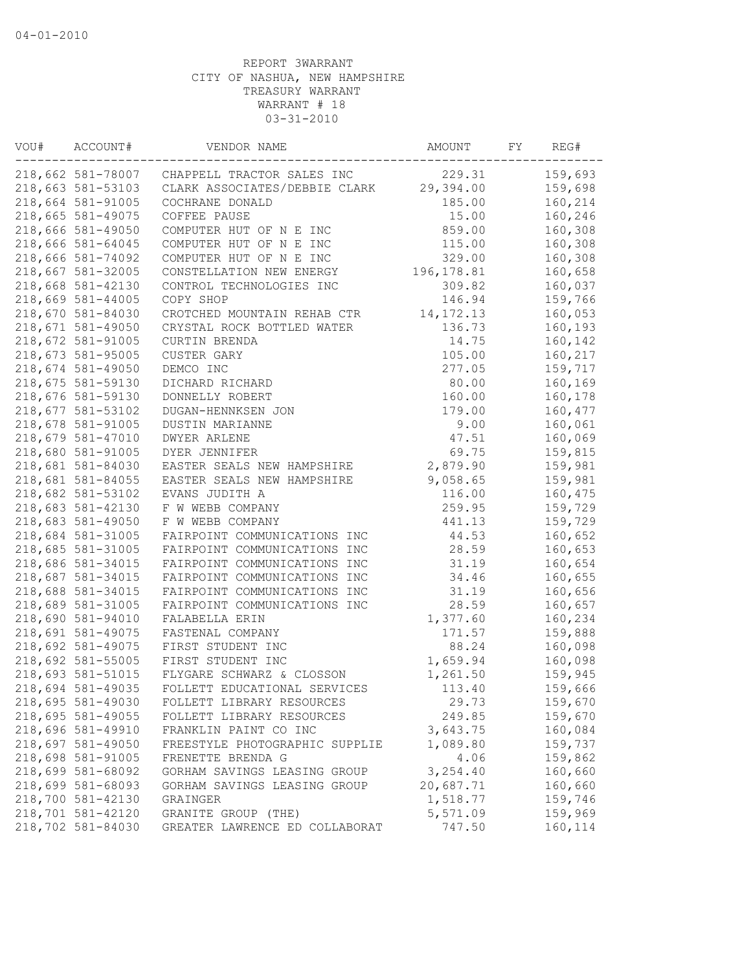| VOU# | ACCOUNT#          | VENDOR NAME                    | AMOUNT      | FY | REG#    |
|------|-------------------|--------------------------------|-------------|----|---------|
|      | 218,662 581-78007 | CHAPPELL TRACTOR SALES INC     | 229.31      |    | 159,693 |
|      | 218,663 581-53103 | CLARK ASSOCIATES/DEBBIE CLARK  | 29,394.00   |    | 159,698 |
|      | 218,664 581-91005 | COCHRANE DONALD                | 185.00      |    | 160,214 |
|      | 218,665 581-49075 | COFFEE PAUSE                   | 15.00       |    | 160,246 |
|      | 218,666 581-49050 | COMPUTER HUT OF N E INC        | 859.00      |    | 160,308 |
|      | 218,666 581-64045 | COMPUTER HUT OF N E INC        | 115.00      |    | 160,308 |
|      | 218,666 581-74092 | COMPUTER HUT OF N E INC        | 329.00      |    | 160,308 |
|      | 218,667 581-32005 | CONSTELLATION NEW ENERGY       | 196, 178.81 |    | 160,658 |
|      | 218,668 581-42130 | CONTROL TECHNOLOGIES INC       | 309.82      |    | 160,037 |
|      | 218,669 581-44005 | COPY SHOP                      | 146.94      |    | 159,766 |
|      | 218,670 581-84030 | CROTCHED MOUNTAIN REHAB CTR    | 14, 172. 13 |    | 160,053 |
|      | 218,671 581-49050 | CRYSTAL ROCK BOTTLED WATER     | 136.73      |    | 160,193 |
|      | 218,672 581-91005 | CURTIN BRENDA                  | 14.75       |    | 160,142 |
|      | 218,673 581-95005 | CUSTER GARY                    | 105.00      |    | 160,217 |
|      | 218,674 581-49050 | DEMCO INC                      | 277.05      |    | 159,717 |
|      | 218,675 581-59130 | DICHARD RICHARD                | 80.00       |    | 160,169 |
|      | 218,676 581-59130 | DONNELLY ROBERT                | 160.00      |    | 160,178 |
|      | 218,677 581-53102 | DUGAN-HENNKSEN JON             | 179.00      |    | 160,477 |
|      | 218,678 581-91005 | DUSTIN MARIANNE                | 9.00        |    | 160,061 |
|      | 218,679 581-47010 | <b>DWYER ARLENE</b>            | 47.51       |    | 160,069 |
|      | 218,680 581-91005 | DYER JENNIFER                  | 69.75       |    | 159,815 |
|      | 218,681 581-84030 | EASTER SEALS NEW HAMPSHIRE     | 2,879.90    |    | 159,981 |
|      | 218,681 581-84055 | EASTER SEALS NEW HAMPSHIRE     | 9,058.65    |    | 159,981 |
|      | 218,682 581-53102 | EVANS JUDITH A                 | 116.00      |    | 160,475 |
|      | 218,683 581-42130 | F W WEBB COMPANY               | 259.95      |    | 159,729 |
|      | 218,683 581-49050 | F W WEBB COMPANY               | 441.13      |    | 159,729 |
|      | 218,684 581-31005 | FAIRPOINT COMMUNICATIONS INC   | 44.53       |    | 160,652 |
|      | 218,685 581-31005 | FAIRPOINT COMMUNICATIONS INC   | 28.59       |    | 160,653 |
|      | 218,686 581-34015 | FAIRPOINT COMMUNICATIONS INC   | 31.19       |    | 160,654 |
|      | 218,687 581-34015 | FAIRPOINT COMMUNICATIONS INC   | 34.46       |    | 160,655 |
|      | 218,688 581-34015 | FAIRPOINT COMMUNICATIONS INC   | 31.19       |    | 160,656 |
|      | 218,689 581-31005 | FAIRPOINT COMMUNICATIONS INC   | 28.59       |    | 160,657 |
|      | 218,690 581-94010 | FALABELLA ERIN                 | 1,377.60    |    | 160,234 |
|      | 218,691 581-49075 | FASTENAL COMPANY               | 171.57      |    | 159,888 |
|      | 218,692 581-49075 | FIRST STUDENT INC              | 88.24       |    | 160,098 |
|      | 218,692 581-55005 | FIRST STUDENT INC              | 1,659.94    |    | 160,098 |
|      | 218,693 581-51015 | FLYGARE SCHWARZ & CLOSSON      | 1,261.50    |    | 159,945 |
|      | 218,694 581-49035 | FOLLETT EDUCATIONAL SERVICES   | 113.40      |    | 159,666 |
|      | 218,695 581-49030 | FOLLETT LIBRARY RESOURCES      | 29.73       |    | 159,670 |
|      | 218,695 581-49055 | FOLLETT LIBRARY RESOURCES      | 249.85      |    | 159,670 |
|      | 218,696 581-49910 | FRANKLIN PAINT CO INC          | 3,643.75    |    | 160,084 |
|      | 218,697 581-49050 | FREESTYLE PHOTOGRAPHIC SUPPLIE | 1,089.80    |    | 159,737 |
|      | 218,698 581-91005 | FRENETTE BRENDA G              | 4.06        |    | 159,862 |
|      | 218,699 581-68092 | GORHAM SAVINGS LEASING GROUP   | 3, 254.40   |    | 160,660 |
|      | 218,699 581-68093 | GORHAM SAVINGS LEASING GROUP   | 20,687.71   |    | 160,660 |
|      | 218,700 581-42130 | GRAINGER                       | 1,518.77    |    | 159,746 |
|      | 218,701 581-42120 | GRANITE GROUP (THE)            | 5,571.09    |    | 159,969 |
|      | 218,702 581-84030 | GREATER LAWRENCE ED COLLABORAT | 747.50      |    | 160,114 |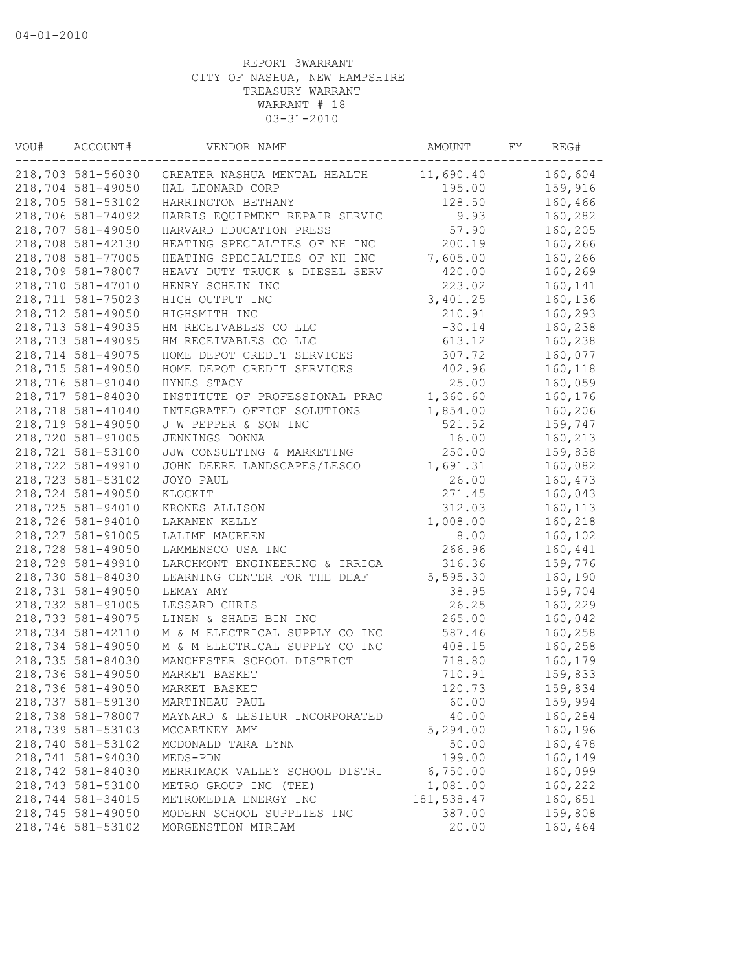| VOU# | ACCOUNT#          | VENDOR NAME                    | AMOUNT     | FY | REG#    |
|------|-------------------|--------------------------------|------------|----|---------|
|      | 218,703 581-56030 | GREATER NASHUA MENTAL HEALTH   | 11,690.40  |    | 160,604 |
|      | 218,704 581-49050 | HAL LEONARD CORP               | 195.00     |    | 159,916 |
|      | 218,705 581-53102 | HARRINGTON BETHANY             | 128.50     |    | 160,466 |
|      | 218,706 581-74092 | HARRIS EQUIPMENT REPAIR SERVIC | 9.93       |    | 160,282 |
|      | 218,707 581-49050 | HARVARD EDUCATION PRESS        | 57.90      |    | 160,205 |
|      | 218,708 581-42130 | HEATING SPECIALTIES OF NH INC  | 200.19     |    | 160,266 |
|      | 218,708 581-77005 | HEATING SPECIALTIES OF NH INC  | 7,605.00   |    | 160,266 |
|      | 218,709 581-78007 | HEAVY DUTY TRUCK & DIESEL SERV | 420.00     |    | 160,269 |
|      | 218,710 581-47010 | HENRY SCHEIN INC               | 223.02     |    | 160,141 |
|      | 218,711 581-75023 | HIGH OUTPUT INC                | 3,401.25   |    | 160,136 |
|      | 218,712 581-49050 | HIGHSMITH INC                  | 210.91     |    | 160,293 |
|      | 218,713 581-49035 | HM RECEIVABLES CO LLC          | $-30.14$   |    | 160,238 |
|      | 218,713 581-49095 | HM RECEIVABLES CO LLC          | 613.12     |    | 160,238 |
|      | 218,714 581-49075 | HOME DEPOT CREDIT SERVICES     | 307.72     |    | 160,077 |
|      | 218,715 581-49050 | HOME DEPOT CREDIT SERVICES     | 402.96     |    | 160,118 |
|      | 218,716 581-91040 | HYNES STACY                    | 25.00      |    | 160,059 |
|      | 218,717 581-84030 | INSTITUTE OF PROFESSIONAL PRAC | 1,360.60   |    | 160,176 |
|      | 218,718 581-41040 | INTEGRATED OFFICE SOLUTIONS    | 1,854.00   |    | 160,206 |
|      | 218,719 581-49050 | J W PEPPER & SON INC           | 521.52     |    | 159,747 |
|      | 218,720 581-91005 | JENNINGS DONNA                 | 16.00      |    | 160,213 |
|      | 218,721 581-53100 | JJW CONSULTING & MARKETING     | 250.00     |    | 159,838 |
|      | 218,722 581-49910 | JOHN DEERE LANDSCAPES/LESCO    | 1,691.31   |    | 160,082 |
|      | 218,723 581-53102 | JOYO PAUL                      | 26.00      |    | 160,473 |
|      | 218,724 581-49050 | KLOCKIT                        | 271.45     |    | 160,043 |
|      | 218,725 581-94010 | KRONES ALLISON                 | 312.03     |    | 160,113 |
|      | 218,726 581-94010 | LAKANEN KELLY                  | 1,008.00   |    | 160,218 |
|      | 218,727 581-91005 | LALIME MAUREEN                 | 8.00       |    | 160,102 |
|      | 218,728 581-49050 | LAMMENSCO USA INC              | 266.96     |    | 160,441 |
|      | 218,729 581-49910 | LARCHMONT ENGINEERING & IRRIGA | 316.36     |    | 159,776 |
|      | 218,730 581-84030 | LEARNING CENTER FOR THE DEAF   | 5,595.30   |    | 160,190 |
|      | 218,731 581-49050 | LEMAY AMY                      | 38.95      |    | 159,704 |
|      | 218,732 581-91005 | LESSARD CHRIS                  | 26.25      |    | 160,229 |
|      | 218,733 581-49075 | LINEN & SHADE BIN INC          | 265.00     |    | 160,042 |
|      | 218,734 581-42110 | M & M ELECTRICAL SUPPLY CO INC | 587.46     |    | 160,258 |
|      | 218,734 581-49050 | M & M ELECTRICAL SUPPLY CO INC | 408.15     |    | 160,258 |
|      | 218,735 581-84030 | MANCHESTER SCHOOL DISTRICT     | 718.80     |    | 160,179 |
|      | 218,736 581-49050 | MARKET BASKET                  | 710.91     |    | 159,833 |
|      | 218,736 581-49050 | MARKET BASKET                  | 120.73     |    | 159,834 |
|      | 218,737 581-59130 | MARTINEAU PAUL                 | 60.00      |    | 159,994 |
|      | 218,738 581-78007 | MAYNARD & LESIEUR INCORPORATED | 40.00      |    | 160,284 |
|      | 218,739 581-53103 | MCCARTNEY AMY                  | 5,294.00   |    | 160,196 |
|      | 218,740 581-53102 | MCDONALD TARA LYNN             | 50.00      |    | 160,478 |
|      | 218,741 581-94030 | MEDS-PDN                       | 199.00     |    | 160,149 |
|      | 218,742 581-84030 | MERRIMACK VALLEY SCHOOL DISTRI | 6,750.00   |    | 160,099 |
|      | 218,743 581-53100 | METRO GROUP INC (THE)          | 1,081.00   |    | 160,222 |
|      | 218,744 581-34015 | METROMEDIA ENERGY INC          | 181,538.47 |    | 160,651 |
|      | 218,745 581-49050 | MODERN SCHOOL SUPPLIES INC     | 387.00     |    | 159,808 |
|      | 218,746 581-53102 | MORGENSTEON MIRIAM             | 20.00      |    | 160,464 |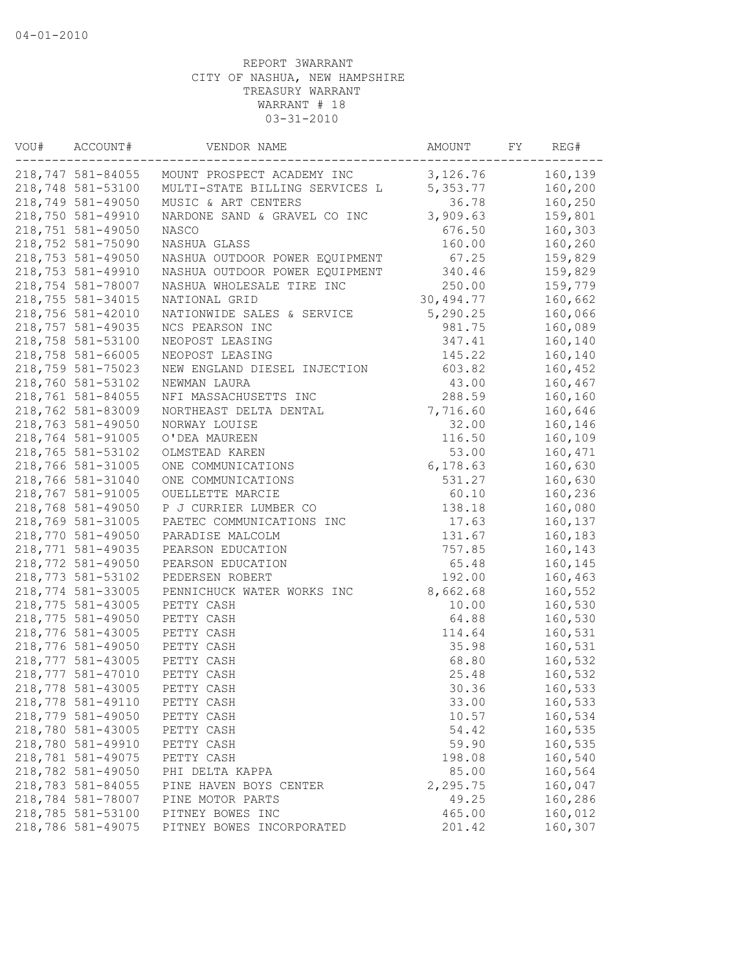| VOU# | ACCOUNT#          | VENDOR NAME                    | AMOUNT    | FY | REG#    |
|------|-------------------|--------------------------------|-----------|----|---------|
|      | 218,747 581-84055 | MOUNT PROSPECT ACADEMY INC     | 3,126.76  |    | 160,139 |
|      | 218,748 581-53100 | MULTI-STATE BILLING SERVICES L | 5,353.77  |    | 160,200 |
|      | 218,749 581-49050 | MUSIC & ART CENTERS            | 36.78     |    | 160,250 |
|      | 218,750 581-49910 | NARDONE SAND & GRAVEL CO INC   | 3,909.63  |    | 159,801 |
|      | 218,751 581-49050 | NASCO                          | 676.50    |    | 160,303 |
|      | 218,752 581-75090 | NASHUA GLASS                   | 160.00    |    | 160,260 |
|      | 218,753 581-49050 | NASHUA OUTDOOR POWER EQUIPMENT | 67.25     |    | 159,829 |
|      | 218,753 581-49910 | NASHUA OUTDOOR POWER EQUIPMENT | 340.46    |    | 159,829 |
|      | 218,754 581-78007 | NASHUA WHOLESALE TIRE INC      | 250.00    |    | 159,779 |
|      | 218,755 581-34015 | NATIONAL GRID                  | 30,494.77 |    | 160,662 |
|      | 218,756 581-42010 | NATIONWIDE SALES & SERVICE     | 5,290.25  |    | 160,066 |
|      | 218,757 581-49035 | NCS PEARSON INC                | 981.75    |    | 160,089 |
|      | 218,758 581-53100 | NEOPOST LEASING                | 347.41    |    | 160,140 |
|      | 218,758 581-66005 | NEOPOST LEASING                | 145.22    |    | 160,140 |
|      | 218,759 581-75023 | NEW ENGLAND DIESEL INJECTION   | 603.82    |    | 160,452 |
|      | 218,760 581-53102 | NEWMAN LAURA                   | 43.00     |    | 160,467 |
|      | 218,761 581-84055 | NFI MASSACHUSETTS INC          | 288.59    |    | 160,160 |
|      | 218,762 581-83009 | NORTHEAST DELTA DENTAL         | 7,716.60  |    | 160,646 |
|      | 218,763 581-49050 | NORWAY LOUISE                  | 32.00     |    | 160,146 |
|      | 218,764 581-91005 | O'DEA MAUREEN                  | 116.50    |    | 160,109 |
|      | 218,765 581-53102 | OLMSTEAD KAREN                 | 53.00     |    | 160,471 |
|      | 218,766 581-31005 | ONE COMMUNICATIONS             | 6,178.63  |    | 160,630 |
|      | 218,766 581-31040 | ONE COMMUNICATIONS             | 531.27    |    | 160,630 |
|      | 218,767 581-91005 | OUELLETTE MARCIE               | 60.10     |    | 160,236 |
|      | 218,768 581-49050 | P J CURRIER LUMBER CO          | 138.18    |    | 160,080 |
|      | 218,769 581-31005 | PAETEC COMMUNICATIONS INC      | 17.63     |    | 160,137 |
|      | 218,770 581-49050 | PARADISE MALCOLM               | 131.67    |    | 160,183 |
|      | 218,771 581-49035 | PEARSON EDUCATION              | 757.85    |    | 160,143 |
|      | 218,772 581-49050 | PEARSON EDUCATION              | 65.48     |    | 160,145 |
|      | 218,773 581-53102 | PEDERSEN ROBERT                | 192.00    |    | 160,463 |
|      | 218,774 581-33005 | PENNICHUCK WATER WORKS INC     | 8,662.68  |    | 160,552 |
|      | 218,775 581-43005 | PETTY CASH                     | 10.00     |    | 160,530 |
|      | 218,775 581-49050 | PETTY CASH                     | 64.88     |    | 160,530 |
|      | 218,776 581-43005 | PETTY CASH                     | 114.64    |    | 160,531 |
|      | 218,776 581-49050 | PETTY CASH                     | 35.98     |    | 160,531 |
|      | 218,777 581-43005 | PETTY CASH                     | 68.80     |    | 160,532 |
|      | 218,777 581-47010 | PETTY CASH                     | 25.48     |    | 160,532 |
|      | 218,778 581-43005 | PETTY CASH                     | 30.36     |    | 160,533 |
|      | 218,778 581-49110 | PETTY CASH                     | 33.00     |    | 160,533 |
|      | 218,779 581-49050 | PETTY CASH                     | 10.57     |    | 160,534 |
|      | 218,780 581-43005 | PETTY CASH                     | 54.42     |    | 160,535 |
|      | 218,780 581-49910 | PETTY CASH                     | 59.90     |    | 160,535 |
|      | 218,781 581-49075 | PETTY CASH                     | 198.08    |    | 160,540 |
|      | 218,782 581-49050 | PHI DELTA KAPPA                | 85.00     |    | 160,564 |
|      | 218,783 581-84055 | PINE HAVEN BOYS CENTER         | 2,295.75  |    | 160,047 |
|      | 218,784 581-78007 | PINE MOTOR PARTS               | 49.25     |    | 160,286 |
|      | 218,785 581-53100 | PITNEY BOWES INC               | 465.00    |    | 160,012 |
|      | 218,786 581-49075 | PITNEY BOWES INCORPORATED      | 201.42    |    | 160,307 |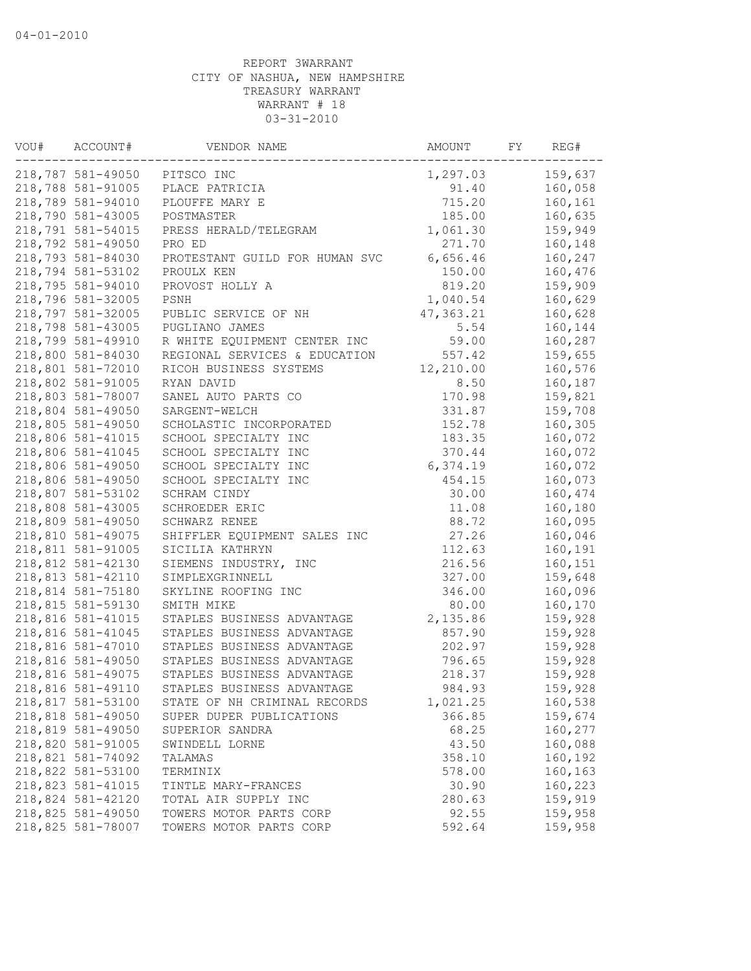| VOU# | ACCOUNT#          | VENDOR NAME                    | AMOUNT    | FY | REG#    |
|------|-------------------|--------------------------------|-----------|----|---------|
|      | 218,787 581-49050 | PITSCO INC                     | 1,297.03  |    | 159,637 |
|      | 218,788 581-91005 | PLACE PATRICIA                 | 91.40     |    | 160,058 |
|      | 218,789 581-94010 | PLOUFFE MARY E                 | 715.20    |    | 160,161 |
|      | 218,790 581-43005 | POSTMASTER                     | 185.00    |    | 160,635 |
|      | 218,791 581-54015 | PRESS HERALD/TELEGRAM          | 1,061.30  |    | 159,949 |
|      | 218,792 581-49050 | PRO ED                         | 271.70    |    | 160,148 |
|      | 218,793 581-84030 | PROTESTANT GUILD FOR HUMAN SVC | 6,656.46  |    | 160,247 |
|      | 218,794 581-53102 | PROULX KEN                     | 150.00    |    | 160,476 |
|      | 218,795 581-94010 | PROVOST HOLLY A                | 819.20    |    | 159,909 |
|      | 218,796 581-32005 | PSNH                           | 1,040.54  |    | 160,629 |
|      | 218,797 581-32005 | PUBLIC SERVICE OF NH           | 47,363.21 |    | 160,628 |
|      | 218,798 581-43005 | PUGLIANO JAMES                 | 5.54      |    | 160,144 |
|      | 218,799 581-49910 | R WHITE EQUIPMENT CENTER INC   | 59.00     |    | 160,287 |
|      | 218,800 581-84030 | REGIONAL SERVICES & EDUCATION  | 557.42    |    | 159,655 |
|      | 218,801 581-72010 | RICOH BUSINESS SYSTEMS         | 12,210.00 |    | 160,576 |
|      | 218,802 581-91005 | RYAN DAVID                     | 8.50      |    | 160,187 |
|      | 218,803 581-78007 | SANEL AUTO PARTS CO            | 170.98    |    | 159,821 |
|      | 218,804 581-49050 | SARGENT-WELCH                  | 331.87    |    | 159,708 |
|      | 218,805 581-49050 | SCHOLASTIC INCORPORATED        | 152.78    |    | 160,305 |
|      | 218,806 581-41015 | SCHOOL SPECIALTY INC           | 183.35    |    | 160,072 |
|      | 218,806 581-41045 | SCHOOL SPECIALTY INC           | 370.44    |    | 160,072 |
|      | 218,806 581-49050 | SCHOOL SPECIALTY INC           | 6,374.19  |    | 160,072 |
|      | 218,806 581-49050 | SCHOOL SPECIALTY INC           | 454.15    |    | 160,073 |
|      | 218,807 581-53102 | SCHRAM CINDY                   | 30.00     |    | 160,474 |
|      | 218,808 581-43005 | SCHROEDER ERIC                 | 11.08     |    | 160,180 |
|      | 218,809 581-49050 | SCHWARZ RENEE                  | 88.72     |    | 160,095 |
|      | 218,810 581-49075 | SHIFFLER EQUIPMENT SALES INC   | 27.26     |    | 160,046 |
|      | 218,811 581-91005 | SICILIA KATHRYN                | 112.63    |    | 160,191 |
|      | 218,812 581-42130 | SIEMENS INDUSTRY, INC          | 216.56    |    | 160,151 |
|      | 218,813 581-42110 | SIMPLEXGRINNELL                | 327.00    |    | 159,648 |
|      | 218,814 581-75180 | SKYLINE ROOFING INC            | 346.00    |    | 160,096 |
|      | 218,815 581-59130 | SMITH MIKE                     | 80.00     |    | 160,170 |
|      | 218,816 581-41015 | STAPLES BUSINESS ADVANTAGE     | 2,135.86  |    | 159,928 |
|      | 218,816 581-41045 | STAPLES BUSINESS ADVANTAGE     | 857.90    |    | 159,928 |
|      | 218,816 581-47010 | STAPLES BUSINESS ADVANTAGE     | 202.97    |    | 159,928 |
|      | 218,816 581-49050 | STAPLES BUSINESS ADVANTAGE     | 796.65    |    | 159,928 |
|      | 218,816 581-49075 | STAPLES BUSINESS ADVANTAGE     | 218.37    |    | 159,928 |
|      | 218,816 581-49110 | STAPLES BUSINESS ADVANTAGE     | 984.93    |    | 159,928 |
|      | 218,817 581-53100 | STATE OF NH CRIMINAL RECORDS   | 1,021.25  |    | 160,538 |
|      | 218,818 581-49050 | SUPER DUPER PUBLICATIONS       | 366.85    |    | 159,674 |
|      | 218,819 581-49050 | SUPERIOR SANDRA                | 68.25     |    | 160,277 |
|      | 218,820 581-91005 | SWINDELL LORNE                 | 43.50     |    | 160,088 |
|      | 218,821 581-74092 | TALAMAS                        | 358.10    |    | 160,192 |
|      | 218,822 581-53100 | TERMINIX                       | 578.00    |    | 160,163 |
|      | 218,823 581-41015 | TINTLE MARY-FRANCES            | 30.90     |    | 160,223 |
|      | 218,824 581-42120 | TOTAL AIR SUPPLY INC           | 280.63    |    | 159,919 |
|      | 218,825 581-49050 | TOWERS MOTOR PARTS CORP        | 92.55     |    | 159,958 |
|      | 218,825 581-78007 | TOWERS MOTOR PARTS CORP        | 592.64    |    | 159,958 |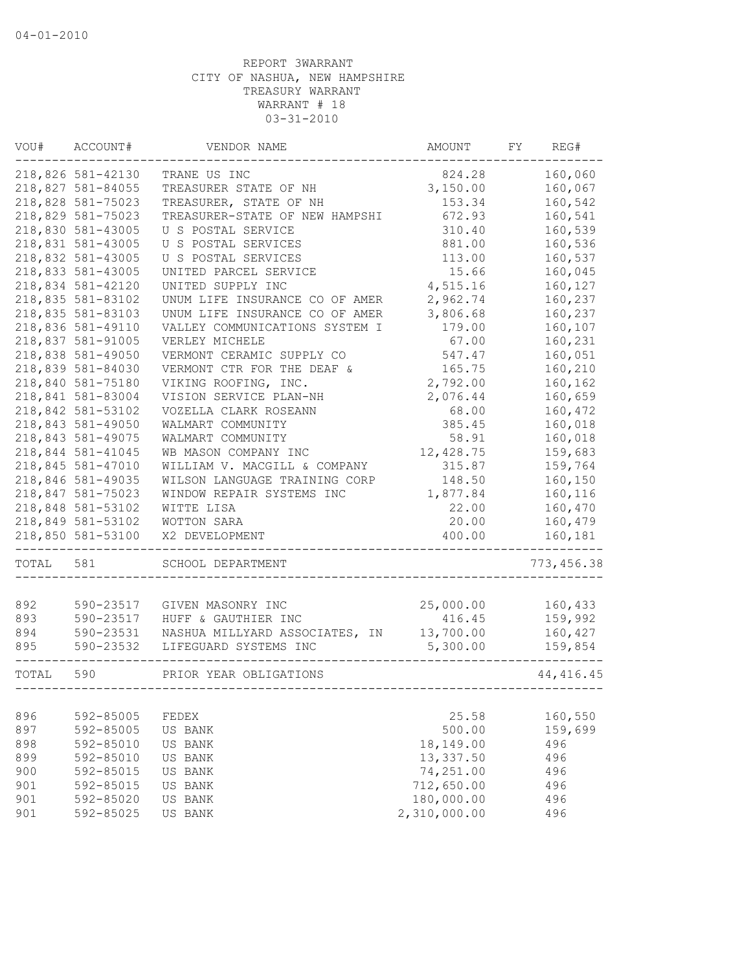| VOU#  | ACCOUNT#          | VENDOR NAME                    | AMOUNT       | FY | REG#        |
|-------|-------------------|--------------------------------|--------------|----|-------------|
|       | 218,826 581-42130 | TRANE US INC                   | 824.28       |    | 160,060     |
|       | 218,827 581-84055 | TREASURER STATE OF NH          | 3,150.00     |    | 160,067     |
|       | 218,828 581-75023 | TREASURER, STATE OF NH         | 153.34       |    | 160,542     |
|       | 218,829 581-75023 | TREASURER-STATE OF NEW HAMPSHI | 672.93       |    | 160,541     |
|       | 218,830 581-43005 | U S POSTAL SERVICE             | 310.40       |    | 160,539     |
|       | 218,831 581-43005 | U S POSTAL SERVICES            | 881.00       |    | 160,536     |
|       | 218,832 581-43005 | U S POSTAL SERVICES            | 113.00       |    | 160,537     |
|       | 218,833 581-43005 | UNITED PARCEL SERVICE          | 15.66        |    | 160,045     |
|       | 218,834 581-42120 | UNITED SUPPLY INC              | 4,515.16     |    | 160,127     |
|       | 218,835 581-83102 | UNUM LIFE INSURANCE CO OF AMER | 2,962.74     |    | 160,237     |
|       | 218,835 581-83103 | UNUM LIFE INSURANCE CO OF AMER | 3,806.68     |    | 160,237     |
|       | 218,836 581-49110 | VALLEY COMMUNICATIONS SYSTEM I | 179.00       |    | 160,107     |
|       | 218,837 581-91005 | VERLEY MICHELE                 | 67.00        |    | 160,231     |
|       | 218,838 581-49050 | VERMONT CERAMIC SUPPLY CO      | 547.47       |    | 160,051     |
|       | 218,839 581-84030 | VERMONT CTR FOR THE DEAF &     | 165.75       |    | 160,210     |
|       | 218,840 581-75180 | VIKING ROOFING, INC.           | 2,792.00     |    | 160,162     |
|       | 218,841 581-83004 | VISION SERVICE PLAN-NH         | 2,076.44     |    | 160,659     |
|       | 218,842 581-53102 | VOZELLA CLARK ROSEANN          | 68.00        |    | 160,472     |
|       | 218,843 581-49050 | WALMART COMMUNITY              | 385.45       |    | 160,018     |
|       | 218,843 581-49075 | WALMART COMMUNITY              | 58.91        |    | 160,018     |
|       | 218,844 581-41045 | WB MASON COMPANY INC           | 12,428.75    |    | 159,683     |
|       | 218,845 581-47010 | WILLIAM V. MACGILL & COMPANY   | 315.87       |    | 159,764     |
|       | 218,846 581-49035 | WILSON LANGUAGE TRAINING CORP  | 148.50       |    | 160,150     |
|       | 218,847 581-75023 | WINDOW REPAIR SYSTEMS INC      | 1,877.84     |    | 160,116     |
|       | 218,848 581-53102 | WITTE LISA                     | 22.00        |    | 160,470     |
|       | 218,849 581-53102 | WOTTON SARA                    | 20.00        |    | 160,479     |
|       | 218,850 581-53100 | X2 DEVELOPMENT                 | 400.00       |    | 160,181     |
| TOTAL | 581               | SCHOOL DEPARTMENT              |              |    | 773, 456.38 |
|       |                   |                                |              |    |             |
| 892   | 590-23517         | GIVEN MASONRY INC              | 25,000.00    |    | 160,433     |
| 893   | 590-23517         | HUFF & GAUTHIER INC            | 416.45       |    | 159,992     |
| 894   | 590-23531         | NASHUA MILLYARD ASSOCIATES, IN | 13,700.00    |    | 160,427     |
| 895   | 590-23532         | LIFEGUARD SYSTEMS INC          | 5,300.00     |    | 159,854     |
| TOTAL | 590               | PRIOR YEAR OBLIGATIONS         |              |    | 44, 416.45  |
|       |                   |                                |              |    |             |
| 896   | 592-85005         | FEDEX                          | 25.58        |    | 160,550     |
| 897   | 592-85005         | US BANK                        | 500.00       |    | 159,699     |
| 898   | 592-85010         | US BANK                        | 18,149.00    |    | 496         |
| 899   | 592-85010         | US BANK                        | 13,337.50    |    | 496         |
| 900   | 592-85015         | US BANK                        | 74,251.00    |    | 496         |
| 901   | 592-85015         | US BANK                        | 712,650.00   |    | 496         |
| 901   | 592-85020         | US BANK                        | 180,000.00   |    | 496         |
| 901   | 592-85025         | US BANK                        | 2,310,000.00 |    | 496         |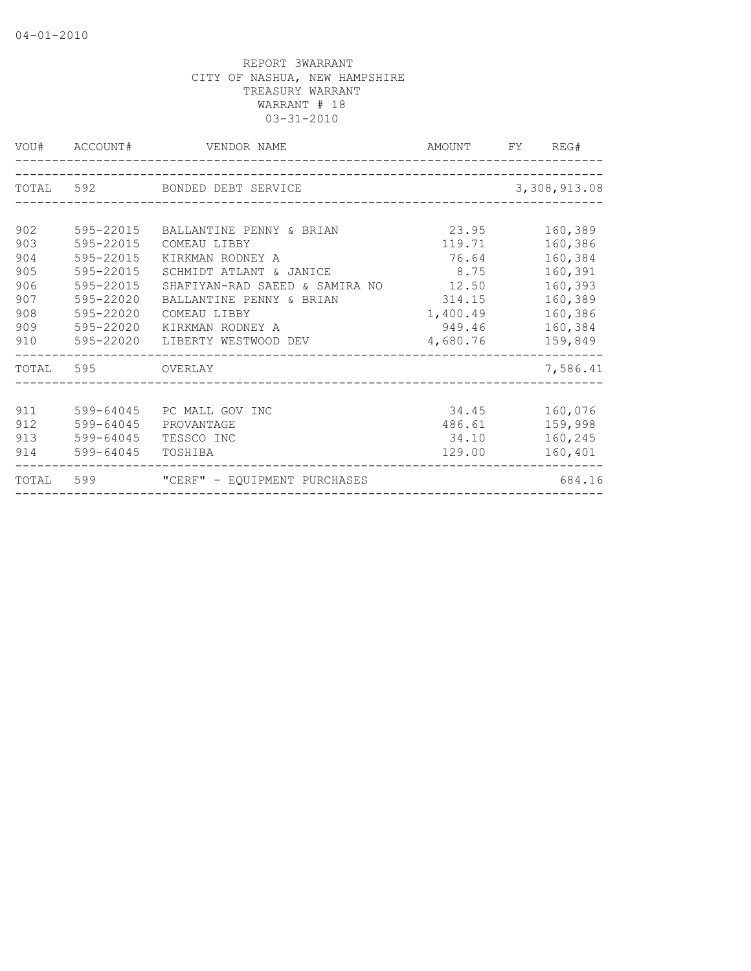|                                                             |                                                                                                                   | VOU# ACCOUNT# VENDOR NAME                                                                                                                                                                                         | AMOUNT FY REG#                                                                        |                                                                                                 |
|-------------------------------------------------------------|-------------------------------------------------------------------------------------------------------------------|-------------------------------------------------------------------------------------------------------------------------------------------------------------------------------------------------------------------|---------------------------------------------------------------------------------------|-------------------------------------------------------------------------------------------------|
|                                                             |                                                                                                                   | TOTAL 592 BONDED DEBT SERVICE                                                                                                                                                                                     |                                                                                       | 3,308,913.08                                                                                    |
| 902<br>903<br>904<br>905<br>906<br>907<br>908<br>909<br>910 | 595-22015<br>595-22015<br>595-22015<br>595-22015<br>595-22015<br>595-22020<br>595-22020<br>595-22020<br>595-22020 | BALLANTINE PENNY & BRIAN<br>COMEAU LIBBY<br>KIRKMAN RODNEY A<br>SCHMIDT ATLANT & JANICE<br>SHAFIYAN-RAD SAEED & SAMIRA NO<br>BALLANTINE PENNY & BRIAN<br>COMEAU LIBBY<br>KIRKMAN RODNEY A<br>LIBERTY WESTWOOD DEV | 23.95<br>119.71<br>76.64<br>8.75<br>12.50<br>314.15<br>1,400.49<br>949.46<br>4,680.76 | 160,389<br>160,386<br>160,384<br>160,391<br>160,393<br>160,389<br>160,386<br>160,384<br>159,849 |
|                                                             | TOTAL 595 OVERLAY                                                                                                 |                                                                                                                                                                                                                   |                                                                                       | 7,586.41                                                                                        |
| 911<br>912<br>913                                           | 599-64045<br>599-64045<br>599-64045<br>914 599-64045                                                              | PC MALL GOV INC<br>PROVANTAGE<br>TESSCO INC<br>TOSHIBA                                                                                                                                                            | 34.45<br>486.61<br>34.10<br>129.00                                                    | 160,076<br>159,998<br>160,245<br>160,401                                                        |
|                                                             |                                                                                                                   | TOTAL 599 "CERF" - EQUIPMENT PURCHASES                                                                                                                                                                            |                                                                                       | 684.16                                                                                          |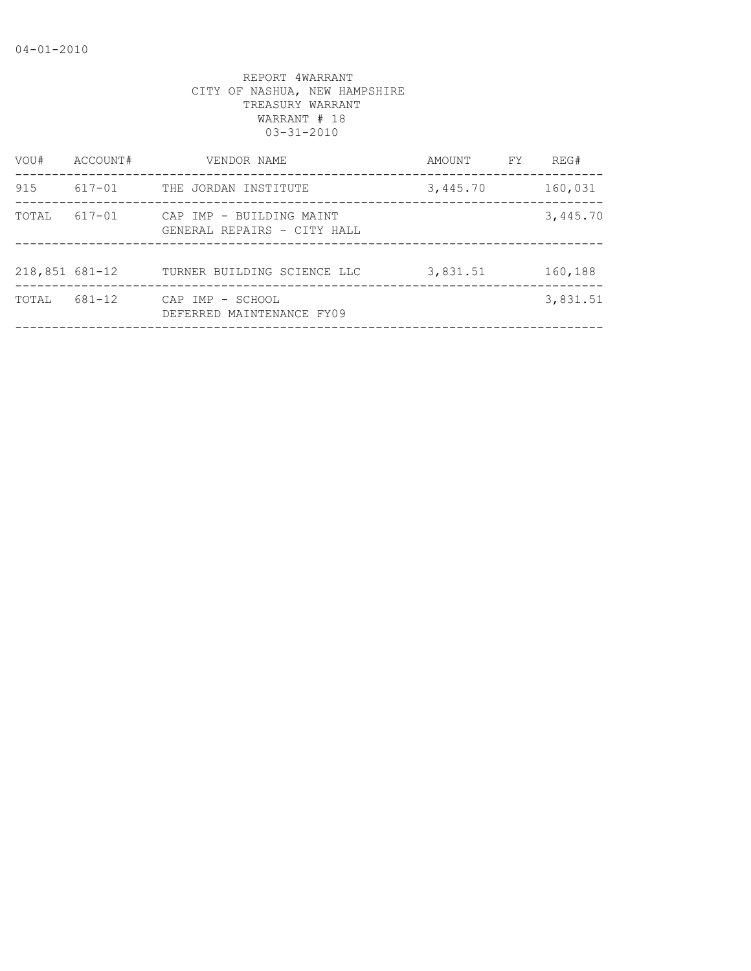| VOU#             | ACCOUNT# | VENDOR NAME                                             | AMOUNT   | FY. | REG#     |
|------------------|----------|---------------------------------------------------------|----------|-----|----------|
| 915              | 617-01   | THE JORDAN INSTITUTE                                    | 3,445.70 |     | 160,031  |
| TOTAL            | 617-01   | CAP IMP - BUILDING MAINT<br>GENERAL REPAIRS - CITY HALL |          |     | 3,445.70 |
| $218,851$ 681-12 |          | TURNER BUILDING SCIENCE LLC                             | 3,831.51 |     | 160,188  |
| TOTAL            | 681-12   | CAP IMP - SCHOOL<br>DEFERRED MAINTENANCE FY09           |          |     | 3,831.51 |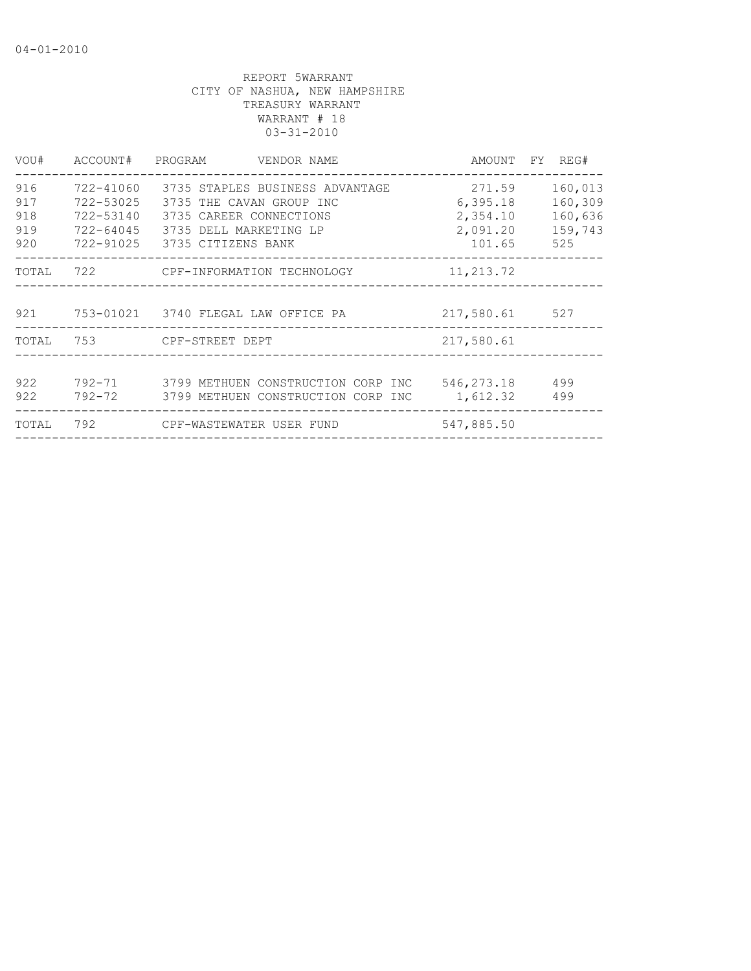| VOU#                            |                                                  | ACCOUNT# PROGRAM VENDOR NAME                                                                                   |                                            | AMOUNT FY REG#                                  |
|---------------------------------|--------------------------------------------------|----------------------------------------------------------------------------------------------------------------|--------------------------------------------|-------------------------------------------------|
| 916<br>917<br>918<br>919<br>920 | 722-41060<br>722-53025<br>722-53140<br>722-64045 | 3735 THE CAVAN GROUP INC<br>3735 CAREER CONNECTIONS<br>3735 DELL MARKETING LP<br>722-91025 3735 CITIZENS BANK  | 6,395.18<br>2,354.10<br>2,091.20<br>101.65 | 160,013<br>160,309<br>160,636<br>159,743<br>525 |
| TOTAL                           |                                                  |                                                                                                                |                                            |                                                 |
|                                 |                                                  | 921 753-01021 3740 FLEGAL LAW OFFICE PA                                                                        | 217,580.61 527                             |                                                 |
| TOTAL                           |                                                  | 753 CPF-STREET DEPT                                                                                            | 217,580.61                                 |                                                 |
| 922<br>922                      |                                                  | 792-71 3799 METHUEN CONSTRUCTION CORP INC<br>792-72         3799 METHUEN CONSTRUCTION CORP INC        1,612.32 | 546, 273. 18 499                           | 499                                             |
| TOTAL                           |                                                  |                                                                                                                | 547,885.50                                 |                                                 |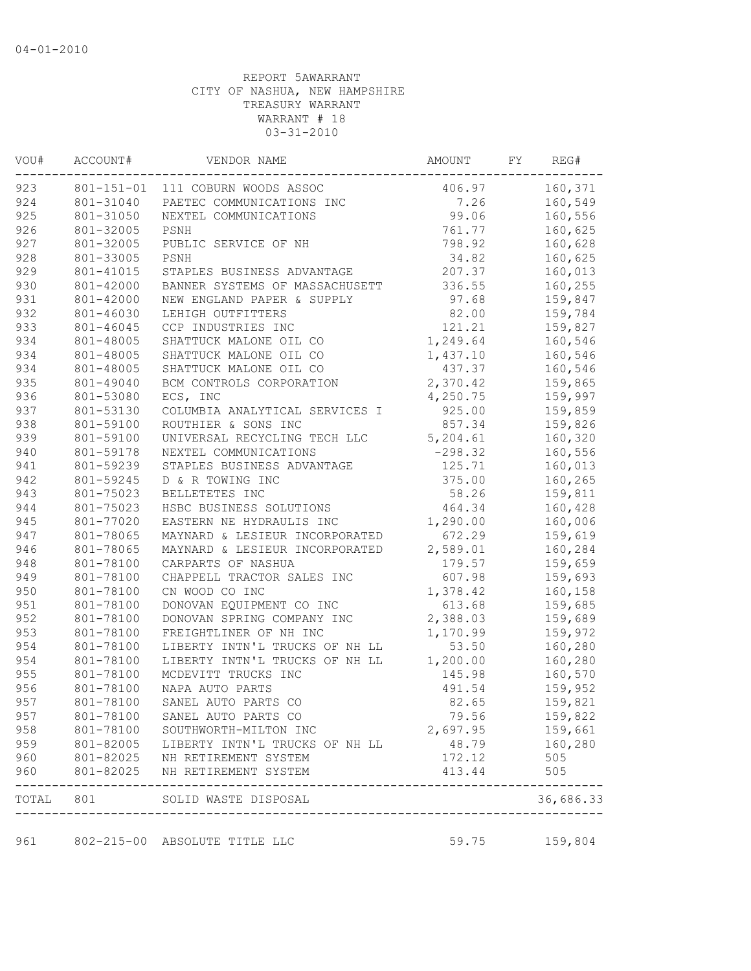| VOU# | ACCOUNT#  | VENDOR NAME                                                             | AMOUNT    | FY | REG#      |
|------|-----------|-------------------------------------------------------------------------|-----------|----|-----------|
| 923  |           | 801-151-01 111 COBURN WOODS ASSOC                                       | 406.97    |    | 160,371   |
| 924  | 801-31040 | PAETEC COMMUNICATIONS INC                                               | 7.26      |    | 160,549   |
| 925  | 801-31050 | NEXTEL COMMUNICATIONS                                                   | 99.06     |    | 160,556   |
| 926  | 801-32005 | PSNH                                                                    | 761.77    |    | 160,625   |
| 927  | 801-32005 | PUBLIC SERVICE OF NH                                                    | 798.92    |    | 160,628   |
| 928  | 801-33005 | PSNH                                                                    | 34.82     |    | 160,625   |
| 929  | 801-41015 | STAPLES BUSINESS ADVANTAGE                                              | 207.37    |    | 160,013   |
| 930  | 801-42000 | BANNER SYSTEMS OF MASSACHUSETT                                          | 336.55    |    | 160,255   |
| 931  | 801-42000 | NEW ENGLAND PAPER & SUPPLY                                              | 97.68     |    | 159,847   |
| 932  | 801-46030 | LEHIGH OUTFITTERS                                                       | 82.00     |    | 159,784   |
| 933  | 801-46045 | CCP INDUSTRIES INC                                                      | 121.21    |    | 159,827   |
| 934  | 801-48005 | SHATTUCK MALONE OIL CO                                                  | 1,249.64  |    | 160,546   |
| 934  | 801-48005 | SHATTUCK MALONE OIL CO                                                  | 1,437.10  |    | 160,546   |
| 934  | 801-48005 | SHATTUCK MALONE OIL CO                                                  | 437.37    |    | 160,546   |
| 935  | 801-49040 | BCM CONTROLS CORPORATION                                                | 2,370.42  |    | 159,865   |
| 936  | 801-53080 | ECS, INC                                                                | 4,250.75  |    | 159,997   |
| 937  | 801-53130 | COLUMBIA ANALYTICAL SERVICES I                                          | 925.00    |    | 159,859   |
| 938  | 801-59100 | ROUTHIER & SONS INC                                                     | 857.34    |    | 159,826   |
| 939  | 801-59100 | UNIVERSAL RECYCLING TECH LLC                                            | 5, 204.61 |    | 160,320   |
| 940  | 801-59178 | NEXTEL COMMUNICATIONS                                                   | $-298.32$ |    | 160,556   |
| 941  | 801-59239 | STAPLES BUSINESS ADVANTAGE                                              | 125.71    |    | 160,013   |
| 942  | 801-59245 | D & R TOWING INC                                                        | 375.00    |    | 160,265   |
| 943  | 801-75023 | BELLETETES INC                                                          | 58.26     |    | 159,811   |
| 944  | 801-75023 | HSBC BUSINESS SOLUTIONS                                                 | 464.34    |    | 160,428   |
| 945  | 801-77020 | EASTERN NE HYDRAULIS INC                                                | 1,290.00  |    | 160,006   |
| 947  | 801-78065 | MAYNARD & LESIEUR INCORPORATED                                          | 672.29    |    | 159,619   |
| 946  | 801-78065 | MAYNARD & LESIEUR INCORPORATED                                          | 2,589.01  |    | 160,284   |
| 948  | 801-78100 | CARPARTS OF NASHUA                                                      | 179.57    |    | 159,659   |
| 949  | 801-78100 | CHAPPELL TRACTOR SALES INC                                              | 607.98    |    | 159,693   |
| 950  | 801-78100 | CN WOOD CO INC                                                          | 1,378.42  |    | 160,158   |
| 951  | 801-78100 | DONOVAN EQUIPMENT CO INC                                                | 613.68    |    | 159,685   |
| 952  | 801-78100 | DONOVAN SPRING COMPANY INC                                              | 2,388.03  |    | 159,689   |
| 953  | 801-78100 | FREIGHTLINER OF NH INC                                                  | 1,170.99  |    | 159,972   |
| 954  | 801-78100 | LIBERTY INTN'L TRUCKS OF NH LL                                          | 53.50     |    | 160,280   |
| 954  | 801-78100 | LIBERTY INTN'L TRUCKS OF NH LL                                          | 1,200.00  |    | 160,280   |
| 955  | 801-78100 | MCDEVITT TRUCKS INC                                                     | 145.98    |    | 160,570   |
| 956  | 801-78100 | NAPA AUTO PARTS                                                         | 491.54    |    | 159,952   |
| 957  | 801-78100 | SANEL AUTO PARTS CO                                                     | 82.65     |    | 159,821   |
| 957  | 801-78100 | SANEL AUTO PARTS CO                                                     | 79.56     |    | 159,822   |
| 958  | 801-78100 | SOUTHWORTH-MILTON INC                                                   | 2,697.95  |    | 159,661   |
| 959  | 801-82005 | LIBERTY INTN'L TRUCKS OF NH LL                                          | 48.79     |    | 160,280   |
| 960  |           | 801-82025 NH RETIREMENT SYSTEM                                          | 172.12    |    | 505       |
| 960  | 801-82025 | NH RETIREMENT SYSTEM                                                    | 413.44    |    | 505       |
|      |           | TOTAL 801 SOLID WASTE DISPOSAL<br>------------------------------------- |           |    | 36,686.33 |
| 961  |           | 802-215-00 ABSOLUTE TITLE LLC                                           | 59.75     |    | 159,804   |
|      |           |                                                                         |           |    |           |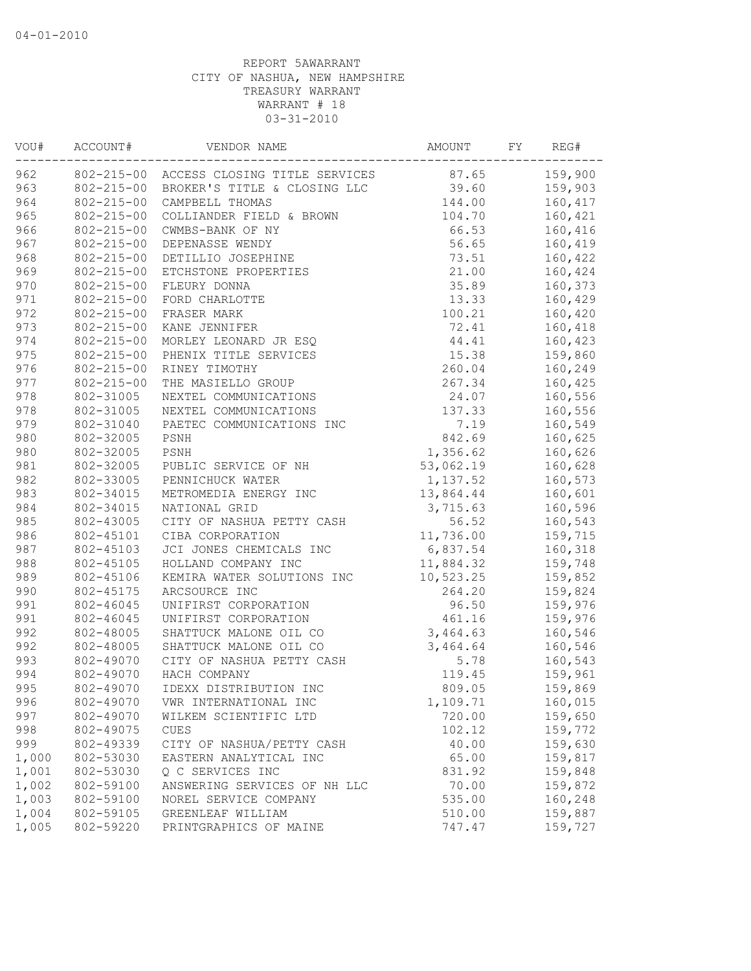| VOU#  | ACCOUNT#         | VENDOR NAME                              | AMOUNT    | FΥ | REG#    |
|-------|------------------|------------------------------------------|-----------|----|---------|
| 962   |                  | 802-215-00 ACCESS CLOSING TITLE SERVICES | 87.65     |    | 159,900 |
| 963   | $802 - 215 - 00$ | BROKER'S TITLE & CLOSING LLC             | 39.60     |    | 159,903 |
| 964   | $802 - 215 - 00$ | CAMPBELL THOMAS                          | 144.00    |    | 160,417 |
| 965   | $802 - 215 - 00$ | COLLIANDER FIELD & BROWN                 | 104.70    |    | 160,421 |
| 966   | $802 - 215 - 00$ | CWMBS-BANK OF NY                         | 66.53     |    | 160,416 |
| 967   | $802 - 215 - 00$ | DEPENASSE WENDY                          | 56.65     |    | 160,419 |
| 968   | $802 - 215 - 00$ | DETILLIO JOSEPHINE                       | 73.51     |    | 160,422 |
| 969   | $802 - 215 - 00$ | ETCHSTONE PROPERTIES                     | 21.00     |    | 160,424 |
| 970   | $802 - 215 - 00$ | FLEURY DONNA                             | 35.89     |    | 160,373 |
| 971   | $802 - 215 - 00$ | FORD CHARLOTTE                           | 13.33     |    | 160,429 |
| 972   | $802 - 215 - 00$ | FRASER MARK                              | 100.21    |    | 160,420 |
| 973   | $802 - 215 - 00$ | KANE JENNIFER                            | 72.41     |    | 160,418 |
| 974   | $802 - 215 - 00$ | MORLEY LEONARD JR ESQ                    | 44.41     |    | 160,423 |
| 975   | $802 - 215 - 00$ | PHENIX TITLE SERVICES                    | 15.38     |    | 159,860 |
| 976   | $802 - 215 - 00$ | RINEY TIMOTHY                            | 260.04    |    | 160,249 |
| 977   | $802 - 215 - 00$ | THE MASIELLO GROUP                       | 267.34    |    | 160,425 |
| 978   | 802-31005        | NEXTEL COMMUNICATIONS                    | 24.07     |    | 160,556 |
| 978   | 802-31005        | NEXTEL COMMUNICATIONS                    | 137.33    |    | 160,556 |
| 979   | 802-31040        | PAETEC COMMUNICATIONS INC                | 7.19      |    | 160,549 |
| 980   | 802-32005        | PSNH                                     | 842.69    |    | 160,625 |
| 980   | 802-32005        | PSNH                                     | 1,356.62  |    | 160,626 |
| 981   | 802-32005        | PUBLIC SERVICE OF NH                     | 53,062.19 |    | 160,628 |
| 982   | 802-33005        | PENNICHUCK WATER                         | 1,137.52  |    | 160,573 |
| 983   | 802-34015        | METROMEDIA ENERGY INC                    | 13,864.44 |    | 160,601 |
| 984   | 802-34015        | NATIONAL GRID                            | 3,715.63  |    | 160,596 |
| 985   | 802-43005        | CITY OF NASHUA PETTY CASH                | 56.52     |    | 160,543 |
| 986   | 802-45101        | CIBA CORPORATION                         | 11,736.00 |    | 159,715 |
| 987   | 802-45103        | JCI JONES CHEMICALS INC                  | 6,837.54  |    | 160,318 |
| 988   | 802-45105        | HOLLAND COMPANY INC                      | 11,884.32 |    | 159,748 |
| 989   | 802-45106        | KEMIRA WATER SOLUTIONS INC               | 10,523.25 |    | 159,852 |
| 990   | 802-45175        | ARCSOURCE INC                            | 264.20    |    | 159,824 |
| 991   | 802-46045        | UNIFIRST CORPORATION                     | 96.50     |    | 159,976 |
| 991   | 802-46045        | UNIFIRST CORPORATION                     | 461.16    |    | 159,976 |
| 992   | 802-48005        | SHATTUCK MALONE OIL CO                   | 3,464.63  |    | 160,546 |
| 992   | 802-48005        | SHATTUCK MALONE OIL CO                   | 3,464.64  |    | 160,546 |
| 993   | 802-49070        | CITY OF NASHUA PETTY CASH                | 5.78      |    | 160,543 |
| 994   | 802-49070        | HACH COMPANY                             | 119.45    |    | 159,961 |
| 995   | 802-49070        | IDEXX DISTRIBUTION INC                   | 809.05    |    | 159,869 |
| 996   | 802-49070        | VWR INTERNATIONAL INC                    | 1,109.71  |    | 160,015 |
| 997   | 802-49070        | WILKEM SCIENTIFIC LTD                    | 720.00    |    | 159,650 |
| 998   | 802-49075        | <b>CUES</b>                              | 102.12    |    | 159,772 |
| 999   | 802-49339        | CITY OF NASHUA/PETTY CASH                | 40.00     |    | 159,630 |
| 1,000 | 802-53030        | EASTERN ANALYTICAL INC                   | 65.00     |    | 159,817 |
| 1,001 | 802-53030        | Q C SERVICES INC                         | 831.92    |    | 159,848 |
| 1,002 | 802-59100        | ANSWERING SERVICES OF NH LLC             | 70.00     |    | 159,872 |
| 1,003 | 802-59100        | NOREL SERVICE COMPANY                    | 535.00    |    | 160,248 |
| 1,004 | 802-59105        | GREENLEAF WILLIAM                        | 510.00    |    | 159,887 |
| 1,005 | 802-59220        | PRINTGRAPHICS OF MAINE                   | 747.47    |    | 159,727 |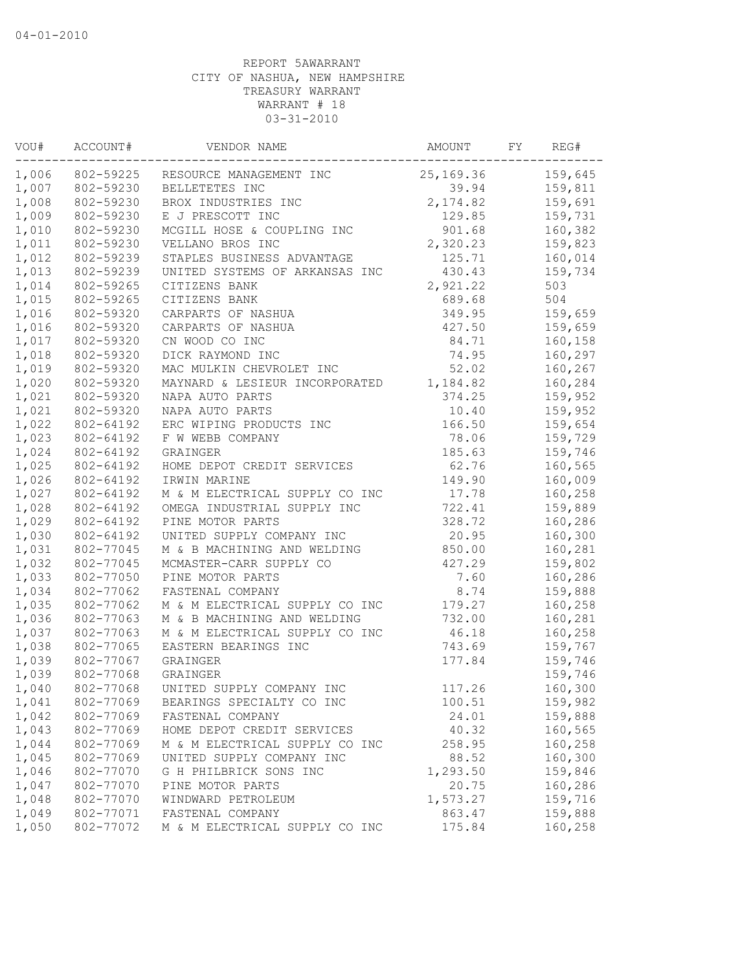| 1,006<br>802-59225<br>25,169.36<br>RESOURCE MANAGEMENT INC<br>802-59230<br>BELLETETES INC<br>39.94 | 159,645 |
|----------------------------------------------------------------------------------------------------|---------|
| 1,007                                                                                              |         |
|                                                                                                    | 159,811 |
| 1,008<br>802-59230<br>2,174.82<br>BROX INDUSTRIES INC                                              | 159,691 |
| 1,009<br>802-59230<br>E J PRESCOTT INC<br>129.85                                                   | 159,731 |
| 1,010<br>901.68<br>802-59230<br>MCGILL HOSE & COUPLING INC                                         | 160,382 |
| 2,320.23<br>1,011<br>802-59230<br>VELLANO BROS INC                                                 | 159,823 |
| 125.71<br>1,012<br>802-59239<br>STAPLES BUSINESS ADVANTAGE                                         | 160,014 |
| 1,013<br>802-59239<br>UNITED SYSTEMS OF ARKANSAS INC<br>430.43                                     | 159,734 |
| 1,014<br>802-59265<br>CITIZENS BANK<br>2,921.22                                                    | 503     |
| 1,015<br>802-59265<br>689.68<br>CITIZENS BANK                                                      | 504     |
| 1,016<br>802-59320<br>CARPARTS OF NASHUA<br>349.95                                                 | 159,659 |
| CARPARTS OF NASHUA<br>1,016<br>802-59320<br>427.50                                                 | 159,659 |
| CN WOOD CO INC<br>84.71<br>1,017<br>802-59320                                                      | 160,158 |
| DICK RAYMOND INC<br>1,018<br>802-59320<br>74.95                                                    | 160,297 |
| 1,019<br>802-59320<br>MAC MULKIN CHEVROLET INC<br>52.02                                            | 160,267 |
| 1,020<br>802-59320<br>MAYNARD & LESIEUR INCORPORATED<br>1,184.82                                   | 160,284 |
| 1,021<br>NAPA AUTO PARTS<br>374.25<br>802-59320                                                    | 159,952 |
| 1,021<br>802-59320<br>NAPA AUTO PARTS<br>10.40                                                     | 159,952 |
| 1,022<br>ERC WIPING PRODUCTS INC<br>166.50<br>802-64192                                            | 159,654 |
| 1,023<br>F W WEBB COMPANY<br>78.06<br>802-64192                                                    | 159,729 |
| 185.63<br>1,024<br>802-64192<br>GRAINGER                                                           | 159,746 |
| 1,025<br>802-64192<br>HOME DEPOT CREDIT SERVICES<br>62.76                                          | 160,565 |
| 1,026<br>149.90<br>802-64192<br>IRWIN MARINE                                                       | 160,009 |
| 1,027<br>17.78<br>802-64192<br>M & M ELECTRICAL SUPPLY CO INC                                      | 160,258 |
| 1,028<br>802-64192<br>722.41<br>OMEGA INDUSTRIAL SUPPLY INC                                        | 159,889 |
| 1,029<br>328.72<br>802-64192<br>PINE MOTOR PARTS                                                   | 160,286 |
| 1,030<br>20.95<br>802-64192<br>UNITED SUPPLY COMPANY INC                                           | 160,300 |
| 1,031<br>850.00<br>802-77045<br>M & B MACHINING AND WELDING                                        | 160,281 |
| 1,032<br>MCMASTER-CARR SUPPLY CO<br>427.29<br>802-77045                                            | 159,802 |
| 1,033<br>7.60<br>802-77050<br>PINE MOTOR PARTS                                                     | 160,286 |
| 1,034<br>8.74<br>802-77062<br>FASTENAL COMPANY                                                     | 159,888 |
| 1,035<br>179.27<br>802-77062<br>M & M ELECTRICAL SUPPLY CO INC                                     | 160,258 |
| 1,036<br>M & B MACHINING AND WELDING<br>732.00<br>802-77063                                        | 160,281 |
| 1,037<br>802-77063<br>M & M ELECTRICAL SUPPLY CO INC<br>46.18                                      | 160,258 |
| 1,038<br>802-77065<br>743.69<br>EASTERN BEARINGS INC                                               | 159,767 |
| 1,039<br>802-77067<br>GRAINGER<br>177.84                                                           | 159,746 |
| 1,039<br>802-77068<br>GRAINGER                                                                     | 159,746 |
| 1,040<br>802-77068<br>117.26<br>UNITED SUPPLY COMPANY INC                                          | 160,300 |
| 1,041<br>802-77069<br>BEARINGS SPECIALTY CO INC<br>100.51                                          | 159,982 |
| 1,042<br>802-77069<br>24.01<br>FASTENAL COMPANY                                                    | 159,888 |
| 1,043<br>802-77069<br>40.32<br>HOME DEPOT CREDIT SERVICES                                          | 160,565 |
| 1,044<br>802-77069<br>M & M ELECTRICAL SUPPLY CO INC<br>258.95                                     | 160,258 |
| 1,045<br>88.52<br>802-77069<br>UNITED SUPPLY COMPANY INC                                           | 160,300 |
| 1,046<br>802-77070<br>1,293.50<br>G H PHILBRICK SONS INC                                           | 159,846 |
| 1,047<br>802-77070<br>20.75<br>PINE MOTOR PARTS                                                    | 160,286 |
| 1,048<br>802-77070<br>WINDWARD PETROLEUM<br>1,573.27                                               | 159,716 |
| 1,049<br>802-77071<br>FASTENAL COMPANY<br>863.47                                                   | 159,888 |
| 1,050<br>802-77072<br>M & M ELECTRICAL SUPPLY CO INC<br>175.84                                     | 160,258 |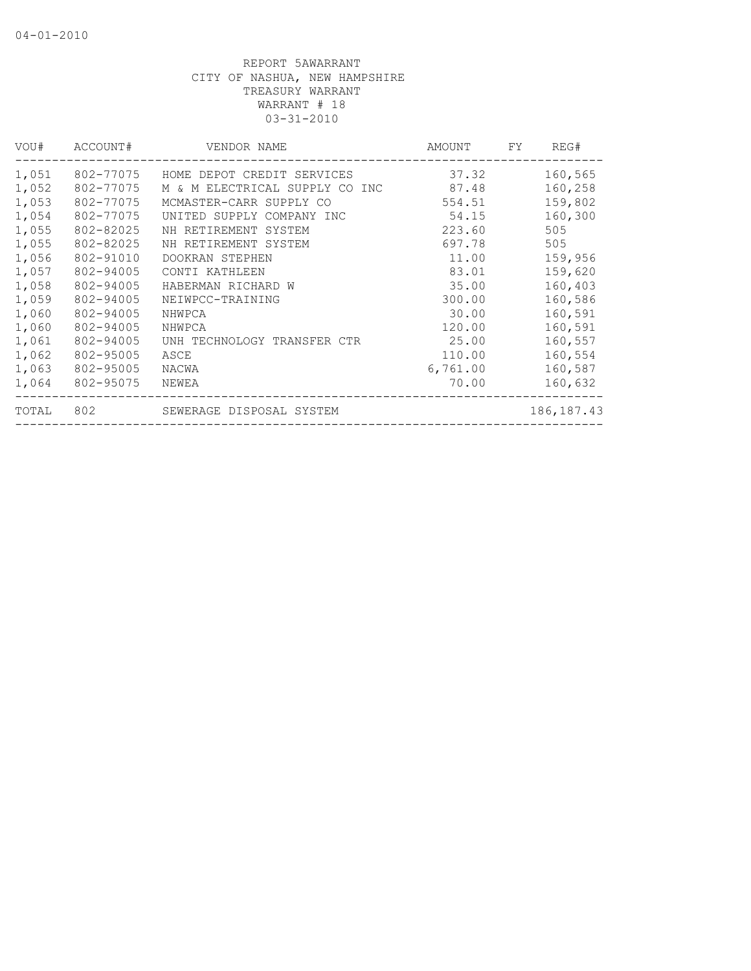| VOU#  | ACCOUNT#  | VENDOR NAME                    | AMOUNT   | FY. | REG#         |
|-------|-----------|--------------------------------|----------|-----|--------------|
| 1,051 | 802-77075 | HOME DEPOT CREDIT SERVICES     | 37.32    |     | 160,565      |
| 1,052 | 802-77075 | M & M ELECTRICAL SUPPLY CO INC | 87.48    |     | 160,258      |
| 1,053 | 802-77075 | MCMASTER-CARR SUPPLY CO        | 554.51   |     | 159,802      |
| 1,054 | 802-77075 | UNITED SUPPLY COMPANY INC      | 54.15    |     | 160,300      |
| 1,055 | 802-82025 | NH RETIREMENT SYSTEM           | 223.60   |     | 505          |
| 1,055 | 802-82025 | NH RETIREMENT SYSTEM           | 697.78   |     | 505          |
| 1,056 | 802-91010 | DOOKRAN STEPHEN                | 11.00    |     | 159,956      |
| 1,057 | 802-94005 | CONTI KATHLEEN                 | 83.01    |     | 159,620      |
| 1,058 | 802-94005 | HABERMAN RICHARD W             | 35.00    |     | 160,403      |
| 1,059 | 802-94005 | NEIWPCC-TRAINING               | 300.00   |     | 160,586      |
| 1,060 | 802-94005 | NHWPCA                         | 30.00    |     | 160,591      |
| 1,060 | 802-94005 | NHWPCA                         | 120.00   |     | 160,591      |
| 1,061 | 802-94005 | UNH TECHNOLOGY TRANSFER CTR    | 25.00    |     | 160,557      |
| 1,062 | 802-95005 | ASCE                           | 110.00   |     | 160,554      |
| 1,063 | 802-95005 | NACWA                          | 6,761.00 |     | 160,587      |
| 1,064 | 802-95075 | NEWEA                          | 70.00    |     | 160,632      |
| TOTAL | 802       | SEWERAGE DISPOSAL SYSTEM       |          |     | 186, 187. 43 |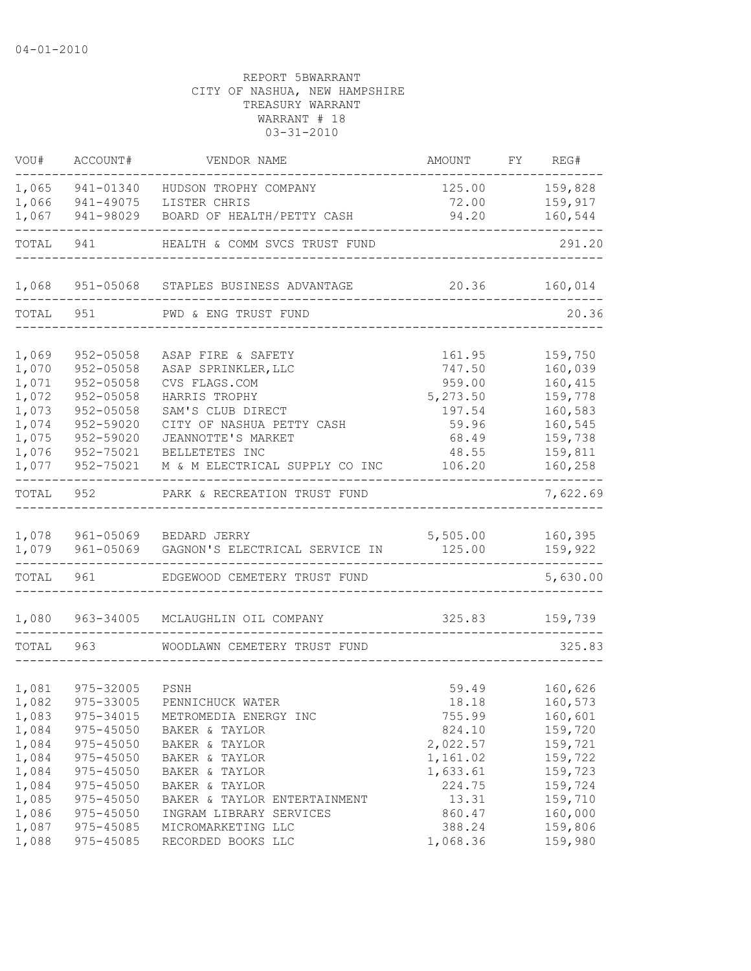| VOU#           | ACCOUNT#                       | VENDOR NAME                                              | AMOUNT             | FY | REG#               |
|----------------|--------------------------------|----------------------------------------------------------|--------------------|----|--------------------|
| 1,065          | 941-01340                      | HUDSON TROPHY COMPANY                                    | 125.00             |    | 159,828            |
| 1,066          | 941-49075                      | LISTER CHRIS                                             | 72.00              |    | 159,917            |
| 1,067          | 941-98029                      | BOARD OF HEALTH/PETTY CASH                               | 94.20              |    | 160,544            |
| TOTAL          | 941                            | HEALTH & COMM SVCS TRUST FUND                            |                    |    | 291.20             |
| 1,068          |                                | 951-05068 STAPLES BUSINESS ADVANTAGE                     | 20.36              |    | 160,014            |
| TOTAL          | 951                            | PWD & ENG TRUST FUND                                     |                    |    | 20.36              |
|                |                                |                                                          |                    |    |                    |
| 1,069          | 952-05058                      | ASAP FIRE & SAFETY                                       | 161.95             |    | 159,750            |
| 1,070          | $952 - 05058$                  | ASAP SPRINKLER, LLC                                      | 747.50             |    | 160,039            |
| 1,071<br>1,072 | $952 - 05058$<br>$952 - 05058$ | CVS FLAGS.COM<br>HARRIS TROPHY                           | 959.00             |    | 160,415<br>159,778 |
| 1,073          | $952 - 05058$                  | SAM'S CLUB DIRECT                                        | 5,273.50<br>197.54 |    | 160,583            |
| 1,074          | 952-59020                      | CITY OF NASHUA PETTY CASH                                | 59.96              |    | 160,545            |
| 1,075          | 952-59020                      | JEANNOTTE'S MARKET                                       | 68.49              |    | 159,738            |
| 1,076          | 952-75021                      | BELLETETES INC                                           | 48.55              |    | 159,811            |
| 1,077          | 952-75021                      | M & M ELECTRICAL SUPPLY CO INC                           | 106.20             |    | 160,258            |
| TOTAL          | 952                            | PARK & RECREATION TRUST FUND                             |                    |    | 7,622.69           |
|                |                                |                                                          |                    |    |                    |
| 1,078<br>1,079 | 961-05069                      | 961-05069 BEDARD JERRY<br>GAGNON'S ELECTRICAL SERVICE IN | 5,505.00<br>125.00 |    | 160,395<br>159,922 |
| TOTAL          | 961                            | EDGEWOOD CEMETERY TRUST FUND                             |                    |    | 5,630.00           |
| 1,080          | 963-34005                      | MCLAUGHLIN OIL COMPANY                                   | 325.83             |    | 159,739            |
| TOTAL          | 963                            | WOODLAWN CEMETERY TRUST FUND                             |                    |    | 325.83             |
|                |                                |                                                          |                    |    |                    |
| 1,081          | 975-32005                      | PSNH                                                     | 59.49              |    | 160,626            |
| 1,082          | 975-33005                      | PENNICHUCK WATER                                         | 18.18              |    | 160,573            |
| 1,083          | 975-34015                      | METROMEDIA ENERGY INC                                    | 755.99             |    | 160,601            |
| 1,084          | 975-45050                      | BAKER & TAYLOR                                           | 824.10             |    | 159,720            |
| 1,084          | 975-45050                      | BAKER & TAYLOR                                           | 2,022.57           |    | 159,721            |
| 1,084          | 975-45050                      | BAKER & TAYLOR                                           | 1,161.02           |    | 159,722            |
| 1,084          | $975 - 45050$                  | BAKER & TAYLOR                                           | 1,633.61           |    | 159,723            |
| 1,084          | 975-45050                      | BAKER & TAYLOR                                           | 224.75             |    | 159,724            |
| 1,085          | $975 - 45050$                  | BAKER & TAYLOR ENTERTAINMENT                             | 13.31              |    | 159,710            |
| 1,086          | $975 - 45050$                  | INGRAM LIBRARY SERVICES                                  | 860.47             |    | 160,000            |
| 1,087          | 975-45085                      | MICROMARKETING LLC                                       | 388.24             |    | 159,806            |
| 1,088          | 975-45085                      | RECORDED BOOKS LLC                                       | 1,068.36           |    | 159,980            |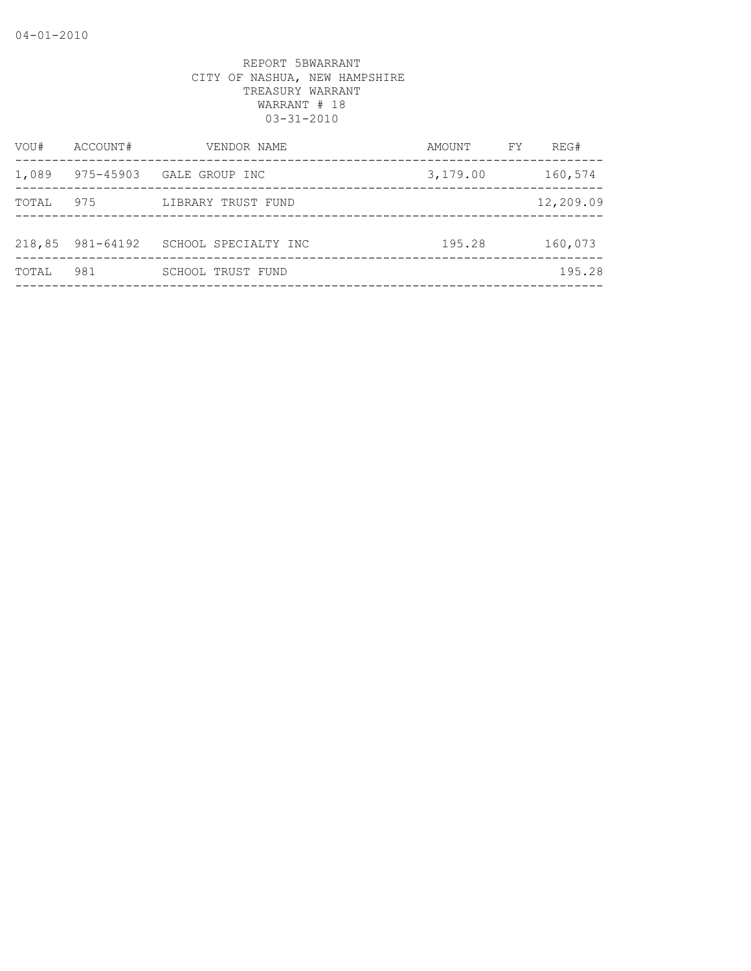| VOU#   | ACCOUNT#  | VENDOR NAME          | AMOUNT   | FY | REG#      |
|--------|-----------|----------------------|----------|----|-----------|
| 1,089  | 975-45903 | GALE GROUP INC       | 3,179.00 |    | 160,574   |
| TOTAL  | 975       | LIBRARY TRUST FUND   |          |    | 12,209.09 |
|        |           |                      |          |    |           |
| 218,85 | 981-64192 | SCHOOL SPECIALTY INC | 195.28   |    | 160,073   |
| TOTAL  | 981       | SCHOOL TRUST FUND    |          |    | 195.28    |
|        |           |                      |          |    |           |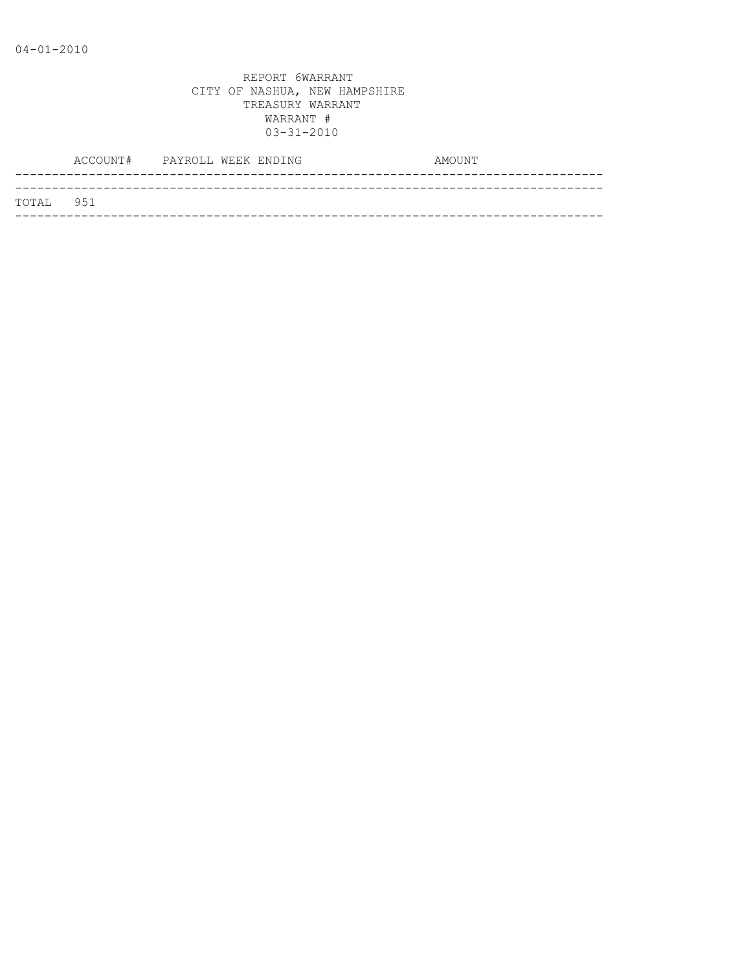|           | ACCOUNT# PAYROLL WEEK ENDING |  |  | AMOUNT |
|-----------|------------------------------|--|--|--------|
|           |                              |  |  |        |
| TOTAL 951 |                              |  |  |        |
|           |                              |  |  |        |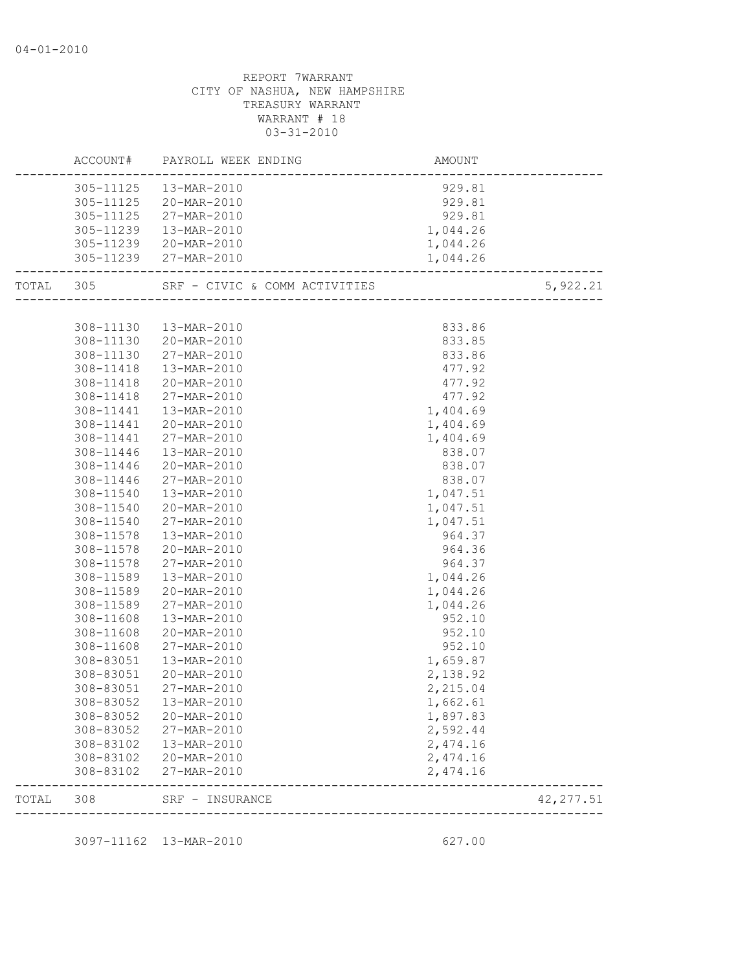|           |           | ACCOUNT# PAYROLL WEEK ENDING | AMOUNT   |            |
|-----------|-----------|------------------------------|----------|------------|
|           |           | 305-11125  13-MAR-2010       | 929.81   |            |
|           |           | 305-11125 20-MAR-2010        | 929.81   |            |
|           |           | 305-11125 27-MAR-2010        | 929.81   |            |
|           |           | 305-11239  13-MAR-2010       | 1,044.26 |            |
|           |           | 305-11239 20-MAR-2010        | 1,044.26 |            |
|           |           | 305-11239 27-MAR-2010        | 1,044.26 |            |
| TOTAL 305 |           |                              |          | 5,922.21   |
|           |           |                              |          |            |
|           |           | 308-11130  13-MAR-2010       | 833.86   |            |
|           |           | 308-11130 20-MAR-2010        | 833.85   |            |
|           | 308-11130 | 27-MAR-2010                  | 833.86   |            |
|           | 308-11418 | 13-MAR-2010                  | 477.92   |            |
|           | 308-11418 | 20-MAR-2010                  | 477.92   |            |
|           | 308-11418 | 27-MAR-2010                  | 477.92   |            |
|           | 308-11441 | 13-MAR-2010                  | 1,404.69 |            |
|           | 308-11441 | 20-MAR-2010                  | 1,404.69 |            |
|           | 308-11441 | 27-MAR-2010                  | 1,404.69 |            |
|           | 308-11446 | 13-MAR-2010                  | 838.07   |            |
|           | 308-11446 | 20-MAR-2010                  | 838.07   |            |
|           | 308-11446 | 27-MAR-2010                  | 838.07   |            |
|           | 308-11540 | 13-MAR-2010                  | 1,047.51 |            |
|           | 308-11540 | 20-MAR-2010                  | 1,047.51 |            |
|           | 308-11540 | 27-MAR-2010                  | 1,047.51 |            |
|           | 308-11578 | 13-MAR-2010                  | 964.37   |            |
|           | 308-11578 | 20-MAR-2010                  | 964.36   |            |
|           | 308-11578 | 27-MAR-2010                  | 964.37   |            |
|           | 308-11589 | 13-MAR-2010                  | 1,044.26 |            |
|           | 308-11589 | 20-MAR-2010                  | 1,044.26 |            |
|           | 308-11589 | 27-MAR-2010                  | 1,044.26 |            |
|           | 308-11608 | 13-MAR-2010                  | 952.10   |            |
|           | 308-11608 | 20-MAR-2010                  | 952.10   |            |
|           | 308-11608 | 27-MAR-2010                  | 952.10   |            |
|           | 308-83051 | 13-MAR-2010                  | 1,659.87 |            |
|           | 308-83051 | 20-MAR-2010                  | 2,138.92 |            |
|           | 308-83051 | 27-MAR-2010                  | 2,215.04 |            |
|           |           | 308-83052  13-MAR-2010       | 1,662.61 |            |
|           | 308-83052 | 20-MAR-2010                  | 1,897.83 |            |
|           | 308-83052 | 27-MAR-2010                  | 2,592.44 |            |
|           | 308-83102 | 13-MAR-2010                  | 2,474.16 |            |
|           | 308-83102 | 20-MAR-2010                  | 2,474.16 |            |
|           | 308-83102 | 27-MAR-2010                  | 2,474.16 |            |
| TOTAL     | 308       | SRF - INSURANCE              |          | 42, 277.51 |

3097-11162 13-MAR-2010 627.00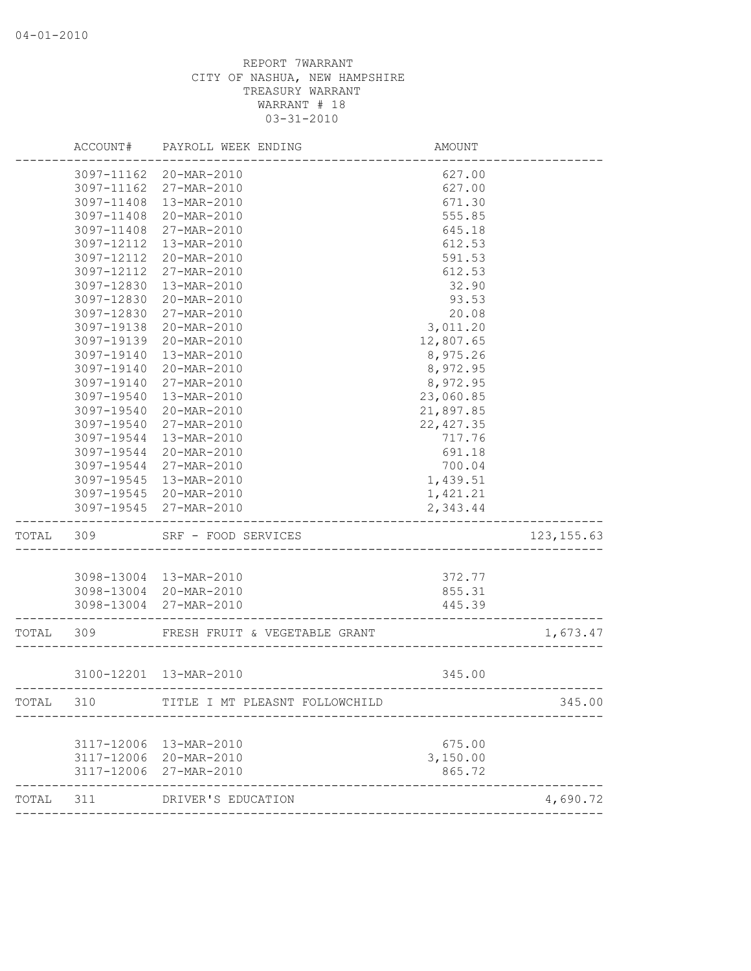|           | ACCOUNT#   | PAYROLL WEEK ENDING            | AMOUNT     |             |
|-----------|------------|--------------------------------|------------|-------------|
|           | 3097-11162 | 20-MAR-2010                    | 627.00     |             |
|           | 3097-11162 | 27-MAR-2010                    | 627.00     |             |
|           | 3097-11408 | 13-MAR-2010                    | 671.30     |             |
|           | 3097-11408 | 20-MAR-2010                    | 555.85     |             |
|           | 3097-11408 | 27-MAR-2010                    | 645.18     |             |
|           | 3097-12112 | 13-MAR-2010                    | 612.53     |             |
|           | 3097-12112 | 20-MAR-2010                    | 591.53     |             |
|           | 3097-12112 | 27-MAR-2010                    | 612.53     |             |
|           | 3097-12830 | 13-MAR-2010                    | 32.90      |             |
|           | 3097-12830 | 20-MAR-2010                    | 93.53      |             |
|           | 3097-12830 | 27-MAR-2010                    | 20.08      |             |
|           | 3097-19138 | 20-MAR-2010                    | 3,011.20   |             |
|           | 3097-19139 | 20-MAR-2010                    | 12,807.65  |             |
|           | 3097-19140 | 13-MAR-2010                    | 8,975.26   |             |
|           | 3097-19140 | 20-MAR-2010                    | 8,972.95   |             |
|           | 3097-19140 | 27-MAR-2010                    | 8,972.95   |             |
|           | 3097-19540 | 13-MAR-2010                    | 23,060.85  |             |
|           | 3097-19540 | 20-MAR-2010                    | 21,897.85  |             |
|           | 3097-19540 | 27-MAR-2010                    | 22, 427.35 |             |
|           | 3097-19544 | 13-MAR-2010                    | 717.76     |             |
|           | 3097-19544 | 20-MAR-2010                    | 691.18     |             |
|           | 3097-19544 | 27-MAR-2010                    | 700.04     |             |
|           | 3097-19545 | 13-MAR-2010                    | 1,439.51   |             |
|           | 3097-19545 | 20-MAR-2010                    | 1,421.21   |             |
|           | 3097-19545 | 27-MAR-2010                    | 2,343.44   |             |
| TOTAL     | 309        | SRF - FOOD SERVICES            |            | 123, 155.63 |
|           |            |                                |            |             |
|           |            | 3098-13004 13-MAR-2010         | 372.77     |             |
|           |            | 3098-13004 20-MAR-2010         | 855.31     |             |
|           |            | 3098-13004 27-MAR-2010         | 445.39     |             |
| TOTAL     | 309        | FRESH FRUIT & VEGETABLE GRANT  |            | 1,673.47    |
|           |            | 3100-12201 13-MAR-2010         | 345.00     |             |
| TOTAL     | 310        | TITLE I MT PLEASNT FOLLOWCHILD |            | 345.00      |
|           |            |                                |            |             |
|           |            | 3117-12006 13-MAR-2010         | 675.00     |             |
|           |            | 3117-12006 20-MAR-2010         | 3,150.00   |             |
|           |            | 3117-12006 27-MAR-2010         | 865.72     |             |
| TOTAL 311 |            | DRIVER'S EDUCATION             |            | 4,690.72    |
|           |            |                                |            |             |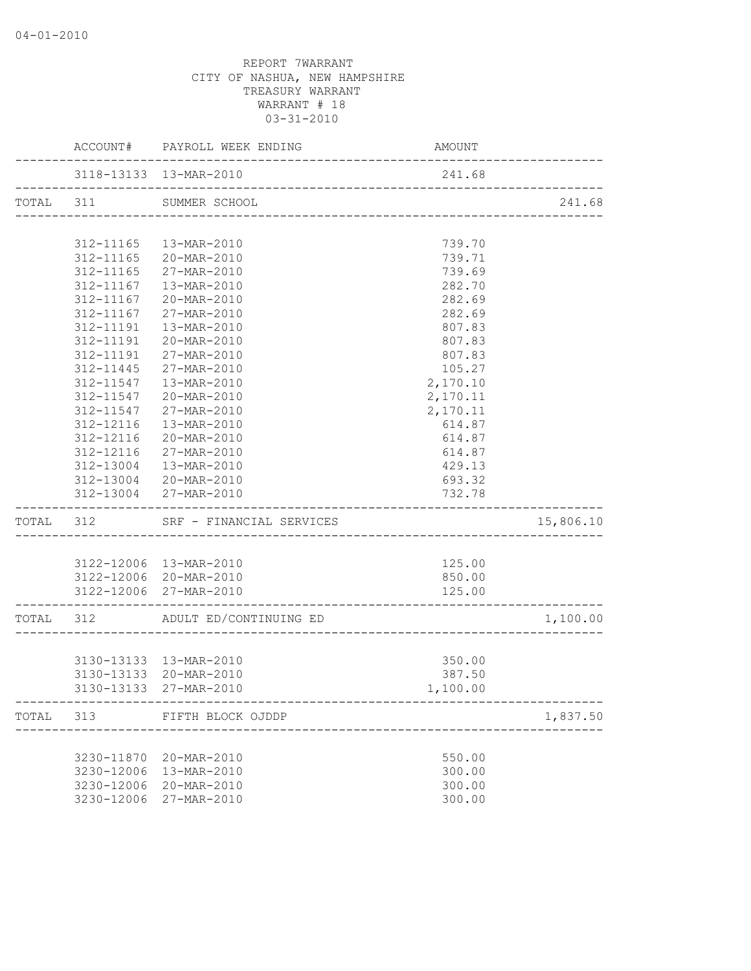|       |            | ACCOUNT# PAYROLL WEEK ENDING                         | <b>AMOUNT</b> |           |
|-------|------------|------------------------------------------------------|---------------|-----------|
|       |            | 3118-13133 13-MAR-2010                               | 241.68        |           |
|       |            | TOTAL 311 SUMMER SCHOOL                              |               | 241.68    |
|       |            |                                                      |               |           |
|       |            | 312-11165  13-MAR-2010                               | 739.70        |           |
|       |            | 312-11165 20-MAR-2010                                | 739.71        |           |
|       |            | 312-11165 27-MAR-2010                                | 739.69        |           |
|       |            | 312-11167  13-MAR-2010                               | 282.70        |           |
|       |            | 312-11167 20-MAR-2010                                | 282.69        |           |
|       |            | 312-11167 27-MAR-2010                                | 282.69        |           |
|       |            | 312-11191  13-MAR-2010                               | 807.83        |           |
|       | 312-11191  | 20-MAR-2010                                          | 807.83        |           |
|       | 312-11191  | 27-MAR-2010                                          | 807.83        |           |
|       | 312-11445  | 27-MAR-2010                                          | 105.27        |           |
|       | 312-11547  | 13-MAR-2010                                          | 2,170.10      |           |
|       | 312-11547  | 20-MAR-2010                                          | 2,170.11      |           |
|       | 312-11547  | 27-MAR-2010                                          | 2,170.11      |           |
|       | 312-12116  | 13-MAR-2010                                          | 614.87        |           |
|       | 312-12116  | 20-MAR-2010                                          | 614.87        |           |
|       |            | 312-12116 27-MAR-2010                                | 614.87        |           |
|       |            | 312-13004  13-MAR-2010                               | 429.13        |           |
|       |            | 312-13004 20-MAR-2010                                | 693.32        |           |
|       |            | 312-13004 27-MAR-2010                                | 732.78        |           |
|       |            | TOTAL 312 SRF - FINANCIAL SERVICES                   |               | 15,806.10 |
|       |            |                                                      |               |           |
|       |            | 3122-12006 13-MAR-2010                               | 125.00        |           |
|       |            | 3122-12006 20-MAR-2010                               | 850.00        |           |
|       |            | 3122-12006 27-MAR-2010                               | 125.00        |           |
|       |            | TOTAL 312 ADULT ED/CONTINUING ED                     |               | 1,100.00  |
|       |            |                                                      |               |           |
|       |            | 3130-13133 13-MAR-2010                               | 350.00        |           |
|       |            | 3130-13133 20-MAR-2010                               | 387.50        |           |
|       |            | 3130-13133 27-MAR-2010                               | 1,100.00      |           |
| TOTAL |            | 313 FIFTH BLOCK OJDDP<br>--------------------------- |               | 1,837.50  |
|       |            |                                                      |               |           |
|       |            | 3230-11870 20-MAR-2010                               | 550.00        |           |
|       | 3230-12006 | 13-MAR-2010                                          | 300.00        |           |
|       | 3230-12006 | 20-MAR-2010                                          | 300.00        |           |
|       | 3230-12006 | 27-MAR-2010                                          | 300.00        |           |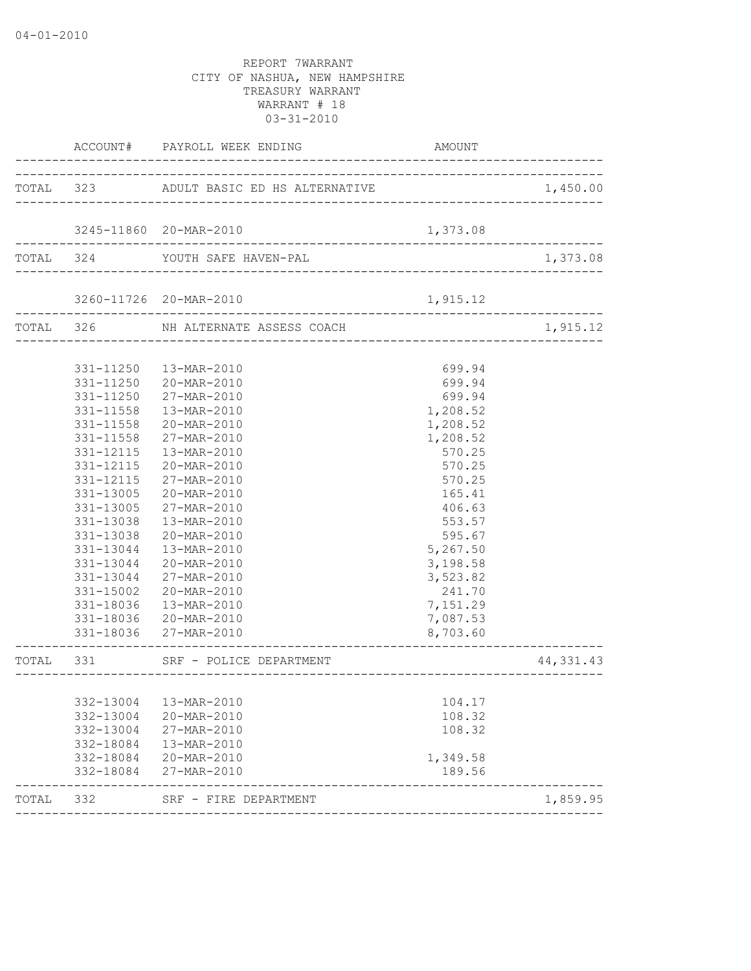|           |                        | ACCOUNT# PAYROLL WEEK ENDING                                         | AMOUNT                         |            |
|-----------|------------------------|----------------------------------------------------------------------|--------------------------------|------------|
|           |                        | TOTAL 323 ADULT BASIC ED HS ALTERNATIVE                              |                                | 1,450.00   |
|           |                        |                                                                      |                                |            |
|           |                        | 3245-11860 20-MAR-2010                                               | 1,373.08                       |            |
|           |                        | TOTAL 324 YOUTH SAFE HAVEN-PAL                                       |                                | 1,373.08   |
|           |                        | 3260-11726 20-MAR-2010<br>-2010<br>--------------------------------- | 1,915.12                       |            |
|           |                        | TOTAL 326 NH ALTERNATE ASSESS COACH<br>----------------              |                                | 1,915.12   |
|           |                        |                                                                      |                                |            |
|           |                        | 331-11250  13-MAR-2010                                               | 699.94                         |            |
|           |                        | 331-11250 20-MAR-2010                                                | 699.94                         |            |
|           | 331-11250              | 27-MAR-2010                                                          | 699.94                         |            |
|           | 331-11558              | 13-MAR-2010                                                          | 1,208.52                       |            |
|           | 331-11558              | 20-MAR-2010                                                          | 1,208.52                       |            |
|           | 331-11558              | 27-MAR-2010                                                          | 1,208.52                       |            |
|           | 331-12115              | 13-MAR-2010                                                          | 570.25                         |            |
|           | 331-12115              | 20-MAR-2010                                                          | 570.25                         |            |
|           | 331-12115              | 27-MAR-2010                                                          | 570.25                         |            |
|           | 331-13005              | 20-MAR-2010                                                          | 165.41                         |            |
|           | 331-13005              | 27-MAR-2010                                                          | 406.63                         |            |
|           | 331-13038              | 13-MAR-2010                                                          | 553.57                         |            |
|           | 331-13038              | 20-MAR-2010                                                          | 595.67                         |            |
|           | 331-13044              | 13-MAR-2010                                                          | 5,267.50                       |            |
|           | 331-13044              | 20-MAR-2010                                                          | 3,198.58                       |            |
|           | 331-13044              | 27-MAR-2010                                                          | 3,523.82                       |            |
|           | 331-15002              | 20-MAR-2010                                                          | 241.70                         |            |
|           |                        | 331-18036  13-MAR-2010                                               | 7,151.29                       |            |
|           |                        | 331-18036 20-MAR-2010                                                | 7,087.53<br>8,703.60           |            |
|           |                        | 331-18036 27-MAR-2010                                                | -------------------            |            |
| TOTAL 331 |                        | SRF - POLICE DEPARTMENT                                              | ------------------------------ | 44, 331.43 |
|           |                        |                                                                      |                                |            |
|           | 332-13004<br>332-13004 | 13-MAR-2010<br>20-MAR-2010                                           | 104.17<br>108.32               |            |
|           | 332-13004              | 27-MAR-2010                                                          | 108.32                         |            |
|           | 332-18084              | 13-MAR-2010                                                          |                                |            |
|           | 332-18084              | 20-MAR-2010                                                          | 1,349.58                       |            |
|           | 332-18084              | 27-MAR-2010                                                          | 189.56                         |            |
| TOTAL 332 |                        | SRF - FIRE DEPARTMENT                                                |                                | 1,859.95   |
|           |                        |                                                                      |                                |            |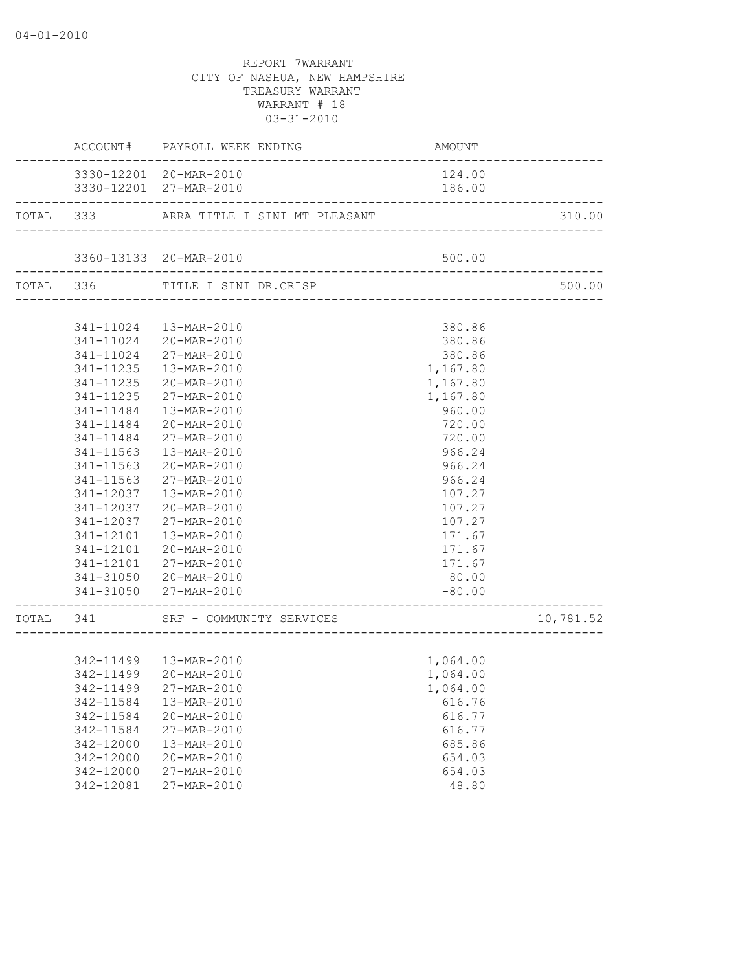|                                     | ACCOUNT# PAYROLL WEEK ENDING                 | AMOUNT   |           |
|-------------------------------------|----------------------------------------------|----------|-----------|
|                                     | 3330-12201 20-MAR-2010                       | 124.00   |           |
|                                     | 3330-12201 27-MAR-2010                       | 186.00   |           |
|                                     | TOTAL 333 ARRA TITLE I SINI MT PLEASANT      |          | 310.00    |
|                                     |                                              |          |           |
| ----------------------              | 3360-13133 20-MAR-2010                       | 500.00   |           |
|                                     | TOTAL 336 TITLE I SINI DR.CRISP              |          | 500.00    |
|                                     |                                              |          |           |
|                                     | 341-11024  13-MAR-2010                       | 380.86   |           |
|                                     | 341-11024 20-MAR-2010                        | 380.86   |           |
|                                     | 341-11024 27-MAR-2010                        | 380.86   |           |
|                                     | 341-11235  13-MAR-2010                       | 1,167.80 |           |
|                                     | 341-11235 20-MAR-2010                        | 1,167.80 |           |
|                                     | 341-11235 27-MAR-2010                        | 1,167.80 |           |
| 341-11484                           | 13-MAR-2010                                  | 960.00   |           |
| 341-11484                           | 20-MAR-2010                                  | 720.00   |           |
| 341-11484                           | 27-MAR-2010                                  | 720.00   |           |
| 341-11563                           | 13-MAR-2010                                  | 966.24   |           |
| 341-11563                           | 20-MAR-2010                                  | 966.24   |           |
| 341-11563                           |                                              | 966.24   |           |
|                                     | 27-MAR-2010                                  |          |           |
| 341-12037                           | 13-MAR-2010                                  | 107.27   |           |
| 341-12037                           | 20-MAR-2010                                  | 107.27   |           |
|                                     | 341-12037 27-MAR-2010                        | 107.27   |           |
|                                     | 341-12101  13-MAR-2010                       | 171.67   |           |
|                                     | 341-12101 20-MAR-2010                        | 171.67   |           |
|                                     | 341-12101 27-MAR-2010                        | 171.67   |           |
|                                     | 341-31050 20-MAR-2010                        | 80.00    |           |
| . _ _ _ _ _ _ _ _ _ _ _ _ _ _ _ _ _ | 341-31050 27-MAR-2010                        | $-80.00$ |           |
|                                     | TOTAL 341 SRF - COMMUNITY SERVICES 10,781.52 |          | 10,781.52 |
|                                     |                                              |          |           |
|                                     | 342-11499  13-MAR-2010                       | 1,064.00 |           |
|                                     | 342-11499 20-MAR-2010                        | 1,064.00 |           |
|                                     | 342-11499 27-MAR-2010                        | 1,064.00 |           |
| 342-11584                           | 13-MAR-2010                                  | 616.76   |           |
| 342-11584                           | 20-MAR-2010                                  | 616.77   |           |
| 342-11584                           | 27-MAR-2010                                  | 616.77   |           |
| 342-12000                           | 13-MAR-2010                                  | 685.86   |           |
| 342-12000                           | 20-MAR-2010                                  | 654.03   |           |
| 342-12000                           | 27-MAR-2010                                  | 654.03   |           |
| 342-12081                           | 27-MAR-2010                                  | 48.80    |           |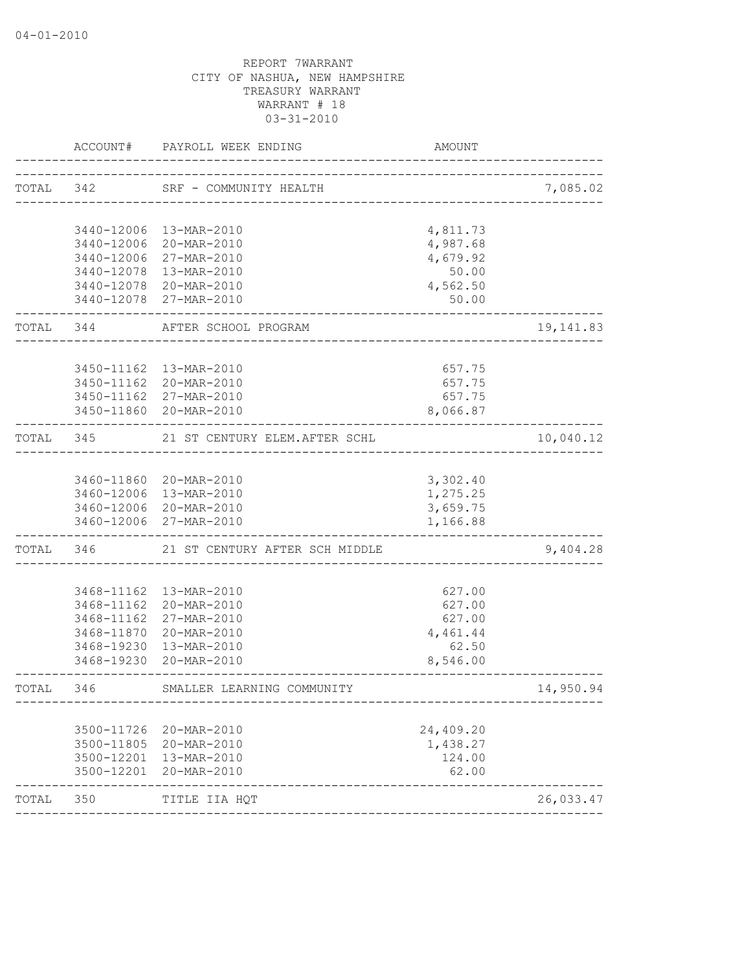| TOTAL 342  |                                                                           |                                                                                                                                                                                                                                                                                                                                                                                                                                                                                                                                                                                                                                                                                                                                                       | 7,085.02                                                                                                                                                                                             |
|------------|---------------------------------------------------------------------------|-------------------------------------------------------------------------------------------------------------------------------------------------------------------------------------------------------------------------------------------------------------------------------------------------------------------------------------------------------------------------------------------------------------------------------------------------------------------------------------------------------------------------------------------------------------------------------------------------------------------------------------------------------------------------------------------------------------------------------------------------------|------------------------------------------------------------------------------------------------------------------------------------------------------------------------------------------------------|
|            |                                                                           |                                                                                                                                                                                                                                                                                                                                                                                                                                                                                                                                                                                                                                                                                                                                                       |                                                                                                                                                                                                      |
|            |                                                                           |                                                                                                                                                                                                                                                                                                                                                                                                                                                                                                                                                                                                                                                                                                                                                       |                                                                                                                                                                                                      |
|            |                                                                           |                                                                                                                                                                                                                                                                                                                                                                                                                                                                                                                                                                                                                                                                                                                                                       |                                                                                                                                                                                                      |
|            |                                                                           | 4,679.92                                                                                                                                                                                                                                                                                                                                                                                                                                                                                                                                                                                                                                                                                                                                              |                                                                                                                                                                                                      |
|            |                                                                           | 50.00                                                                                                                                                                                                                                                                                                                                                                                                                                                                                                                                                                                                                                                                                                                                                 |                                                                                                                                                                                                      |
|            |                                                                           | 4,562.50                                                                                                                                                                                                                                                                                                                                                                                                                                                                                                                                                                                                                                                                                                                                              |                                                                                                                                                                                                      |
|            |                                                                           | 50.00                                                                                                                                                                                                                                                                                                                                                                                                                                                                                                                                                                                                                                                                                                                                                 |                                                                                                                                                                                                      |
| TOTAL 344  |                                                                           |                                                                                                                                                                                                                                                                                                                                                                                                                                                                                                                                                                                                                                                                                                                                                       | 19, 141.83                                                                                                                                                                                           |
|            |                                                                           |                                                                                                                                                                                                                                                                                                                                                                                                                                                                                                                                                                                                                                                                                                                                                       |                                                                                                                                                                                                      |
|            |                                                                           |                                                                                                                                                                                                                                                                                                                                                                                                                                                                                                                                                                                                                                                                                                                                                       |                                                                                                                                                                                                      |
|            |                                                                           |                                                                                                                                                                                                                                                                                                                                                                                                                                                                                                                                                                                                                                                                                                                                                       |                                                                                                                                                                                                      |
|            |                                                                           |                                                                                                                                                                                                                                                                                                                                                                                                                                                                                                                                                                                                                                                                                                                                                       |                                                                                                                                                                                                      |
|            |                                                                           |                                                                                                                                                                                                                                                                                                                                                                                                                                                                                                                                                                                                                                                                                                                                                       |                                                                                                                                                                                                      |
|            |                                                                           |                                                                                                                                                                                                                                                                                                                                                                                                                                                                                                                                                                                                                                                                                                                                                       | 10,040.12                                                                                                                                                                                            |
|            |                                                                           |                                                                                                                                                                                                                                                                                                                                                                                                                                                                                                                                                                                                                                                                                                                                                       |                                                                                                                                                                                                      |
|            |                                                                           |                                                                                                                                                                                                                                                                                                                                                                                                                                                                                                                                                                                                                                                                                                                                                       |                                                                                                                                                                                                      |
|            |                                                                           |                                                                                                                                                                                                                                                                                                                                                                                                                                                                                                                                                                                                                                                                                                                                                       |                                                                                                                                                                                                      |
|            |                                                                           |                                                                                                                                                                                                                                                                                                                                                                                                                                                                                                                                                                                                                                                                                                                                                       |                                                                                                                                                                                                      |
|            |                                                                           | 1,166.88                                                                                                                                                                                                                                                                                                                                                                                                                                                                                                                                                                                                                                                                                                                                              |                                                                                                                                                                                                      |
|            |                                                                           |                                                                                                                                                                                                                                                                                                                                                                                                                                                                                                                                                                                                                                                                                                                                                       | 9,404.28                                                                                                                                                                                             |
|            |                                                                           |                                                                                                                                                                                                                                                                                                                                                                                                                                                                                                                                                                                                                                                                                                                                                       |                                                                                                                                                                                                      |
|            |                                                                           |                                                                                                                                                                                                                                                                                                                                                                                                                                                                                                                                                                                                                                                                                                                                                       |                                                                                                                                                                                                      |
|            |                                                                           |                                                                                                                                                                                                                                                                                                                                                                                                                                                                                                                                                                                                                                                                                                                                                       |                                                                                                                                                                                                      |
|            |                                                                           |                                                                                                                                                                                                                                                                                                                                                                                                                                                                                                                                                                                                                                                                                                                                                       |                                                                                                                                                                                                      |
|            |                                                                           |                                                                                                                                                                                                                                                                                                                                                                                                                                                                                                                                                                                                                                                                                                                                                       |                                                                                                                                                                                                      |
|            |                                                                           |                                                                                                                                                                                                                                                                                                                                                                                                                                                                                                                                                                                                                                                                                                                                                       |                                                                                                                                                                                                      |
|            |                                                                           |                                                                                                                                                                                                                                                                                                                                                                                                                                                                                                                                                                                                                                                                                                                                                       |                                                                                                                                                                                                      |
| TOTAL 346  |                                                                           |                                                                                                                                                                                                                                                                                                                                                                                                                                                                                                                                                                                                                                                                                                                                                       | 14,950.94                                                                                                                                                                                            |
|            |                                                                           |                                                                                                                                                                                                                                                                                                                                                                                                                                                                                                                                                                                                                                                                                                                                                       |                                                                                                                                                                                                      |
|            |                                                                           |                                                                                                                                                                                                                                                                                                                                                                                                                                                                                                                                                                                                                                                                                                                                                       |                                                                                                                                                                                                      |
|            |                                                                           |                                                                                                                                                                                                                                                                                                                                                                                                                                                                                                                                                                                                                                                                                                                                                       |                                                                                                                                                                                                      |
| 3500-12201 | 20-MAR-2010                                                               | 62.00                                                                                                                                                                                                                                                                                                                                                                                                                                                                                                                                                                                                                                                                                                                                                 |                                                                                                                                                                                                      |
|            |                                                                           |                                                                                                                                                                                                                                                                                                                                                                                                                                                                                                                                                                                                                                                                                                                                                       | 26,033.47                                                                                                                                                                                            |
|            | 3468-11162<br>3468-19230<br>3500-11726<br>3500-11805<br>3500-12201<br>350 | SRF - COMMUNITY HEALTH<br>3440-12006 13-MAR-2010<br>3440-12006 20-MAR-2010<br>3440-12006 27-MAR-2010<br>3440-12078 13-MAR-2010<br>3440-12078 20-MAR-2010<br>3440-12078 27-MAR-2010<br>AFTER SCHOOL PROGRAM<br>3450-11162  13-MAR-2010<br>3450-11162 20-MAR-2010<br>3450-11162 27-MAR-2010<br>3450-11860 20-MAR-2010<br>TOTAL 345 21 ST CENTURY ELEM.AFTER SCHL<br>3460-11860 20-MAR-2010<br>3460-12006 13-MAR-2010<br>3460-12006 20-MAR-2010<br>3460-12006 27-MAR-2010<br>TOTAL 346 21 ST CENTURY AFTER SCH MIDDLE<br>3468-11162  13-MAR-2010<br>20-MAR-2010<br>3468-11162 27-MAR-2010<br>3468-11870 20-MAR-2010<br>13-MAR-2010<br>3468-19230 20-MAR-2010<br>SMALLER LEARNING COMMUNITY<br>20-MAR-2010<br>20-MAR-2010<br>13-MAR-2010<br>TITLE IIA HQT | 4,811.73<br>4,987.68<br>657.75<br>657.75<br>657.75<br>8,066.87<br>3,302.40<br>1,275.25<br>3,659.75<br>627.00<br>627.00<br>627.00<br>4,461.44<br>62.50<br>8,546.00<br>24,409.20<br>1,438.27<br>124.00 |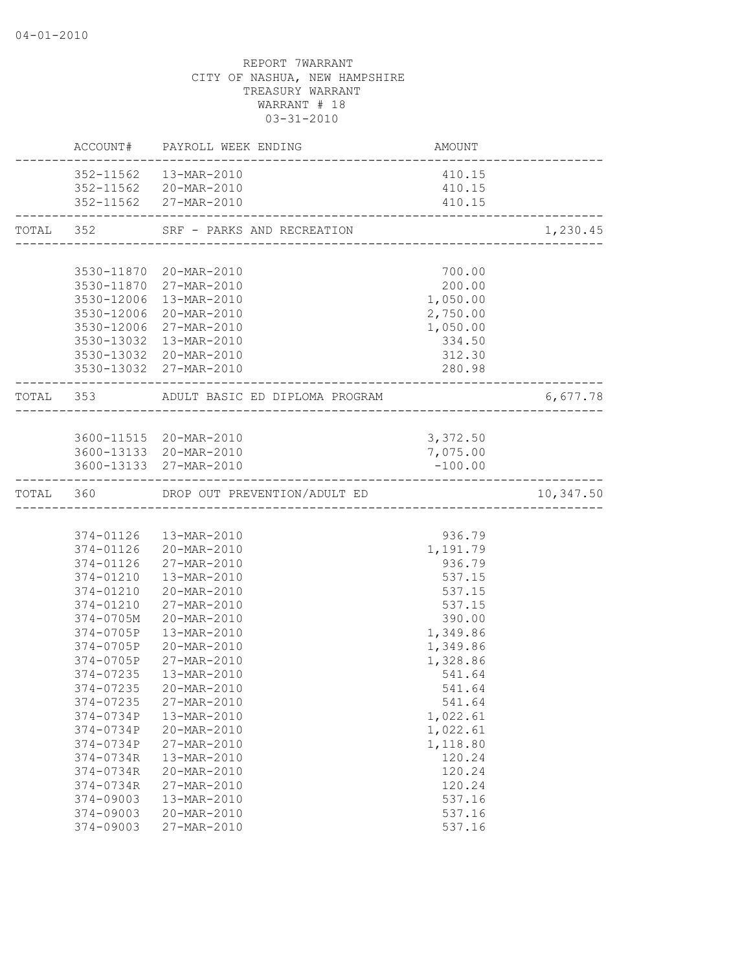|           |                        | ACCOUNT# PAYROLL WEEK ENDING           | AMOUNT                                   |           |
|-----------|------------------------|----------------------------------------|------------------------------------------|-----------|
|           |                        | 352-11562  13-MAR-2010                 | 410.15                                   |           |
|           |                        | 352-11562 20-MAR-2010                  | 410.15                                   |           |
|           |                        | 352-11562 27-MAR-2010                  | 410.15<br>------------------------------ |           |
| TOTAL 352 |                        | SRF - PARKS AND RECREATION             |                                          | 1,230.45  |
|           |                        |                                        |                                          |           |
|           |                        | 3530-11870 20-MAR-2010                 | 700.00                                   |           |
|           |                        | 3530-11870 27-MAR-2010                 | 200.00                                   |           |
|           |                        | 3530-12006 13-MAR-2010                 | 1,050.00                                 |           |
|           |                        | 3530-12006 20-MAR-2010                 | 2,750.00                                 |           |
|           |                        | 3530-12006 27-MAR-2010                 | 1,050.00                                 |           |
|           |                        | 3530-13032 13-MAR-2010                 | 334.50                                   |           |
|           |                        | 3530-13032 20-MAR-2010                 | 312.30                                   |           |
|           |                        | 3530-13032 27-MAR-2010                 | 280.98<br>------------                   |           |
|           | TOTAL 353              | ADULT BASIC ED DIPLOMA PROGRAM         |                                          | 6,677.78  |
|           |                        |                                        |                                          |           |
|           |                        | 3600-11515 20-MAR-2010                 | 3,372.50                                 |           |
|           |                        | 3600-13133 20-MAR-2010                 | 7,075.00                                 |           |
|           |                        | 3600-13133 27-MAR-2010                 | $-100.00$                                |           |
|           |                        | TOTAL 360 DROP OUT PREVENTION/ADULT ED |                                          | 10,347.50 |
|           |                        |                                        |                                          |           |
|           |                        | 374-01126  13-MAR-2010                 | 936.79                                   |           |
|           |                        | 374-01126 20-MAR-2010                  | 1,191.79                                 |           |
|           |                        | 374-01126 27-MAR-2010                  | 936.79                                   |           |
|           |                        | 374-01210  13-MAR-2010                 | 537.15                                   |           |
|           |                        | 374-01210 20-MAR-2010                  | 537.15                                   |           |
|           | 374-01210              | 27-MAR-2010                            | 537.15                                   |           |
|           | $374 - 0705M$          | 20-MAR-2010                            | 390.00                                   |           |
|           | 374-0705P              | 13-MAR-2010                            | 1,349.86                                 |           |
|           | 374-0705P              | 20-MAR-2010                            | 1,349.86                                 |           |
|           | 374-0705P              | 27-MAR-2010                            | 1,328.86                                 |           |
|           | 374-07235              | 13-MAR-2010                            | 541.64                                   |           |
|           |                        | 374-07235 20-MAR-2010                  | 541.64                                   |           |
|           | 374-07235              | 27-MAR-2010                            | 541.64                                   |           |
|           | 374-0734P              | 13-MAR-2010                            | 1,022.61                                 |           |
|           | 374-0734P              | 20-MAR-2010                            | 1,022.61                                 |           |
|           | 374-0734P              | 27-MAR-2010                            | 1,118.80                                 |           |
|           | 374-0734R              | 13-MAR-2010                            | 120.24                                   |           |
|           | 374-0734R              | 20-MAR-2010                            | 120.24                                   |           |
|           | 374-0734R              | 27-MAR-2010                            | 120.24                                   |           |
|           | 374-09003<br>374-09003 | 13-MAR-2010<br>20-MAR-2010             | 537.16<br>537.16                         |           |
|           | 374-09003              | 27-MAR-2010                            | 537.16                                   |           |
|           |                        |                                        |                                          |           |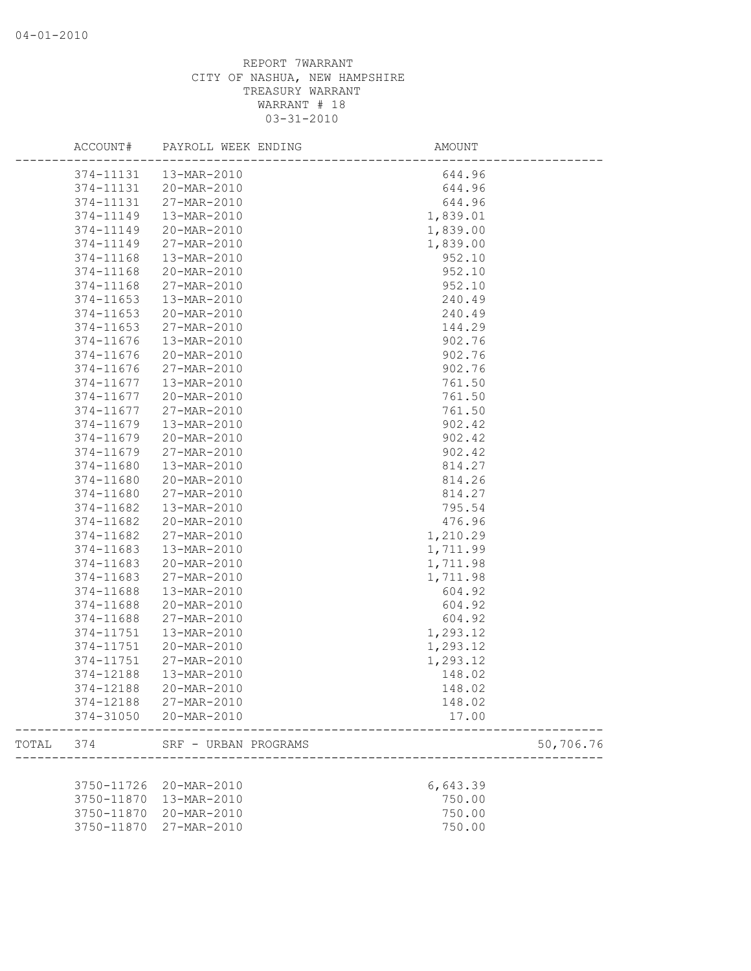|       | ACCOUNT#   | PAYROLL WEEK ENDING  | AMOUNT             |
|-------|------------|----------------------|--------------------|
|       | 374-11131  | 13-MAR-2010          | 644.96             |
|       | 374-11131  | 20-MAR-2010          | 644.96             |
|       | 374-11131  | 27-MAR-2010          | 644.96             |
|       | 374-11149  | 13-MAR-2010          | 1,839.01           |
|       | 374-11149  | 20-MAR-2010          | 1,839.00           |
|       | 374-11149  | 27-MAR-2010          | 1,839.00           |
|       | 374-11168  | 13-MAR-2010          | 952.10             |
|       | 374-11168  | 20-MAR-2010          | 952.10             |
|       | 374-11168  | 27-MAR-2010          | 952.10             |
|       | 374-11653  | 13-MAR-2010          | 240.49             |
|       | 374-11653  | 20-MAR-2010          | 240.49             |
|       | 374-11653  | 27-MAR-2010          | 144.29             |
|       | 374-11676  | 13-MAR-2010          | 902.76             |
|       | 374-11676  | 20-MAR-2010          | 902.76             |
|       | 374-11676  | 27-MAR-2010          | 902.76             |
|       | 374-11677  | 13-MAR-2010          | 761.50             |
|       | 374-11677  | 20-MAR-2010          | 761.50             |
|       | 374-11677  | 27-MAR-2010          | 761.50             |
|       | 374-11679  | 13-MAR-2010          | 902.42             |
|       | 374-11679  | 20-MAR-2010          | 902.42             |
|       | 374-11679  | 27-MAR-2010          | 902.42             |
|       | 374-11680  | 13-MAR-2010          | 814.27             |
|       | 374-11680  | 20-MAR-2010          | 814.26             |
|       | 374-11680  | 27-MAR-2010          | 814.27             |
|       | 374-11682  | 13-MAR-2010          | 795.54             |
|       | 374-11682  | 20-MAR-2010          | 476.96             |
|       | 374-11682  | 27-MAR-2010          | 1,210.29           |
|       | 374-11683  | 13-MAR-2010          | 1,711.99           |
|       | 374-11683  | 20-MAR-2010          | 1,711.98           |
|       | 374-11683  | 27-MAR-2010          | 1,711.98           |
|       | 374-11688  | 13-MAR-2010          | 604.92             |
|       | 374-11688  | 20-MAR-2010          | 604.92             |
|       | 374-11688  | 27-MAR-2010          | 604.92             |
|       | 374-11751  | 13-MAR-2010          | 1,293.12           |
|       | 374-11751  | 20-MAR-2010          | 1,293.12           |
|       | 374-11751  | 27-MAR-2010          |                    |
|       | 374-12188  | 13-MAR-2010          | 1,293.12<br>148.02 |
|       |            |                      |                    |
|       | 374-12188  | 20-MAR-2010          | 148.02             |
|       | 374-12188  | 27-MAR-2010          | 148.02             |
|       | 374-31050  | 20-MAR-2010          | 17.00              |
| TOTAL | 374        | SRF - URBAN PROGRAMS | 50,706.76          |
|       |            |                      |                    |
|       | 3750-11726 | 20-MAR-2010          | 6,643.39           |
|       | 3750-11870 | 13-MAR-2010          | 750.00             |
|       | 3750-11870 | 20-MAR-2010          | 750.00             |
|       | 3750-11870 | 27-MAR-2010          | 750.00             |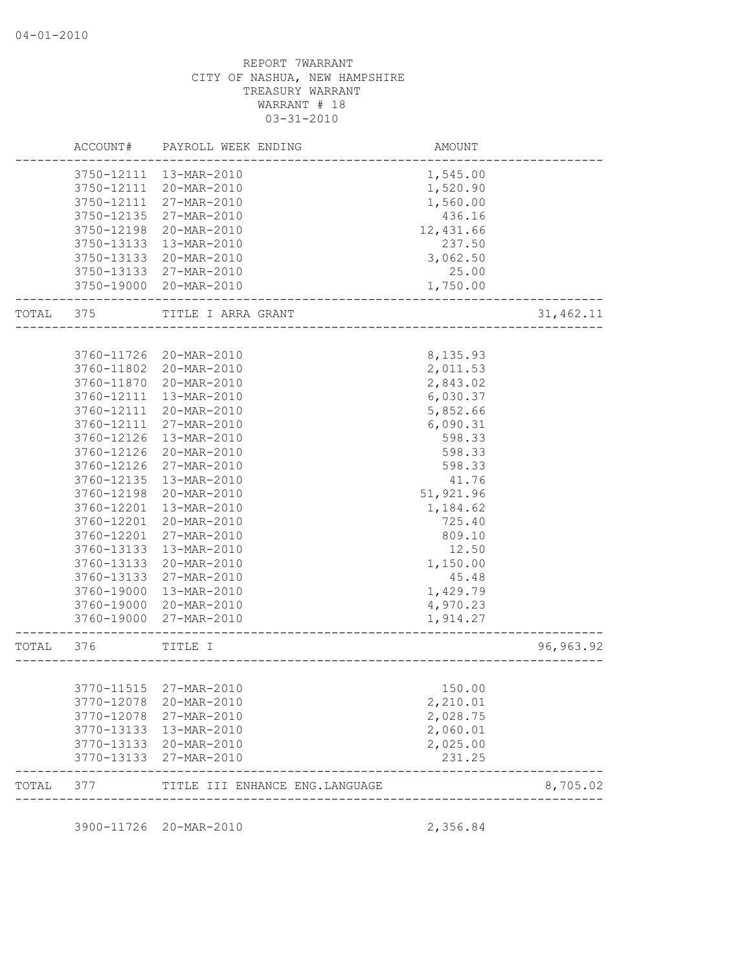| 3760-11802<br>3760-11870<br>3760-12111<br>3760-12111<br>3760-12111<br>3760-12126<br>3760-12126<br>3760-12126<br>3760-12135<br>3760-12198<br>3760-12201<br>3760-12201<br>3760-12201<br>3760-13133<br>3760-13133<br>3760-13133<br>3760-19000<br>3760-19000<br>3760-19000<br>TOTAL 376<br>3770-12078<br>3770-12078<br>3770-13133<br>3770-13133<br>3770-13133 | 20-MAR-2010<br>20-MAR-2010<br>13-MAR-2010<br>20-MAR-2010<br>27-MAR-2010<br>13-MAR-2010<br>20-MAR-2010<br>27-MAR-2010<br>13-MAR-2010<br>20-MAR-2010<br>13-MAR-2010<br>20-MAR-2010<br>27-MAR-2010<br>13-MAR-2010<br>20-MAR-2010<br>27-MAR-2010<br>13-MAR-2010<br>20-MAR-2010<br>27-MAR-2010<br>TITLE I<br>----------------------------------<br>3770-11515 27-MAR-2010<br>20-MAR-2010<br>27-MAR-2010<br>13-MAR-2010<br>20-MAR-2010<br>27-MAR-2010 | 2,011.53<br>2,843.02<br>6,030.37<br>5,852.66<br>6,090.31<br>598.33<br>598.33<br>598.33<br>41.76<br>51,921.96<br>1,184.62<br>725.40<br>809.10<br>12.50<br>1,150.00<br>45.48<br>1,429.79<br>4,970.23<br>1,914.27<br>150.00<br>2,210.01<br>2,028.75<br>2,060.01<br>2,025.00<br>231.25 | 96, 963.92 |
|-----------------------------------------------------------------------------------------------------------------------------------------------------------------------------------------------------------------------------------------------------------------------------------------------------------------------------------------------------------|-------------------------------------------------------------------------------------------------------------------------------------------------------------------------------------------------------------------------------------------------------------------------------------------------------------------------------------------------------------------------------------------------------------------------------------------------|------------------------------------------------------------------------------------------------------------------------------------------------------------------------------------------------------------------------------------------------------------------------------------|------------|
|                                                                                                                                                                                                                                                                                                                                                           |                                                                                                                                                                                                                                                                                                                                                                                                                                                 |                                                                                                                                                                                                                                                                                    |            |
|                                                                                                                                                                                                                                                                                                                                                           |                                                                                                                                                                                                                                                                                                                                                                                                                                                 |                                                                                                                                                                                                                                                                                    |            |
|                                                                                                                                                                                                                                                                                                                                                           |                                                                                                                                                                                                                                                                                                                                                                                                                                                 |                                                                                                                                                                                                                                                                                    |            |
|                                                                                                                                                                                                                                                                                                                                                           |                                                                                                                                                                                                                                                                                                                                                                                                                                                 |                                                                                                                                                                                                                                                                                    |            |
|                                                                                                                                                                                                                                                                                                                                                           |                                                                                                                                                                                                                                                                                                                                                                                                                                                 |                                                                                                                                                                                                                                                                                    |            |
|                                                                                                                                                                                                                                                                                                                                                           |                                                                                                                                                                                                                                                                                                                                                                                                                                                 |                                                                                                                                                                                                                                                                                    |            |
|                                                                                                                                                                                                                                                                                                                                                           |                                                                                                                                                                                                                                                                                                                                                                                                                                                 |                                                                                                                                                                                                                                                                                    |            |
|                                                                                                                                                                                                                                                                                                                                                           |                                                                                                                                                                                                                                                                                                                                                                                                                                                 |                                                                                                                                                                                                                                                                                    |            |
|                                                                                                                                                                                                                                                                                                                                                           |                                                                                                                                                                                                                                                                                                                                                                                                                                                 |                                                                                                                                                                                                                                                                                    |            |
|                                                                                                                                                                                                                                                                                                                                                           |                                                                                                                                                                                                                                                                                                                                                                                                                                                 |                                                                                                                                                                                                                                                                                    |            |
|                                                                                                                                                                                                                                                                                                                                                           |                                                                                                                                                                                                                                                                                                                                                                                                                                                 |                                                                                                                                                                                                                                                                                    |            |
|                                                                                                                                                                                                                                                                                                                                                           |                                                                                                                                                                                                                                                                                                                                                                                                                                                 |                                                                                                                                                                                                                                                                                    |            |
|                                                                                                                                                                                                                                                                                                                                                           |                                                                                                                                                                                                                                                                                                                                                                                                                                                 |                                                                                                                                                                                                                                                                                    |            |
|                                                                                                                                                                                                                                                                                                                                                           |                                                                                                                                                                                                                                                                                                                                                                                                                                                 |                                                                                                                                                                                                                                                                                    |            |
|                                                                                                                                                                                                                                                                                                                                                           |                                                                                                                                                                                                                                                                                                                                                                                                                                                 |                                                                                                                                                                                                                                                                                    |            |
|                                                                                                                                                                                                                                                                                                                                                           |                                                                                                                                                                                                                                                                                                                                                                                                                                                 |                                                                                                                                                                                                                                                                                    |            |
|                                                                                                                                                                                                                                                                                                                                                           |                                                                                                                                                                                                                                                                                                                                                                                                                                                 |                                                                                                                                                                                                                                                                                    |            |
|                                                                                                                                                                                                                                                                                                                                                           |                                                                                                                                                                                                                                                                                                                                                                                                                                                 |                                                                                                                                                                                                                                                                                    |            |
|                                                                                                                                                                                                                                                                                                                                                           |                                                                                                                                                                                                                                                                                                                                                                                                                                                 |                                                                                                                                                                                                                                                                                    |            |
|                                                                                                                                                                                                                                                                                                                                                           |                                                                                                                                                                                                                                                                                                                                                                                                                                                 |                                                                                                                                                                                                                                                                                    |            |
|                                                                                                                                                                                                                                                                                                                                                           |                                                                                                                                                                                                                                                                                                                                                                                                                                                 |                                                                                                                                                                                                                                                                                    |            |
|                                                                                                                                                                                                                                                                                                                                                           |                                                                                                                                                                                                                                                                                                                                                                                                                                                 |                                                                                                                                                                                                                                                                                    |            |
|                                                                                                                                                                                                                                                                                                                                                           |                                                                                                                                                                                                                                                                                                                                                                                                                                                 |                                                                                                                                                                                                                                                                                    |            |
|                                                                                                                                                                                                                                                                                                                                                           |                                                                                                                                                                                                                                                                                                                                                                                                                                                 |                                                                                                                                                                                                                                                                                    |            |
|                                                                                                                                                                                                                                                                                                                                                           |                                                                                                                                                                                                                                                                                                                                                                                                                                                 |                                                                                                                                                                                                                                                                                    |            |
|                                                                                                                                                                                                                                                                                                                                                           |                                                                                                                                                                                                                                                                                                                                                                                                                                                 |                                                                                                                                                                                                                                                                                    |            |
| 3760-11726                                                                                                                                                                                                                                                                                                                                                | 20-MAR-2010                                                                                                                                                                                                                                                                                                                                                                                                                                     | 8,135.93                                                                                                                                                                                                                                                                           |            |
| TOTAL 375                                                                                                                                                                                                                                                                                                                                                 | TITLE I ARRA GRANT                                                                                                                                                                                                                                                                                                                                                                                                                              |                                                                                                                                                                                                                                                                                    | 31,462.11  |
|                                                                                                                                                                                                                                                                                                                                                           | 3750-19000 20-MAR-2010                                                                                                                                                                                                                                                                                                                                                                                                                          | 1,750.00                                                                                                                                                                                                                                                                           |            |
|                                                                                                                                                                                                                                                                                                                                                           | 3750-13133 27-MAR-2010                                                                                                                                                                                                                                                                                                                                                                                                                          | 25.00                                                                                                                                                                                                                                                                              |            |
| 3750-13133                                                                                                                                                                                                                                                                                                                                                | 20-MAR-2010                                                                                                                                                                                                                                                                                                                                                                                                                                     | 3,062.50                                                                                                                                                                                                                                                                           |            |
| 3750-13133                                                                                                                                                                                                                                                                                                                                                | 13-MAR-2010                                                                                                                                                                                                                                                                                                                                                                                                                                     | 237.50                                                                                                                                                                                                                                                                             |            |
| 3750-12198                                                                                                                                                                                                                                                                                                                                                | 20-MAR-2010                                                                                                                                                                                                                                                                                                                                                                                                                                     | 12,431.66                                                                                                                                                                                                                                                                          |            |
| 3750-12135                                                                                                                                                                                                                                                                                                                                                |                                                                                                                                                                                                                                                                                                                                                                                                                                                 | 436.16                                                                                                                                                                                                                                                                             |            |
| 3750-12111                                                                                                                                                                                                                                                                                                                                                |                                                                                                                                                                                                                                                                                                                                                                                                                                                 | 1,560.00                                                                                                                                                                                                                                                                           |            |
| 3750-12111                                                                                                                                                                                                                                                                                                                                                |                                                                                                                                                                                                                                                                                                                                                                                                                                                 | 1,520.90                                                                                                                                                                                                                                                                           |            |
|                                                                                                                                                                                                                                                                                                                                                           |                                                                                                                                                                                                                                                                                                                                                                                                                                                 | 1,545.00                                                                                                                                                                                                                                                                           |            |
|                                                                                                                                                                                                                                                                                                                                                           |                                                                                                                                                                                                                                                                                                                                                                                                                                                 |                                                                                                                                                                                                                                                                                    |            |
|                                                                                                                                                                                                                                                                                                                                                           |                                                                                                                                                                                                                                                                                                                                                                                                                                                 | 3750-12111 13-MAR-2010<br>20-MAR-2010<br>27-MAR-2010<br>27-MAR-2010                                                                                                                                                                                                                |            |

3900-11726 20-MAR-2010 2,356.84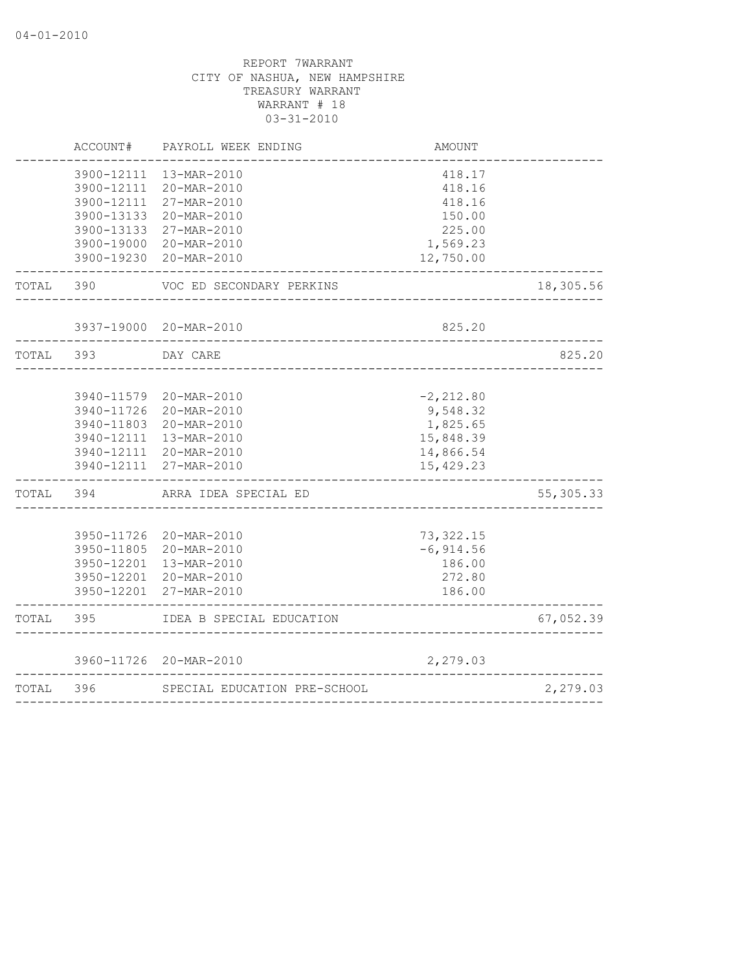|           | ACCOUNT#   | PAYROLL WEEK ENDING                                                                                                                                      | AMOUNT                                                                      |             |
|-----------|------------|----------------------------------------------------------------------------------------------------------------------------------------------------------|-----------------------------------------------------------------------------|-------------|
|           | 3900-12111 | 3900-12111 13-MAR-2010<br>20-MAR-2010<br>3900-12111 27-MAR-2010<br>3900-13133 20-MAR-2010                                                                | 418.17<br>418.16<br>418.16<br>150.00                                        |             |
|           |            | 3900-13133 27-MAR-2010<br>3900-19000 20-MAR-2010<br>3900-19230 20-MAR-2010                                                                               | 225.00<br>1,569.23<br>12,750.00                                             |             |
| TOTAL 390 |            | VOC ED SECONDARY PERKINS                                                                                                                                 |                                                                             | 18,305.56   |
|           |            | 3937-19000 20-MAR-2010<br>____________________________________                                                                                           | 825.20                                                                      |             |
| TOTAL     | 393        | DAY CARE                                                                                                                                                 |                                                                             | 825.20      |
|           |            | 3940-11579 20-MAR-2010<br>3940-11726 20-MAR-2010<br>3940-11803 20-MAR-2010<br>3940-12111 13-MAR-2010<br>3940-12111 20-MAR-2010<br>3940-12111 27-MAR-2010 | $-2, 212.80$<br>9,548.32<br>1,825.65<br>15,848.39<br>14,866.54<br>15,429.23 |             |
| TOTAL 394 |            | ARRA IDEA SPECIAL ED                                                                                                                                     | _____________________                                                       | 55, 305. 33 |
|           |            | 3950-11726 20-MAR-2010<br>3950-11805 20-MAR-2010<br>3950-12201 13-MAR-2010<br>3950-12201 20-MAR-2010<br>3950-12201 27-MAR-2010                           | 73, 322.15<br>$-6, 914.56$<br>186.00<br>272.80<br>186.00<br>______________  |             |
| TOTAL     | 395        | IDEA B SPECIAL EDUCATION                                                                                                                                 | <u>. Se se se se se se se se se s</u>                                       | 67,052.39   |
|           |            | 3960-11726 20-MAR-2010                                                                                                                                   | 2,279.03                                                                    |             |
| TOTAL     | 396        | SPECIAL EDUCATION PRE-SCHOOL                                                                                                                             | ------------------------------                                              | 2,279.03    |
|           |            |                                                                                                                                                          |                                                                             |             |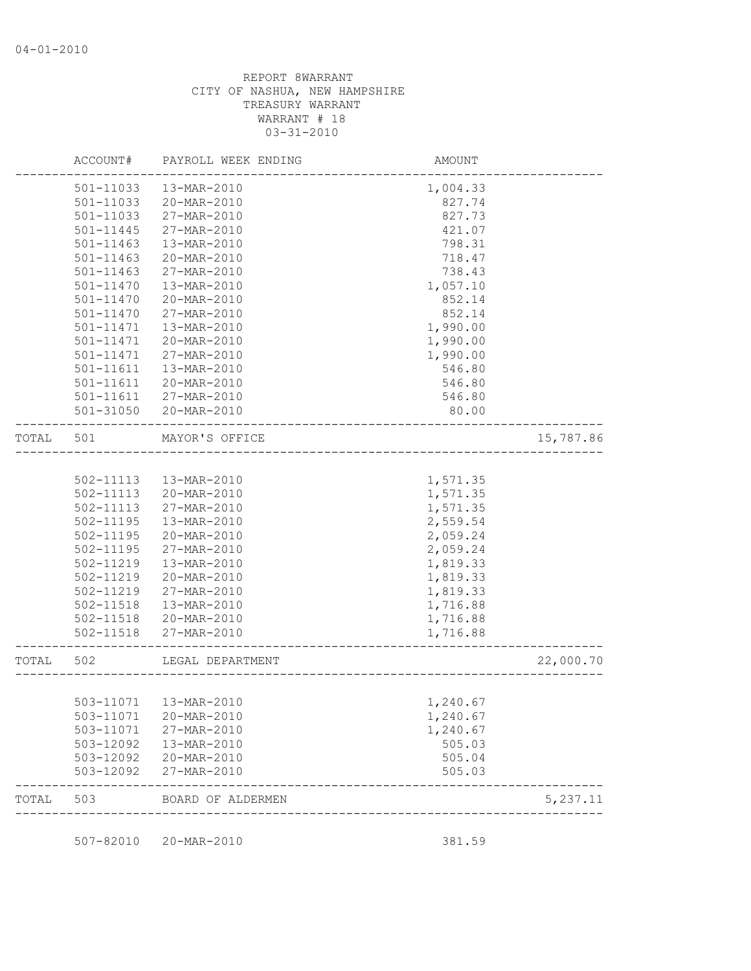|       | ACCOUNT#      | PAYROLL WEEK ENDING     | <b>AMOUNT</b>                          |           |
|-------|---------------|-------------------------|----------------------------------------|-----------|
|       | 501-11033     | 13-MAR-2010             | 1,004.33                               |           |
|       | 501-11033     | 20-MAR-2010             | 827.74                                 |           |
|       | 501-11033     | 27-MAR-2010             | 827.73                                 |           |
|       | 501-11445     | 27-MAR-2010             | 421.07                                 |           |
|       | 501-11463     | 13-MAR-2010             | 798.31                                 |           |
|       | 501-11463     | 20-MAR-2010             | 718.47                                 |           |
|       | 501-11463     | 27-MAR-2010             | 738.43                                 |           |
|       | 501-11470     | 13-MAR-2010             | 1,057.10                               |           |
|       | 501-11470     | 20-MAR-2010             | 852.14                                 |           |
|       | $501 - 11470$ | 27-MAR-2010             | 852.14                                 |           |
|       | $501 - 11471$ | 13-MAR-2010             | 1,990.00                               |           |
|       | 501-11471     | 20-MAR-2010             | 1,990.00                               |           |
|       | 501-11471     | 27-MAR-2010             | 1,990.00                               |           |
|       | 501-11611     | 13-MAR-2010             | 546.80                                 |           |
|       | 501-11611     | 20-MAR-2010             | 546.80                                 |           |
|       | 501-11611     | 27-MAR-2010             | 546.80                                 |           |
|       | 501-31050     | 20-MAR-2010             | 80.00                                  |           |
| TOTAL | 501           | MAYOR'S OFFICE          | ______________________________________ | 15,787.86 |
|       |               |                         |                                        |           |
|       | 502-11113     | 13-MAR-2010             | 1,571.35                               |           |
|       | 502-11113     | 20-MAR-2010             | 1,571.35                               |           |
|       | 502-11113     | 27-MAR-2010             | 1,571.35                               |           |
|       | 502-11195     | 13-MAR-2010             | 2,559.54                               |           |
|       | 502-11195     | 20-MAR-2010             | 2,059.24                               |           |
|       | 502-11195     | 27-MAR-2010             | 2,059.24                               |           |
|       | 502-11219     | 13-MAR-2010             | 1,819.33                               |           |
|       | 502-11219     | 20-MAR-2010             | 1,819.33                               |           |
|       | 502-11219     | 27-MAR-2010             | 1,819.33                               |           |
|       | 502-11518     | 13-MAR-2010             | 1,716.88                               |           |
|       | 502-11518     | 20-MAR-2010             | 1,716.88                               |           |
|       | 502-11518     | 27-MAR-2010             | 1,716.88                               |           |
| TOTAL | 502           | LEGAL DEPARTMENT        |                                        | 22,000.70 |
|       |               |                         |                                        |           |
|       |               | 503-11071   13-MAR-2010 | 1,240.67                               |           |
|       | 503-11071     | 20-MAR-2010             | 1,240.67                               |           |
|       | 503-11071     | 27-MAR-2010             | 1,240.67                               |           |
|       | 503-12092     | 13-MAR-2010             | 505.03                                 |           |
|       | 503-12092     | 20-MAR-2010             | 505.04                                 |           |
|       | 503-12092     | 27-MAR-2010             | 505.03                                 |           |
| TOTAL | 503           | BOARD OF ALDERMEN       |                                        | 5,237.11  |

507-82010 20-MAR-2010 381.59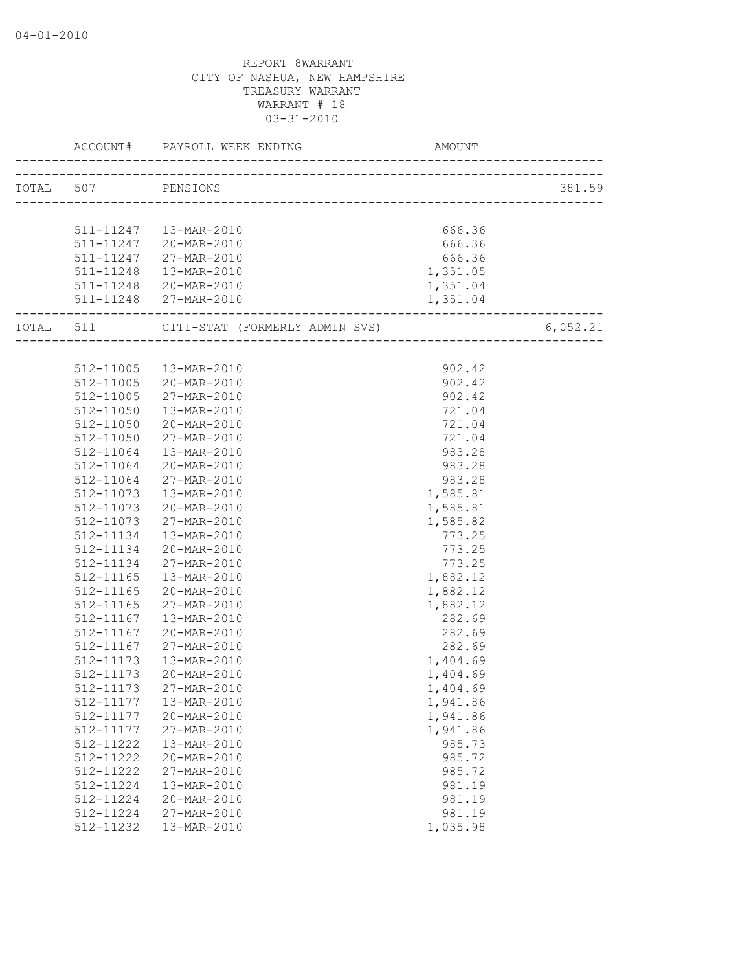| TOTAL 507 PENSIONS |                                                       |          | 381.59   |
|--------------------|-------------------------------------------------------|----------|----------|
|                    |                                                       |          |          |
|                    |                                                       |          |          |
|                    | 511-11247  13-MAR-2010                                | 666.36   |          |
|                    | 511-11247 20-MAR-2010                                 | 666.36   |          |
|                    | 511-11247 27-MAR-2010                                 | 666.36   |          |
|                    | 511-11248  13-MAR-2010                                | 1,351.05 |          |
|                    | 511-11248 20-MAR-2010                                 | 1,351.04 |          |
|                    | 511-11248 27-MAR-2010<br>---------------------------- | 1,351.04 |          |
|                    |                                                       |          | 6,052.21 |
|                    |                                                       |          |          |
|                    | 512-11005  13-MAR-2010                                | 902.42   |          |
|                    | 512-11005 20-MAR-2010                                 | 902.42   |          |
| 512-11005          | 27-MAR-2010                                           | 902.42   |          |
| 512-11050          | 13-MAR-2010                                           | 721.04   |          |
| 512-11050          | 20-MAR-2010                                           | 721.04   |          |
| 512-11050          | 27-MAR-2010                                           | 721.04   |          |
| 512-11064          | 13-MAR-2010                                           | 983.28   |          |
| 512-11064          | 20-MAR-2010                                           | 983.28   |          |
| 512-11064          | 27-MAR-2010                                           | 983.28   |          |
| 512-11073          | 13-MAR-2010                                           | 1,585.81 |          |
| 512-11073          | 20-MAR-2010                                           | 1,585.81 |          |
| 512-11073          | 27-MAR-2010                                           | 1,585.82 |          |
| 512-11134          | 13-MAR-2010                                           | 773.25   |          |
| 512-11134          | 20-MAR-2010                                           | 773.25   |          |
| 512-11134          | 27-MAR-2010                                           | 773.25   |          |
| 512-11165          | 13-MAR-2010                                           | 1,882.12 |          |
| 512-11165          | 20-MAR-2010                                           | 1,882.12 |          |
| 512-11165          | 27-MAR-2010                                           | 1,882.12 |          |
| 512-11167          | 13-MAR-2010                                           | 282.69   |          |
| 512-11167          | 20-MAR-2010                                           | 282.69   |          |
| 512-11167          | 27-MAR-2010                                           | 282.69   |          |
| 512-11173          | 13-MAR-2010                                           | 1,404.69 |          |
| 512-11173          | 20-MAR-2010                                           | 1,404.69 |          |
| 512-11173          | 27-MAR-2010                                           | 1,404.69 |          |
| 512-11177          | 13-MAR-2010                                           | 1,941.86 |          |
| 512-11177          | 20-MAR-2010                                           | 1,941.86 |          |
| 512-11177          | 27-MAR-2010                                           | 1,941.86 |          |
| 512-11222          | 13-MAR-2010                                           | 985.73   |          |
| 512-11222          | 20-MAR-2010                                           | 985.72   |          |
| 512-11222          | 27-MAR-2010                                           | 985.72   |          |
| 512-11224          | 13-MAR-2010                                           | 981.19   |          |
| 512-11224          | 20-MAR-2010                                           | 981.19   |          |
| 512-11224          | 27-MAR-2010                                           | 981.19   |          |
| 512-11232          | 13-MAR-2010                                           | 1,035.98 |          |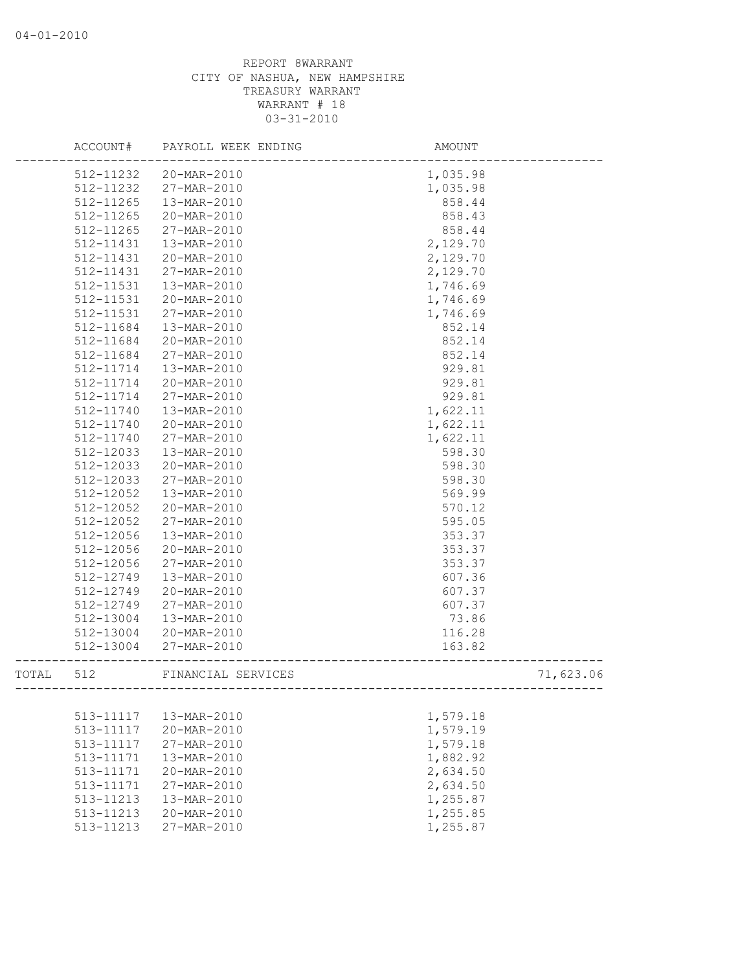|       | ACCOUNT#  | PAYROLL WEEK ENDING                     | AMOUNT                                |           |
|-------|-----------|-----------------------------------------|---------------------------------------|-----------|
|       | 512-11232 | 20-MAR-2010                             | 1,035.98                              |           |
|       | 512-11232 | 27-MAR-2010                             | 1,035.98                              |           |
|       | 512-11265 | 13-MAR-2010                             | 858.44                                |           |
|       | 512-11265 | 20-MAR-2010                             | 858.43                                |           |
|       | 512-11265 | 27-MAR-2010                             | 858.44                                |           |
|       | 512-11431 | 13-MAR-2010                             | 2,129.70                              |           |
|       | 512-11431 | 20-MAR-2010                             | 2,129.70                              |           |
|       | 512-11431 | 27-MAR-2010                             | 2,129.70                              |           |
|       | 512-11531 | 13-MAR-2010                             | 1,746.69                              |           |
|       | 512-11531 | 20-MAR-2010                             | 1,746.69                              |           |
|       | 512-11531 | 27-MAR-2010                             | 1,746.69                              |           |
|       | 512-11684 | 13-MAR-2010                             | 852.14                                |           |
|       | 512-11684 | 20-MAR-2010                             | 852.14                                |           |
|       | 512-11684 | 27-MAR-2010                             | 852.14                                |           |
|       | 512-11714 | 13-MAR-2010                             | 929.81                                |           |
|       | 512-11714 | 20-MAR-2010                             | 929.81                                |           |
|       | 512-11714 | 27-MAR-2010                             | 929.81                                |           |
|       | 512-11740 | 13-MAR-2010                             | 1,622.11                              |           |
|       | 512-11740 | 20-MAR-2010                             | 1,622.11                              |           |
|       | 512-11740 | 27-MAR-2010                             | 1,622.11                              |           |
|       | 512-12033 | 13-MAR-2010                             | 598.30                                |           |
|       | 512-12033 | 20-MAR-2010                             | 598.30                                |           |
|       | 512-12033 | 27-MAR-2010                             | 598.30                                |           |
|       | 512-12052 | 13-MAR-2010                             | 569.99                                |           |
|       | 512-12052 | 20-MAR-2010                             | 570.12                                |           |
|       | 512-12052 | 27-MAR-2010                             | 595.05                                |           |
|       | 512-12056 | 13-MAR-2010                             | 353.37                                |           |
|       | 512-12056 | 20-MAR-2010                             | 353.37                                |           |
|       | 512-12056 | 27-MAR-2010                             | 353.37                                |           |
|       | 512-12749 | 13-MAR-2010                             | 607.36                                |           |
|       | 512-12749 | 20-MAR-2010                             | 607.37                                |           |
|       | 512-12749 | 27-MAR-2010                             | 607.37                                |           |
|       | 512-13004 | 13-MAR-2010                             | 73.86                                 |           |
|       | 512-13004 | 20-MAR-2010                             | 116.28                                |           |
|       | 512-13004 | 27-MAR-2010                             | 163.82                                |           |
| TOTAL | 512       | FINANCIAL SERVICES<br>----------------- | ------------------------------------- | 71,623.06 |
|       |           |                                         |                                       |           |
|       | 513-11117 | 13-MAR-2010                             | 1,579.18                              |           |
|       | 513-11117 | 20-MAR-2010                             | 1,579.19                              |           |
|       | 513-11117 | 27-MAR-2010                             | 1,579.18                              |           |
|       | 513-11171 | 13-MAR-2010                             | 1,882.92                              |           |
|       | 513-11171 | 20-MAR-2010                             | 2,634.50                              |           |
|       | 513-11171 | 27-MAR-2010                             | 2,634.50                              |           |
|       | 513-11213 | $13 - \text{MAR} - 2010$                | 1,255.87                              |           |
|       | 513-11213 | $20 - \text{MAR} - 2010$                | 1,255.85                              |           |
|       | 513-11213 | 27-MAR-2010                             | 1,255.87                              |           |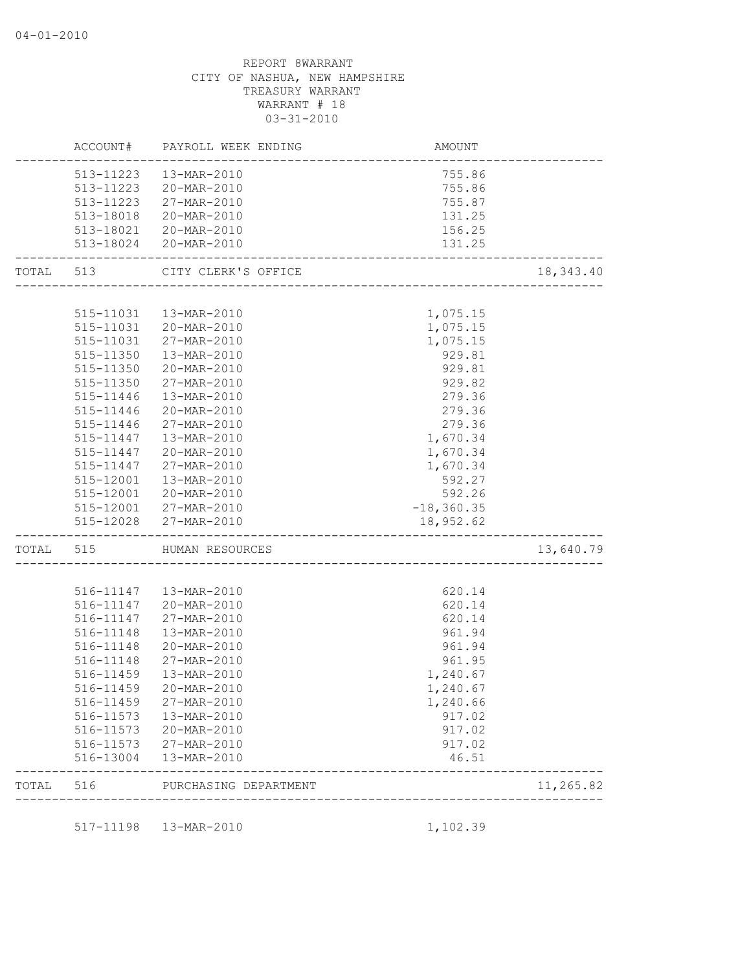|           |           | ACCOUNT# PAYROLL WEEK ENDING | AMOUNT                                      |           |
|-----------|-----------|------------------------------|---------------------------------------------|-----------|
|           | 513-11223 | 13-MAR-2010                  | 755.86                                      |           |
|           | 513-11223 | 20-MAR-2010                  | 755.86                                      |           |
|           | 513-11223 | 27-MAR-2010                  | 755.87                                      |           |
|           | 513-18018 | 20-MAR-2010                  | 131.25                                      |           |
|           |           | 513-18021 20-MAR-2010        | 156.25                                      |           |
|           |           | 513-18024 20-MAR-2010        | 131.25<br>--------------------------------- |           |
| TOTAL 513 |           | CITY CLERK'S OFFICE          |                                             | 18,343.40 |
|           |           |                              |                                             |           |
|           |           | 515-11031  13-MAR-2010       | 1,075.15                                    |           |
|           |           | 515-11031 20-MAR-2010        | 1,075.15                                    |           |
|           |           | 515-11031 27-MAR-2010        | 1,075.15                                    |           |
|           |           | 515-11350  13-MAR-2010       | 929.81                                      |           |
|           |           | 515-11350 20-MAR-2010        | 929.81                                      |           |
|           |           | 515-11350 27-MAR-2010        | 929.82                                      |           |
|           | 515-11446 | 13-MAR-2010                  | 279.36                                      |           |
|           | 515-11446 | 20-MAR-2010                  | 279.36                                      |           |
|           | 515-11446 | 27-MAR-2010                  | 279.36                                      |           |
|           | 515-11447 | 13-MAR-2010                  | 1,670.34                                    |           |
|           | 515-11447 | 20-MAR-2010                  | 1,670.34                                    |           |
|           | 515-11447 | 27-MAR-2010                  | 1,670.34                                    |           |
|           | 515-12001 | 13-MAR-2010                  | 592.27                                      |           |
|           |           | 515-12001 20-MAR-2010        | 592.26                                      |           |
|           |           | 515-12001 27-MAR-2010        | $-18, 360.35$                               |           |
|           |           | 515-12028 27-MAR-2010        | 18,952.62                                   |           |
| TOTAL 515 |           | HUMAN RESOURCES              | _________________________________           | 13,640.79 |
|           |           |                              |                                             |           |
|           |           | 516-11147  13-MAR-2010       | 620.14                                      |           |
|           |           | 516-11147 20-MAR-2010        | 620.14                                      |           |
|           |           | 516-11147 27-MAR-2010        | 620.14                                      |           |
|           |           | 516-11148  13-MAR-2010       | 961.94                                      |           |
|           |           | 516-11148 20-MAR-2010        | 961.94                                      |           |
|           | 516-11148 | 27-MAR-2010                  | 961.95                                      |           |
|           | 516-11459 | 13-MAR-2010                  | 1,240.67                                    |           |
|           |           | 516-11459 20-MAR-2010        | 1,240.67                                    |           |
|           | 516-11459 | 27-MAR-2010                  | 1,240.66                                    |           |
|           | 516-11573 | 13-MAR-2010                  | 917.02                                      |           |
|           |           | 516-11573 20-MAR-2010        | 917.02                                      |           |
|           |           | 516-11573 27-MAR-2010        | 917.02                                      |           |
|           |           | 516-13004  13-MAR-2010       | 46.51                                       |           |
| TOTAL     | 516       | PURCHASING DEPARTMENT        |                                             | 11,265.82 |
|           |           |                              |                                             |           |
|           |           | 517-11198  13-MAR-2010       | 1,102.39                                    |           |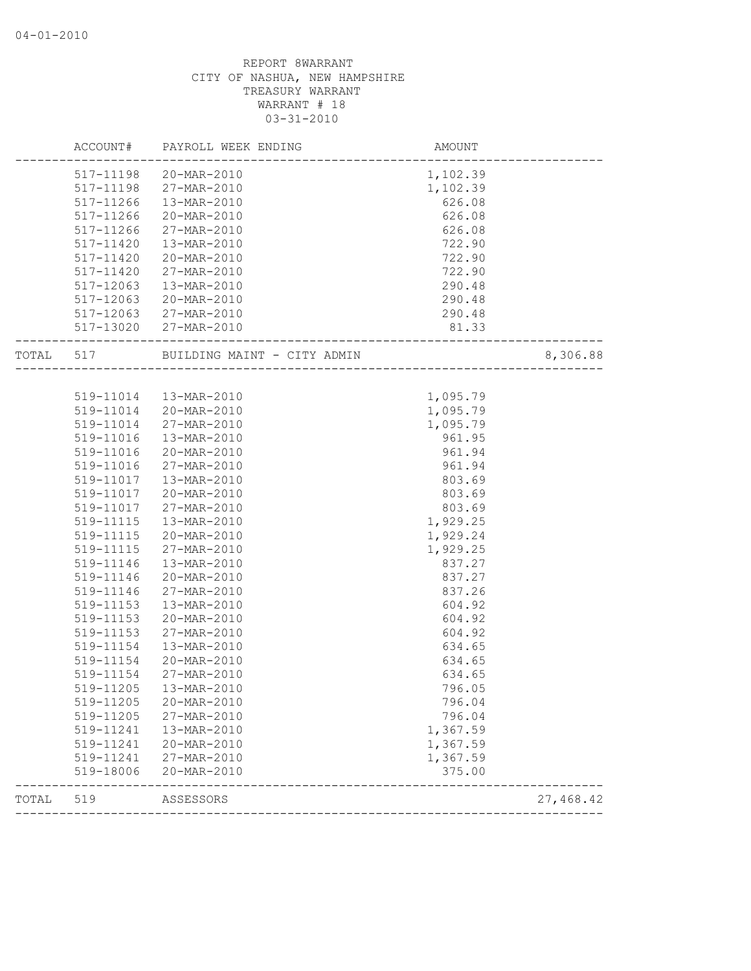|       | ACCOUNT#  | PAYROLL WEEK ENDING         | AMOUNT   |           |
|-------|-----------|-----------------------------|----------|-----------|
|       |           | 517-11198 20-MAR-2010       | 1,102.39 |           |
|       | 517-11198 | 27-MAR-2010                 | 1,102.39 |           |
|       | 517-11266 | 13-MAR-2010                 | 626.08   |           |
|       | 517-11266 | 20-MAR-2010                 | 626.08   |           |
|       | 517-11266 | 27-MAR-2010                 | 626.08   |           |
|       | 517-11420 | 13-MAR-2010                 | 722.90   |           |
|       | 517-11420 | 20-MAR-2010                 | 722.90   |           |
|       | 517-11420 | 27-MAR-2010                 | 722.90   |           |
|       | 517-12063 | 13-MAR-2010                 | 290.48   |           |
|       | 517-12063 | 20-MAR-2010                 | 290.48   |           |
|       |           | 517-12063 27-MAR-2010       | 290.48   |           |
|       |           | 517-13020 27-MAR-2010       | 81.33    |           |
| TOTAL | 517       | BUILDING MAINT - CITY ADMIN |          | 8,306.88  |
|       |           |                             |          |           |
|       |           | 519-11014  13-MAR-2010      | 1,095.79 |           |
|       | 519-11014 | 20-MAR-2010                 | 1,095.79 |           |
|       | 519-11014 | 27-MAR-2010                 | 1,095.79 |           |
|       | 519-11016 | 13-MAR-2010                 | 961.95   |           |
|       | 519-11016 | 20-MAR-2010                 | 961.94   |           |
|       | 519-11016 | 27-MAR-2010                 | 961.94   |           |
|       | 519-11017 | 13-MAR-2010                 | 803.69   |           |
|       | 519-11017 | 20-MAR-2010                 | 803.69   |           |
|       | 519-11017 | 27-MAR-2010                 | 803.69   |           |
|       | 519-11115 | 13-MAR-2010                 | 1,929.25 |           |
|       | 519-11115 | 20-MAR-2010                 | 1,929.24 |           |
|       | 519-11115 | 27-MAR-2010                 | 1,929.25 |           |
|       | 519-11146 | 13-MAR-2010                 | 837.27   |           |
|       | 519-11146 | 20-MAR-2010                 | 837.27   |           |
|       | 519-11146 | 27-MAR-2010                 | 837.26   |           |
|       | 519-11153 | 13-MAR-2010                 | 604.92   |           |
|       | 519-11153 | 20-MAR-2010                 | 604.92   |           |
|       | 519-11153 | 27-MAR-2010                 | 604.92   |           |
|       | 519-11154 | 13-MAR-2010                 | 634.65   |           |
|       | 519-11154 | 20-MAR-2010                 | 634.65   |           |
|       | 519-11154 | 27-MAR-2010                 | 634.65   |           |
|       | 519-11205 | 13-MAR-2010                 | 796.05   |           |
|       | 519-11205 | 20-MAR-2010                 | 796.04   |           |
|       | 519-11205 | 27-MAR-2010                 | 796.04   |           |
|       | 519-11241 | 13-MAR-2010                 | 1,367.59 |           |
|       | 519-11241 | 20-MAR-2010                 | 1,367.59 |           |
|       | 519-11241 | 27-MAR-2010                 | 1,367.59 |           |
|       | 519-18006 | 20-MAR-2010                 | 375.00   |           |
| TOTAL | 519       | ASSESSORS                   |          | 27,468.42 |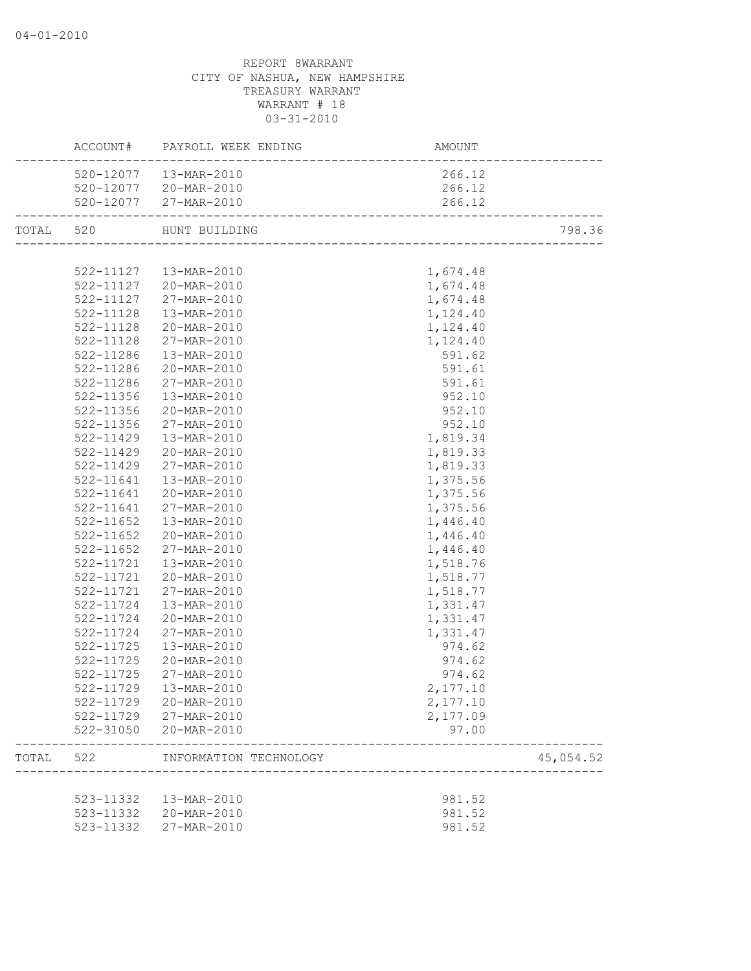|           |               | ACCOUNT# PAYROLL WEEK ENDING     | <b>AMOUNT</b>            |           |
|-----------|---------------|----------------------------------|--------------------------|-----------|
|           |               | 520-12077  13-MAR-2010           | 266.12                   |           |
|           |               | 520-12077 20-MAR-2010            | 266.12                   |           |
|           |               | 520-12077 27-MAR-2010            | 266.12                   |           |
| TOTAL 520 |               | HUNT BUILDING                    |                          | 798.36    |
|           |               |                                  |                          |           |
|           |               | 522-11127  13-MAR-2010           | 1,674.48                 |           |
|           |               | 522-11127 20-MAR-2010            | 1,674.48                 |           |
|           |               | 522-11127 27-MAR-2010            | 1,674.48                 |           |
|           | 522-11128     | 13-MAR-2010                      | 1,124.40                 |           |
|           |               | 522-11128 20-MAR-2010            | 1,124.40                 |           |
|           | 522-11128     | 27-MAR-2010                      | 1,124.40                 |           |
|           | 522-11286     | 13-MAR-2010                      | 591.62                   |           |
|           | 522-11286     | 20-MAR-2010                      | 591.61                   |           |
|           | 522-11286     | 27-MAR-2010                      | 591.61                   |           |
|           | 522-11356     | 13-MAR-2010                      | 952.10                   |           |
|           | 522-11356     | 20-MAR-2010                      | 952.10                   |           |
|           | 522-11356     | 27-MAR-2010                      | 952.10                   |           |
|           | $522 - 11429$ | 13-MAR-2010                      | 1,819.34                 |           |
|           | 522-11429     | 20-MAR-2010                      | 1,819.33                 |           |
|           | 522-11429     | 27-MAR-2010                      | 1,819.33                 |           |
|           | 522-11641     | 13-MAR-2010                      | 1,375.56                 |           |
|           | 522-11641     | 20-MAR-2010                      | 1,375.56                 |           |
|           | 522-11641     | 27-MAR-2010                      | 1,375.56                 |           |
|           | 522-11652     | 13-MAR-2010                      | 1,446.40                 |           |
|           | $522 - 11652$ | 20-MAR-2010                      | 1,446.40                 |           |
|           | $522 - 11652$ | 27-MAR-2010                      | 1,446.40                 |           |
|           | 522-11721     | 13-MAR-2010                      |                          |           |
|           |               |                                  | 1,518.76                 |           |
|           |               | 522-11721 20-MAR-2010            | 1,518.77                 |           |
|           | 522-11721     | 27-MAR-2010                      | 1,518.77                 |           |
|           | 522-11724     | 13-MAR-2010                      | 1,331.47                 |           |
|           | 522-11724     | 20-MAR-2010                      | 1,331.47                 |           |
|           | 522-11724     | 27-MAR-2010                      | 1,331.47                 |           |
|           | 522-11725     | 13-MAR-2010                      | 974.62                   |           |
|           | $522 - 11725$ | 20-MAR-2010                      | 974.62                   |           |
|           | 522-11725     | 27-MAR-2010                      | 974.62                   |           |
|           |               | 522-11729  13-MAR-2010           | 2,177.10                 |           |
|           |               | 522-11729 20-MAR-2010            | 2,177.10                 |           |
|           |               | 522-11729 27-MAR-2010            | 2,177.09                 |           |
|           |               | 522-31050 20-MAR-2010            | 97.00                    |           |
|           |               | TOTAL 522 INFORMATION TECHNOLOGY | ________________________ | 45,054.52 |
|           |               | 523-11332  13-MAR-2010           | 981.52                   |           |
|           |               | 523-11332 20-MAR-2010            | 981.52                   |           |
|           | 523-11332     | 27-MAR-2010                      | 981.52                   |           |
|           |               |                                  |                          |           |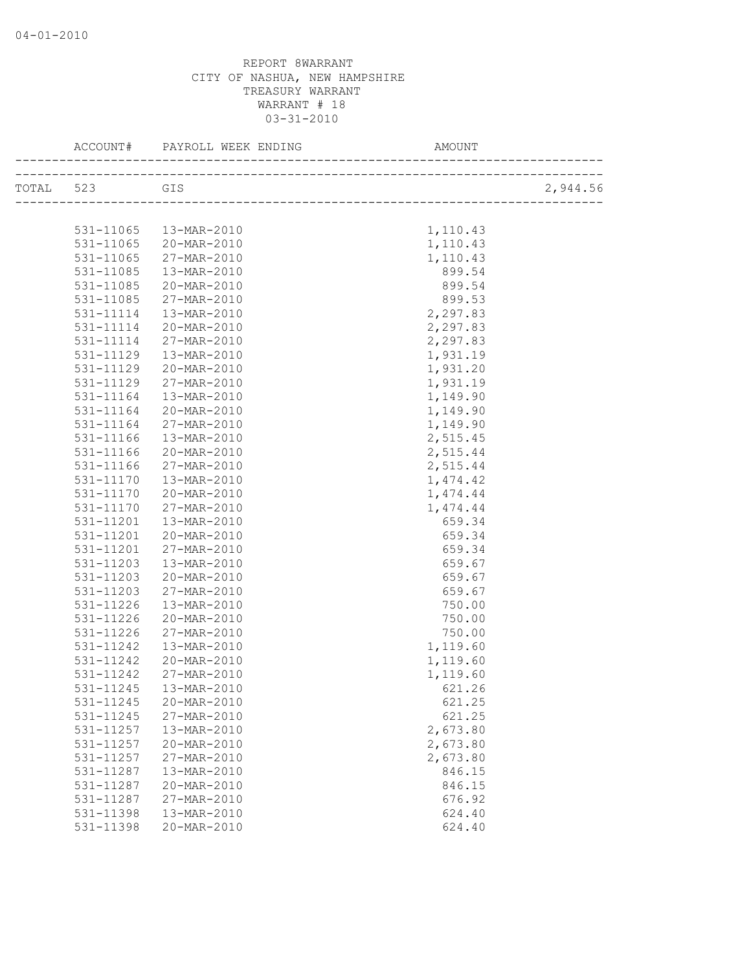|               |             | AMOUNT   |          |
|---------------|-------------|----------|----------|
| TOTAL 523 GIS |             |          | 2,944.56 |
|               |             |          |          |
| 531-11065     | 13-MAR-2010 | 1,110.43 |          |
| 531-11065     | 20-MAR-2010 | 1,110.43 |          |
| 531-11065     | 27-MAR-2010 | 1,110.43 |          |
| 531-11085     | 13-MAR-2010 | 899.54   |          |
| 531-11085     | 20-MAR-2010 | 899.54   |          |
| 531-11085     | 27-MAR-2010 | 899.53   |          |
| 531-11114     | 13-MAR-2010 | 2,297.83 |          |
| 531-11114     | 20-MAR-2010 | 2,297.83 |          |
| 531-11114     | 27-MAR-2010 | 2,297.83 |          |
| 531-11129     | 13-MAR-2010 | 1,931.19 |          |
| 531-11129     | 20-MAR-2010 | 1,931.20 |          |
| 531-11129     | 27-MAR-2010 | 1,931.19 |          |
| 531-11164     | 13-MAR-2010 | 1,149.90 |          |
| 531-11164     | 20-MAR-2010 | 1,149.90 |          |
| 531-11164     | 27-MAR-2010 | 1,149.90 |          |
| 531-11166     | 13-MAR-2010 | 2,515.45 |          |
| 531-11166     | 20-MAR-2010 | 2,515.44 |          |
| $531 - 11166$ | 27-MAR-2010 | 2,515.44 |          |
| 531-11170     | 13-MAR-2010 | 1,474.42 |          |
| 531-11170     | 20-MAR-2010 | 1,474.44 |          |
| 531-11170     | 27-MAR-2010 | 1,474.44 |          |
| 531-11201     | 13-MAR-2010 | 659.34   |          |
| 531-11201     | 20-MAR-2010 | 659.34   |          |
| 531-11201     | 27-MAR-2010 | 659.34   |          |
| 531-11203     | 13-MAR-2010 | 659.67   |          |
| 531-11203     | 20-MAR-2010 | 659.67   |          |
| 531-11203     | 27-MAR-2010 | 659.67   |          |
| 531-11226     | 13-MAR-2010 | 750.00   |          |
| 531-11226     | 20-MAR-2010 | 750.00   |          |
| 531-11226     | 27-MAR-2010 | 750.00   |          |
| 531-11242     | 13-MAR-2010 | 1,119.60 |          |
| 531-11242     | 20-MAR-2010 | 1,119.60 |          |
| 531-11242     | 27-MAR-2010 | 1,119.60 |          |
| 531-11245     | 13-MAR-2010 | 621.26   |          |
| 531-11245     | 20-MAR-2010 | 621.25   |          |
| $531 - 11245$ | 27-MAR-2010 | 621.25   |          |
| 531-11257     | 13-MAR-2010 | 2,673.80 |          |
| 531-11257     | 20-MAR-2010 | 2,673.80 |          |
| 531-11257     | 27-MAR-2010 | 2,673.80 |          |
| 531-11287     | 13-MAR-2010 | 846.15   |          |
| 531-11287     | 20-MAR-2010 | 846.15   |          |
| 531-11287     | 27-MAR-2010 | 676.92   |          |
| 531-11398     | 13-MAR-2010 | 624.40   |          |
| 531-11398     | 20-MAR-2010 | 624.40   |          |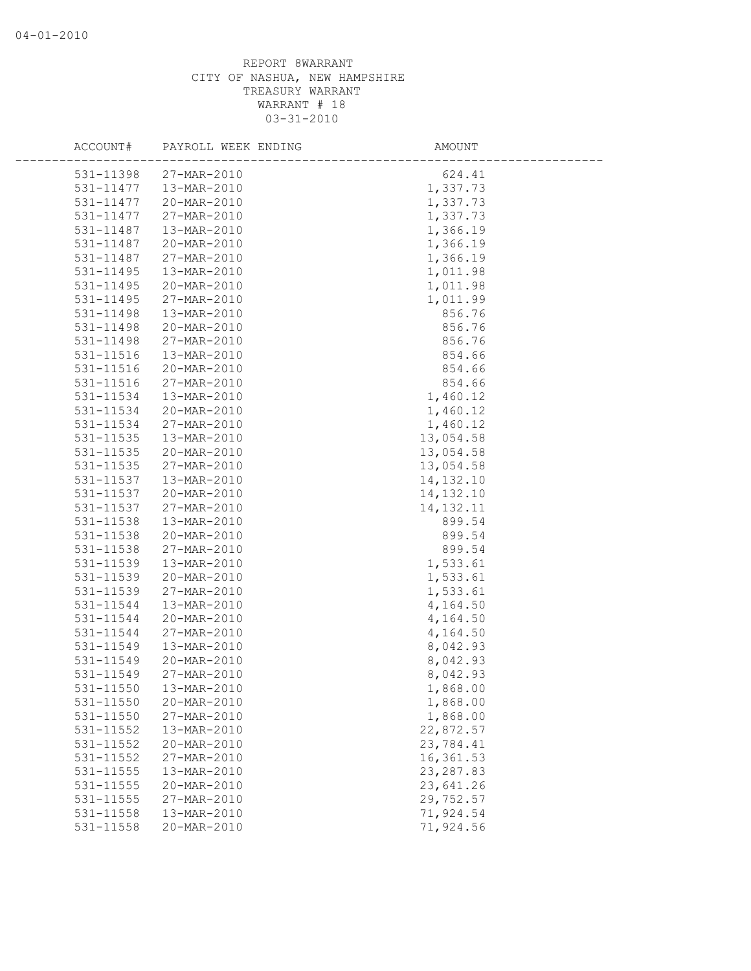| ACCOUNT#      | PAYROLL WEEK ENDING | AMOUNT      |
|---------------|---------------------|-------------|
| 531-11398     | 27-MAR-2010         | 624.41      |
| 531-11477     | 13-MAR-2010         | 1,337.73    |
| 531-11477     | 20-MAR-2010         | 1,337.73    |
| 531-11477     | 27-MAR-2010         | 1,337.73    |
| 531-11487     | 13-MAR-2010         | 1,366.19    |
| 531-11487     | 20-MAR-2010         | 1,366.19    |
| 531-11487     | 27-MAR-2010         | 1,366.19    |
| $531 - 11495$ | 13-MAR-2010         | 1,011.98    |
| 531-11495     | 20-MAR-2010         | 1,011.98    |
| 531-11495     | 27-MAR-2010         | 1,011.99    |
| 531-11498     | 13-MAR-2010         | 856.76      |
| 531-11498     | 20-MAR-2010         | 856.76      |
| 531-11498     | 27-MAR-2010         | 856.76      |
| 531-11516     | 13-MAR-2010         | 854.66      |
| 531-11516     | 20-MAR-2010         | 854.66      |
| 531-11516     | 27-MAR-2010         | 854.66      |
| 531-11534     | 13-MAR-2010         | 1,460.12    |
| 531-11534     | 20-MAR-2010         | 1,460.12    |
| 531-11534     | 27-MAR-2010         | 1,460.12    |
| $531 - 11535$ | 13-MAR-2010         | 13,054.58   |
| 531-11535     | 20-MAR-2010         | 13,054.58   |
| 531-11535     | 27-MAR-2010         | 13,054.58   |
| 531-11537     | 13-MAR-2010         | 14, 132. 10 |
| 531-11537     | 20-MAR-2010         | 14,132.10   |
| 531-11537     | 27-MAR-2010         | 14, 132. 11 |
| 531-11538     | 13-MAR-2010         | 899.54      |
| 531-11538     | 20-MAR-2010         | 899.54      |
| 531-11538     | 27-MAR-2010         | 899.54      |
| 531-11539     | 13-MAR-2010         | 1,533.61    |
| 531-11539     | 20-MAR-2010         | 1,533.61    |
| 531-11539     | 27-MAR-2010         | 1,533.61    |
| 531-11544     | 13-MAR-2010         | 4,164.50    |
| 531-11544     | 20-MAR-2010         | 4,164.50    |
| 531-11544     | 27-MAR-2010         | 4,164.50    |
| 531-11549     | 13-MAR-2010         | 8,042.93    |
| 531-11549     | 20-MAR-2010         | 8,042.93    |
| 531-11549     | 27-MAR-2010         | 8,042.93    |
| 531-11550     | 13-MAR-2010         | 1,868.00    |
| 531-11550     | 20-MAR-2010         | 1,868.00    |
| 531-11550     | 27-MAR-2010         | 1,868.00    |
| 531-11552     | 13-MAR-2010         | 22,872.57   |
| 531-11552     | 20-MAR-2010         | 23,784.41   |
| 531-11552     | 27-MAR-2010         | 16,361.53   |
| 531-11555     | 13-MAR-2010         | 23, 287.83  |
| 531-11555     | 20-MAR-2010         | 23,641.26   |
| $531 - 11555$ | 27-MAR-2010         | 29,752.57   |
| 531-11558     | 13-MAR-2010         | 71,924.54   |
| 531-11558     | 20-MAR-2010         | 71,924.56   |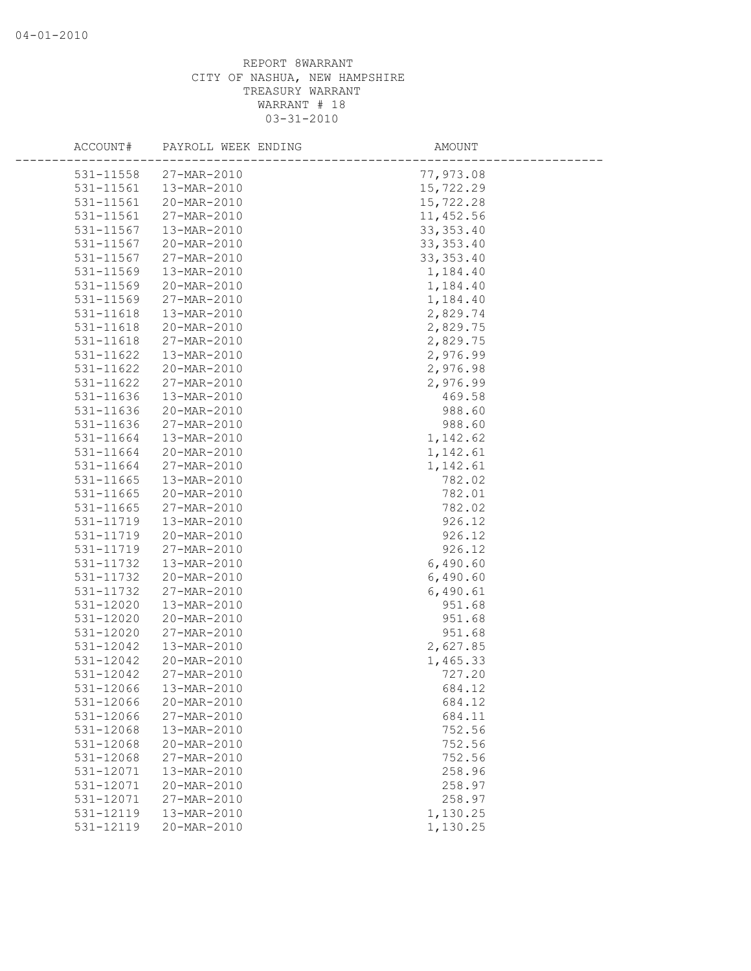| ACCOUNT#  | PAYROLL WEEK ENDING | AMOUNT     |
|-----------|---------------------|------------|
| 531-11558 | 27-MAR-2010         | 77,973.08  |
| 531-11561 | 13-MAR-2010         | 15,722.29  |
| 531-11561 | 20-MAR-2010         | 15,722.28  |
| 531-11561 | 27-MAR-2010         | 11,452.56  |
| 531-11567 | 13-MAR-2010         | 33, 353.40 |
| 531-11567 | 20-MAR-2010         | 33, 353.40 |
| 531-11567 | 27-MAR-2010         | 33, 353.40 |
| 531-11569 | 13-MAR-2010         | 1,184.40   |
| 531-11569 | 20-MAR-2010         | 1,184.40   |
| 531-11569 | 27-MAR-2010         | 1,184.40   |
| 531-11618 | 13-MAR-2010         | 2,829.74   |
| 531-11618 | 20-MAR-2010         | 2,829.75   |
| 531-11618 | 27-MAR-2010         | 2,829.75   |
| 531-11622 | 13-MAR-2010         | 2,976.99   |
| 531-11622 | 20-MAR-2010         | 2,976.98   |
| 531-11622 | 27-MAR-2010         | 2,976.99   |
| 531-11636 | 13-MAR-2010         | 469.58     |
| 531-11636 | 20-MAR-2010         | 988.60     |
| 531-11636 | 27-MAR-2010         | 988.60     |
| 531-11664 | 13-MAR-2010         | 1,142.62   |
| 531-11664 | 20-MAR-2010         | 1,142.61   |
| 531-11664 | 27-MAR-2010         | 1,142.61   |
| 531-11665 | 13-MAR-2010         | 782.02     |
| 531-11665 | 20-MAR-2010         | 782.01     |
| 531-11665 | 27-MAR-2010         | 782.02     |
| 531-11719 | 13-MAR-2010         | 926.12     |
| 531-11719 | 20-MAR-2010         | 926.12     |
| 531-11719 | 27-MAR-2010         | 926.12     |
| 531-11732 | 13-MAR-2010         | 6,490.60   |
| 531-11732 | 20-MAR-2010         | 6,490.60   |
| 531-11732 | 27-MAR-2010         | 6,490.61   |
| 531-12020 | 13-MAR-2010         | 951.68     |
| 531-12020 | 20-MAR-2010         | 951.68     |
| 531-12020 | 27-MAR-2010         | 951.68     |
| 531-12042 | 13-MAR-2010         | 2,627.85   |
| 531-12042 | 20-MAR-2010         | 1,465.33   |
| 531-12042 | 27-MAR-2010         | 727.20     |
| 531-12066 | 13-MAR-2010         | 684.12     |
| 531-12066 | 20-MAR-2010         | 684.12     |
| 531-12066 | 27-MAR-2010         | 684.11     |
| 531-12068 | 13-MAR-2010         | 752.56     |
| 531-12068 | 20-MAR-2010         | 752.56     |
| 531-12068 | 27-MAR-2010         | 752.56     |
| 531-12071 | 13-MAR-2010         | 258.96     |
| 531-12071 | 20-MAR-2010         | 258.97     |
| 531-12071 | 27-MAR-2010         | 258.97     |
| 531-12119 | 13-MAR-2010         | 1,130.25   |
| 531-12119 | 20-MAR-2010         | 1,130.25   |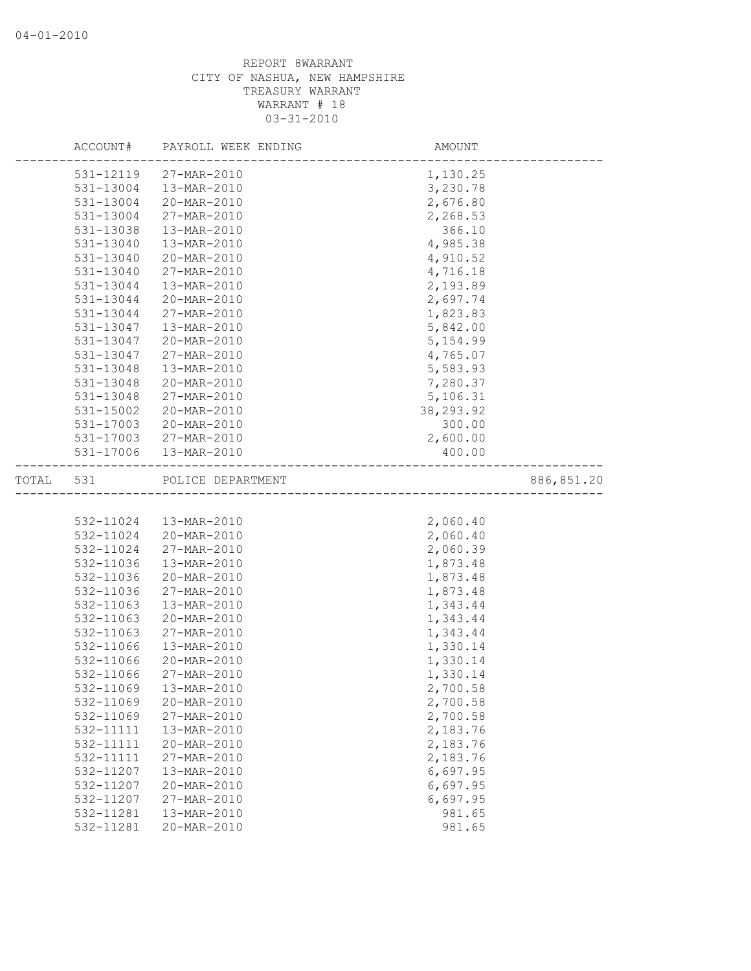|       | ACCOUNT#  | PAYROLL WEEK ENDING                                        | AMOUNT     |             |
|-------|-----------|------------------------------------------------------------|------------|-------------|
|       | 531-12119 | 27-MAR-2010                                                | 1,130.25   |             |
|       | 531-13004 | 13-MAR-2010                                                | 3,230.78   |             |
|       | 531-13004 | 20-MAR-2010                                                | 2,676.80   |             |
|       | 531-13004 | 27-MAR-2010                                                | 2,268.53   |             |
|       | 531-13038 | 13-MAR-2010                                                | 366.10     |             |
|       | 531-13040 | 13-MAR-2010                                                | 4,985.38   |             |
|       | 531-13040 | 20-MAR-2010                                                | 4,910.52   |             |
|       | 531-13040 | 27-MAR-2010                                                | 4,716.18   |             |
|       | 531-13044 | 13-MAR-2010                                                | 2,193.89   |             |
|       | 531-13044 | 20-MAR-2010                                                | 2,697.74   |             |
|       | 531-13044 | 27-MAR-2010                                                | 1,823.83   |             |
|       | 531-13047 | 13-MAR-2010                                                | 5,842.00   |             |
|       | 531-13047 | 20-MAR-2010                                                | 5, 154.99  |             |
|       | 531-13047 | 27-MAR-2010                                                | 4,765.07   |             |
|       | 531-13048 | 13-MAR-2010                                                | 5,583.93   |             |
|       | 531-13048 | 20-MAR-2010                                                | 7,280.37   |             |
|       | 531-13048 | 27-MAR-2010                                                | 5,106.31   |             |
|       | 531-15002 | 20-MAR-2010                                                | 38, 293.92 |             |
|       | 531-17003 | 20-MAR-2010                                                | 300.00     |             |
|       | 531-17003 | 27-MAR-2010                                                | 2,600.00   |             |
|       | 531-17006 | 13-MAR-2010                                                | 400.00     |             |
| TOTAL | 531       | POLICE DEPARTMENT<br>_____________________________________ |            | 886, 851.20 |
|       |           |                                                            |            |             |
|       | 532-11024 | 13-MAR-2010                                                | 2,060.40   |             |
|       | 532-11024 | 20-MAR-2010                                                | 2,060.40   |             |
|       | 532-11024 | 27-MAR-2010                                                | 2,060.39   |             |
|       | 532-11036 | 13-MAR-2010                                                | 1,873.48   |             |
|       | 532-11036 | 20-MAR-2010                                                | 1,873.48   |             |
|       | 532-11036 | 27-MAR-2010                                                | 1,873.48   |             |
|       | 532-11063 | 13-MAR-2010                                                | 1,343.44   |             |
|       | 532-11063 | 20-MAR-2010                                                | 1,343.44   |             |
|       | 532-11063 | 27-MAR-2010                                                | 1,343.44   |             |
|       | 532-11066 | 13-MAR-2010                                                | 1,330.14   |             |
|       | 532-11066 | 20-MAR-2010                                                | 1,330.14   |             |
|       | 532-11066 | 27-MAR-2010                                                | 1,330.14   |             |
|       | 532-11069 | 13-MAR-2010                                                | 2,700.58   |             |
|       | 532-11069 | 20-MAR-2010                                                | 2,700.58   |             |
|       | 532-11069 | 27-MAR-2010                                                | 2,700.58   |             |
|       | 532-11111 | 13-MAR-2010                                                | 2,183.76   |             |
|       | 532-11111 | 20-MAR-2010                                                | 2,183.76   |             |
|       | 532-11111 | 27-MAR-2010                                                | 2,183.76   |             |
|       | 532-11207 | 13-MAR-2010                                                | 6,697.95   |             |
|       | 532-11207 | 20-MAR-2010                                                | 6,697.95   |             |
|       | 532-11207 | 27-MAR-2010                                                | 6,697.95   |             |
|       | 532-11281 | 13-MAR-2010                                                | 981.65     |             |
|       | 532-11281 | 20-MAR-2010                                                | 981.65     |             |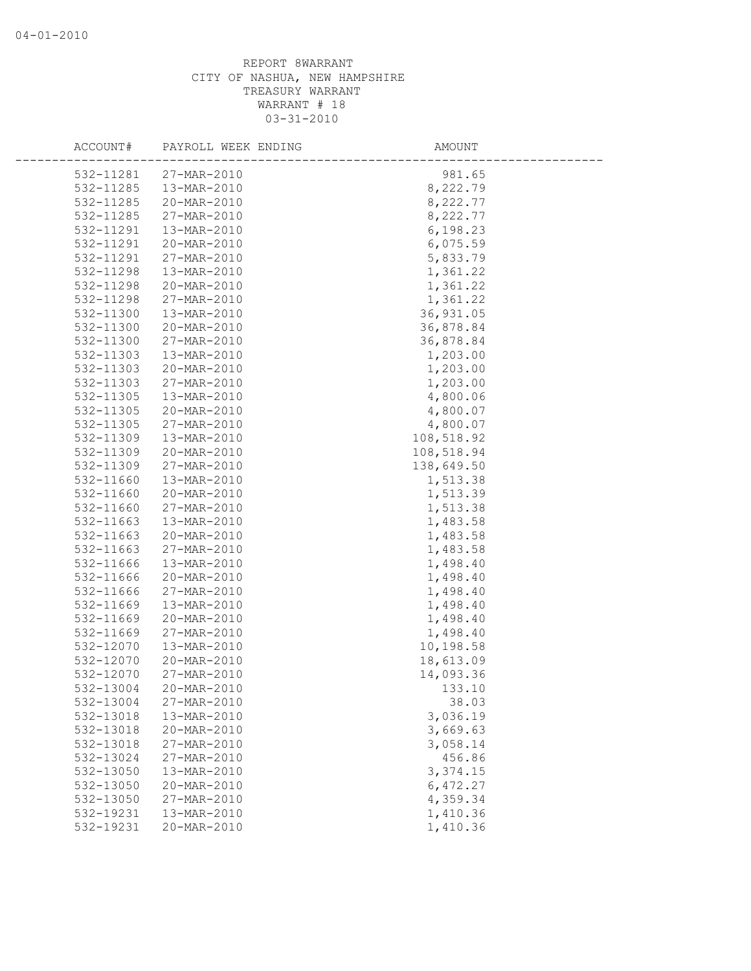| ACCOUNT#  | PAYROLL WEEK ENDING | AMOUNT     |
|-----------|---------------------|------------|
| 532-11281 | 27-MAR-2010         | 981.65     |
| 532-11285 | 13-MAR-2010         | 8,222.79   |
| 532-11285 | 20-MAR-2010         | 8,222.77   |
| 532-11285 | 27-MAR-2010         | 8,222.77   |
| 532-11291 | 13-MAR-2010         | 6,198.23   |
| 532-11291 | 20-MAR-2010         | 6,075.59   |
| 532-11291 | 27-MAR-2010         | 5,833.79   |
| 532-11298 | 13-MAR-2010         | 1,361.22   |
| 532-11298 | 20-MAR-2010         | 1,361.22   |
| 532-11298 | 27-MAR-2010         | 1,361.22   |
| 532-11300 | 13-MAR-2010         | 36,931.05  |
| 532-11300 | 20-MAR-2010         | 36,878.84  |
| 532-11300 | 27-MAR-2010         | 36,878.84  |
| 532-11303 | 13-MAR-2010         | 1,203.00   |
| 532-11303 | 20-MAR-2010         | 1,203.00   |
| 532-11303 | 27-MAR-2010         | 1,203.00   |
| 532-11305 | 13-MAR-2010         | 4,800.06   |
| 532-11305 | 20-MAR-2010         | 4,800.07   |
| 532-11305 | 27-MAR-2010         | 4,800.07   |
| 532-11309 | 13-MAR-2010         | 108,518.92 |
| 532-11309 | 20-MAR-2010         | 108,518.94 |
| 532-11309 | 27-MAR-2010         | 138,649.50 |
| 532-11660 | 13-MAR-2010         | 1,513.38   |
| 532-11660 | 20-MAR-2010         | 1,513.39   |
| 532-11660 | 27-MAR-2010         | 1,513.38   |
| 532-11663 | 13-MAR-2010         | 1,483.58   |
| 532-11663 | 20-MAR-2010         | 1,483.58   |
| 532-11663 | 27-MAR-2010         | 1,483.58   |
| 532-11666 | 13-MAR-2010         | 1,498.40   |
| 532-11666 | 20-MAR-2010         | 1,498.40   |
| 532-11666 | 27-MAR-2010         | 1,498.40   |
| 532-11669 | 13-MAR-2010         | 1,498.40   |
| 532-11669 | 20-MAR-2010         | 1,498.40   |
| 532-11669 | 27-MAR-2010         | 1,498.40   |
| 532-12070 | 13-MAR-2010         | 10,198.58  |
| 532-12070 | 20-MAR-2010         | 18,613.09  |
| 532-12070 | 27-MAR-2010         | 14,093.36  |
| 532-13004 | 20-MAR-2010         | 133.10     |
| 532-13004 | 27-MAR-2010         | 38.03      |
| 532-13018 | 13-MAR-2010         | 3,036.19   |
| 532-13018 | 20-MAR-2010         | 3,669.63   |
| 532-13018 | 27-MAR-2010         | 3,058.14   |
| 532-13024 | 27-MAR-2010         | 456.86     |
| 532-13050 | 13-MAR-2010         | 3,374.15   |
| 532-13050 | 20-MAR-2010         | 6,472.27   |
| 532-13050 | 27-MAR-2010         | 4,359.34   |
| 532-19231 | 13-MAR-2010         | 1,410.36   |
| 532-19231 | 20-MAR-2010         | 1,410.36   |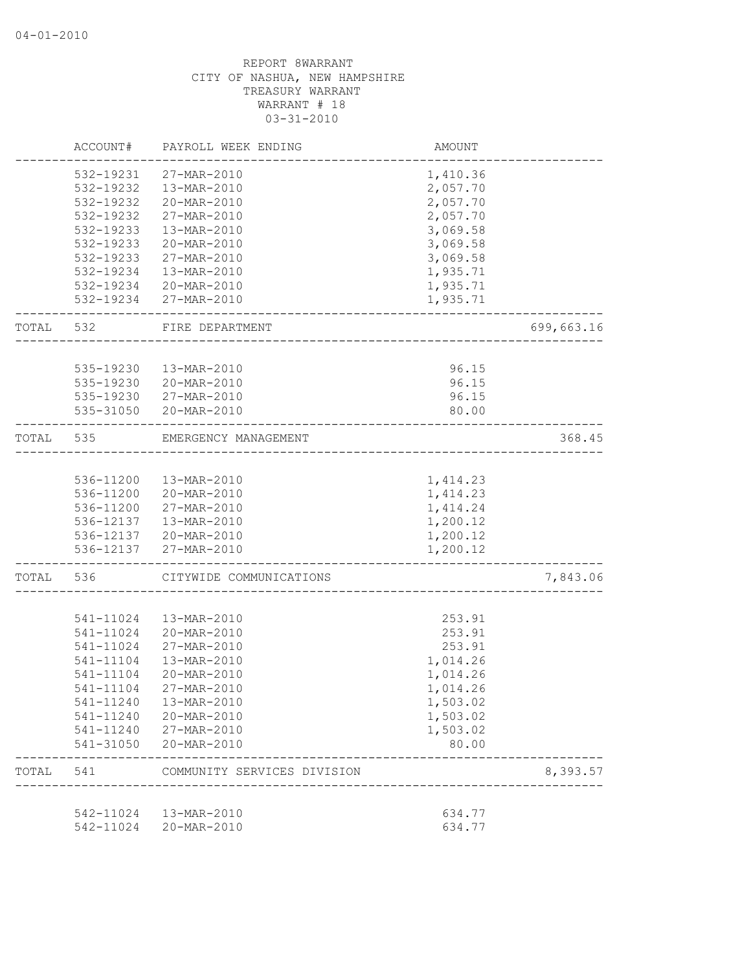|       | ACCOUNT#               | PAYROLL WEEK ENDING                            | AMOUNT               |            |
|-------|------------------------|------------------------------------------------|----------------------|------------|
|       | 532-19231              | 27-MAR-2010                                    | 1,410.36             |            |
|       | 532-19232              | 13-MAR-2010                                    | 2,057.70             |            |
|       | 532-19232              | 20-MAR-2010                                    | 2,057.70             |            |
|       | 532-19232              | 27-MAR-2010                                    | 2,057.70             |            |
|       | 532-19233              | 13-MAR-2010                                    | 3,069.58             |            |
|       | 532-19233              | 20-MAR-2010                                    | 3,069.58             |            |
|       | 532-19233              | 27-MAR-2010                                    | 3,069.58             |            |
|       | 532-19234              | 13-MAR-2010                                    | 1,935.71             |            |
|       | 532-19234              | 20-MAR-2010                                    | 1,935.71             |            |
|       |                        | 532-19234 27-MAR-2010                          | 1,935.71             |            |
| TOTAL | 532                    | FIRE DEPARTMENT                                |                      | 699,663.16 |
|       |                        |                                                |                      |            |
|       | 535-19230<br>535-19230 | 13-MAR-2010                                    | 96.15                |            |
|       | 535-19230              | 20-MAR-2010<br>27-MAR-2010                     | 96.15<br>96.15       |            |
|       | 535-31050              | 20-MAR-2010                                    | 80.00                |            |
|       |                        |                                                |                      |            |
| TOTAL | 535                    | EMERGENCY MANAGEMENT                           |                      | 368.45     |
|       |                        |                                                |                      |            |
|       | 536-11200              | 13-MAR-2010                                    | 1,414.23             |            |
|       | 536-11200              | 20-MAR-2010                                    | 1,414.23             |            |
|       | 536-11200              | 27-MAR-2010                                    | 1, 414.24            |            |
|       | 536-12137              | 13-MAR-2010                                    | 1,200.12             |            |
|       |                        | 536-12137 20-MAR-2010<br>536-12137 27-MAR-2010 | 1,200.12<br>1,200.12 |            |
|       |                        |                                                |                      |            |
| TOTAL | 536                    | CITYWIDE COMMUNICATIONS                        |                      | 7,843.06   |
|       |                        |                                                |                      |            |
|       | 541-11024              | 13-MAR-2010                                    | 253.91               |            |
|       | 541-11024              | 20-MAR-2010                                    | 253.91               |            |
|       | 541-11024              | 27-MAR-2010                                    | 253.91               |            |
|       | 541-11104              | 13-MAR-2010                                    | 1,014.26             |            |
|       | 541-11104              | 20-MAR-2010                                    | 1,014.26             |            |
|       | 541-11104              | 27-MAR-2010                                    | 1,014.26             |            |
|       | 541-11240              | 13-MAR-2010                                    | 1,503.02             |            |
|       | 541-11240              | 20-MAR-2010                                    | 1,503.02             |            |
|       | 541-11240              | 27-MAR-2010                                    | 1,503.02             |            |
|       | 541-31050              | 20-MAR-2010                                    | 80.00                |            |
| TOTAL | 541                    | COMMUNITY SERVICES DIVISION                    |                      | 8,393.57   |
|       | 542-11024              | 13-MAR-2010                                    | 634.77               |            |
|       | 542-11024              | 20-MAR-2010                                    | 634.77               |            |
|       |                        |                                                |                      |            |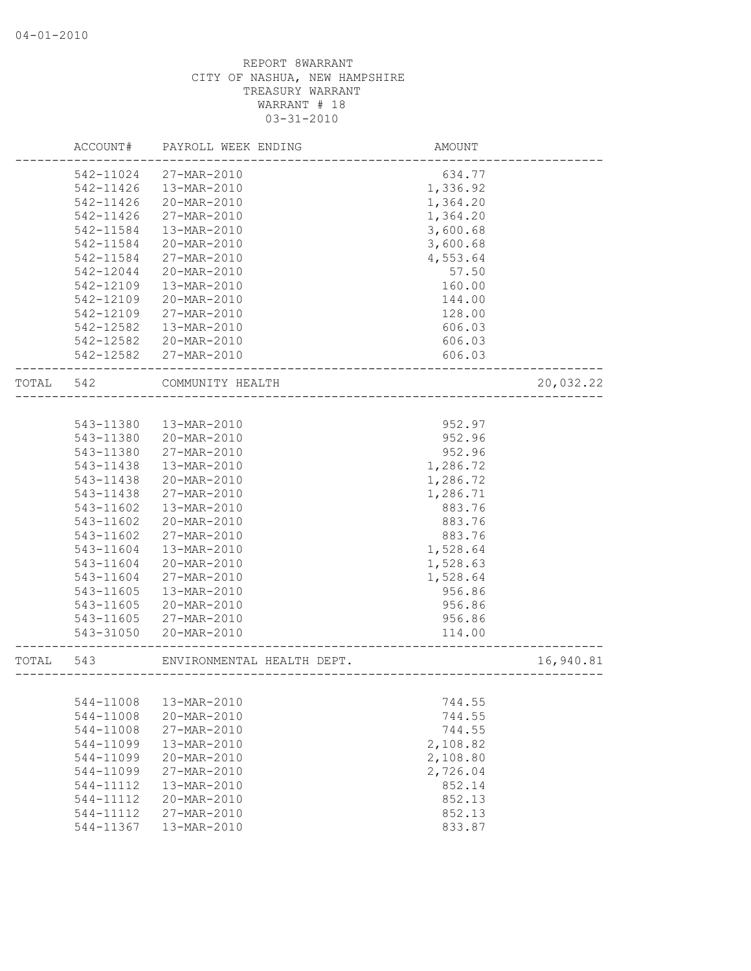|       | ACCOUNT#  | PAYROLL WEEK ENDING        | AMOUNT                        |           |
|-------|-----------|----------------------------|-------------------------------|-----------|
|       | 542-11024 | 27-MAR-2010                | 634.77                        |           |
|       | 542-11426 | 13-MAR-2010                | 1,336.92                      |           |
|       | 542-11426 | 20-MAR-2010                | 1,364.20                      |           |
|       | 542-11426 | 27-MAR-2010                | 1,364.20                      |           |
|       | 542-11584 | 13-MAR-2010                | 3,600.68                      |           |
|       | 542-11584 | 20-MAR-2010                | 3,600.68                      |           |
|       | 542-11584 | 27-MAR-2010                | 4,553.64                      |           |
|       | 542-12044 | 20-MAR-2010                | 57.50                         |           |
|       | 542-12109 | 13-MAR-2010                | 160.00                        |           |
|       | 542-12109 | 20-MAR-2010                | 144.00                        |           |
|       | 542-12109 | 27-MAR-2010                | 128.00                        |           |
|       | 542-12582 | 13-MAR-2010                | 606.03                        |           |
|       | 542-12582 | 20-MAR-2010                | 606.03                        |           |
|       | 542-12582 | 27-MAR-2010                | 606.03                        |           |
| TOTAL | 542       | COMMUNITY HEALTH           |                               | 20,032.22 |
|       |           |                            |                               |           |
|       |           |                            |                               |           |
|       | 543-11380 | 13-MAR-2010                | 952.97                        |           |
|       | 543-11380 | 20-MAR-2010                | 952.96                        |           |
|       | 543-11380 | 27-MAR-2010                | 952.96                        |           |
|       | 543-11438 | 13-MAR-2010                | 1,286.72                      |           |
|       | 543-11438 | 20-MAR-2010                | 1,286.72                      |           |
|       | 543-11438 | 27-MAR-2010                | 1,286.71                      |           |
|       | 543-11602 | 13-MAR-2010                | 883.76                        |           |
|       | 543-11602 | 20-MAR-2010                | 883.76                        |           |
|       | 543-11602 | 27-MAR-2010                | 883.76                        |           |
|       | 543-11604 | 13-MAR-2010                | 1,528.64                      |           |
|       | 543-11604 | 20-MAR-2010                | 1,528.63                      |           |
|       | 543-11604 | 27-MAR-2010                | 1,528.64                      |           |
|       | 543-11605 | 13-MAR-2010                | 956.86                        |           |
|       | 543-11605 | 20-MAR-2010                | 956.86                        |           |
|       | 543-11605 | 27-MAR-2010                | 956.86                        |           |
|       | 543-31050 | 20-MAR-2010                | 114.00                        |           |
| TOTAL | 543       | ENVIRONMENTAL HEALTH DEPT. |                               | 16,940.81 |
|       |           |                            | _____________________________ |           |
|       | 544-11008 | 13-MAR-2010                | 744.55                        |           |
|       | 544-11008 | 20-MAR-2010                | 744.55                        |           |
|       | 544-11008 | 27-MAR-2010                | 744.55                        |           |
|       | 544-11099 | 13-MAR-2010                | 2,108.82                      |           |
|       | 544-11099 | 20-MAR-2010                | 2,108.80                      |           |
|       | 544-11099 | 27-MAR-2010                | 2,726.04                      |           |
|       | 544-11112 | 13-MAR-2010                | 852.14                        |           |
|       | 544-11112 | 20-MAR-2010                | 852.13                        |           |
|       | 544-11112 | 27-MAR-2010                | 852.13                        |           |
|       | 544-11367 | 13-MAR-2010                | 833.87                        |           |
|       |           |                            |                               |           |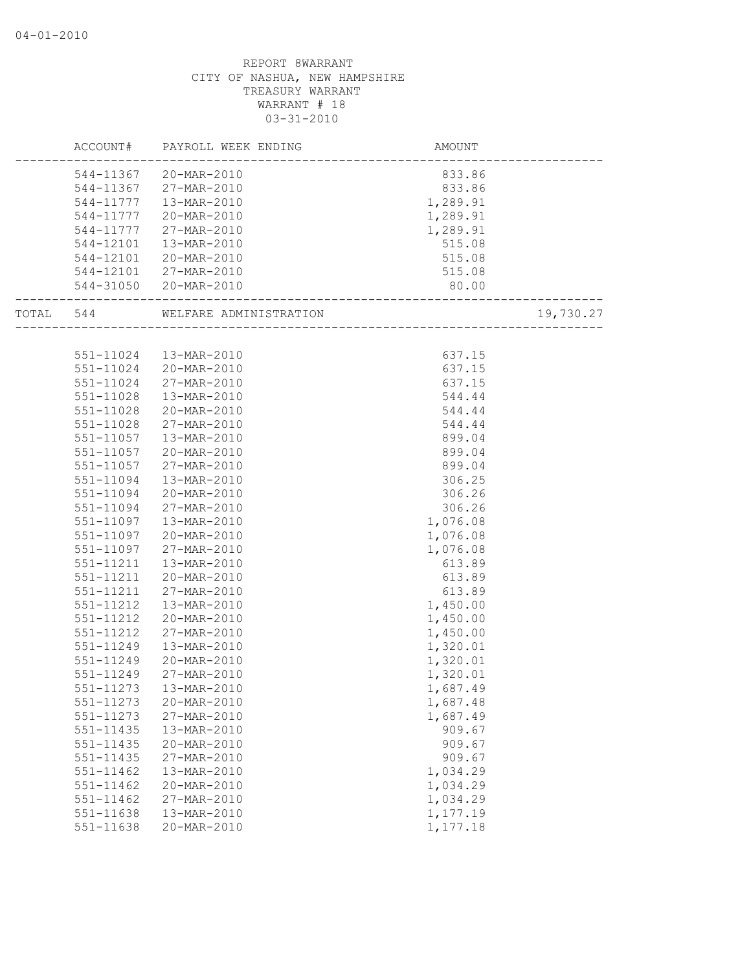|               | ACCOUNT# PAYROLL WEEK ENDING | AMOUNT                         |           |
|---------------|------------------------------|--------------------------------|-----------|
|               | 544-11367 20-MAR-2010        | 833.86                         |           |
|               | 544-11367 27-MAR-2010        | 833.86                         |           |
| 544-11777     | 13-MAR-2010                  | 1,289.91                       |           |
| 544-11777     | 20-MAR-2010                  | 1,289.91                       |           |
| 544-11777     | 27-MAR-2010                  | 1,289.91                       |           |
| 544-12101     | 13-MAR-2010                  | 515.08                         |           |
| 544-12101     | 20-MAR-2010                  | 515.08                         |           |
|               | 544-12101 27-MAR-2010        | 515.08                         |           |
|               | 544-31050 20-MAR-2010        | 80.00                          |           |
|               |                              |                                |           |
| TOTAL 544     | WELFARE ADMINISTRATION       | 10N<br>----------------------- | 19,730.27 |
|               |                              |                                |           |
| 551-11024     | 13-MAR-2010                  | 637.15                         |           |
| 551-11024     | 20-MAR-2010                  | 637.15                         |           |
| 551-11024     | 27-MAR-2010                  | 637.15                         |           |
| 551-11028     | 13-MAR-2010                  | 544.44                         |           |
| 551-11028     | 20-MAR-2010                  | 544.44                         |           |
| 551-11028     | 27-MAR-2010                  | 544.44                         |           |
| 551-11057     | 13-MAR-2010                  | 899.04                         |           |
| 551-11057     | 20-MAR-2010                  | 899.04                         |           |
| 551-11057     | 27-MAR-2010                  | 899.04                         |           |
| 551-11094     | 13-MAR-2010                  | 306.25                         |           |
| 551-11094     | 20-MAR-2010                  | 306.26                         |           |
| 551-11094     | 27-MAR-2010                  | 306.26                         |           |
| 551-11097     | 13-MAR-2010                  | 1,076.08                       |           |
| 551-11097     | 20-MAR-2010                  | 1,076.08                       |           |
| 551-11097     | 27-MAR-2010                  | 1,076.08                       |           |
| 551-11211     | 13-MAR-2010                  | 613.89                         |           |
| 551-11211     | 20-MAR-2010                  | 613.89                         |           |
| 551-11211     | 27-MAR-2010                  | 613.89                         |           |
| 551-11212     | 13-MAR-2010                  | 1,450.00                       |           |
| 551-11212     | 20-MAR-2010                  | 1,450.00                       |           |
| 551-11212     | 27-MAR-2010                  | 1,450.00                       |           |
| 551-11249     | 13-MAR-2010                  | 1,320.01                       |           |
| 551-11249     | 20-MAR-2010                  | 1,320.01                       |           |
| 551-11249     | 27-MAR-2010                  | 1,320.01                       |           |
|               | 551-11273<br>13-MAR-2010     | 1,687.49                       |           |
| 551-11273     | 20-MAR-2010                  | 1,687.48                       |           |
| 551-11273     | 27-MAR-2010                  | 1,687.49                       |           |
| 551-11435     | 13-MAR-2010                  | 909.67                         |           |
| 551-11435     | 20-MAR-2010                  | 909.67                         |           |
| 551-11435     | 27-MAR-2010                  | 909.67                         |           |
| $551 - 11462$ | 13-MAR-2010                  | 1,034.29                       |           |
| 551-11462     | 20-MAR-2010                  | 1,034.29                       |           |
| 551-11462     | 27-MAR-2010                  | 1,034.29                       |           |
| 551-11638     | 13-MAR-2010                  | 1,177.19                       |           |
| 551-11638     | 20-MAR-2010                  | 1,177.18                       |           |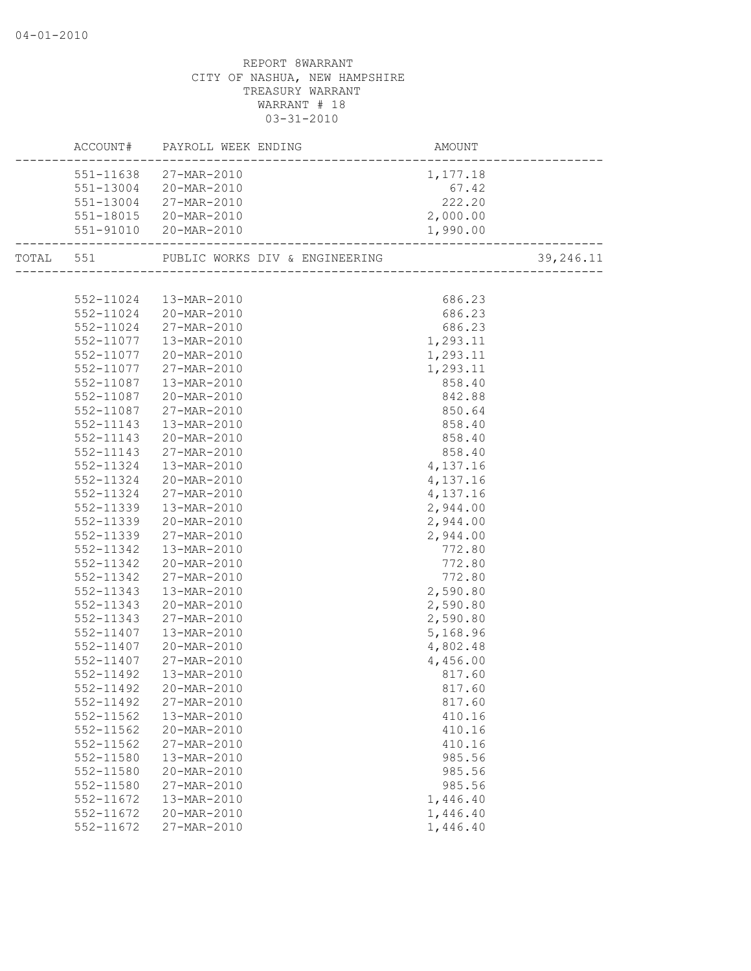|               | ACCOUNT# PAYROLL WEEK ENDING |                               |           |
|---------------|------------------------------|-------------------------------|-----------|
|               | 551-11638 27-MAR-2010        | 1,177.18                      |           |
|               | 551-13004 20-MAR-2010        | 67.42                         |           |
|               | 551-13004 27-MAR-2010        | $07.42$<br>222.20<br>2,000.00 |           |
|               | 551-18015 20-MAR-2010        |                               |           |
|               | 551-91010 20-MAR-2010        | 1,990.00                      |           |
|               |                              |                               | 39,246.11 |
|               |                              |                               |           |
|               | 552-11024  13-MAR-2010       | 686.23                        |           |
|               | 552-11024 20-MAR-2010        | 686.23                        |           |
|               | 552-11024 27-MAR-2010        | 686.23                        |           |
|               | 552-11077  13-MAR-2010       | 1,293.11                      |           |
|               | 552-11077 20-MAR-2010        | 1,293.11                      |           |
|               | 552-11077 27-MAR-2010        | 1,293.11                      |           |
|               | 552-11087  13-MAR-2010       | 858.40                        |           |
|               | 552-11087 20-MAR-2010        | 842.88                        |           |
| 552-11087     | 27-MAR-2010                  | 850.64                        |           |
| 552-11143     | 13-MAR-2010                  | 858.40                        |           |
| 552-11143     | 20-MAR-2010                  | 858.40                        |           |
| 552-11143     | 27-MAR-2010                  | 858.40                        |           |
| 552-11324     | 13-MAR-2010                  | 4,137.16                      |           |
|               | 552-11324 20-MAR-2010        | 4,137.16                      |           |
| 552-11324     | 27-MAR-2010                  | 4,137.16                      |           |
| 552-11339     | 13-MAR-2010                  | 2,944.00                      |           |
| 552-11339     | 20-MAR-2010                  | 2,944.00                      |           |
| 552-11339     | 27-MAR-2010                  | 2,944.00                      |           |
| 552-11342     | 13-MAR-2010                  | 772.80                        |           |
| 552-11342     | 20-MAR-2010                  | 772.80                        |           |
| 552-11342     | 27-MAR-2010                  | 772.80                        |           |
| 552-11343     | 13-MAR-2010                  | 2,590.80                      |           |
| 552-11343     | 20-MAR-2010                  | 2,590.80                      |           |
| 552-11343     | 27-MAR-2010                  | 2,590.80                      |           |
| 552-11407     | 13-MAR-2010                  | 5,168.96                      |           |
|               | 552-11407 20-MAR-2010        | 4,802.48                      |           |
|               | 552-11407 27-MAR-2010        | 4,456.00                      |           |
| 552-11492     | 13-MAR-2010                  | 817.60                        |           |
|               | 552-11492 20-MAR-2010        | 817.60                        |           |
| 552-11492     | 27-MAR-2010                  | 817.60                        |           |
| 552-11562     | 13-MAR-2010                  | 410.16                        |           |
| $552 - 11562$ | 20-MAR-2010                  | 410.16                        |           |
| 552-11562     | 27-MAR-2010                  | 410.16                        |           |
| 552-11580     | 13-MAR-2010                  | 985.56                        |           |
| 552-11580     | 20-MAR-2010                  | 985.56                        |           |
| 552-11580     | 27-MAR-2010                  | 985.56                        |           |
| 552-11672     | 13-MAR-2010                  | 1,446.40                      |           |
| 552-11672     | 20-MAR-2010                  | 1,446.40                      |           |
| 552-11672     | 27-MAR-2010                  | 1,446.40                      |           |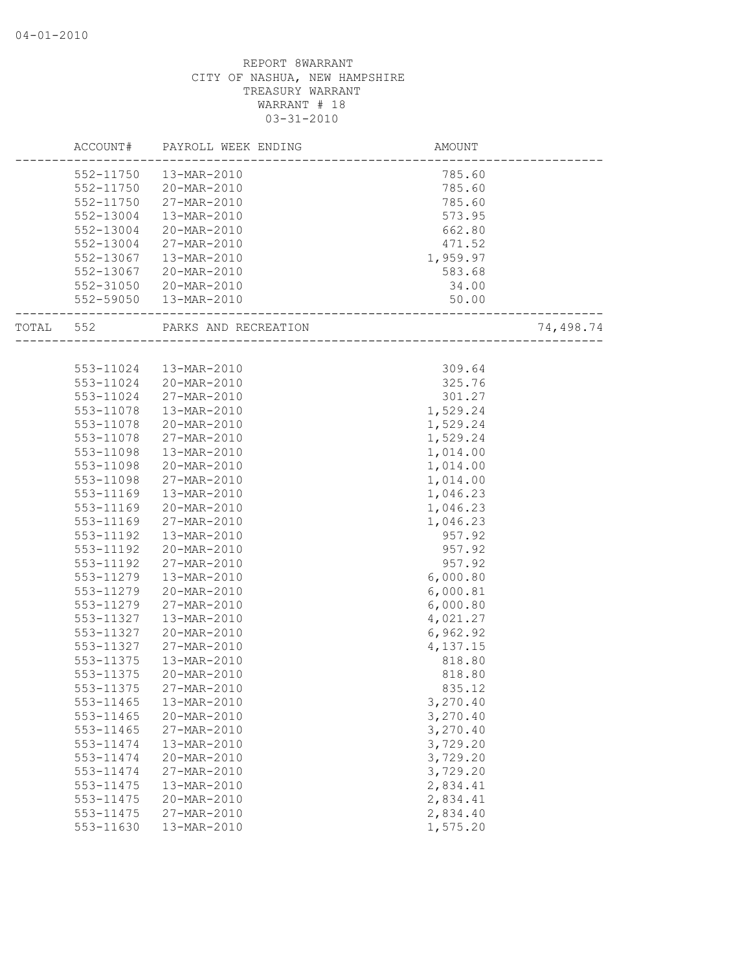|       | ACCOUNT#  | PAYROLL WEEK ENDING    | <b>AMOUNT</b>                   |           |
|-------|-----------|------------------------|---------------------------------|-----------|
|       |           | 552-11750  13-MAR-2010 | 785.60                          |           |
|       | 552-11750 | 20-MAR-2010            | 785.60                          |           |
|       | 552-11750 | 27-MAR-2010            | 785.60                          |           |
|       | 552-13004 | 13-MAR-2010            | 573.95                          |           |
|       | 552-13004 | 20-MAR-2010            | 662.80                          |           |
|       | 552-13004 | 27-MAR-2010            | 471.52                          |           |
|       | 552-13067 | 13-MAR-2010            | 1,959.97                        |           |
|       | 552-13067 | 20-MAR-2010            | 583.68                          |           |
|       |           | 552-31050 20-MAR-2010  | 34.00                           |           |
|       |           | 552-59050  13-MAR-2010 | 50.00<br>______________________ |           |
| TOTAL | 552       | PARKS AND RECREATION   |                                 | 74,498.74 |
|       |           |                        |                                 |           |
|       |           | 553-11024  13-MAR-2010 | 309.64                          |           |
|       | 553-11024 | 20-MAR-2010            | 325.76                          |           |
|       | 553-11024 | 27-MAR-2010            | 301.27                          |           |
|       | 553-11078 | 13-MAR-2010            | 1,529.24                        |           |
|       | 553-11078 | 20-MAR-2010            | 1,529.24                        |           |
|       | 553-11078 | 27-MAR-2010            | 1,529.24                        |           |
|       | 553-11098 | 13-MAR-2010            | 1,014.00                        |           |
|       | 553-11098 | 20-MAR-2010            | 1,014.00                        |           |
|       | 553-11098 | 27-MAR-2010            | 1,014.00                        |           |
|       | 553-11169 | 13-MAR-2010            | 1,046.23                        |           |
|       | 553-11169 | 20-MAR-2010            | 1,046.23                        |           |
|       | 553-11169 | 27-MAR-2010            | 1,046.23                        |           |
|       | 553-11192 | 13-MAR-2010            | 957.92                          |           |
|       | 553-11192 | 20-MAR-2010            | 957.92                          |           |
|       | 553-11192 | 27-MAR-2010            | 957.92                          |           |
|       | 553-11279 | 13-MAR-2010            | 6,000.80                        |           |
|       | 553-11279 | 20-MAR-2010            | 6,000.81                        |           |
|       | 553-11279 | 27-MAR-2010            | 6,000.80                        |           |
|       | 553-11327 | 13-MAR-2010            | 4,021.27                        |           |
|       | 553-11327 | 20-MAR-2010            | 6,962.92                        |           |
|       | 553-11327 | 27-MAR-2010            | 4,137.15                        |           |
|       | 553-11375 | 13-MAR-2010            | 818.80                          |           |
|       | 553-11375 | 20-MAR-2010            | 818.80                          |           |
|       | 553-11375 | 27-MAR-2010            | 835.12                          |           |
|       | 553-11465 | 13-MAR-2010            | 3,270.40                        |           |
|       | 553-11465 | 20-MAR-2010            | 3,270.40                        |           |
|       | 553-11465 | 27-MAR-2010            | 3,270.40                        |           |
|       | 553-11474 | 13-MAR-2010            | 3,729.20                        |           |
|       | 553-11474 | 20-MAR-2010            | 3,729.20                        |           |
|       | 553-11474 | 27-MAR-2010            | 3,729.20                        |           |
|       | 553-11475 | 13-MAR-2010            | 2,834.41                        |           |
|       | 553-11475 | 20-MAR-2010            | 2,834.41                        |           |
|       | 553-11475 | 27-MAR-2010            | 2,834.40                        |           |
|       | 553-11630 | 13-MAR-2010            | 1,575.20                        |           |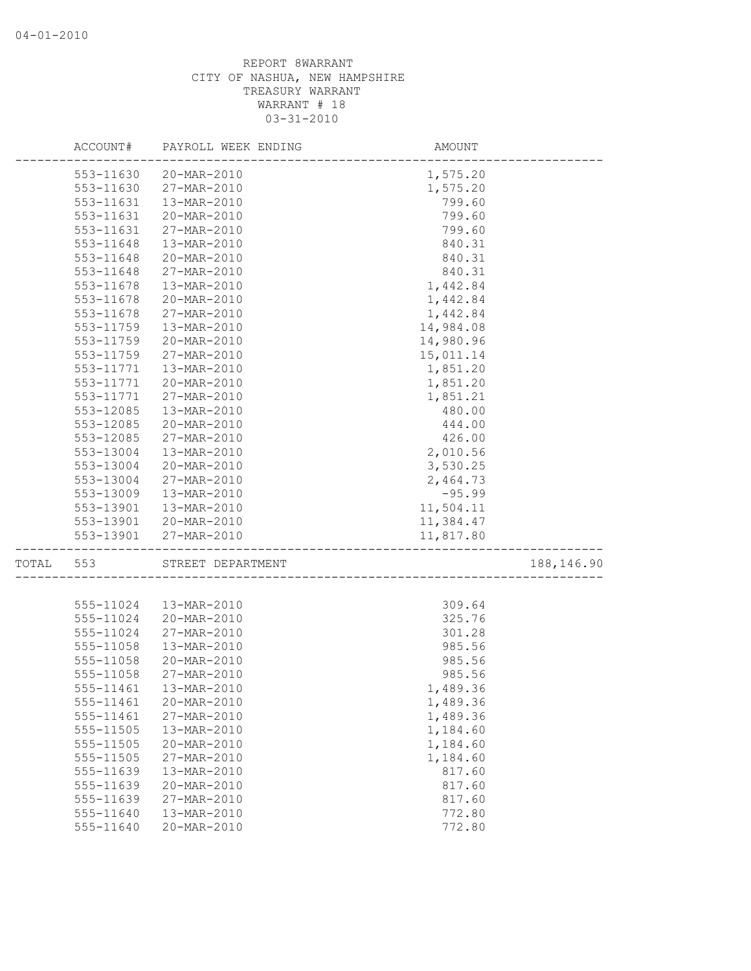|       | ACCOUNT#  | PAYROLL WEEK ENDING | AMOUNT                 |             |
|-------|-----------|---------------------|------------------------|-------------|
|       | 553-11630 | 20-MAR-2010         | 1,575.20               |             |
|       | 553-11630 | 27-MAR-2010         | 1,575.20               |             |
|       | 553-11631 | 13-MAR-2010         | 799.60                 |             |
|       | 553-11631 | 20-MAR-2010         | 799.60                 |             |
|       | 553-11631 | 27-MAR-2010         | 799.60                 |             |
|       | 553-11648 | 13-MAR-2010         | 840.31                 |             |
|       | 553-11648 | 20-MAR-2010         | 840.31                 |             |
|       | 553-11648 | 27-MAR-2010         | 840.31                 |             |
|       | 553-11678 | 13-MAR-2010         | 1,442.84               |             |
|       | 553-11678 | 20-MAR-2010         | 1,442.84               |             |
|       | 553-11678 | 27-MAR-2010         | 1,442.84               |             |
|       | 553-11759 | 13-MAR-2010         | 14,984.08              |             |
|       | 553-11759 | 20-MAR-2010         | 14,980.96              |             |
|       | 553-11759 | 27-MAR-2010         | 15,011.14              |             |
|       | 553-11771 | 13-MAR-2010         | 1,851.20               |             |
|       | 553-11771 | 20-MAR-2010         | 1,851.20               |             |
|       | 553-11771 | 27-MAR-2010         | 1,851.21               |             |
|       | 553-12085 | 13-MAR-2010         | 480.00                 |             |
|       | 553-12085 | 20-MAR-2010         | 444.00                 |             |
|       | 553-12085 | 27-MAR-2010         | 426.00                 |             |
|       | 553-13004 | 13-MAR-2010         | 2,010.56               |             |
|       | 553-13004 | 20-MAR-2010         | 3,530.25               |             |
|       | 553-13004 | 27-MAR-2010         | 2,464.73               |             |
|       | 553-13009 | 13-MAR-2010         | $-95.99$               |             |
|       | 553-13901 | 13-MAR-2010         | 11,504.11              |             |
|       | 553-13901 | 20-MAR-2010         | 11,384.47              |             |
|       | 553-13901 | 27-MAR-2010         | 11,817.80              |             |
|       |           |                     |                        |             |
| TOTAL | 553       | STREET DEPARTMENT   | ______________________ | 188, 146.90 |
|       |           |                     |                        |             |
|       | 555-11024 | 13-MAR-2010         | 309.64                 |             |
|       | 555-11024 | 20-MAR-2010         | 325.76                 |             |
|       | 555-11024 | $27 - MAR - 2010$   | 301.28                 |             |
|       | 555-11058 | 13-MAR-2010         | 985.56                 |             |
|       | 555-11058 | 20-MAR-2010         | 985.56                 |             |
|       | 555-11058 | 27-MAR-2010         | 985.56                 |             |
|       |           |                     | 1,489.36               |             |
|       | 555-11461 | 20-MAR-2010         | 1,489.36               |             |
|       | 555-11461 | 27-MAR-2010         | 1,489.36               |             |
|       | 555-11505 | 13-MAR-2010         | 1,184.60               |             |
|       | 555-11505 | 20-MAR-2010         | 1,184.60               |             |
|       | 555-11505 | 27-MAR-2010         | 1,184.60               |             |
|       | 555-11639 | 13-MAR-2010         | 817.60                 |             |
|       | 555-11639 | 20-MAR-2010         | 817.60                 |             |
|       | 555-11639 | 27-MAR-2010         | 817.60                 |             |
|       | 555-11640 | 13-MAR-2010         | 772.80                 |             |
|       | 555-11640 | 20-MAR-2010         | 772.80                 |             |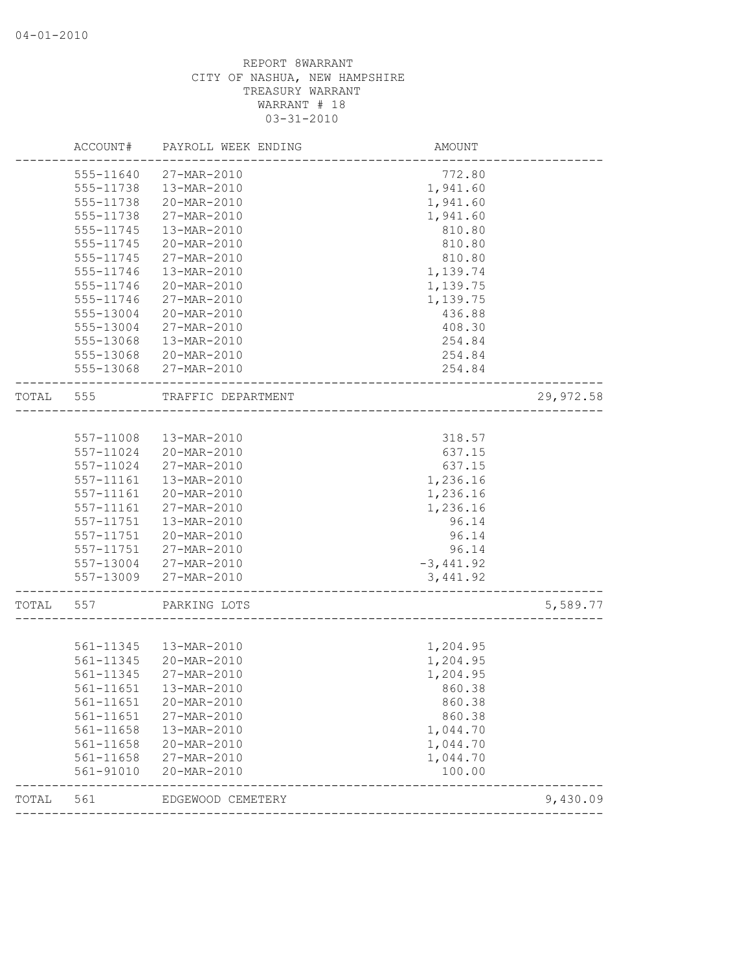|       | ACCOUNT#      | PAYROLL WEEK ENDING    | <b>AMOUNT</b> |           |
|-------|---------------|------------------------|---------------|-----------|
|       | 555-11640     | 27-MAR-2010            | 772.80        |           |
|       | 555-11738     | 13-MAR-2010            | 1,941.60      |           |
|       | 555-11738     | 20-MAR-2010            | 1,941.60      |           |
|       | 555-11738     | 27-MAR-2010            | 1,941.60      |           |
|       | 555-11745     | 13-MAR-2010            | 810.80        |           |
|       | 555-11745     | 20-MAR-2010            | 810.80        |           |
|       | 555-11745     | 27-MAR-2010            | 810.80        |           |
|       | 555-11746     | 13-MAR-2010            | 1,139.74      |           |
|       | 555-11746     | 20-MAR-2010            | 1,139.75      |           |
|       | 555-11746     | 27-MAR-2010            | 1,139.75      |           |
|       | 555-13004     | 20-MAR-2010            | 436.88        |           |
|       | 555-13004     | 27-MAR-2010            | 408.30        |           |
|       | 555-13068     | 13-MAR-2010            | 254.84        |           |
|       | 555-13068     | 20-MAR-2010            | 254.84        |           |
|       |               | 555-13068 27-MAR-2010  | 254.84        |           |
| TOTAL | 555           | TRAFFIC DEPARTMENT     |               | 29,972.58 |
|       |               |                        |               |           |
|       | 557-11008     | 13-MAR-2010            | 318.57        |           |
|       | 557-11024     | 20-MAR-2010            | 637.15        |           |
|       | 557-11024     | 27-MAR-2010            | 637.15        |           |
|       | 557-11161     | 13-MAR-2010            | 1,236.16      |           |
|       | 557-11161     | 20-MAR-2010            | 1,236.16      |           |
|       | 557-11161     | 27-MAR-2010            | 1,236.16      |           |
|       | 557-11751     | 13-MAR-2010            | 96.14         |           |
|       | 557-11751     | 20-MAR-2010            | 96.14         |           |
|       | 557-11751     | 27-MAR-2010            | 96.14         |           |
|       |               | 557-13004 27-MAR-2010  | $-3,441.92$   |           |
|       | 557-13009     | 27-MAR-2010            | 3, 441.92     |           |
| TOTAL | 557           | PARKING LOTS           |               | 5,589.77  |
|       |               |                        |               |           |
|       | 561-11345     | 13-MAR-2010            | 1,204.95      |           |
|       | 561-11345     | 20-MAR-2010            | 1,204.95      |           |
|       | 561-11345     | 27-MAR-2010            | 1,204.95      |           |
|       |               | 561-11651  13-MAR-2010 | 860.38        |           |
|       | 561-11651     | 20-MAR-2010            | 860.38        |           |
|       | 561-11651     | 27-MAR-2010            | 860.38        |           |
|       | 561-11658     | 13-MAR-2010            | 1,044.70      |           |
|       | 561-11658     | 20-MAR-2010            | 1,044.70      |           |
|       | $561 - 11658$ | 27-MAR-2010            | 1,044.70      |           |
|       | 561-91010     | 20-MAR-2010            | 100.00        |           |
| TOTAL | 561           | EDGEWOOD CEMETERY      |               | 9,430.09  |
|       |               |                        |               |           |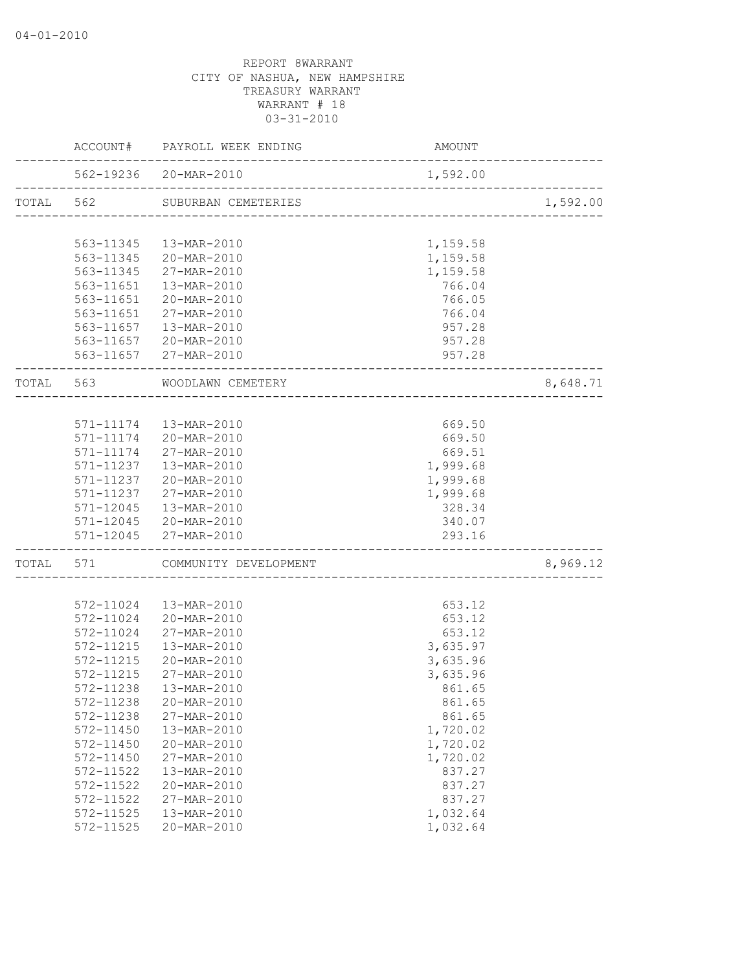|           | ACCOUNT# PAYROLL WEEK ENDING                            | <b>AMOUNT</b>                           |                               |
|-----------|---------------------------------------------------------|-----------------------------------------|-------------------------------|
|           | 562-19236 20-MAR-2010<br>______________________________ | 1,592.00                                | . _ _ _ _ _ _ _ _ _ _ _ _ _ _ |
|           | TOTAL 562 SUBURBAN CEMETERIES                           | ------------------------------------    | 1,592.00                      |
|           |                                                         |                                         |                               |
|           | 563-11345  13-MAR-2010                                  | 1,159.58                                |                               |
|           | 563-11345 20-MAR-2010                                   | 1,159.58                                |                               |
| 563-11345 | 27-MAR-2010                                             | 1,159.58                                |                               |
| 563-11651 | 13-MAR-2010                                             | 766.04                                  |                               |
|           | 563-11651 20-MAR-2010                                   | 766.05                                  |                               |
|           | 563-11651 27-MAR-2010                                   | 766.04                                  |                               |
|           | 563-11657  13-MAR-2010                                  | 957.28                                  |                               |
|           | 563-11657 20-MAR-2010                                   | 957.28                                  |                               |
|           | 563-11657 27-MAR-2010                                   | 957.28                                  |                               |
| TOTAL 563 | WOODLAWN CEMETERY<br>_________________________          |                                         | 8,648.71                      |
|           |                                                         |                                         |                               |
|           | 571-11174  13-MAR-2010                                  | 669.50                                  |                               |
|           | 571-11174 20-MAR-2010                                   | 669.50                                  |                               |
|           | 571-11174 27-MAR-2010                                   | 669.51                                  |                               |
|           | 571-11237  13-MAR-2010                                  | 1,999.68                                |                               |
|           | 571-11237 20-MAR-2010                                   | 1,999.68                                |                               |
|           | 571-11237 27-MAR-2010                                   | 1,999.68                                |                               |
| 571-12045 | $13 - \text{MAR} - 2010$                                | 328.34                                  |                               |
|           | 571-12045 20-MAR-2010                                   | 340.07                                  |                               |
|           | 571-12045 27-MAR-2010                                   | 293.16<br>----------------------------- |                               |
|           | TOTAL 571 COMMUNITY DEVELOPMENT                         |                                         | 8,969.12                      |
|           |                                                         |                                         |                               |
|           | 572-11024  13-MAR-2010                                  | 653.12                                  |                               |
|           | 572-11024 20-MAR-2010                                   | 653.12                                  |                               |
| 572-11024 | 27-MAR-2010                                             | 653.12                                  |                               |
| 572-11215 | 13-MAR-2010                                             | 3,635.97                                |                               |
| 572-11215 | 20-MAR-2010                                             | 3,635.96                                |                               |
| 572-11215 | 27-MAR-2010                                             | 3,635.96                                |                               |
|           | 572-11238  13-MAR-2010                                  | 861.65                                  |                               |
| 572-11238 | 20-MAR-2010                                             | 861.65                                  |                               |
| 572-11238 | 27-MAR-2010                                             | 861.65                                  |                               |
| 572-11450 | 13-MAR-2010                                             | 1,720.02                                |                               |
| 572-11450 | 20-MAR-2010                                             | 1,720.02                                |                               |
| 572-11450 | 27-MAR-2010                                             | 1,720.02                                |                               |
| 572-11522 | 13-MAR-2010                                             | 837.27                                  |                               |
| 572-11522 | 20-MAR-2010                                             | 837.27                                  |                               |
| 572-11522 | 27-MAR-2010                                             | 837.27                                  |                               |
| 572-11525 | 13-MAR-2010                                             | 1,032.64                                |                               |
| 572-11525 | 20-MAR-2010                                             | 1,032.64                                |                               |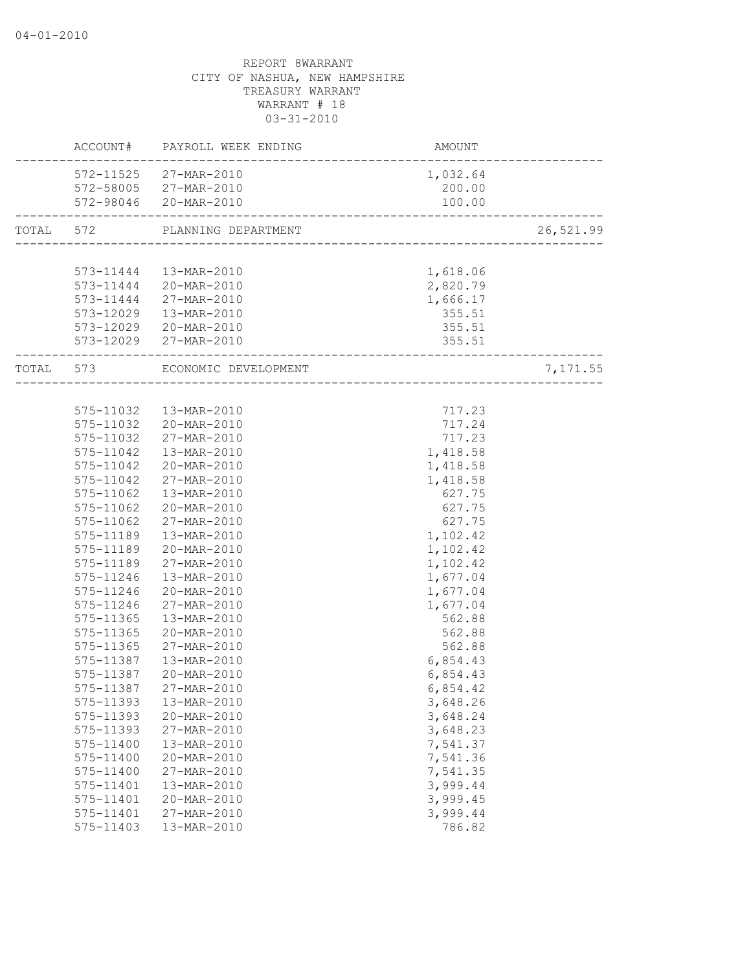|           |           | ACCOUNT# PAYROLL WEEK ENDING   | <b>AMOUNT</b>            |           |
|-----------|-----------|--------------------------------|--------------------------|-----------|
|           |           | 572-11525 27-MAR-2010          | 1,032.64                 |           |
|           |           | 572-58005 27-MAR-2010          | 200.00                   |           |
|           |           | 572-98046 20-MAR-2010          | 100.00                   |           |
| TOTAL 572 |           | PLANNING DEPARTMENT            | ------------------------ | 26,521.99 |
|           |           |                                |                          |           |
|           |           | 573-11444  13-MAR-2010         | 1,618.06                 |           |
|           |           | 573-11444 20-MAR-2010          | 2,820.79                 |           |
|           |           | 573-11444 27-MAR-2010          | 1,666.17                 |           |
|           |           | 573-12029  13-MAR-2010         | 355.51                   |           |
|           |           | 573-12029 20-MAR-2010          | 355.51                   |           |
|           |           | 573-12029 27-MAR-2010          | 355.51                   |           |
|           |           | TOTAL 573 ECONOMIC DEVELOPMENT | ----------------------   | 7,171.55  |
|           |           |                                |                          |           |
|           |           | 575-11032  13-MAR-2010         | 717.23                   |           |
|           |           | 575-11032 20-MAR-2010          | 717.24                   |           |
|           |           | 575-11032 27-MAR-2010          | 717.23                   |           |
|           |           | 575-11042  13-MAR-2010         | 1,418.58                 |           |
|           | 575-11042 | 20-MAR-2010                    | 1,418.58                 |           |
|           | 575-11042 | 27-MAR-2010                    | 1,418.58                 |           |
|           | 575-11062 | 13-MAR-2010                    | 627.75                   |           |
|           | 575-11062 | 20-MAR-2010                    | 627.75                   |           |
|           | 575-11062 | 27-MAR-2010                    | 627.75                   |           |
|           | 575-11189 | 13-MAR-2010                    | 1,102.42                 |           |
|           | 575-11189 | 20-MAR-2010                    | 1,102.42                 |           |
|           | 575-11189 | 27-MAR-2010                    | 1,102.42                 |           |
|           | 575-11246 | 13-MAR-2010                    | 1,677.04                 |           |
|           | 575-11246 | 20-MAR-2010                    | 1,677.04                 |           |
|           | 575-11246 | 27-MAR-2010                    | 1,677.04                 |           |
|           | 575-11365 | 13-MAR-2010                    | 562.88                   |           |
|           | 575-11365 | 20-MAR-2010                    | 562.88                   |           |
|           | 575-11365 | 27-MAR-2010                    | 562.88                   |           |
|           | 575-11387 | 13-MAR-2010                    | 6,854.43                 |           |
|           | 575-11387 | 20-MAR-2010                    | 6,854.43                 |           |
|           | 575-11387 | 27-MAR-2010                    | 6,854.42                 |           |
|           | 575-11393 | 13-MAR-2010                    | 3,648.26                 |           |
|           | 575-11393 | 20-MAR-2010                    | 3,648.24                 |           |
|           | 575-11393 | 27-MAR-2010                    | 3,648.23                 |           |
|           | 575-11400 | 13-MAR-2010                    | 7,541.37                 |           |
|           | 575-11400 | 20-MAR-2010                    | 7,541.36                 |           |
|           | 575-11400 | 27-MAR-2010                    | 7,541.35                 |           |
|           | 575-11401 | 13-MAR-2010                    | 3,999.44                 |           |
|           | 575-11401 | 20-MAR-2010                    | 3,999.45                 |           |
|           | 575-11401 | 27-MAR-2010                    | 3,999.44                 |           |
|           | 575-11403 | 13-MAR-2010                    | 786.82                   |           |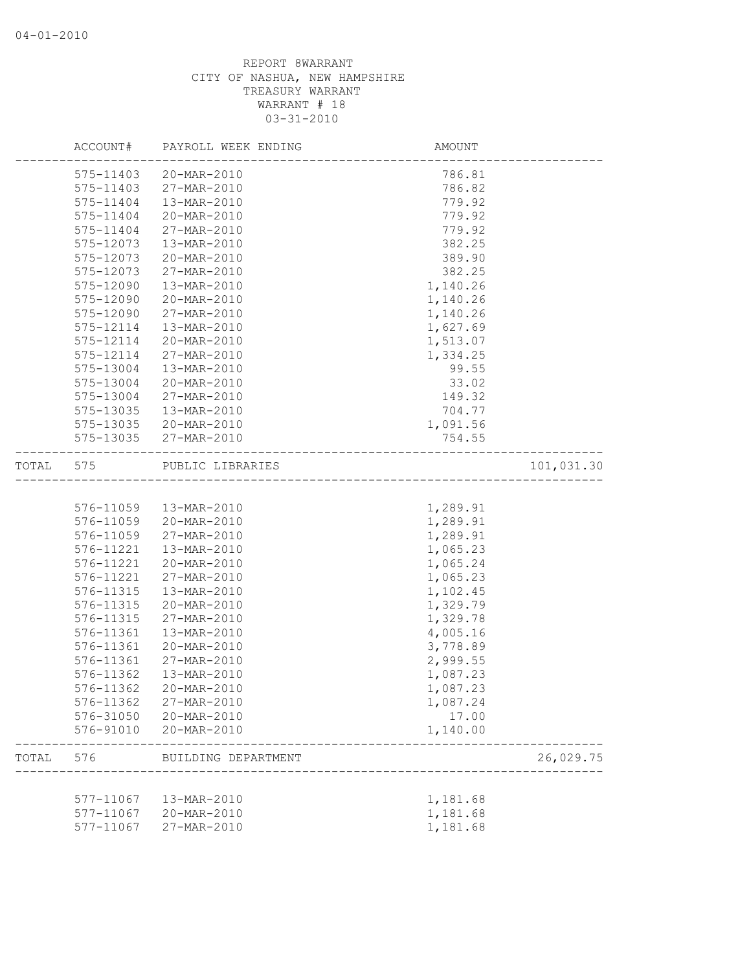|       | ACCOUNT#  | PAYROLL WEEK ENDING   | AMOUNT   |            |
|-------|-----------|-----------------------|----------|------------|
|       | 575-11403 | 20-MAR-2010           | 786.81   |            |
|       | 575-11403 | 27-MAR-2010           | 786.82   |            |
|       | 575-11404 | 13-MAR-2010           | 779.92   |            |
|       | 575-11404 | 20-MAR-2010           | 779.92   |            |
|       | 575-11404 | 27-MAR-2010           | 779.92   |            |
|       | 575-12073 | 13-MAR-2010           | 382.25   |            |
|       | 575-12073 | 20-MAR-2010           | 389.90   |            |
|       | 575-12073 | 27-MAR-2010           | 382.25   |            |
|       | 575-12090 | 13-MAR-2010           | 1,140.26 |            |
|       | 575-12090 | 20-MAR-2010           | 1,140.26 |            |
|       | 575-12090 | 27-MAR-2010           | 1,140.26 |            |
|       | 575-12114 | 13-MAR-2010           | 1,627.69 |            |
|       | 575-12114 | 20-MAR-2010           | 1,513.07 |            |
|       | 575-12114 | 27-MAR-2010           | 1,334.25 |            |
|       | 575-13004 | 13-MAR-2010           | 99.55    |            |
|       | 575-13004 | 20-MAR-2010           | 33.02    |            |
|       | 575-13004 | 27-MAR-2010           | 149.32   |            |
|       | 575-13035 | 13-MAR-2010           | 704.77   |            |
|       | 575-13035 | 20-MAR-2010           | 1,091.56 |            |
|       |           | 575-13035 27-MAR-2010 | 754.55   |            |
| TOTAL | 575       | PUBLIC LIBRARIES      |          | 101,031.30 |
|       |           |                       |          |            |
|       | 576-11059 | 13-MAR-2010           | 1,289.91 |            |
|       | 576-11059 | 20-MAR-2010           | 1,289.91 |            |
|       | 576-11059 | 27-MAR-2010           | 1,289.91 |            |
|       | 576-11221 | 13-MAR-2010           | 1,065.23 |            |
|       | 576-11221 | 20-MAR-2010           | 1,065.24 |            |
|       | 576-11221 | 27-MAR-2010           | 1,065.23 |            |
|       | 576-11315 | 13-MAR-2010           | 1,102.45 |            |
|       | 576-11315 | 20-MAR-2010           | 1,329.79 |            |
|       | 576-11315 | 27-MAR-2010           | 1,329.78 |            |
|       | 576-11361 | 13-MAR-2010           | 4,005.16 |            |
|       | 576-11361 | 20-MAR-2010           | 3,778.89 |            |
|       | 576-11361 | 27-MAR-2010           | 2,999.55 |            |
|       | 576-11362 | 13-MAR-2010           | 1,087.23 |            |
|       | 576-11362 | 20-MAR-2010           | 1,087.23 |            |
|       | 576-11362 | 27-MAR-2010           | 1,087.24 |            |
|       |           | 576-31050 20-MAR-2010 | 17.00    |            |
|       | 576-91010 | 20-MAR-2010           | 1,140.00 |            |
| TOTAL | 576       | BUILDING DEPARTMENT   |          | 26,029.75  |
|       |           |                       |          |            |
|       | 577-11067 | 13-MAR-2010           | 1,181.68 |            |
|       | 577-11067 | 20-MAR-2010           | 1,181.68 |            |
|       | 577-11067 | 27-MAR-2010           | 1,181.68 |            |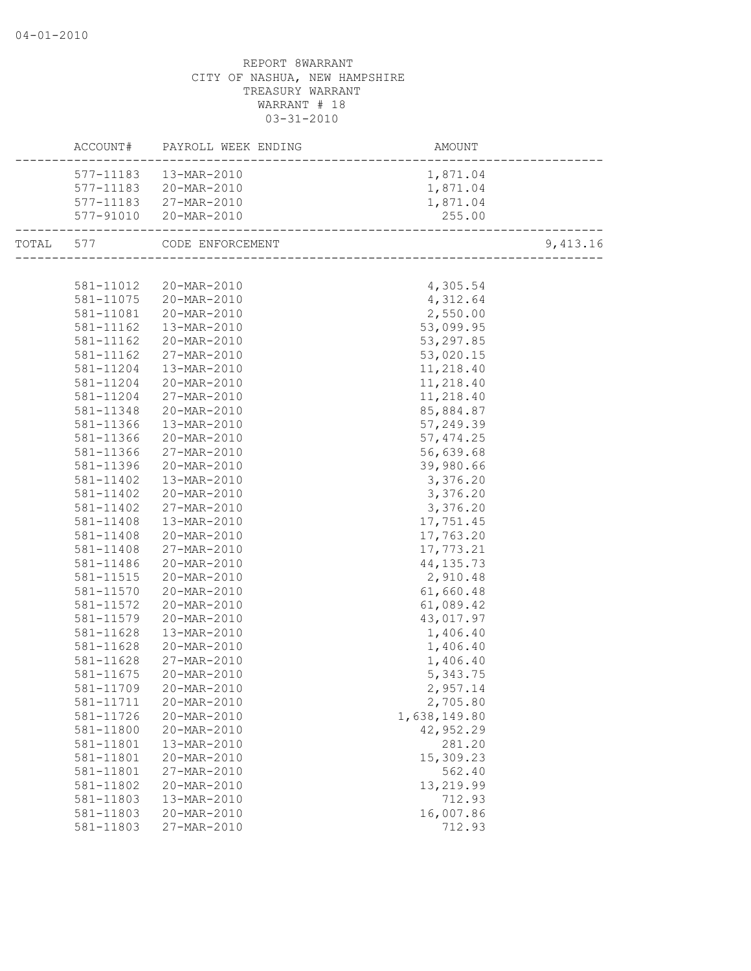|       |           | ACCOUNT# PAYROLL WEEK ENDING | AMOUNT       |          |
|-------|-----------|------------------------------|--------------|----------|
|       | 577-11183 | 13-MAR-2010                  | 1,871.04     |          |
|       | 577-11183 | 20-MAR-2010                  | 1,871.04     |          |
|       |           | 577-11183 27-MAR-2010        | 1,871.04     |          |
|       |           | 577-91010 20-MAR-2010        | 255.00       |          |
| TOTAL |           | 577 CODE ENFORCEMENT         |              | 9,413.16 |
|       |           |                              |              |          |
|       |           | 581-11012 20-MAR-2010        | 4,305.54     |          |
|       | 581-11075 | 20-MAR-2010                  | 4,312.64     |          |
|       | 581-11081 | 20-MAR-2010                  | 2,550.00     |          |
|       | 581-11162 | 13-MAR-2010                  | 53,099.95    |          |
|       | 581-11162 | 20-MAR-2010                  | 53, 297.85   |          |
|       | 581-11162 | 27-MAR-2010                  | 53,020.15    |          |
|       | 581-11204 | 13-MAR-2010                  | 11,218.40    |          |
|       | 581-11204 | 20-MAR-2010                  | 11,218.40    |          |
|       | 581-11204 | 27-MAR-2010                  | 11,218.40    |          |
|       | 581-11348 | 20-MAR-2010                  | 85,884.87    |          |
|       | 581-11366 | 13-MAR-2010                  | 57,249.39    |          |
|       | 581-11366 | 20-MAR-2010                  | 57, 474.25   |          |
|       | 581-11366 | 27-MAR-2010                  | 56,639.68    |          |
|       | 581-11396 | 20-MAR-2010                  | 39,980.66    |          |
|       | 581-11402 | 13-MAR-2010                  | 3,376.20     |          |
|       | 581-11402 | 20-MAR-2010                  | 3,376.20     |          |
|       | 581-11402 | 27-MAR-2010                  | 3,376.20     |          |
|       | 581-11408 | 13-MAR-2010                  | 17,751.45    |          |
|       | 581-11408 | 20-MAR-2010                  | 17,763.20    |          |
|       | 581-11408 | 27-MAR-2010                  | 17,773.21    |          |
|       | 581-11486 | 20-MAR-2010                  | 44, 135.73   |          |
|       | 581-11515 | 20-MAR-2010                  | 2,910.48     |          |
|       | 581-11570 | 20-MAR-2010                  | 61,660.48    |          |
|       | 581-11572 | 20-MAR-2010                  | 61,089.42    |          |
|       | 581-11579 | 20-MAR-2010                  | 43,017.97    |          |
|       | 581-11628 | 13-MAR-2010                  | 1,406.40     |          |
|       | 581-11628 | 20-MAR-2010                  | 1,406.40     |          |
|       | 581-11628 | 27-MAR-2010                  | 1,406.40     |          |
|       | 581-11675 | 20-MAR-2010                  | 5,343.75     |          |
|       |           | 581-11709 20-MAR-2010        | 2,957.14     |          |
|       | 581-11711 | 20-MAR-2010                  | 2,705.80     |          |
|       | 581-11726 | 20-MAR-2010                  | 1,638,149.80 |          |
|       | 581-11800 | 20-MAR-2010                  | 42,952.29    |          |
|       | 581-11801 | 13-MAR-2010                  | 281.20       |          |
|       | 581-11801 | 20-MAR-2010                  | 15,309.23    |          |
|       | 581-11801 | 27-MAR-2010                  | 562.40       |          |
|       | 581-11802 | 20-MAR-2010                  | 13,219.99    |          |
|       | 581-11803 | 13-MAR-2010                  | 712.93       |          |
|       | 581-11803 | 20-MAR-2010                  | 16,007.86    |          |
|       | 581-11803 | 27-MAR-2010                  | 712.93       |          |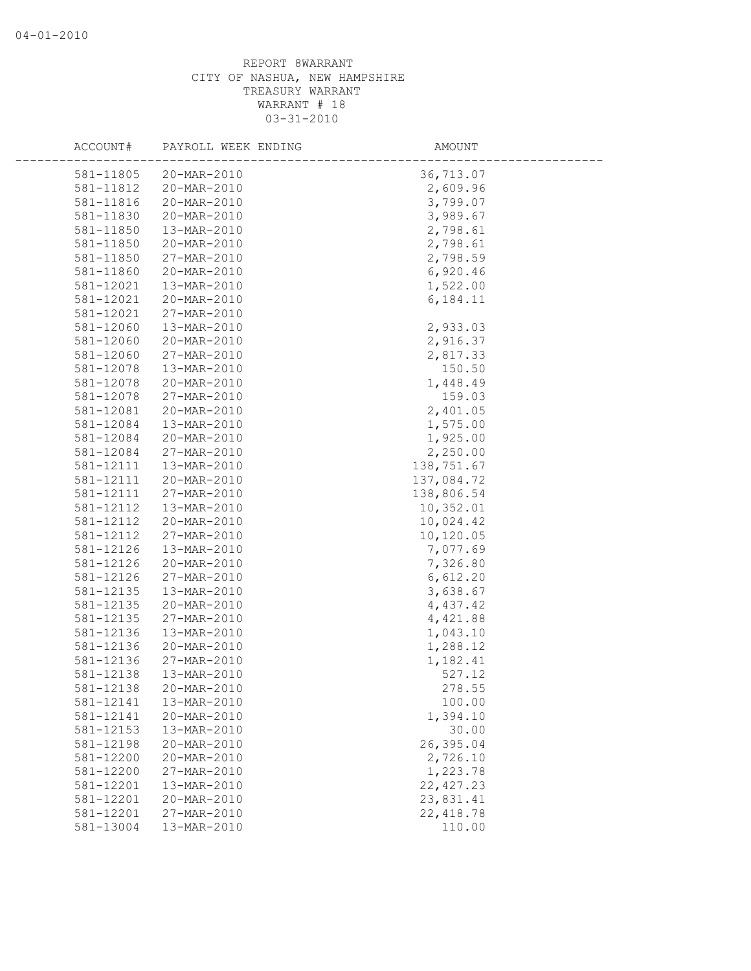| ACCOUNT#               | PAYROLL WEEK ENDING        | AMOUNT               |
|------------------------|----------------------------|----------------------|
|                        | 20-MAR-2010                |                      |
| 581-11805<br>581-11812 | 20-MAR-2010                | 36,713.07            |
|                        | 20-MAR-2010                | 2,609.96<br>3,799.07 |
| 581-11816              |                            |                      |
| 581-11830              | 20-MAR-2010                | 3,989.67             |
| 581-11850              | 13-MAR-2010                | 2,798.61             |
| 581-11850              | 20-MAR-2010                | 2,798.61             |
| 581-11850              | 27-MAR-2010                | 2,798.59             |
| 581-11860              | 20-MAR-2010                | 6,920.46             |
| 581-12021<br>581-12021 | 13-MAR-2010<br>20-MAR-2010 | 1,522.00             |
| 581-12021              | 27-MAR-2010                | 6,184.11             |
| 581-12060              | 13-MAR-2010                | 2,933.03             |
| 581-12060              | 20-MAR-2010                | 2,916.37             |
| 581-12060              | 27-MAR-2010                | 2,817.33             |
| 581-12078              | 13-MAR-2010                | 150.50               |
| 581-12078              | 20-MAR-2010                | 1,448.49             |
| 581-12078              | 27-MAR-2010                | 159.03               |
| 581-12081              | 20-MAR-2010                | 2,401.05             |
| 581-12084              | 13-MAR-2010                | 1,575.00             |
| 581-12084              | 20-MAR-2010                | 1,925.00             |
| 581-12084              | 27-MAR-2010                | 2,250.00             |
| 581-12111              | 13-MAR-2010                | 138,751.67           |
| 581-12111              | 20-MAR-2010                | 137,084.72           |
| 581-12111              | 27-MAR-2010                | 138,806.54           |
| 581-12112              | 13-MAR-2010                | 10,352.01            |
| 581-12112              | 20-MAR-2010                | 10,024.42            |
| 581-12112              | 27-MAR-2010                | 10,120.05            |
| 581-12126              | 13-MAR-2010                | 7,077.69             |
| 581-12126              | 20-MAR-2010                | 7,326.80             |
| 581-12126              | 27-MAR-2010                | 6,612.20             |
| 581-12135              | 13-MAR-2010                | 3,638.67             |
| 581-12135              | 20-MAR-2010                | 4,437.42             |
| 581-12135              | 27-MAR-2010                | 4,421.88             |
| 581-12136              | 13-MAR-2010                | 1,043.10             |
| 581-12136              | 20-MAR-2010                | 1,288.12             |
| 581-12136              | 27-MAR-2010                | 1,182.41             |
| 581-12138              | 13-MAR-2010                | 527.12               |
| 581-12138              | 20-MAR-2010                | 278.55               |
| 581-12141              | 13-MAR-2010                | 100.00               |
| 581-12141              | 20-MAR-2010                | 1,394.10             |
| 581-12153              | 13-MAR-2010                | 30.00                |
| 581-12198              | 20-MAR-2010                | 26,395.04            |
| 581-12200              | 20-MAR-2010                | 2,726.10             |
| 581-12200              | 27-MAR-2010                | 1,223.78             |
| 581-12201              | 13-MAR-2010                | 22, 427.23           |
| 581-12201              | 20-MAR-2010                | 23,831.41            |
| 581-12201              | 27-MAR-2010                | 22, 418.78           |
| 581-13004              | 13-MAR-2010                | 110.00               |
|                        |                            |                      |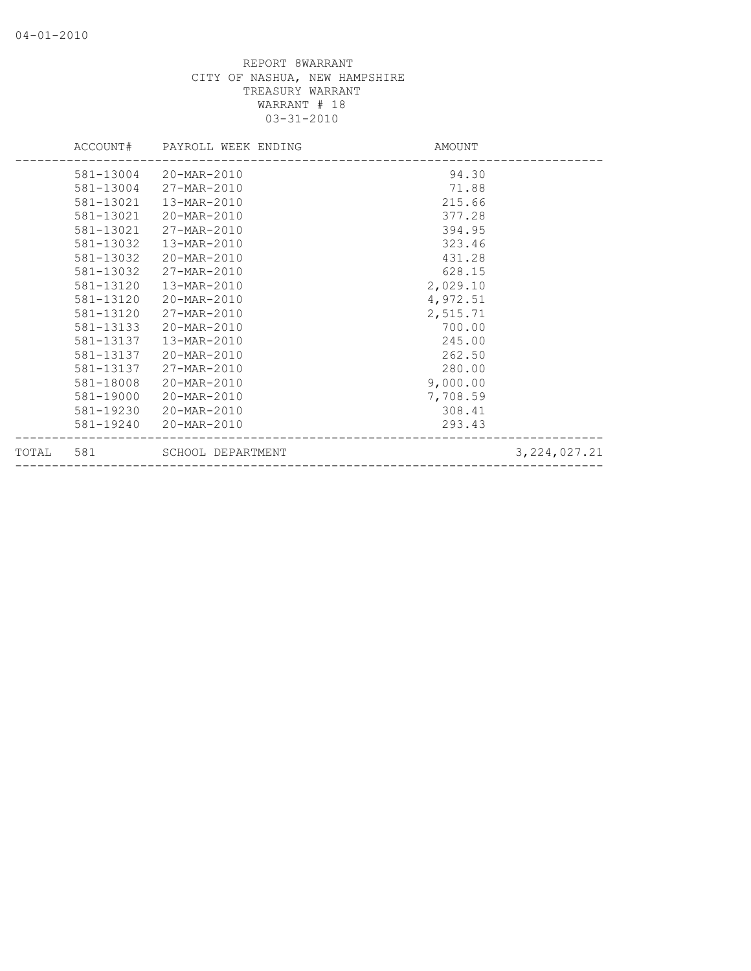|       |           | ACCOUNT# PAYROLL WEEK ENDING | AMOUNT   |                |
|-------|-----------|------------------------------|----------|----------------|
|       | 581-13004 | 20-MAR-2010                  | 94.30    |                |
|       | 581-13004 | 27-MAR-2010                  | 71.88    |                |
|       | 581-13021 | 13-MAR-2010                  | 215.66   |                |
|       | 581-13021 | 20-MAR-2010                  | 377.28   |                |
|       | 581-13021 | 27-MAR-2010                  | 394.95   |                |
|       | 581-13032 | 13-MAR-2010                  | 323.46   |                |
|       | 581-13032 | 20-MAR-2010                  | 431.28   |                |
|       | 581-13032 | 27-MAR-2010                  | 628.15   |                |
|       | 581-13120 | 13-MAR-2010                  | 2,029.10 |                |
|       | 581-13120 | 20-MAR-2010                  | 4,972.51 |                |
|       | 581-13120 | 27-MAR-2010                  | 2,515.71 |                |
|       | 581-13133 | 20-MAR-2010                  | 700.00   |                |
|       | 581-13137 | 13-MAR-2010                  | 245.00   |                |
|       | 581-13137 | 20-MAR-2010                  | 262.50   |                |
|       | 581-13137 | 27-MAR-2010                  | 280.00   |                |
|       | 581-18008 | 20-MAR-2010                  | 9,000.00 |                |
|       | 581-19000 | 20-MAR-2010                  | 7,708.59 |                |
|       | 581-19230 | 20-MAR-2010                  | 308.41   |                |
|       | 581-19240 | 20-MAR-2010                  | 293.43   |                |
| TOTAL | 581       | SCHOOL DEPARTMENT            |          | 3, 224, 027.21 |
|       |           |                              |          |                |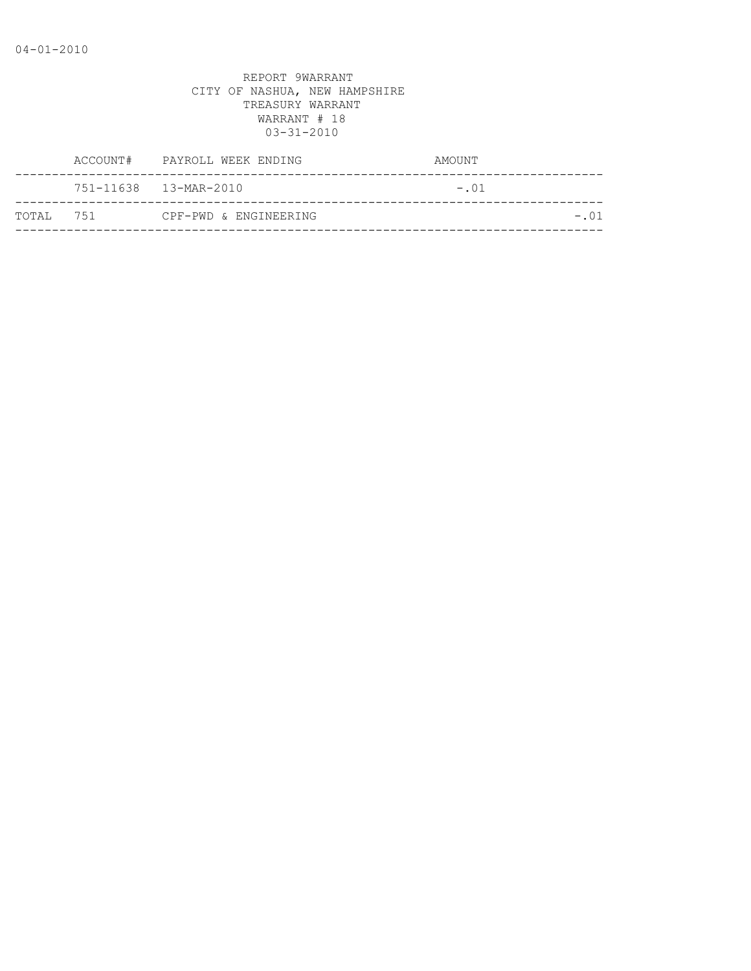|            | ACCOUNT# | PAYROLL WEEK ENDING   | AMOUNT  |
|------------|----------|-----------------------|---------|
|            |          | 751-11638 13-MAR-2010 | $-.01$  |
| ТОТАІ. 751 |          | CPF-PWD & ENGINEERING | $-0.01$ |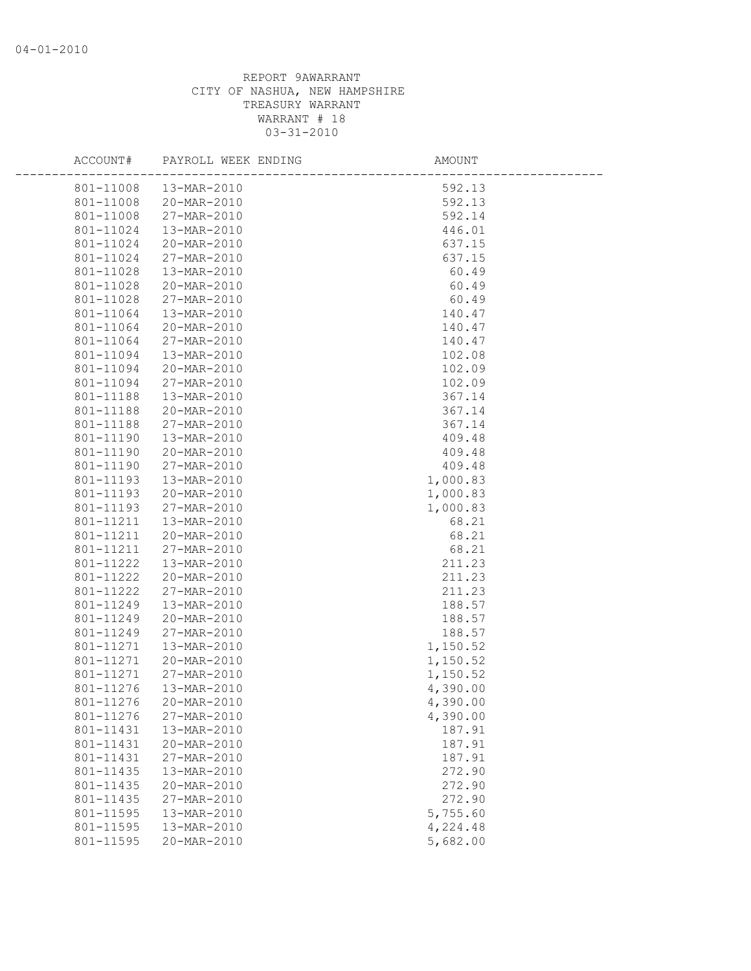| ACCOUNT#  | PAYROLL WEEK ENDING | AMOUNT   |  |
|-----------|---------------------|----------|--|
| 801-11008 | 13-MAR-2010         | 592.13   |  |
| 801-11008 | 20-MAR-2010         | 592.13   |  |
| 801-11008 | 27-MAR-2010         | 592.14   |  |
| 801-11024 | 13-MAR-2010         | 446.01   |  |
| 801-11024 | 20-MAR-2010         | 637.15   |  |
| 801-11024 | 27-MAR-2010         | 637.15   |  |
| 801-11028 | 13-MAR-2010         | 60.49    |  |
| 801-11028 | 20-MAR-2010         | 60.49    |  |
| 801-11028 | 27-MAR-2010         | 60.49    |  |
| 801-11064 | 13-MAR-2010         | 140.47   |  |
| 801-11064 | 20-MAR-2010         | 140.47   |  |
| 801-11064 | 27-MAR-2010         | 140.47   |  |
| 801-11094 | 13-MAR-2010         | 102.08   |  |
| 801-11094 | 20-MAR-2010         | 102.09   |  |
| 801-11094 | 27-MAR-2010         | 102.09   |  |
| 801-11188 | 13-MAR-2010         | 367.14   |  |
| 801-11188 | 20-MAR-2010         | 367.14   |  |
| 801-11188 | 27-MAR-2010         | 367.14   |  |
| 801-11190 | 13-MAR-2010         | 409.48   |  |
| 801-11190 | 20-MAR-2010         | 409.48   |  |
| 801-11190 | 27-MAR-2010         | 409.48   |  |
| 801-11193 | 13-MAR-2010         | 1,000.83 |  |
| 801-11193 | 20-MAR-2010         | 1,000.83 |  |
| 801-11193 | 27-MAR-2010         | 1,000.83 |  |
| 801-11211 | 13-MAR-2010         | 68.21    |  |
| 801-11211 | 20-MAR-2010         | 68.21    |  |
| 801-11211 | 27-MAR-2010         | 68.21    |  |
| 801-11222 | 13-MAR-2010         | 211.23   |  |
| 801-11222 | 20-MAR-2010         | 211.23   |  |
| 801-11222 | 27-MAR-2010         | 211.23   |  |
| 801-11249 | 13-MAR-2010         | 188.57   |  |
| 801-11249 | 20-MAR-2010         | 188.57   |  |
| 801-11249 | 27-MAR-2010         | 188.57   |  |
| 801-11271 | 13-MAR-2010         | 1,150.52 |  |
| 801-11271 | 20-MAR-2010         | 1,150.52 |  |
| 801-11271 | 27-MAR-2010         | 1,150.52 |  |
| 801-11276 | 13-MAR-2010         | 4,390.00 |  |
| 801-11276 | 20-MAR-2010         | 4,390.00 |  |
| 801-11276 | 27-MAR-2010         | 4,390.00 |  |
| 801-11431 | 13-MAR-2010         | 187.91   |  |
| 801-11431 | 20-MAR-2010         | 187.91   |  |
| 801-11431 | 27-MAR-2010         | 187.91   |  |
| 801-11435 | 13-MAR-2010         | 272.90   |  |
| 801-11435 | 20-MAR-2010         | 272.90   |  |
| 801-11435 | 27-MAR-2010         | 272.90   |  |
| 801-11595 | 13-MAR-2010         | 5,755.60 |  |
| 801-11595 | 13-MAR-2010         | 4,224.48 |  |
| 801-11595 | 20-MAR-2010         | 5,682.00 |  |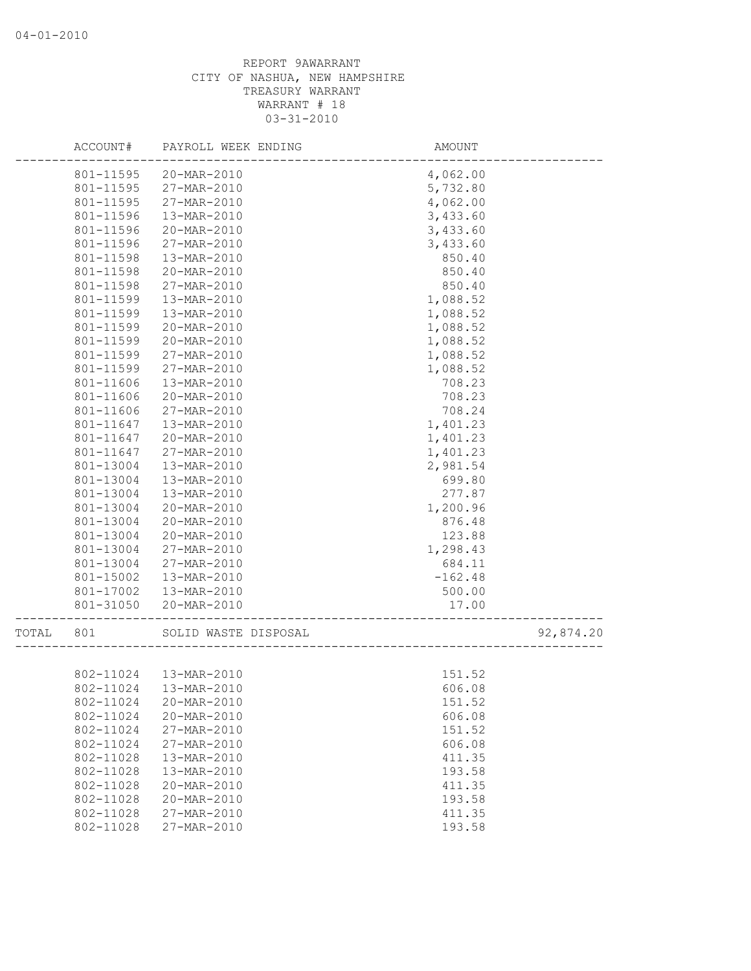|       | ACCOUNT#  | PAYROLL WEEK ENDING      | <b>AMOUNT</b>                   |           |
|-------|-----------|--------------------------|---------------------------------|-----------|
|       | 801-11595 | 20-MAR-2010              | 4,062.00                        |           |
|       | 801-11595 | 27-MAR-2010              | 5,732.80                        |           |
|       | 801-11595 | 27-MAR-2010              | 4,062.00                        |           |
|       | 801-11596 | 13-MAR-2010              | 3,433.60                        |           |
|       | 801-11596 | 20-MAR-2010              | 3,433.60                        |           |
|       | 801-11596 | 27-MAR-2010              | 3,433.60                        |           |
|       | 801-11598 | 13-MAR-2010              | 850.40                          |           |
|       | 801-11598 | 20-MAR-2010              | 850.40                          |           |
|       | 801-11598 | 27-MAR-2010              | 850.40                          |           |
|       | 801-11599 | 13-MAR-2010              | 1,088.52                        |           |
|       | 801-11599 | 13-MAR-2010              | 1,088.52                        |           |
|       | 801-11599 | 20-MAR-2010              | 1,088.52                        |           |
|       | 801-11599 | 20-MAR-2010              | 1,088.52                        |           |
|       | 801-11599 | 27-MAR-2010              | 1,088.52                        |           |
|       | 801-11599 | 27-MAR-2010              | 1,088.52                        |           |
|       | 801-11606 | 13-MAR-2010              | 708.23                          |           |
|       | 801-11606 | 20-MAR-2010              | 708.23                          |           |
|       | 801-11606 | 27-MAR-2010              | 708.24                          |           |
|       | 801-11647 | 13-MAR-2010              | 1,401.23                        |           |
|       | 801-11647 | 20-MAR-2010              | 1,401.23                        |           |
|       | 801-11647 | 27-MAR-2010              | 1,401.23                        |           |
|       | 801-13004 | 13-MAR-2010              | 2,981.54                        |           |
|       | 801-13004 | 13-MAR-2010              | 699.80                          |           |
|       | 801-13004 | 13-MAR-2010              | 277.87                          |           |
|       | 801-13004 | 20-MAR-2010              | 1,200.96                        |           |
|       | 801-13004 | 20-MAR-2010              | 876.48                          |           |
|       | 801-13004 | 20-MAR-2010              | 123.88                          |           |
|       | 801-13004 | 27-MAR-2010              | 1,298.43                        |           |
|       | 801-13004 | 27-MAR-2010              | 684.11                          |           |
|       | 801-15002 | 13-MAR-2010              | $-162.48$                       |           |
|       | 801-17002 | 13-MAR-2010              | 500.00                          |           |
|       | 801-31050 | 20-MAR-2010              | 17.00<br>______________________ |           |
| TOTAL | 801       | SOLID WASTE DISPOSAL     |                                 | 92,874.20 |
|       |           |                          |                                 |           |
|       | 802-11024 | 13-MAR-2010              | 151.52                          |           |
|       |           | 802-11024  13-MAR-2010   | 606.08                          |           |
|       | 802-11024 | 20-MAR-2010              | 151.52                          |           |
|       | 802-11024 | 20-MAR-2010              | 606.08                          |           |
|       | 802-11024 | 27-MAR-2010              | 151.52                          |           |
|       | 802-11024 | 27-MAR-2010              | 606.08                          |           |
|       | 802-11028 | 13-MAR-2010              | 411.35                          |           |
|       | 802-11028 | 13-MAR-2010              | 193.58                          |           |
|       | 802-11028 | $20 - \text{MAR} - 2010$ | 411.35                          |           |
|       | 802-11028 | 20-MAR-2010              | 193.58                          |           |
|       | 802-11028 | 27-MAR-2010              | 411.35                          |           |
|       | 802-11028 | 27-MAR-2010              | 193.58                          |           |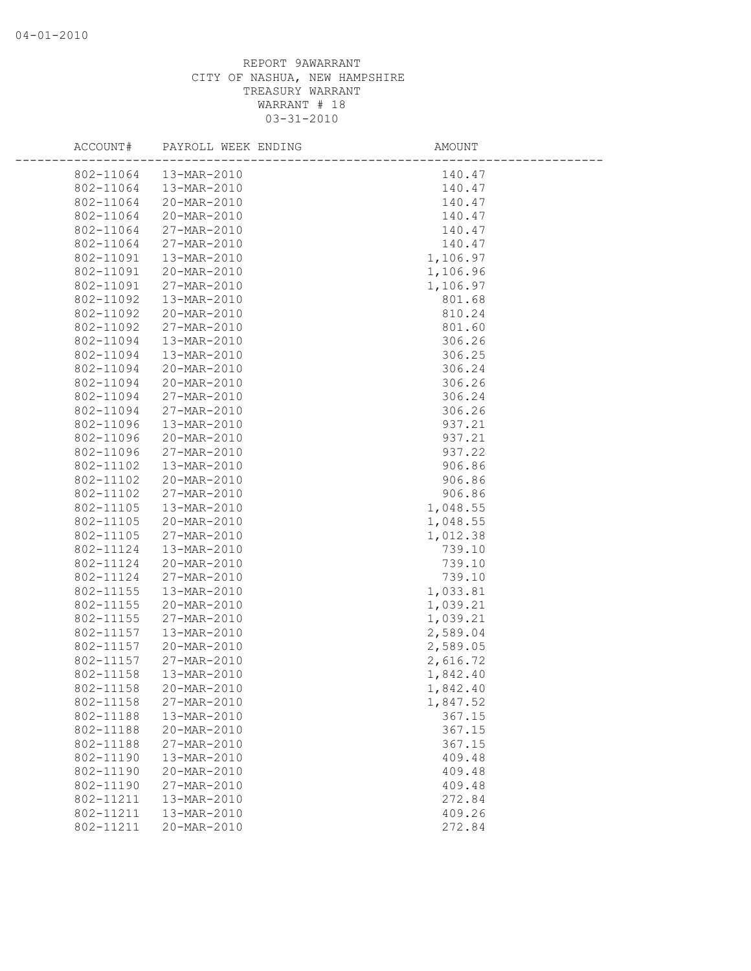| ACCOUNT#  | PAYROLL WEEK ENDING | AMOUNT   |  |
|-----------|---------------------|----------|--|
| 802-11064 | 13-MAR-2010         | 140.47   |  |
| 802-11064 | 13-MAR-2010         | 140.47   |  |
| 802-11064 | 20-MAR-2010         | 140.47   |  |
| 802-11064 | 20-MAR-2010         | 140.47   |  |
| 802-11064 | 27-MAR-2010         | 140.47   |  |
| 802-11064 | 27-MAR-2010         | 140.47   |  |
| 802-11091 | 13-MAR-2010         | 1,106.97 |  |
| 802-11091 | 20-MAR-2010         | 1,106.96 |  |
| 802-11091 | 27-MAR-2010         | 1,106.97 |  |
| 802-11092 | 13-MAR-2010         | 801.68   |  |
| 802-11092 | 20-MAR-2010         | 810.24   |  |
| 802-11092 | 27-MAR-2010         | 801.60   |  |
| 802-11094 | 13-MAR-2010         | 306.26   |  |
| 802-11094 | 13-MAR-2010         | 306.25   |  |
| 802-11094 | 20-MAR-2010         | 306.24   |  |
| 802-11094 | 20-MAR-2010         | 306.26   |  |
| 802-11094 | 27-MAR-2010         | 306.24   |  |
| 802-11094 | 27-MAR-2010         | 306.26   |  |
| 802-11096 | 13-MAR-2010         | 937.21   |  |
| 802-11096 | 20-MAR-2010         | 937.21   |  |
| 802-11096 | 27-MAR-2010         | 937.22   |  |
| 802-11102 | 13-MAR-2010         | 906.86   |  |
| 802-11102 | 20-MAR-2010         | 906.86   |  |
| 802-11102 | 27-MAR-2010         | 906.86   |  |
| 802-11105 | 13-MAR-2010         | 1,048.55 |  |
| 802-11105 | 20-MAR-2010         | 1,048.55 |  |
| 802-11105 | 27-MAR-2010         | 1,012.38 |  |
| 802-11124 | 13-MAR-2010         | 739.10   |  |
| 802-11124 | 20-MAR-2010         | 739.10   |  |
| 802-11124 | 27-MAR-2010         | 739.10   |  |
| 802-11155 | 13-MAR-2010         | 1,033.81 |  |
| 802-11155 | 20-MAR-2010         | 1,039.21 |  |
| 802-11155 | 27-MAR-2010         | 1,039.21 |  |
| 802-11157 | 13-MAR-2010         | 2,589.04 |  |
| 802-11157 | 20-MAR-2010         | 2,589.05 |  |
| 802-11157 | 27-MAR-2010         | 2,616.72 |  |
| 802-11158 | 13-MAR-2010         | 1,842.40 |  |
| 802-11158 | 20-MAR-2010         | 1,842.40 |  |
| 802-11158 | 27-MAR-2010         | 1,847.52 |  |
| 802-11188 | 13-MAR-2010         | 367.15   |  |
| 802-11188 | 20-MAR-2010         | 367.15   |  |
| 802-11188 | 27-MAR-2010         | 367.15   |  |
| 802-11190 | 13-MAR-2010         | 409.48   |  |
| 802-11190 | 20-MAR-2010         | 409.48   |  |
| 802-11190 | 27-MAR-2010         | 409.48   |  |
| 802-11211 | 13-MAR-2010         | 272.84   |  |
| 802-11211 | 13-MAR-2010         | 409.26   |  |
| 802-11211 | 20-MAR-2010         | 272.84   |  |
|           |                     |          |  |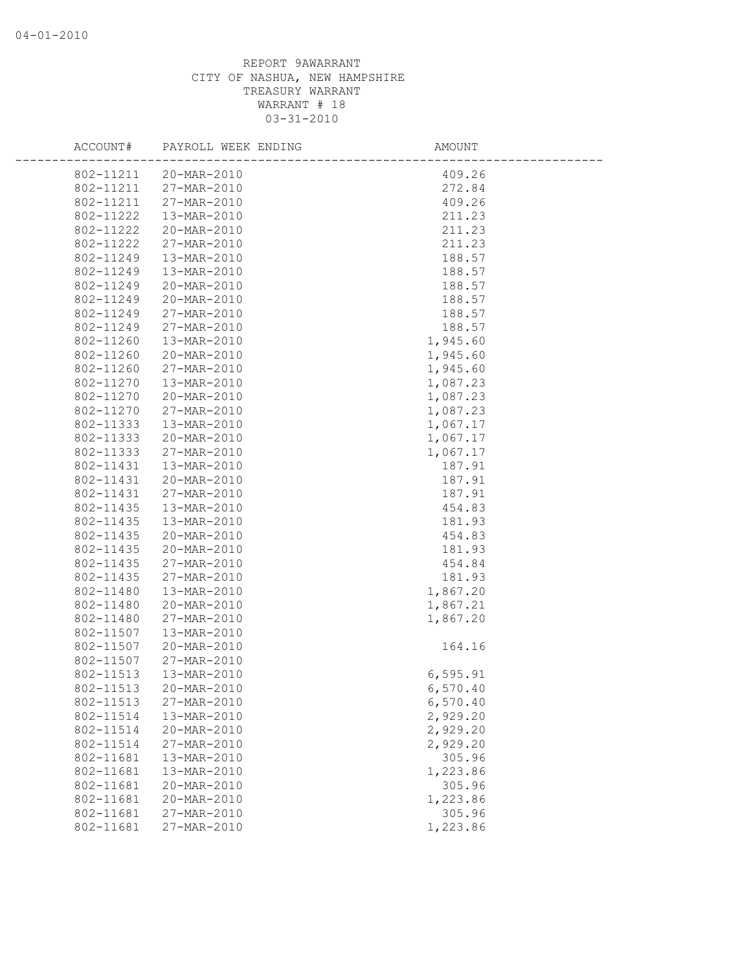| ACCOUNT#  | PAYROLL WEEK ENDING | AMOUNT    |
|-----------|---------------------|-----------|
| 802-11211 | 20-MAR-2010         | 409.26    |
| 802-11211 | 27-MAR-2010         | 272.84    |
| 802-11211 | 27-MAR-2010         | 409.26    |
| 802-11222 | 13-MAR-2010         | 211.23    |
| 802-11222 | 20-MAR-2010         | 211.23    |
| 802-11222 | 27-MAR-2010         | 211.23    |
| 802-11249 | 13-MAR-2010         | 188.57    |
| 802-11249 | 13-MAR-2010         | 188.57    |
| 802-11249 | 20-MAR-2010         | 188.57    |
| 802-11249 | 20-MAR-2010         | 188.57    |
| 802-11249 | 27-MAR-2010         | 188.57    |
| 802-11249 | 27-MAR-2010         | 188.57    |
| 802-11260 | 13-MAR-2010         | 1,945.60  |
| 802-11260 | 20-MAR-2010         | 1,945.60  |
| 802-11260 | 27-MAR-2010         | 1,945.60  |
| 802-11270 | 13-MAR-2010         | 1,087.23  |
| 802-11270 | 20-MAR-2010         | 1,087.23  |
| 802-11270 | 27-MAR-2010         | 1,087.23  |
| 802-11333 | 13-MAR-2010         | 1,067.17  |
| 802-11333 | 20-MAR-2010         | 1,067.17  |
| 802-11333 | 27-MAR-2010         | 1,067.17  |
| 802-11431 | 13-MAR-2010         | 187.91    |
| 802-11431 | 20-MAR-2010         | 187.91    |
| 802-11431 | 27-MAR-2010         | 187.91    |
| 802-11435 | 13-MAR-2010         | 454.83    |
| 802-11435 | 13-MAR-2010         | 181.93    |
| 802-11435 | 20-MAR-2010         | 454.83    |
| 802-11435 | 20-MAR-2010         | 181.93    |
| 802-11435 | 27-MAR-2010         | 454.84    |
| 802-11435 | 27-MAR-2010         | 181.93    |
| 802-11480 | 13-MAR-2010         | 1,867.20  |
| 802-11480 | 20-MAR-2010         | 1,867.21  |
| 802-11480 | 27-MAR-2010         | 1,867.20  |
| 802-11507 | 13-MAR-2010         |           |
| 802-11507 | 20-MAR-2010         | 164.16    |
| 802-11507 | 27-MAR-2010         |           |
| 802-11513 | 13-MAR-2010         | 6, 595.91 |
| 802-11513 | 20-MAR-2010         | 6,570.40  |
| 802-11513 | 27-MAR-2010         | 6,570.40  |
| 802-11514 | 13-MAR-2010         | 2,929.20  |
| 802-11514 | 20-MAR-2010         | 2,929.20  |
| 802-11514 | 27-MAR-2010         | 2,929.20  |
| 802-11681 | 13-MAR-2010         | 305.96    |
| 802-11681 | 13-MAR-2010         | 1,223.86  |
| 802-11681 | 20-MAR-2010         | 305.96    |
| 802-11681 | 20-MAR-2010         | 1,223.86  |
| 802-11681 | 27-MAR-2010         | 305.96    |
| 802-11681 | 27-MAR-2010         | 1,223.86  |
|           |                     |           |